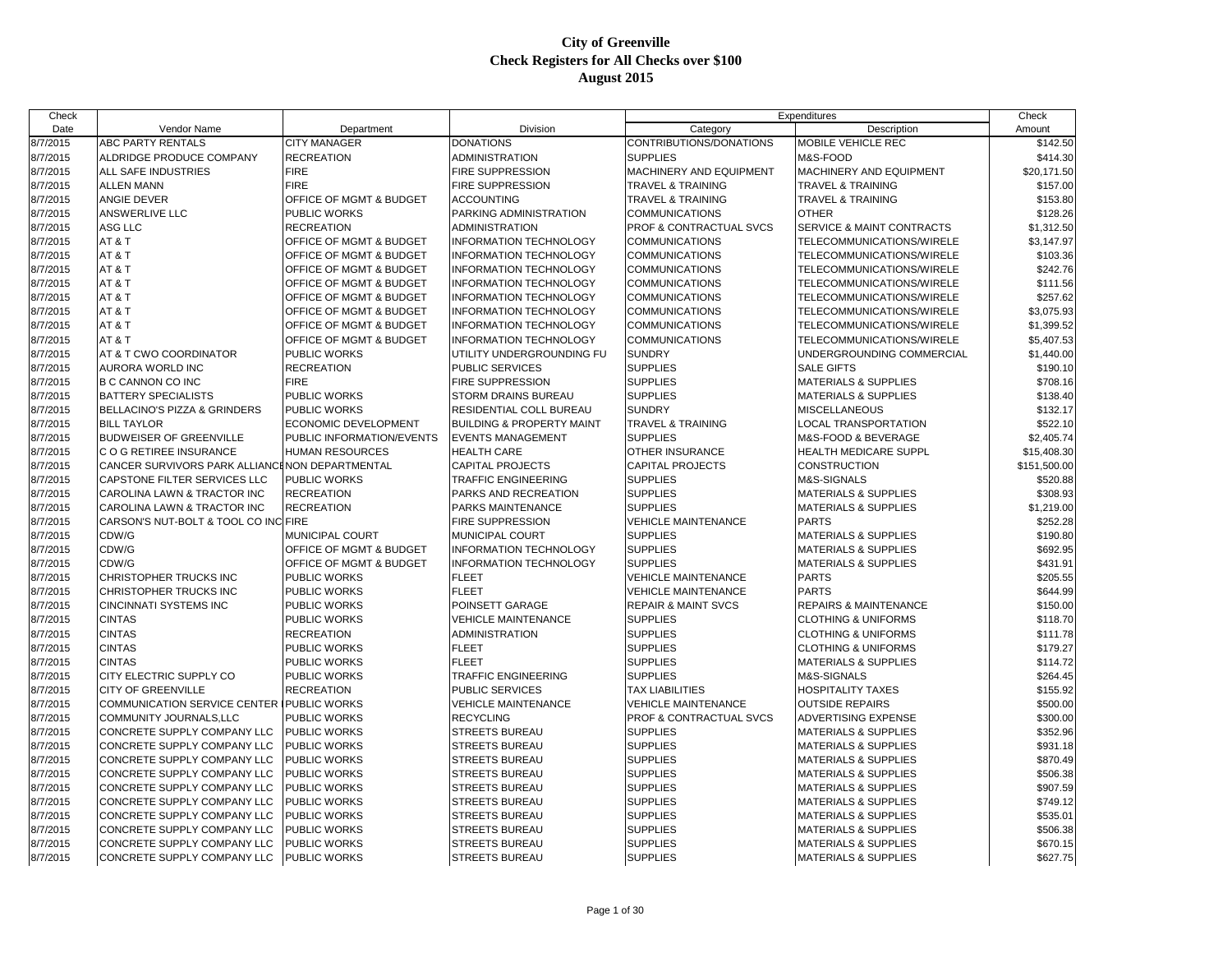| Check    |                                                |                                    |                                      |                                | Expenditures                         | Check        |
|----------|------------------------------------------------|------------------------------------|--------------------------------------|--------------------------------|--------------------------------------|--------------|
| Date     | Vendor Name                                    | Department                         | Division                             | Category                       | Description                          | Amount       |
| 8/7/2015 | ABC PARTY RENTALS                              | <b>CITY MANAGER</b>                | <b>DONATIONS</b>                     | CONTRIBUTIONS/DONATIONS        | MOBILE VEHICLE REC                   | \$142.50     |
| 8/7/2015 | ALDRIDGE PRODUCE COMPANY                       | <b>RECREATION</b>                  | <b>ADMINISTRATION</b>                | <b>SUPPLIES</b>                | M&S-FOOD                             | \$414.30     |
| 8/7/2015 | ALL SAFE INDUSTRIES                            | <b>FIRE</b>                        | <b>FIRE SUPPRESSION</b>              | MACHINERY AND EQUIPMENT        | MACHINERY AND EQUIPMENT              | \$20,171.50  |
| 8/7/2015 | <b>ALLEN MANN</b>                              | <b>FIRE</b>                        | <b>FIRE SUPPRESSION</b>              | <b>TRAVEL &amp; TRAINING</b>   | TRAVEL & TRAINING                    | \$157.00     |
| 8/7/2015 | ANGIE DEVER                                    | OFFICE OF MGMT & BUDGET            | <b>ACCOUNTING</b>                    | <b>TRAVEL &amp; TRAINING</b>   | TRAVEL & TRAINING                    | \$153.80     |
| 8/7/2015 | ANSWERLIVE LLC                                 | <b>PUBLIC WORKS</b>                | PARKING ADMINISTRATION               | <b>COMMUNICATIONS</b>          | <b>OTHER</b>                         | \$128.26     |
| 8/7/2015 | ASG LLC                                        | <b>RECREATION</b>                  | <b>ADMINISTRATION</b>                | PROF & CONTRACTUAL SVCS        | <b>SERVICE &amp; MAINT CONTRACTS</b> | \$1,312.50   |
| 8/7/2015 | AT&T                                           | OFFICE OF MGMT & BUDGET            | <b>INFORMATION TECHNOLOGY</b>        | <b>COMMUNICATIONS</b>          | TELECOMMUNICATIONS/WIRELE            | \$3,147.97   |
| 8/7/2015 | AT&T                                           | OFFICE OF MGMT & BUDGET            | <b>INFORMATION TECHNOLOGY</b>        | <b>COMMUNICATIONS</b>          | TELECOMMUNICATIONS/WIRELE            | \$103.36     |
| 8/7/2015 | AT&T                                           | OFFICE OF MGMT & BUDGET            | <b>INFORMATION TECHNOLOGY</b>        | <b>COMMUNICATIONS</b>          | TELECOMMUNICATIONS/WIRELE            | \$242.76     |
| 8/7/2015 | AT&T                                           | OFFICE OF MGMT & BUDGET            | <b>INFORMATION TECHNOLOGY</b>        | <b>COMMUNICATIONS</b>          | TELECOMMUNICATIONS/WIRELE            | \$111.56     |
| 8/7/2015 | AT&T                                           | <b>OFFICE OF MGMT &amp; BUDGET</b> | <b>INFORMATION TECHNOLOGY</b>        | <b>COMMUNICATIONS</b>          | TELECOMMUNICATIONS/WIRELE            | \$257.62     |
| 8/7/2015 | AT&T                                           | OFFICE OF MGMT & BUDGET            | <b>INFORMATION TECHNOLOGY</b>        | <b>COMMUNICATIONS</b>          | TELECOMMUNICATIONS/WIRELE            | \$3,075.93   |
| 8/7/2015 | AT&T                                           | OFFICE OF MGMT & BUDGET            | <b>INFORMATION TECHNOLOGY</b>        | <b>COMMUNICATIONS</b>          | TELECOMMUNICATIONS/WIRELE            | \$1,399.52   |
| 8/7/2015 | AT&T                                           | OFFICE OF MGMT & BUDGET            | <b>INFORMATION TECHNOLOGY</b>        | <b>COMMUNICATIONS</b>          | TELECOMMUNICATIONS/WIRELE            | \$5,407.53   |
| 8/7/2015 | AT & T CWO COORDINATOR                         | <b>PUBLIC WORKS</b>                | UTILITY UNDERGROUNDING FU            | <b>SUNDRY</b>                  | UNDERGROUNDING COMMERCIAL            | \$1,440.00   |
| 8/7/2015 | AURORA WORLD INC                               | <b>RECREATION</b>                  | <b>PUBLIC SERVICES</b>               | <b>SUPPLIES</b>                | <b>SALE GIFTS</b>                    | \$190.10     |
| 8/7/2015 | B C CANNON CO INC                              | <b>FIRE</b>                        | <b>FIRE SUPPRESSION</b>              | <b>SUPPLIES</b>                | <b>MATERIALS &amp; SUPPLIES</b>      | \$708.16     |
| 8/7/2015 | <b>BATTERY SPECIALISTS</b>                     | <b>PUBLIC WORKS</b>                | <b>STORM DRAINS BUREAU</b>           | <b>SUPPLIES</b>                | <b>MATERIALS &amp; SUPPLIES</b>      | \$138.40     |
| 8/7/2015 | BELLACINO'S PIZZA & GRINDERS                   | PUBLIC WORKS                       | <b>RESIDENTIAL COLL BUREAU</b>       | <b>SUNDRY</b>                  | MISCELLANEOUS                        | \$132.17     |
| 8/7/2015 | <b>BILL TAYLOR</b>                             | ECONOMIC DEVELOPMENT               | <b>BUILDING &amp; PROPERTY MAINT</b> | TRAVEL & TRAINING              | <b>LOCAL TRANSPORTATION</b>          | \$522.10     |
| 8/7/2015 | <b>BUDWEISER OF GREENVILLE</b>                 | PUBLIC INFORMATION/EVENTS          | <b>EVENTS MANAGEMENT</b>             | <b>SUPPLIES</b>                | M&S-FOOD & BEVERAGE                  | \$2,405.74   |
| 8/7/2015 | C O G RETIREE INSURANCE                        | <b>HUMAN RESOURCES</b>             | <b>HEALTH CARE</b>                   | OTHER INSURANCE                | HEALTH MEDICARE SUPPL                | \$15,408.30  |
| 8/7/2015 | CANCER SURVIVORS PARK ALLIANCINON DEPARTMENTAL |                                    | <b>CAPITAL PROJECTS</b>              | <b>CAPITAL PROJECTS</b>        | CONSTRUCTION                         | \$151,500.00 |
| 8/7/2015 | CAPSTONE FILTER SERVICES LLC                   | <b>PUBLIC WORKS</b>                | <b>TRAFFIC ENGINEERING</b>           | <b>SUPPLIES</b>                | <b>M&amp;S-SIGNALS</b>               | \$520.88     |
| 8/7/2015 | CAROLINA LAWN & TRACTOR INC                    | <b>RECREATION</b>                  | PARKS AND RECREATION                 | <b>SUPPLIES</b>                | <b>MATERIALS &amp; SUPPLIES</b>      | \$308.93     |
| 8/7/2015 | CAROLINA LAWN & TRACTOR INC                    | <b>RECREATION</b>                  | <b>PARKS MAINTENANCE</b>             | <b>SUPPLIES</b>                | <b>MATERIALS &amp; SUPPLIES</b>      | \$1,219.00   |
| 8/7/2015 | CARSON'S NUT-BOLT & TOOL CO INC FIRE           |                                    | <b>FIRE SUPPRESSION</b>              | <b>VEHICLE MAINTENANCE</b>     | <b>PARTS</b>                         | \$252.28     |
| 8/7/2015 | CDW/G                                          | MUNICIPAL COURT                    | <b>MUNICIPAL COURT</b>               | <b>SUPPLIES</b>                | <b>MATERIALS &amp; SUPPLIES</b>      | \$190.80     |
| 8/7/2015 | CDW/G                                          | OFFICE OF MGMT & BUDGET            | <b>INFORMATION TECHNOLOGY</b>        | <b>SUPPLIES</b>                | <b>MATERIALS &amp; SUPPLIES</b>      | \$692.95     |
| 8/7/2015 | CDW/G                                          | OFFICE OF MGMT & BUDGET            | <b>INFORMATION TECHNOLOGY</b>        | <b>SUPPLIES</b>                | <b>MATERIALS &amp; SUPPLIES</b>      | \$431.91     |
| 8/7/2015 | CHRISTOPHER TRUCKS INC                         | <b>PUBLIC WORKS</b>                | <b>FLEET</b>                         | <b>VEHICLE MAINTENANCE</b>     | <b>PARTS</b>                         | \$205.55     |
| 8/7/2015 | CHRISTOPHER TRUCKS INC                         | PUBLIC WORKS                       | <b>FLEET</b>                         | <b>VEHICLE MAINTENANCE</b>     | <b>PARTS</b>                         | \$644.99     |
| 8/7/2015 | <b>CINCINNATI SYSTEMS INC</b>                  | PUBLIC WORKS                       | POINSETT GARAGE                      | <b>REPAIR &amp; MAINT SVCS</b> | REPAIRS & MAINTENANCE                | \$150.00     |
| 8/7/2015 | <b>CINTAS</b>                                  | PUBLIC WORKS                       | <b>VEHICLE MAINTENANCE</b>           | <b>SUPPLIES</b>                | <b>CLOTHING &amp; UNIFORMS</b>       | \$118.70     |
| 8/7/2015 | <b>CINTAS</b>                                  | <b>RECREATION</b>                  | <b>ADMINISTRATION</b>                | <b>SUPPLIES</b>                | <b>CLOTHING &amp; UNIFORMS</b>       | \$111.78     |
| 8/7/2015 | <b>CINTAS</b>                                  | PUBLIC WORKS                       | <b>FLEET</b>                         | <b>SUPPLIES</b>                | <b>CLOTHING &amp; UNIFORMS</b>       | \$179.27     |
| 8/7/2015 | <b>CINTAS</b>                                  | PUBLIC WORKS                       | <b>FLEET</b>                         | <b>SUPPLIES</b>                | <b>MATERIALS &amp; SUPPLIES</b>      | \$114.72     |
| 8/7/2015 | CITY ELECTRIC SUPPLY CO                        | <b>PUBLIC WORKS</b>                | <b>TRAFFIC ENGINEERING</b>           | <b>SUPPLIES</b>                | M&S-SIGNALS                          | \$264.45     |
| 8/7/2015 | <b>CITY OF GREENVILLE</b>                      | <b>RECREATION</b>                  | <b>PUBLIC SERVICES</b>               | <b>TAX LIABILITIES</b>         | HOSPITALITY TAXES                    | \$155.92     |
| 8/7/2015 | <b>COMMUNICATION SERVICE CENTER</b>            | <b>PUBLIC WORKS</b>                | <b>VEHICLE MAINTENANCE</b>           | <b>VEHICLE MAINTENANCE</b>     | <b>OUTSIDE REPAIRS</b>               | \$500.00     |
| 8/7/2015 | COMMUNITY JOURNALS,LLC                         | PUBLIC WORKS                       | <b>RECYCLING</b>                     | PROF & CONTRACTUAL SVCS        | ADVERTISING EXPENSE                  | \$300.00     |
| 8/7/2015 | CONCRETE SUPPLY COMPANY LLC                    | PUBLIC WORKS                       | <b>STREETS BUREAU</b>                | <b>SUPPLIES</b>                | <b>MATERIALS &amp; SUPPLIES</b>      | \$352.96     |
| 8/7/2015 | CONCRETE SUPPLY COMPANY LLC                    | <b>PUBLIC WORKS</b>                | <b>STREETS BUREAU</b>                | <b>SUPPLIES</b>                | <b>MATERIALS &amp; SUPPLIES</b>      | \$931.18     |
| 8/7/2015 | CONCRETE SUPPLY COMPANY LLC                    | PUBLIC WORKS                       | <b>STREETS BUREAU</b>                | <b>SUPPLIES</b>                | <b>MATERIALS &amp; SUPPLIES</b>      | \$870.49     |
| 8/7/2015 | CONCRETE SUPPLY COMPANY LLC                    | PUBLIC WORKS                       | <b>STREETS BUREAU</b>                | <b>SUPPLIES</b>                | <b>MATERIALS &amp; SUPPLIES</b>      | \$506.38     |
| 8/7/2015 | CONCRETE SUPPLY COMPANY LLC                    | PUBLIC WORKS                       | <b>STREETS BUREAU</b>                | <b>SUPPLIES</b>                | <b>MATERIALS &amp; SUPPLIES</b>      | \$907.59     |
| 8/7/2015 | CONCRETE SUPPLY COMPANY LLC                    | PUBLIC WORKS                       | <b>STREETS BUREAU</b>                | <b>SUPPLIES</b>                | MATERIALS & SUPPLIES                 | \$749.12     |
| 8/7/2015 | CONCRETE SUPPLY COMPANY LLC                    | PUBLIC WORKS                       | <b>STREETS BUREAU</b>                | <b>SUPPLIES</b>                | MATERIALS & SUPPLIES                 | \$535.01     |
| 8/7/2015 | CONCRETE SUPPLY COMPANY LLC                    | PUBLIC WORKS                       | <b>STREETS BUREAU</b>                | <b>SUPPLIES</b>                | MATERIALS & SUPPLIES                 | \$506.38     |
| 8/7/2015 | CONCRETE SUPPLY COMPANY LLC                    | PUBLIC WORKS                       | <b>STREETS BUREAU</b>                | <b>SUPPLIES</b>                | <b>MATERIALS &amp; SUPPLIES</b>      | \$670.15     |
| 8/7/2015 | CONCRETE SUPPLY COMPANY LLC                    | PUBLIC WORKS                       | <b>STREETS BUREAU</b>                | <b>SUPPLIES</b>                | <b>MATERIALS &amp; SUPPLIES</b>      | \$627.75     |
|          |                                                |                                    |                                      |                                |                                      |              |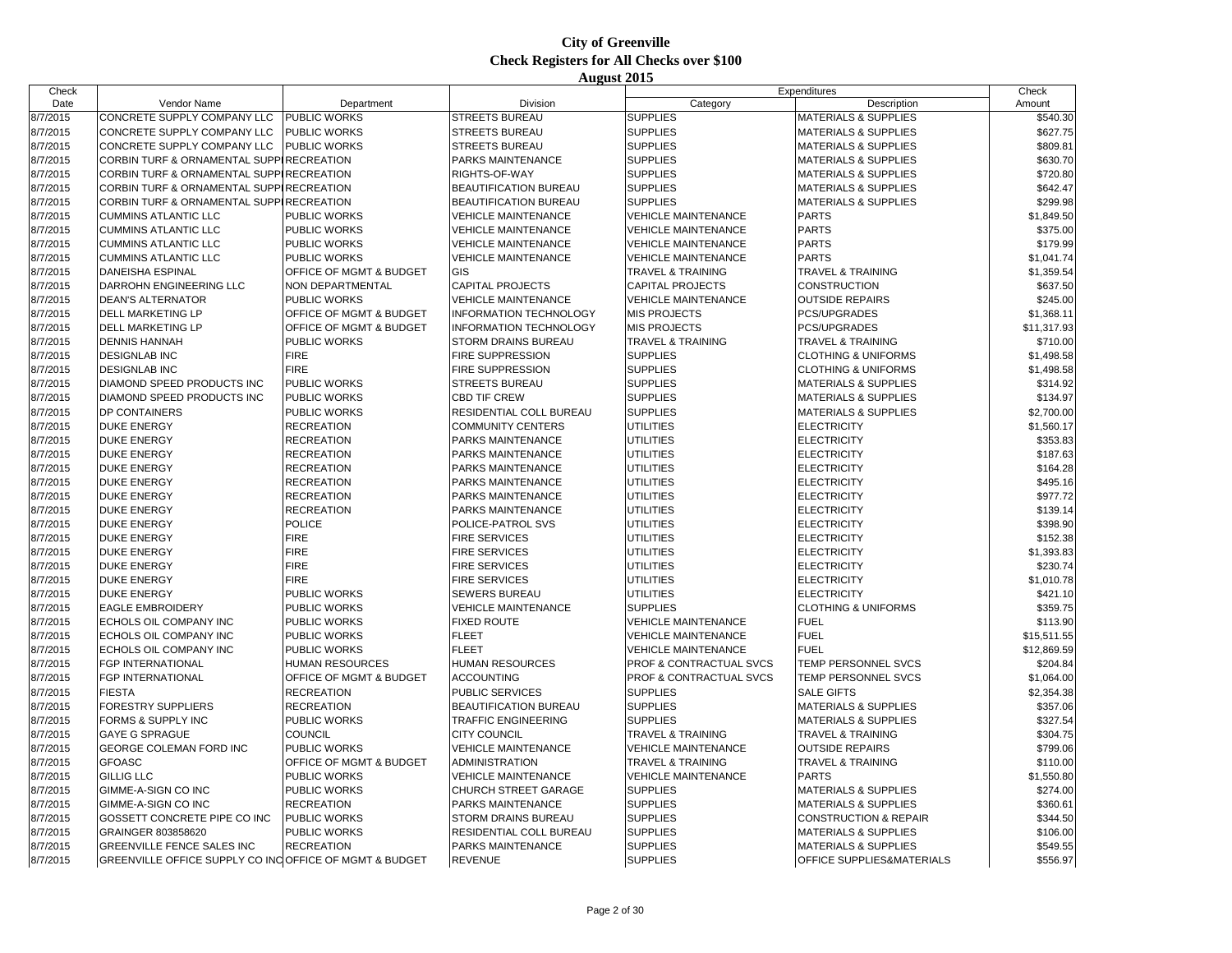| Check    |                                                         |                                    |                               |                              | Expenditures                     | Check       |
|----------|---------------------------------------------------------|------------------------------------|-------------------------------|------------------------------|----------------------------------|-------------|
| Date     | Vendor Name                                             | Department                         | Division                      | Category                     | Description                      | Amount      |
| 8/7/2015 | CONCRETE SUPPLY COMPANY LLC                             | PUBLIC WORKS                       | <b>STREETS BUREAU</b>         | <b>SUPPLIES</b>              | <b>MATERIALS &amp; SUPPLIES</b>  | \$540.30    |
| 8/7/2015 | CONCRETE SUPPLY COMPANY LLC                             | <b>PUBLIC WORKS</b>                | <b>STREETS BUREAU</b>         | <b>SUPPLIES</b>              | <b>MATERIALS &amp; SUPPLIES</b>  | \$627.75    |
| 8/7/2015 | CONCRETE SUPPLY COMPANY LLC                             | <b>PUBLIC WORKS</b>                | <b>STREETS BUREAU</b>         | <b>SUPPLIES</b>              | <b>MATERIALS &amp; SUPPLIES</b>  | \$809.81    |
| 8/7/2015 | CORBIN TURF & ORNAMENTAL SUPPIRECREATION                |                                    | PARKS MAINTENANCE             | <b>SUPPLIES</b>              | <b>MATERIALS &amp; SUPPLIES</b>  | \$630.70    |
| 8/7/2015 | CORBIN TURF & ORNAMENTAL SUPPIRECREATION                |                                    | RIGHTS-OF-WAY                 | <b>SUPPLIES</b>              | <b>MATERIALS &amp; SUPPLIES</b>  | \$720.80    |
| 8/7/2015 | CORBIN TURF & ORNAMENTAL SUPPIRECREATION                |                                    | <b>BEAUTIFICATION BUREAU</b>  | <b>SUPPLIES</b>              | <b>MATERIALS &amp; SUPPLIES</b>  | \$642.47    |
| 8/7/2015 | CORBIN TURF & ORNAMENTAL SUPPIRECREATION                |                                    | BEAUTIFICATION BUREAU         | <b>SUPPLIES</b>              | <b>MATERIALS &amp; SUPPLIES</b>  | \$299.98    |
| 8/7/2015 | <b>CUMMINS ATLANTIC LLC</b>                             | PUBLIC WORKS                       | <b>VEHICLE MAINTENANCE</b>    | <b>VEHICLE MAINTENANCE</b>   | <b>PARTS</b>                     | \$1,849.50  |
| 8/7/2015 | <b>CUMMINS ATLANTIC LLC</b>                             | <b>PUBLIC WORKS</b>                | <b>VEHICLE MAINTENANCE</b>    | <b>VEHICLE MAINTENANCE</b>   | <b>PARTS</b>                     | \$375.00    |
| 8/7/2015 | <b>CUMMINS ATLANTIC LLC</b>                             | PUBLIC WORKS                       | <b>VEHICLE MAINTENANCE</b>    | <b>VEHICLE MAINTENANCE</b>   | <b>PARTS</b>                     | \$179.99    |
| 8/7/2015 | <b>CUMMINS ATLANTIC LLC</b>                             | PUBLIC WORKS                       | <b>VEHICLE MAINTENANCE</b>    | <b>VEHICLE MAINTENANCE</b>   | <b>PARTS</b>                     | \$1,041.74  |
| 8/7/2015 | DANEISHA ESPINAL                                        | <b>OFFICE OF MGMT &amp; BUDGET</b> | <b>GIS</b>                    | <b>TRAVEL &amp; TRAINING</b> | <b>TRAVEL &amp; TRAINING</b>     | \$1,359.54  |
| 8/7/2015 | DARROHN ENGINEERING LLC                                 | NON DEPARTMENTAL                   | <b>CAPITAL PROJECTS</b>       | <b>CAPITAL PROJECTS</b>      | <b>CONSTRUCTION</b>              | \$637.50    |
| 8/7/2015 | <b>DEAN'S ALTERNATOR</b>                                | PUBLIC WORKS                       | <b>VEHICLE MAINTENANCE</b>    | <b>VEHICLE MAINTENANCE</b>   | <b>OUTSIDE REPAIRS</b>           | \$245.00    |
| 8/7/2015 | DELL MARKETING LP                                       | <b>OFFICE OF MGMT &amp; BUDGET</b> | <b>INFORMATION TECHNOLOGY</b> | <b>MIS PROJECTS</b>          | <b>PCS/UPGRADES</b>              | \$1,368.11  |
| 8/7/2015 | DELL MARKETING LP                                       | OFFICE OF MGMT & BUDGET            | <b>INFORMATION TECHNOLOGY</b> | <b>MIS PROJECTS</b>          | PCS/UPGRADES                     | \$11,317.93 |
| 8/7/2015 | <b>DENNIS HANNAH</b>                                    | <b>PUBLIC WORKS</b>                | <b>STORM DRAINS BUREAU</b>    | <b>TRAVEL &amp; TRAINING</b> | <b>TRAVEL &amp; TRAINING</b>     | \$710.00    |
| 8/7/2015 | <b>DESIGNLAB INC</b>                                    | <b>FIRE</b>                        | <b>FIRE SUPPRESSION</b>       | <b>SUPPLIES</b>              | <b>CLOTHING &amp; UNIFORMS</b>   | \$1,498.58  |
| 8/7/2015 | <b>DESIGNLAB INC</b>                                    | <b>FIRE</b>                        | <b>FIRE SUPPRESSION</b>       | <b>SUPPLIES</b>              | <b>CLOTHING &amp; UNIFORMS</b>   | \$1,498.58  |
|          | DIAMOND SPEED PRODUCTS INC                              | <b>PUBLIC WORKS</b>                | <b>STREETS BUREAU</b>         | <b>SUPPLIES</b>              | <b>MATERIALS &amp; SUPPLIES</b>  | \$314.92    |
| 8/7/2015 |                                                         |                                    |                               |                              |                                  |             |
| 8/7/2015 | DIAMOND SPEED PRODUCTS INC                              | <b>PUBLIC WORKS</b>                | CBD TIF CREW                  | <b>SUPPLIES</b>              | <b>MATERIALS &amp; SUPPLIES</b>  | \$134.97    |
| 8/7/2015 | DP CONTAINERS                                           | <b>PUBLIC WORKS</b>                | RESIDENTIAL COLL BUREAU       | <b>SUPPLIES</b>              | <b>MATERIALS &amp; SUPPLIES</b>  | \$2,700.00  |
| 8/7/2015 | <b>DUKE ENERGY</b>                                      | <b>RECREATION</b>                  | <b>COMMUNITY CENTERS</b>      | UTILITIES                    | <b>ELECTRICITY</b>               | \$1,560.17  |
| 8/7/2015 | <b>DUKE ENERGY</b>                                      | <b>RECREATION</b>                  | PARKS MAINTENANCE             | <b>UTILITIES</b>             | <b>ELECTRICITY</b>               | \$353.83    |
| 8/7/2015 | <b>DUKE ENERGY</b>                                      | <b>RECREATION</b>                  | PARKS MAINTENANCE             | UTILITIES                    | <b>ELECTRICITY</b>               | \$187.63    |
| 8/7/2015 | <b>DUKE ENERGY</b>                                      | <b>RECREATION</b>                  | PARKS MAINTENANCE             | UTILITIES                    | <b>ELECTRICITY</b>               | \$164.28    |
| 8/7/2015 | <b>DUKE ENERGY</b>                                      | <b>RECREATION</b>                  | PARKS MAINTENANCE             | UTILITIES                    | <b>ELECTRICITY</b>               | \$495.16    |
| 8/7/2015 | <b>DUKE ENERGY</b>                                      | <b>RECREATION</b>                  | PARKS MAINTENANCE             | UTILITIES                    | <b>ELECTRICITY</b>               | \$977.72    |
| 8/7/2015 | <b>DUKE ENERGY</b>                                      | <b>RECREATION</b>                  | PARKS MAINTENANCE             | <b>UTILITIES</b>             | <b>ELECTRICITY</b>               | \$139.14    |
| 8/7/2015 | <b>DUKE ENERGY</b>                                      | <b>POLICE</b>                      | POLICE-PATROL SVS             | <b>UTILITIES</b>             | <b>ELECTRICITY</b>               | \$398.90    |
| 8/7/2015 | <b>DUKE ENERGY</b>                                      | <b>FIRE</b>                        | <b>FIRE SERVICES</b>          | <b>UTILITIES</b>             | <b>ELECTRICITY</b>               | \$152.38    |
| 8/7/2015 | <b>DUKE ENERGY</b>                                      | <b>FIRE</b>                        | <b>FIRE SERVICES</b>          | <b>UTILITIES</b>             | <b>ELECTRICITY</b>               | \$1,393.83  |
| 8/7/2015 | <b>DUKE ENERGY</b>                                      | <b>FIRE</b>                        | <b>FIRE SERVICES</b>          | <b>UTILITIES</b>             | <b>ELECTRICITY</b>               | \$230.74    |
| 8/7/2015 | <b>DUKE ENERGY</b>                                      | <b>FIRE</b>                        | <b>FIRE SERVICES</b>          | UTILITIES                    | <b>ELECTRICITY</b>               | \$1,010.78  |
| 8/7/2015 | <b>DUKE ENERGY</b>                                      | <b>PUBLIC WORKS</b>                | <b>SEWERS BUREAU</b>          | <b>UTILITIES</b>             | <b>ELECTRICITY</b>               | \$421.10    |
| 8/7/2015 | <b>EAGLE EMBROIDERY</b>                                 | <b>PUBLIC WORKS</b>                | <b>VEHICLE MAINTENANCE</b>    | <b>SUPPLIES</b>              | <b>CLOTHING &amp; UNIFORMS</b>   | \$359.75    |
| 8/7/2015 | ECHOLS OIL COMPANY INC                                  | <b>PUBLIC WORKS</b>                | <b>FIXED ROUTE</b>            | <b>VEHICLE MAINTENANCE</b>   | <b>FUEL</b>                      | \$113.90    |
| 8/7/2015 | ECHOLS OIL COMPANY INC                                  | <b>PUBLIC WORKS</b>                | <b>FLEET</b>                  | <b>VEHICLE MAINTENANCE</b>   | <b>FUEL</b>                      | \$15,511.55 |
| 8/7/2015 | ECHOLS OIL COMPANY INC                                  | <b>PUBLIC WORKS</b>                | <b>FLEET</b>                  | <b>VEHICLE MAINTENANCE</b>   | <b>FUEL</b>                      | \$12,869.59 |
| 8/7/2015 | FGP INTERNATIONAL                                       | <b>HUMAN RESOURCES</b>             | <b>HUMAN RESOURCES</b>        | PROF & CONTRACTUAL SVCS      | TEMP PERSONNEL SVCS              | \$204.84    |
| 8/7/2015 | FGP INTERNATIONAL                                       | OFFICE OF MGMT & BUDGET            | <b>ACCOUNTING</b>             | PROF & CONTRACTUAL SVCS      | TEMP PERSONNEL SVCS              | \$1,064.00  |
| 8/7/2015 | <b>FIESTA</b>                                           | <b>RECREATION</b>                  | PUBLIC SERVICES               | <b>SUPPLIES</b>              | SALE GIFTS                       | \$2,354.38  |
| 8/7/2015 | <b>FORESTRY SUPPLIERS</b>                               | <b>RECREATION</b>                  | BEAUTIFICATION BUREAU         | <b>SUPPLIES</b>              | <b>MATERIALS &amp; SUPPLIES</b>  | \$357.06    |
| 8/7/2015 | FORMS & SUPPLY INC                                      | PUBLIC WORKS                       | TRAFFIC ENGINEERING           | <b>SUPPLIES</b>              | <b>MATERIALS &amp; SUPPLIES</b>  | \$327.54    |
| 8/7/2015 | <b>GAYE G SPRAGUE</b>                                   | COUNCIL                            | CITY COUNCIL                  | <b>TRAVEL &amp; TRAINING</b> | <b>TRAVEL &amp; TRAINING</b>     | \$304.75    |
| 8/7/2015 | GEORGE COLEMAN FORD INC                                 | <b>PUBLIC WORKS</b>                | VEHICLE MAINTENANCE           | <b>VEHICLE MAINTENANCE</b>   | <b>OUTSIDE REPAIRS</b>           | \$799.06    |
| 8/7/2015 | <b>GFOASC</b>                                           | OFFICE OF MGMT & BUDGET            | ADMINISTRATION                | <b>TRAVEL &amp; TRAINING</b> | <b>TRAVEL &amp; TRAINING</b>     | \$110.00    |
| 8/7/2015 | <b>GILLIG LLC</b>                                       | <b>PUBLIC WORKS</b>                | <b>VEHICLE MAINTENANCE</b>    | <b>VEHICLE MAINTENANCE</b>   | <b>PARTS</b>                     | \$1,550.80  |
| 8/7/2015 | GIMME-A-SIGN CO INC                                     | PUBLIC WORKS                       | <b>CHURCH STREET GARAGE</b>   | <b>SUPPLIES</b>              | <b>MATERIALS &amp; SUPPLIES</b>  | \$274.00    |
| 8/7/2015 | GIMME-A-SIGN CO INC                                     | <b>RECREATION</b>                  | PARKS MAINTENANCE             | <b>SUPPLIES</b>              | <b>MATERIALS &amp; SUPPLIES</b>  | \$360.61    |
| 8/7/2015 | GOSSETT CONCRETE PIPE CO INC                            | <b>PUBLIC WORKS</b>                | STORM DRAINS BUREAU           | <b>SUPPLIES</b>              | <b>CONSTRUCTION &amp; REPAIR</b> | \$344.50    |
| 8/7/2015 | GRAINGER 803858620                                      | PUBLIC WORKS                       | RESIDENTIAL COLL BUREAU       | <b>SUPPLIES</b>              | <b>MATERIALS &amp; SUPPLIES</b>  | \$106.00    |
| 8/7/2015 | GREENVILLE FENCE SALES INC                              | <b>RECREATION</b>                  | PARKS MAINTENANCE             | <b>SUPPLIES</b>              | <b>MATERIALS &amp; SUPPLIES</b>  | \$549.55    |
| 8/7/2015 | GREENVILLE OFFICE SUPPLY CO INC OFFICE OF MGMT & BUDGET |                                    | <b>REVENUE</b>                | <b>SUPPLIES</b>              | OFFICE SUPPLIES&MATERIALS        | \$556.97    |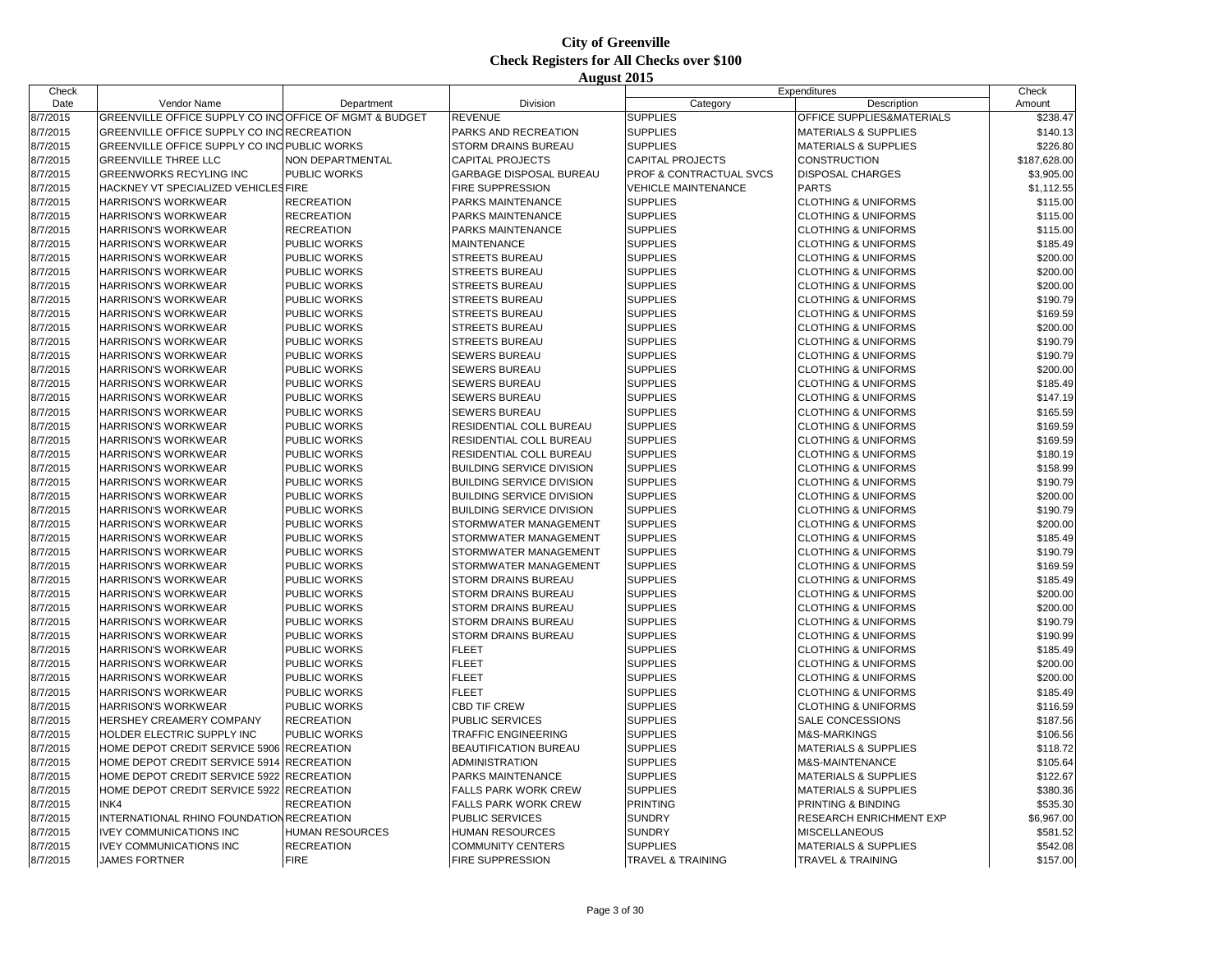| Check    |                                                         |                         |                                  |                              | Expenditures                    | Check        |
|----------|---------------------------------------------------------|-------------------------|----------------------------------|------------------------------|---------------------------------|--------------|
| Date     | Vendor Name                                             | Department              | Division                         | Category                     | Description                     | Amount       |
| 8/7/2015 | GREENVILLE OFFICE SUPPLY CO INC OFFICE OF MGMT & BUDGET |                         | <b>REVENUE</b>                   | <b>SUPPLIES</b>              | OFFICE SUPPLIES&MATERIALS       | \$238.47     |
| 8/7/2015 | GREENVILLE OFFICE SUPPLY CO INC RECREATION              |                         | PARKS AND RECREATION             | <b>SUPPLIES</b>              | <b>MATERIALS &amp; SUPPLIES</b> | \$140.13     |
| 8/7/2015 | GREENVILLE OFFICE SUPPLY CO INC PUBLIC WORKS            |                         | STORM DRAINS BUREAU              | <b>SUPPLIES</b>              | <b>MATERIALS &amp; SUPPLIES</b> | \$226.80     |
| 8/7/2015 | <b>GREENVILLE THREE LLC</b>                             | <b>NON DEPARTMENTAL</b> | <b>CAPITAL PROJECTS</b>          | <b>CAPITAL PROJECTS</b>      | <b>CONSTRUCTION</b>             | \$187,628.00 |
| 8/7/2015 | GREENWORKS RECYLING INC                                 | PUBLIC WORKS            | GARBAGE DISPOSAL BUREAU          | PROF & CONTRACTUAL SVCS      | <b>DISPOSAL CHARGES</b>         | \$3,905.00   |
| 8/7/2015 | HACKNEY VT SPECIALIZED VEHICLES FIRE                    |                         | <b>FIRE SUPPRESSION</b>          | <b>VEHICLE MAINTENANCE</b>   | <b>PARTS</b>                    | \$1,112.55   |
| 8/7/2015 | <b>HARRISON'S WORKWEAR</b>                              | <b>RECREATION</b>       | PARKS MAINTENANCE                | <b>SUPPLIES</b>              | <b>CLOTHING &amp; UNIFORMS</b>  | \$115.00     |
| 8/7/2015 | HARRISON'S WORKWEAR                                     | <b>RECREATION</b>       | PARKS MAINTENANCE                | <b>SUPPLIES</b>              | <b>CLOTHING &amp; UNIFORMS</b>  | \$115.00     |
| 8/7/2015 | <b>HARRISON'S WORKWEAR</b>                              | <b>RECREATION</b>       | PARKS MAINTENANCE                | <b>SUPPLIES</b>              | <b>CLOTHING &amp; UNIFORMS</b>  | \$115.00     |
| 8/7/2015 | <b>HARRISON'S WORKWEAR</b>                              | PUBLIC WORKS            | <b>MAINTENANCE</b>               | <b>SUPPLIES</b>              | <b>CLOTHING &amp; UNIFORMS</b>  | \$185.49     |
| 8/7/2015 | HARRISON'S WORKWEAR                                     | PUBLIC WORKS            | <b>STREETS BUREAU</b>            | <b>SUPPLIES</b>              | <b>CLOTHING &amp; UNIFORMS</b>  | \$200.00     |
| 8/7/2015 | <b>HARRISON'S WORKWEAR</b>                              | PUBLIC WORKS            | <b>STREETS BUREAU</b>            | <b>SUPPLIES</b>              | <b>CLOTHING &amp; UNIFORMS</b>  | \$200.00     |
| 8/7/2015 | <b>HARRISON'S WORKWEAR</b>                              | PUBLIC WORKS            | <b>STREETS BUREAU</b>            | <b>SUPPLIES</b>              | <b>CLOTHING &amp; UNIFORMS</b>  | \$200.00     |
| 8/7/2015 | <b>HARRISON'S WORKWEAR</b>                              | PUBLIC WORKS            | <b>STREETS BUREAU</b>            | <b>SUPPLIES</b>              | <b>CLOTHING &amp; UNIFORMS</b>  | \$190.79     |
| 8/7/2015 | <b>HARRISON'S WORKWEAR</b>                              | PUBLIC WORKS            | <b>STREETS BUREAU</b>            | <b>SUPPLIES</b>              | <b>CLOTHING &amp; UNIFORMS</b>  | \$169.59     |
| 8/7/2015 | <b>HARRISON'S WORKWEAR</b>                              | PUBLIC WORKS            | <b>STREETS BUREAU</b>            | <b>SUPPLIES</b>              | <b>CLOTHING &amp; UNIFORMS</b>  | \$200.00     |
| 8/7/2015 | <b>HARRISON'S WORKWEAR</b>                              | PUBLIC WORKS            | <b>STREETS BUREAU</b>            | <b>SUPPLIES</b>              | <b>CLOTHING &amp; UNIFORMS</b>  | \$190.79     |
| 8/7/2015 | <b>HARRISON'S WORKWEAR</b>                              | PUBLIC WORKS            | SEWERS BUREAU                    | <b>SUPPLIES</b>              | <b>CLOTHING &amp; UNIFORMS</b>  | \$190.79     |
| 8/7/2015 | <b>HARRISON'S WORKWEAR</b>                              | PUBLIC WORKS            | <b>SEWERS BUREAU</b>             | <b>SUPPLIES</b>              | <b>CLOTHING &amp; UNIFORMS</b>  | \$200.00     |
| 8/7/2015 | <b>HARRISON'S WORKWEAR</b>                              | PUBLIC WORKS            | <b>SEWERS BUREAU</b>             | <b>SUPPLIES</b>              | <b>CLOTHING &amp; UNIFORMS</b>  | \$185.49     |
|          |                                                         |                         |                                  |                              |                                 |              |
| 8/7/2015 | <b>HARRISON'S WORKWEAR</b>                              | PUBLIC WORKS            | SEWERS BUREAU                    | <b>SUPPLIES</b>              | <b>CLOTHING &amp; UNIFORMS</b>  | \$147.19     |
| 8/7/2015 | <b>HARRISON'S WORKWEAR</b>                              | PUBLIC WORKS            | <b>SEWERS BUREAU</b>             | <b>SUPPLIES</b>              | <b>CLOTHING &amp; UNIFORMS</b>  | \$165.59     |
| 8/7/2015 | <b>HARRISON'S WORKWEAR</b>                              | PUBLIC WORKS            | RESIDENTIAL COLL BUREAU          | <b>SUPPLIES</b>              | <b>CLOTHING &amp; UNIFORMS</b>  | \$169.59     |
| 8/7/2015 | <b>HARRISON'S WORKWEAR</b>                              | PUBLIC WORKS            | RESIDENTIAL COLL BUREAU          | <b>SUPPLIES</b>              | <b>CLOTHING &amp; UNIFORMS</b>  | \$169.59     |
| 8/7/2015 | <b>HARRISON'S WORKWEAR</b>                              | PUBLIC WORKS            | RESIDENTIAL COLL BUREAU          | <b>SUPPLIES</b>              | <b>CLOTHING &amp; UNIFORMS</b>  | \$180.19     |
| 8/7/2015 | <b>HARRISON'S WORKWEAR</b>                              | PUBLIC WORKS            | <b>BUILDING SERVICE DIVISION</b> | <b>SUPPLIES</b>              | <b>CLOTHING &amp; UNIFORMS</b>  | \$158.99     |
| 8/7/2015 | <b>HARRISON'S WORKWEAR</b>                              | PUBLIC WORKS            | <b>BUILDING SERVICE DIVISION</b> | <b>SUPPLIES</b>              | <b>CLOTHING &amp; UNIFORMS</b>  | \$190.79     |
| 8/7/2015 | <b>HARRISON'S WORKWEAR</b>                              | PUBLIC WORKS            | <b>BUILDING SERVICE DIVISION</b> | <b>SUPPLIES</b>              | <b>CLOTHING &amp; UNIFORMS</b>  | \$200.00     |
| 8/7/2015 | <b>HARRISON'S WORKWEAR</b>                              | PUBLIC WORKS            | <b>BUILDING SERVICE DIVISION</b> | <b>SUPPLIES</b>              | <b>CLOTHING &amp; UNIFORMS</b>  | \$190.79     |
| 8/7/2015 | <b>HARRISON'S WORKWEAR</b>                              | PUBLIC WORKS            | STORMWATER MANAGEMENT            | <b>SUPPLIES</b>              | <b>CLOTHING &amp; UNIFORMS</b>  | \$200.00     |
| 8/7/2015 | <b>HARRISON'S WORKWEAR</b>                              | <b>PUBLIC WORKS</b>     | STORMWATER MANAGEMENT            | <b>SUPPLIES</b>              | <b>CLOTHING &amp; UNIFORMS</b>  | \$185.49     |
| 8/7/2015 | <b>HARRISON'S WORKWEAR</b>                              | PUBLIC WORKS            | STORMWATER MANAGEMENT            | <b>SUPPLIES</b>              | <b>CLOTHING &amp; UNIFORMS</b>  | \$190.79     |
| 8/7/2015 | <b>HARRISON'S WORKWEAR</b>                              | PUBLIC WORKS            | STORMWATER MANAGEMENT            | <b>SUPPLIES</b>              | <b>CLOTHING &amp; UNIFORMS</b>  | \$169.59     |
| 8/7/2015 | <b>HARRISON'S WORKWEAR</b>                              | PUBLIC WORKS            | STORM DRAINS BUREAU              | <b>SUPPLIES</b>              | <b>CLOTHING &amp; UNIFORMS</b>  | \$185.49     |
| 8/7/2015 | <b>HARRISON'S WORKWEAR</b>                              | PUBLIC WORKS            | STORM DRAINS BUREAU              | <b>SUPPLIES</b>              | <b>CLOTHING &amp; UNIFORMS</b>  | \$200.00     |
| 8/7/2015 | <b>HARRISON'S WORKWEAR</b>                              | PUBLIC WORKS            | STORM DRAINS BUREAU              | <b>SUPPLIES</b>              | <b>CLOTHING &amp; UNIFORMS</b>  | \$200.00     |
| 8/7/2015 | <b>HARRISON'S WORKWEAR</b>                              | PUBLIC WORKS            | STORM DRAINS BUREAU              | <b>SUPPLIES</b>              | <b>CLOTHING &amp; UNIFORMS</b>  | \$190.79     |
| 8/7/2015 | <b>HARRISON'S WORKWEAR</b>                              | PUBLIC WORKS            | STORM DRAINS BUREAU              | <b>SUPPLIES</b>              | <b>CLOTHING &amp; UNIFORMS</b>  | \$190.99     |
| 8/7/2015 | <b>HARRISON'S WORKWEAR</b>                              | PUBLIC WORKS            | <b>FLEET</b>                     | <b>SUPPLIES</b>              | <b>CLOTHING &amp; UNIFORMS</b>  | \$185.49     |
| 8/7/2015 | <b>HARRISON'S WORKWEAR</b>                              | PUBLIC WORKS            | <b>FLEET</b>                     | <b>SUPPLIES</b>              | <b>CLOTHING &amp; UNIFORMS</b>  | \$200.00     |
| 8/7/2015 | <b>HARRISON'S WORKWEAR</b>                              | PUBLIC WORKS            | <b>FLEET</b>                     | <b>SUPPLIES</b>              | <b>CLOTHING &amp; UNIFORMS</b>  | \$200.00     |
| 8/7/2015 | <b>HARRISON'S WORKWEAR</b>                              | PUBLIC WORKS            | <b>FLEET</b>                     | <b>SUPPLIES</b>              | <b>CLOTHING &amp; UNIFORMS</b>  | \$185.49     |
| 8/7/2015 | <b>HARRISON'S WORKWEAR</b>                              | PUBLIC WORKS            | <b>CBD TIF CREW</b>              | <b>SUPPLIES</b>              | <b>CLOTHING &amp; UNIFORMS</b>  | \$116.59     |
| 8/7/2015 | HERSHEY CREAMERY COMPANY                                | <b>RECREATION</b>       | PUBLIC SERVICES                  | <b>SUPPLIES</b>              | <b>SALE CONCESSIONS</b>         | \$187.56     |
| 8/7/2015 | HOLDER ELECTRIC SUPPLY INC                              | PUBLIC WORKS            | <b>TRAFFIC ENGINEERING</b>       | <b>SUPPLIES</b>              | <b>M&amp;S-MARKINGS</b>         | \$106.56     |
| 8/7/2015 | HOME DEPOT CREDIT SERVICE 5906 RECREATION               |                         | <b>BEAUTIFICATION BUREAU</b>     | <b>SUPPLIES</b>              | <b>MATERIALS &amp; SUPPLIES</b> | \$118.72     |
| 8/7/2015 | HOME DEPOT CREDIT SERVICE 5914                          | <b>RECREATION</b>       | ADMINISTRATION                   | <b>SUPPLIES</b>              | M&S-MAINTENANCE                 | \$105.64     |
| 8/7/2015 | HOME DEPOT CREDIT SERVICE 5922 RECREATION               |                         | PARKS MAINTENANCE                | <b>SUPPLIES</b>              | <b>MATERIALS &amp; SUPPLIES</b> | \$122.67     |
| 8/7/2015 | HOME DEPOT CREDIT SERVICE 5922 RECREATION               |                         | FALLS PARK WORK CREW             | <b>SUPPLIES</b>              | <b>MATERIALS &amp; SUPPLIES</b> | \$380.36     |
| 8/7/2015 | INK4                                                    | <b>RECREATION</b>       | FALLS PARK WORK CREW             | <b>PRINTING</b>              | PRINTING & BINDING              | \$535.30     |
| 8/7/2015 | INTERNATIONAL RHINO FOUNDATION RECREATION               |                         | <b>PUBLIC SERVICES</b>           | <b>SUNDRY</b>                | <b>RESEARCH ENRICHMENT EXP</b>  | \$6,967.00   |
| 8/7/2015 | <b>IVEY COMMUNICATIONS INC</b>                          | HUMAN RESOURCES         | HUMAN RESOURCES                  | <b>SUNDRY</b>                | <b>MISCELLANEOUS</b>            | \$581.52     |
| 8/7/2015 | <b>IVEY COMMUNICATIONS INC</b>                          | <b>RECREATION</b>       | <b>COMMUNITY CENTERS</b>         | <b>SUPPLIES</b>              | <b>MATERIALS &amp; SUPPLIES</b> | \$542.08     |
| 8/7/2015 | <b>JAMES FORTNER</b>                                    | <b>FIRE</b>             | <b>FIRE SUPPRESSION</b>          | <b>TRAVEL &amp; TRAINING</b> | <b>TRAVEL &amp; TRAINING</b>    | \$157.00     |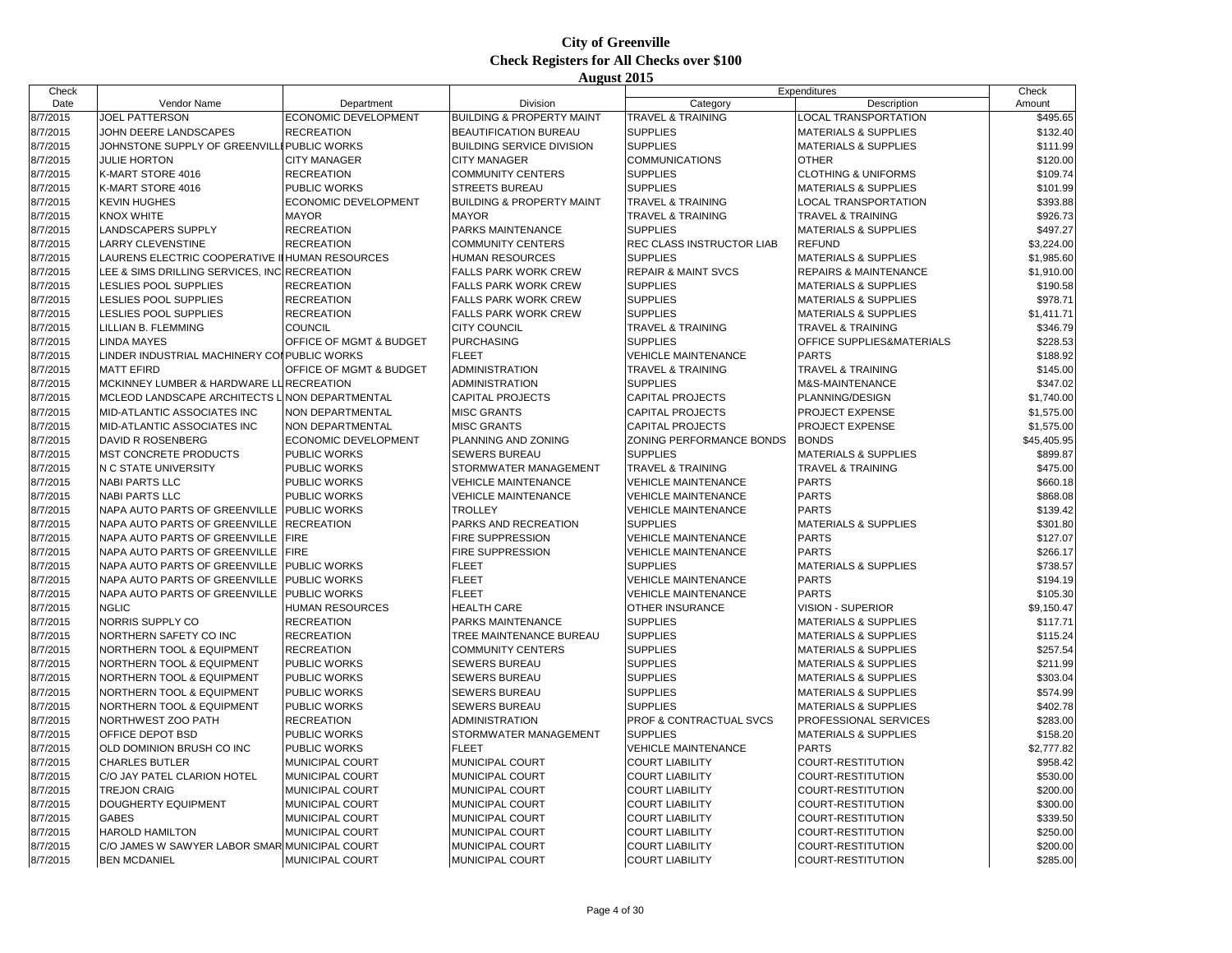| Check    |                                                        |                           |                                      |                                            | Expenditures                                                       | Check       |
|----------|--------------------------------------------------------|---------------------------|--------------------------------------|--------------------------------------------|--------------------------------------------------------------------|-------------|
| Date     | Vendor Name                                            | Department                | Division                             | Category                                   | Description                                                        | Amount      |
| 8/7/2015 | <b>JOEL PATTERSON</b>                                  | ECONOMIC DEVELOPMENT      | <b>BUILDING &amp; PROPERTY MAINT</b> | <b>TRAVEL &amp; TRAINING</b>               | <b>LOCAL TRANSPORTATION</b>                                        | \$495.65    |
| 8/7/2015 | JOHN DEERE LANDSCAPES                                  | <b>RECREATION</b>         | <b>BEAUTIFICATION BUREAU</b>         | <b>SUPPLIES</b>                            | <b>MATERIALS &amp; SUPPLIES</b>                                    | \$132.40    |
| 8/7/2015 | JOHNSTONE SUPPLY OF GREENVIL                           | <b>I PUBLIC WORKS</b>     | <b>BUILDING SERVICE DIVISION</b>     | <b>SUPPLIES</b>                            | <b>MATERIALS &amp; SUPPLIES</b>                                    | \$111.99    |
| 8/7/2015 | <b>JULIE HORTON</b>                                    | <b>CITY MANAGER</b>       | <b>CITY MANAGER</b>                  | <b>COMMUNICATIONS</b>                      | <b>OTHER</b>                                                       | \$120.00    |
| 8/7/2015 | K-MART STORE 4016                                      | <b>RECREATION</b>         | <b>COMMUNITY CENTERS</b>             | <b>SUPPLIES</b>                            | <b>CLOTHING &amp; UNIFORMS</b>                                     | \$109.74    |
| 8/7/2015 | K-MART STORE 4016                                      | PUBLIC WORKS              | <b>STREETS BUREAU</b>                | <b>SUPPLIES</b>                            | <b>MATERIALS &amp; SUPPLIES</b>                                    | \$101.99    |
| 8/7/2015 | <b>KEVIN HUGHES</b>                                    | ECONOMIC DEVELOPMENT      | <b>BUILDING &amp; PROPERTY MAINT</b> | <b>TRAVEL &amp; TRAINING</b>               | <b>LOCAL TRANSPORTATION</b>                                        | \$393.88    |
| 8/7/2015 | <b>KNOX WHITE</b>                                      | <b>MAYOR</b>              | <b>MAYOR</b>                         | <b>TRAVEL &amp; TRAINING</b>               | <b>TRAVEL &amp; TRAINING</b>                                       | \$926.73    |
| 8/7/2015 | <b>LANDSCAPERS SUPPLY</b>                              | <b>RECREATION</b>         | PARKS MAINTENANCE                    | <b>SUPPLIES</b>                            | <b>MATERIALS &amp; SUPPLIES</b>                                    | \$497.27    |
| 8/7/2015 | <b>LARRY CLEVENSTINE</b>                               | <b>RECREATION</b>         | <b>COMMUNITY CENTERS</b>             | REC CLASS INSTRUCTOR LIAB                  | <b>REFUND</b>                                                      | \$3,224.00  |
| 8/7/2015 | LAURENS ELECTRIC COOPERATIVE                           | <b>II HUMAN RESOURCES</b> | HUMAN RESOURCES                      | <b>SUPPLIES</b>                            | <b>MATERIALS &amp; SUPPLIES</b>                                    | \$1,985.60  |
| 8/7/2015 | LEE & SIMS DRILLING SERVICES. INC RECREATION           |                           | <b>FALLS PARK WORK CREW</b>          | <b>REPAIR &amp; MAINT SVCS</b>             | <b>REPAIRS &amp; MAINTENANCE</b>                                   | \$1,910.00  |
| 8/7/2015 | <b>LESLIES POOL SUPPLIES</b>                           | <b>RECREATION</b>         | <b>FALLS PARK WORK CREW</b>          | <b>SUPPLIES</b>                            | <b>MATERIALS &amp; SUPPLIES</b>                                    | \$190.58    |
| 8/7/2015 | <b>LESLIES POOL SUPPLIES</b>                           | <b>RECREATION</b>         | <b>FALLS PARK WORK CREW</b>          | <b>SUPPLIES</b>                            | <b>MATERIALS &amp; SUPPLIES</b>                                    | \$978.71    |
| 8/7/2015 | <b>ESLIES POOL SUPPLIES</b>                            | <b>RECREATION</b>         | <b>FALLS PARK WORK CREW</b>          | <b>SUPPLIES</b>                            | <b>MATERIALS &amp; SUPPLIES</b>                                    | \$1,411.71  |
| 8/7/2015 | LILLIAN B. FLEMMING                                    | <b>COUNCIL</b>            | <b>CITY COUNCIL</b>                  | <b>TRAVEL &amp; TRAINING</b>               | <b>TRAVEL &amp; TRAINING</b>                                       | \$346.79    |
| 8/7/2015 | <b>INDA MAYES</b>                                      | OFFICE OF MGMT & BUDGET   | <b>PURCHASING</b>                    | <b>SUPPLIES</b>                            | OFFICE SUPPLIES&MATERIALS                                          | \$228.53    |
| 8/7/2015 | LINDER INDUSTRIAL MACHINERY COI PUBLIC WORKS           |                           | <b>FLEET</b>                         | <b>VEHICLE MAINTENANCE</b>                 | <b>PARTS</b>                                                       | \$188.92    |
| 8/7/2015 | <b>MATT EFIRD</b>                                      | OFFICE OF MGMT & BUDGET   | <b>ADMINISTRATION</b>                | <b>TRAVEL &amp; TRAINING</b>               | <b>TRAVEL &amp; TRAINING</b>                                       | \$145.00    |
| 8/7/2015 | MCKINNEY LUMBER & HARDWARE LURECREATION                |                           | <b>ADMINISTRATION</b>                | <b>SUPPLIES</b>                            | M&S-MAINTENANCE                                                    | \$347.02    |
| 8/7/2015 | MCLEOD LANDSCAPE ARCHITECTS L NON DEPARTMENTAL         |                           | <b>CAPITAL PROJECTS</b>              | <b>CAPITAL PROJECTS</b>                    | PLANNING/DESIGN                                                    | \$1,740.00  |
| 8/7/2015 | <b>MID-ATLANTIC ASSOCIATES INC</b>                     | <b>NON DEPARTMENTAL</b>   | <b>MISC GRANTS</b>                   | <b>CAPITAL PROJECTS</b>                    | <b>PROJECT EXPENSE</b>                                             | \$1,575.00  |
| 8/7/2015 | MID-ATLANTIC ASSOCIATES INC                            | NON DEPARTMENTAL          | <b>MISC GRANTS</b>                   | <b>CAPITAL PROJECTS</b>                    | PROJECT EXPENSE                                                    | \$1,575.00  |
| 8/7/2015 | DAVID R ROSENBERG                                      | ECONOMIC DEVELOPMENT      | PLANNING AND ZONING                  | ZONING PERFORMANCE BONDS                   | <b>BONDS</b>                                                       | \$45,405.95 |
| 8/7/2015 | <b>MST CONCRETE PRODUCTS</b>                           | <b>PUBLIC WORKS</b>       | <b>SEWERS BUREAU</b>                 | <b>SUPPLIES</b>                            | <b>MATERIALS &amp; SUPPLIES</b>                                    | \$899.87    |
| 8/7/2015 | N C STATE UNIVERSITY                                   | PUBLIC WORKS              | STORMWATER MANAGEMENT                | <b>TRAVEL &amp; TRAINING</b>               | <b>TRAVEL &amp; TRAINING</b>                                       | \$475.00    |
| 8/7/2015 | <b>NABI PARTS LLC</b>                                  | PUBLIC WORKS              | <b>VEHICLE MAINTENANCE</b>           | <b>VEHICLE MAINTENANCE</b>                 | <b>PARTS</b>                                                       | \$660.18    |
| 8/7/2015 | <b>NABI PARTS LLC</b>                                  | <b>PUBLIC WORKS</b>       | <b>VEHICLE MAINTENANCE</b>           | <b>VEHICLE MAINTENANCE</b>                 | <b>PARTS</b>                                                       | \$868.08    |
| 8/7/2015 | NAPA AUTO PARTS OF GREENVILLE                          | <b>PUBLIC WORKS</b>       | <b>TROLLEY</b>                       | <b>VEHICLE MAINTENANCE</b>                 | <b>PARTS</b>                                                       | \$139.42    |
| 8/7/2015 | NAPA AUTO PARTS OF GREENVILLE                          | <b>RECREATION</b>         | PARKS AND RECREATION                 | <b>SUPPLIES</b>                            | <b>MATERIALS &amp; SUPPLIES</b>                                    | \$301.80    |
| 8/7/2015 | NAPA AUTO PARTS OF GREENVILLE                          | <b>FIRE</b>               | FIRE SUPPRESSION                     | <b>VEHICLE MAINTENANCE</b>                 | <b>PARTS</b>                                                       | \$127.07    |
| 8/7/2015 | NAPA AUTO PARTS OF GREENVILLE                          | <b>FIRE</b>               | <b>FIRE SUPPRESSION</b>              | <b>VEHICLE MAINTENANCE</b>                 | <b>PARTS</b>                                                       | \$266.17    |
| 8/7/2015 | NAPA AUTO PARTS OF GREENVILLE                          | PUBLIC WORKS              | <b>FLEET</b>                         | <b>SUPPLIES</b>                            | <b>MATERIALS &amp; SUPPLIES</b>                                    | \$738.57    |
| 8/7/2015 | NAPA AUTO PARTS OF GREENVILLE                          | <b>PUBLIC WORKS</b>       | <b>FLEET</b>                         | <b>VEHICLE MAINTENANCE</b>                 | <b>PARTS</b>                                                       | \$194.19    |
| 8/7/2015 | NAPA AUTO PARTS OF GREENVILLE                          | <b>PUBLIC WORKS</b>       | <b>FLEET</b>                         | <b>VEHICLE MAINTENANCE</b>                 | <b>PARTS</b>                                                       | \$105.30    |
| 8/7/2015 | <b>NGLIC</b>                                           | HUMAN RESOURCES           | <b>HEALTH CARE</b>                   | OTHER INSURANCE                            | VISION - SUPERIOR                                                  | \$9,150.47  |
| 8/7/2015 | NORRIS SUPPLY CO                                       | <b>RECREATION</b>         | PARKS MAINTENANCE                    | <b>SUPPLIES</b>                            | <b>MATERIALS &amp; SUPPLIES</b>                                    | \$117.71    |
| 8/7/2015 | NORTHERN SAFETY CO INC                                 | <b>RECREATION</b>         | TREE MAINTENANCE BUREAU              | <b>SUPPLIES</b>                            | <b>MATERIALS &amp; SUPPLIES</b>                                    | \$115.24    |
| 8/7/2015 | NORTHERN TOOL & EQUIPMENT                              | <b>RECREATION</b>         | <b>COMMUNITY CENTERS</b>             | <b>SUPPLIES</b>                            | <b>MATERIALS &amp; SUPPLIES</b>                                    | \$257.54    |
| 8/7/2015 |                                                        | PUBLIC WORKS              | <b>SEWERS BUREAU</b>                 | <b>SUPPLIES</b>                            |                                                                    | \$211.99    |
| 8/7/2015 | NORTHERN TOOL & EQUIPMENT<br>NORTHERN TOOL & EQUIPMENT | PUBLIC WORKS              | SEWERS BUREAU                        | <b>SUPPLIES</b>                            | <b>MATERIALS &amp; SUPPLIES</b><br><b>MATERIALS &amp; SUPPLIES</b> | \$303.04    |
| 8/7/2015 | NORTHERN TOOL & EQUIPMENT                              | PUBLIC WORKS              | <b>SEWERS BUREAU</b>                 | <b>SUPPLIES</b>                            | <b>MATERIALS &amp; SUPPLIES</b>                                    | \$574.99    |
| 8/7/2015 | NORTHERN TOOL & EQUIPMENT                              | PUBLIC WORKS              | <b>SEWERS BUREAU</b>                 | <b>SUPPLIES</b>                            | <b>MATERIALS &amp; SUPPLIES</b>                                    | \$402.78    |
|          | NORTHWEST ZOO PATH                                     |                           | <b>ADMINISTRATION</b>                |                                            |                                                                    |             |
| 8/7/2015 | OFFICE DEPOT BSD                                       | <b>RECREATION</b>         | STORMWATER MANAGEMENT                | PROF & CONTRACTUAL SVCS<br><b>SUPPLIES</b> | PROFESSIONAL SERVICES                                              | \$283.00    |
| 8/7/2015 |                                                        | PUBLIC WORKS              |                                      |                                            | <b>MATERIALS &amp; SUPPLIES</b>                                    | \$158.20    |
| 8/7/2015 | OLD DOMINION BRUSH CO INC                              | PUBLIC WORKS              | <b>FLEET</b>                         | <b>VEHICLE MAINTENANCE</b>                 | <b>PARTS</b>                                                       | \$2,777.82  |
| 8/7/2015 | <b>CHARLES BUTLER</b>                                  | MUNICIPAL COURT           | MUNICIPAL COURT                      | <b>COURT LIABILITY</b>                     | COURT-RESTITUTION                                                  | \$958.42    |
| 8/7/2015 | C/O JAY PATEL CLARION HOTEL                            | MUNICIPAL COURT           | MUNICIPAL COURT                      | <b>COURT LIABILITY</b>                     | COURT-RESTITUTION                                                  | \$530.00    |
| 8/7/2015 | <b>TREJON CRAIG</b>                                    | MUNICIPAL COURT           | MUNICIPAL COURT                      | <b>COURT LIABILITY</b>                     | COURT-RESTITUTION                                                  | \$200.00    |
| 8/7/2015 | DOUGHERTY EQUIPMENT                                    | MUNICIPAL COURT           | MUNICIPAL COURT                      | <b>COURT LIABILITY</b>                     | COURT-RESTITUTION                                                  | \$300.00    |
| 8/7/2015 | <b>GABES</b>                                           | MUNICIPAL COURT           | MUNICIPAL COURT                      | <b>COURT LIABILITY</b>                     | COURT-RESTITUTION                                                  | \$339.50    |
| 8/7/2015 | <b>HAROLD HAMILTON</b>                                 | MUNICIPAL COURT           | MUNICIPAL COURT                      | <b>COURT LIABILITY</b>                     | COURT-RESTITUTION                                                  | \$250.00    |
| 8/7/2015 | C/O JAMES W SAWYER LABOR SMAR MUNICIPAL COURT          |                           | MUNICIPAL COURT                      | <b>COURT LIABILITY</b>                     | COURT-RESTITUTION                                                  | \$200.00    |
| 8/7/2015 | <b>BEN MCDANIEL</b>                                    | <b>MUNICIPAL COURT</b>    | <b>MUNICIPAL COURT</b>               | <b>COURT LIABILITY</b>                     | COURT-RESTITUTION                                                  | \$285.00    |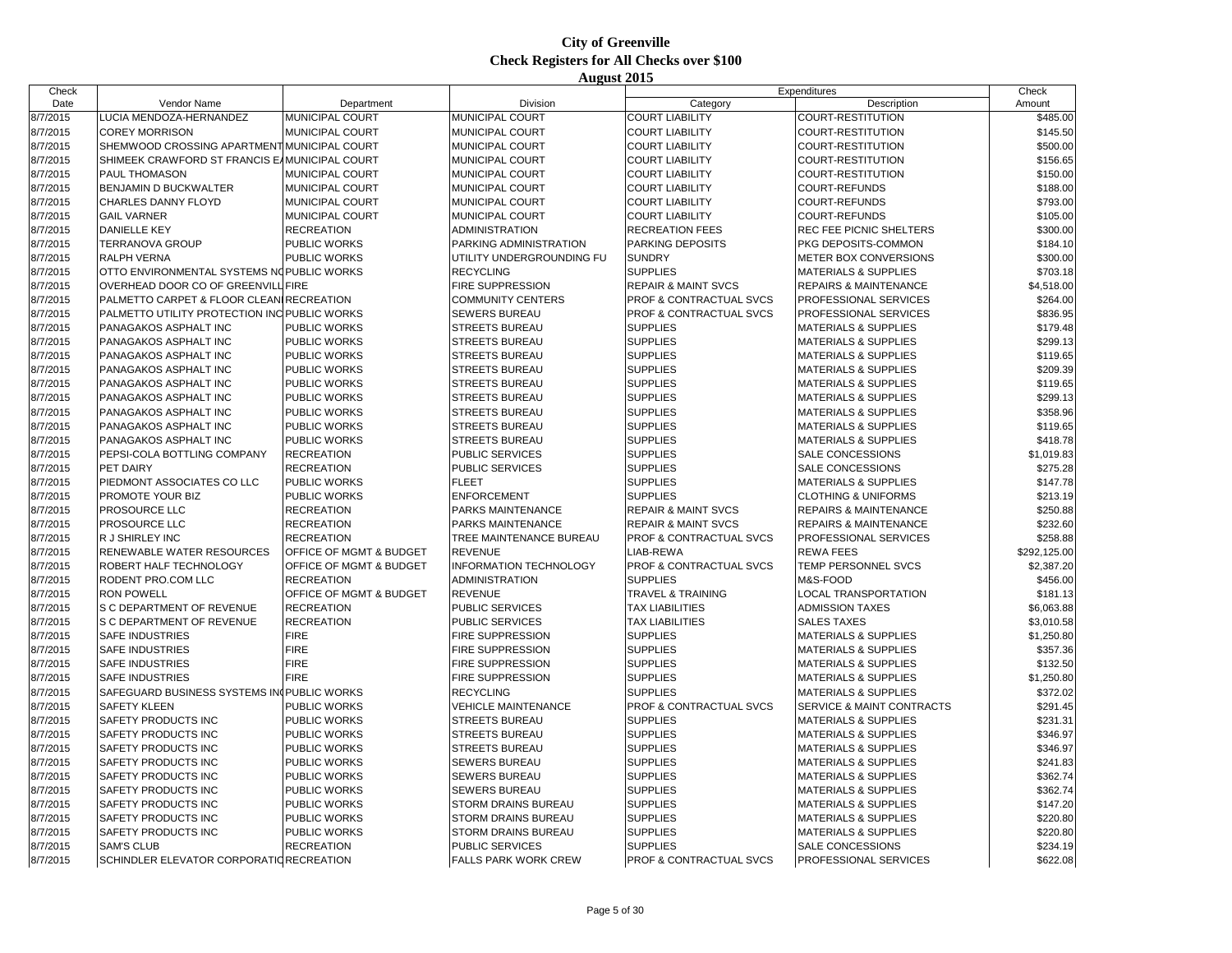| Check    |                                               |                         |                               |                                    | Expenditures                    | Check        |
|----------|-----------------------------------------------|-------------------------|-------------------------------|------------------------------------|---------------------------------|--------------|
| Date     | Vendor Name                                   | Department              | Division                      | Category                           | Description                     | Amount       |
| 8/7/2015 | LUCIA MENDOZA-HERNANDEZ                       | MUNICIPAL COURT         | <b>MUNICIPAL COURT</b>        | <b>COURT LIABILITY</b>             | COURT-RESTITUTION               | \$485.00     |
| 8/7/2015 | <b>COREY MORRISON</b>                         | MUNICIPAL COURT         | MUNICIPAL COURT               | <b>COURT LIABILITY</b>             | COURT-RESTITUTION               | \$145.50     |
| 8/7/2015 | SHEMWOOD CROSSING APARTMENT MUNICIPAL COURT   |                         | MUNICIPAL COURT               | <b>COURT LIABILITY</b>             | COURT-RESTITUTION               | \$500.00     |
| 8/7/2015 | SHIMEEK CRAWFORD ST FRANCIS EAMUNICIPAL COURT |                         | MUNICIPAL COURT               | <b>COURT LIABILITY</b>             | COURT-RESTITUTION               | \$156.65     |
| 8/7/2015 | <b>PAUL THOMASON</b>                          | MUNICIPAL COURT         | <b>MUNICIPAL COURT</b>        | <b>COURT LIABILITY</b>             | COURT-RESTITUTION               | \$150.00     |
| 8/7/2015 | BENJAMIN D BUCKWALTER                         | MUNICIPAL COURT         | MUNICIPAL COURT               | <b>COURT LIABILITY</b>             | COURT-REFUNDS                   | \$188.00     |
| 8/7/2015 | <b>CHARLES DANNY FLOYD</b>                    | MUNICIPAL COURT         | MUNICIPAL COURT               | <b>COURT LIABILITY</b>             | COURT-REFUNDS                   | \$793.00     |
| 8/7/2015 | <b>GAIL VARNER</b>                            | MUNICIPAL COURT         | MUNICIPAL COURT               | <b>COURT LIABILITY</b>             | COURT-REFUNDS                   | \$105.00     |
| 8/7/2015 | <b>DANIELLE KEY</b>                           | <b>RECREATION</b>       | <b>ADMINISTRATION</b>         | <b>RECREATION FEES</b>             | REC FEE PICNIC SHELTERS         | \$300.00     |
| 8/7/2015 | <b>TERRANOVA GROUP</b>                        | PUBLIC WORKS            | PARKING ADMINISTRATION        | PARKING DEPOSITS                   | PKG DEPOSITS-COMMON             | \$184.10     |
| 8/7/2015 | <b>RALPH VERNA</b>                            | PUBLIC WORKS            | UTILITY UNDERGROUNDING FU     | <b>SUNDRY</b>                      | METER BOX CONVERSIONS           | \$300.00     |
| 8/7/2015 | OTTO ENVIRONMENTAL SYSTEMS NO PUBLIC WORKS    |                         | <b>RECYCLING</b>              | <b>SUPPLIES</b>                    | <b>MATERIALS &amp; SUPPLIES</b> | \$703.18     |
| 8/7/2015 | OVERHEAD DOOR CO OF GREENVILL FIRE            |                         | FIRE SUPPRESSION              | <b>REPAIR &amp; MAINT SVCS</b>     | REPAIRS & MAINTENANCE           | \$4,518.00   |
| 8/7/2015 | PALMETTO CARPET & FLOOR CLEAN RECREATION      |                         | <b>COMMUNITY CENTERS</b>      | <b>PROF &amp; CONTRACTUAL SVCS</b> | PROFESSIONAL SERVICES           | \$264.00     |
| 8/7/2015 | PALMETTO UTILITY PROTECTION INC PUBLIC WORKS  |                         | SEWERS BUREAU                 | PROF & CONTRACTUAL SVCS            | PROFESSIONAL SERVICES           | \$836.95     |
| 8/7/2015 | PANAGAKOS ASPHALT INC                         | PUBLIC WORKS            | <b>STREETS BUREAU</b>         | <b>SUPPLIES</b>                    | <b>MATERIALS &amp; SUPPLIES</b> | \$179.48     |
| 8/7/2015 | PANAGAKOS ASPHALT INC                         | PUBLIC WORKS            | <b>STREETS BUREAU</b>         | <b>SUPPLIES</b>                    | <b>MATERIALS &amp; SUPPLIES</b> | \$299.13     |
| 8/7/2015 | PANAGAKOS ASPHALT INC                         | PUBLIC WORKS            | <b>STREETS BUREAU</b>         | <b>SUPPLIES</b>                    | <b>MATERIALS &amp; SUPPLIES</b> | \$119.65     |
| 8/7/2015 | PANAGAKOS ASPHALT INC                         | <b>PUBLIC WORKS</b>     | <b>STREETS BUREAU</b>         | <b>SUPPLIES</b>                    | <b>MATERIALS &amp; SUPPLIES</b> | \$209.39     |
| 8/7/2015 | PANAGAKOS ASPHALT INC                         | PUBLIC WORKS            | <b>STREETS BUREAU</b>         | <b>SUPPLIES</b>                    | <b>MATERIALS &amp; SUPPLIES</b> | \$119.65     |
| 8/7/2015 | PANAGAKOS ASPHALT INC                         | PUBLIC WORKS            | <b>STREETS BUREAU</b>         | <b>SUPPLIES</b>                    | <b>MATERIALS &amp; SUPPLIES</b> | \$299.13     |
| 8/7/2015 | PANAGAKOS ASPHALT INC                         | PUBLIC WORKS            | <b>STREETS BUREAU</b>         | <b>SUPPLIES</b>                    | <b>MATERIALS &amp; SUPPLIES</b> | \$358.96     |
| 8/7/2015 | PANAGAKOS ASPHALT INC                         | PUBLIC WORKS            | <b>STREETS BUREAU</b>         | <b>SUPPLIES</b>                    | <b>MATERIALS &amp; SUPPLIES</b> | \$119.65     |
| 8/7/2015 | PANAGAKOS ASPHALT INC                         | PUBLIC WORKS            | <b>STREETS BUREAU</b>         | <b>SUPPLIES</b>                    | <b>MATERIALS &amp; SUPPLIES</b> | \$418.78     |
| 8/7/2015 | PEPSI-COLA BOTTLING COMPANY                   | <b>RECREATION</b>       | <b>PUBLIC SERVICES</b>        | <b>SUPPLIES</b>                    | SALE CONCESSIONS                | \$1,019.83   |
| 8/7/2015 | PET DAIRY                                     | <b>RECREATION</b>       | PUBLIC SERVICES               | <b>SUPPLIES</b>                    | SALE CONCESSIONS                | \$275.28     |
| 8/7/2015 | PIEDMONT ASSOCIATES CO LLC                    | PUBLIC WORKS            | <b>FLEET</b>                  | <b>SUPPLIES</b>                    | <b>MATERIALS &amp; SUPPLIES</b> | \$147.78     |
| 8/7/2015 | PROMOTE YOUR BIZ                              | PUBLIC WORKS            | <b>ENFORCEMENT</b>            | <b>SUPPLIES</b>                    | <b>CLOTHING &amp; UNIFORMS</b>  | \$213.19     |
| 8/7/2015 | <b>PROSOURCE LLC</b>                          | <b>RECREATION</b>       | PARKS MAINTENANCE             | <b>REPAIR &amp; MAINT SVCS</b>     | REPAIRS & MAINTENANCE           | \$250.88     |
| 8/7/2015 | PROSOURCE LLC                                 | <b>RECREATION</b>       | PARKS MAINTENANCE             | <b>REPAIR &amp; MAINT SVCS</b>     | REPAIRS & MAINTENANCE           | \$232.60     |
| 8/7/2015 | R J SHIRLEY INC                               | <b>RECREATION</b>       | TREE MAINTENANCE BUREAU       | PROF & CONTRACTUAL SVCS            | PROFESSIONAL SERVICES           | \$258.88     |
| 8/7/2015 | RENEWABLE WATER RESOURCES                     | OFFICE OF MGMT & BUDGET | <b>REVENUE</b>                | LIAB-REWA                          | <b>REWA FEES</b>                | \$292,125.00 |
| 8/7/2015 | ROBERT HALF TECHNOLOGY                        | OFFICE OF MGMT & BUDGET | <b>INFORMATION TECHNOLOGY</b> | PROF & CONTRACTUAL SVCS            | TEMP PERSONNEL SVCS             | \$2,387.20   |
| 8/7/2015 | RODENT PRO.COM LLC                            | <b>RECREATION</b>       | <b>ADMINISTRATION</b>         | <b>SUPPLIES</b>                    | M&S-FOOD                        | \$456.00     |
| 8/7/2015 | <b>RON POWELL</b>                             | OFFICE OF MGMT & BUDGET | <b>REVENUE</b>                | <b>TRAVEL &amp; TRAINING</b>       | <b>LOCAL TRANSPORTATION</b>     | \$181.13     |
| 8/7/2015 | S C DEPARTMENT OF REVENUE                     | <b>RECREATION</b>       | PUBLIC SERVICES               | <b>TAX LIABILITIES</b>             | <b>ADMISSION TAXES</b>          | \$6,063.88   |
| 8/7/2015 | S C DEPARTMENT OF REVENUE                     | <b>RECREATION</b>       | <b>PUBLIC SERVICES</b>        | <b>TAX LIABILITIES</b>             | <b>SALES TAXES</b>              | \$3,010.58   |
| 8/7/2015 | <b>SAFE INDUSTRIES</b>                        | <b>FIRE</b>             | FIRE SUPPRESSION              | <b>SUPPLIES</b>                    | <b>MATERIALS &amp; SUPPLIES</b> | \$1,250.80   |
| 8/7/2015 | <b>SAFE INDUSTRIES</b>                        | <b>FIRE</b>             | FIRE SUPPRESSION              | <b>SUPPLIES</b>                    | MATERIALS & SUPPLIES            | \$357.36     |
| 8/7/2015 | <b>SAFE INDUSTRIES</b>                        | <b>FIRE</b>             | <b>FIRE SUPPRESSION</b>       | <b>SUPPLIES</b>                    | <b>MATERIALS &amp; SUPPLIES</b> | \$132.50     |
| 8/7/2015 | <b>SAFE INDUSTRIES</b>                        | <b>FIRE</b>             | FIRE SUPPRESSION              | <b>SUPPLIES</b>                    | <b>MATERIALS &amp; SUPPLIES</b> | \$1,250.80   |
| 8/7/2015 | SAFEGUARD BUSINESS SYSTEMS IN PUBLIC WORKS    |                         | <b>RECYCLING</b>              | <b>SUPPLIES</b>                    | <b>MATERIALS &amp; SUPPLIES</b> | \$372.02     |
| 8/7/2015 | <b>SAFETY KLEEN</b>                           | PUBLIC WORKS            | <b>VEHICLE MAINTENANCE</b>    | PROF & CONTRACTUAL SVCS            | SERVICE & MAINT CONTRACTS       | \$291.45     |
| 8/7/2015 | <b>SAFETY PRODUCTS INC</b>                    | PUBLIC WORKS            | <b>STREETS BUREAU</b>         | <b>SUPPLIES</b>                    | <b>MATERIALS &amp; SUPPLIES</b> | \$231.31     |
| 8/7/2015 | SAFETY PRODUCTS INC                           | PUBLIC WORKS            | <b>STREETS BUREAU</b>         | <b>SUPPLIES</b>                    | <b>MATERIALS &amp; SUPPLIES</b> | \$346.97     |
| 8/7/2015 | SAFETY PRODUCTS INC                           | PUBLIC WORKS            | <b>STREETS BUREAU</b>         | <b>SUPPLIES</b>                    | <b>MATERIALS &amp; SUPPLIES</b> | \$346.97     |
| 8/7/2015 | <b>SAFETY PRODUCTS INC</b>                    | PUBLIC WORKS            | <b>SEWERS BUREAU</b>          | <b>SUPPLIES</b>                    | <b>MATERIALS &amp; SUPPLIES</b> | \$241.83     |
| 8/7/2015 | SAFETY PRODUCTS INC                           | PUBLIC WORKS            | <b>SEWERS BUREAU</b>          | <b>SUPPLIES</b>                    | <b>MATERIALS &amp; SUPPLIES</b> | \$362.74     |
| 8/7/2015 | <b>SAFETY PRODUCTS INC</b>                    | PUBLIC WORKS            | SEWERS BUREAU                 | <b>SUPPLIES</b>                    | <b>MATERIALS &amp; SUPPLIES</b> | \$362.74     |
| 8/7/2015 | <b>SAFETY PRODUCTS INC</b>                    | PUBLIC WORKS            | <b>STORM DRAINS BUREAU</b>    | <b>SUPPLIES</b>                    | <b>MATERIALS &amp; SUPPLIES</b> | \$147.20     |
| 8/7/2015 | <b>SAFETY PRODUCTS INC</b>                    | PUBLIC WORKS            | <b>STORM DRAINS BUREAU</b>    | <b>SUPPLIES</b>                    | <b>MATERIALS &amp; SUPPLIES</b> | \$220.80     |
| 8/7/2015 | SAFETY PRODUCTS INC                           | PUBLIC WORKS            | <b>STORM DRAINS BUREAU</b>    | <b>SUPPLIES</b>                    | <b>MATERIALS &amp; SUPPLIES</b> | \$220.80     |
| 8/7/2015 | <b>SAM'S CLUB</b>                             | <b>RECREATION</b>       | <b>PUBLIC SERVICES</b>        | <b>SUPPLIES</b>                    | SALE CONCESSIONS                | \$234.19     |
| 8/7/2015 | SCHINDLER ELEVATOR CORPORATIO RECREATION      |                         | <b>FALLS PARK WORK CREW</b>   | <b>PROF &amp; CONTRACTUAL SVCS</b> | PROFESSIONAL SERVICES           | \$622.08     |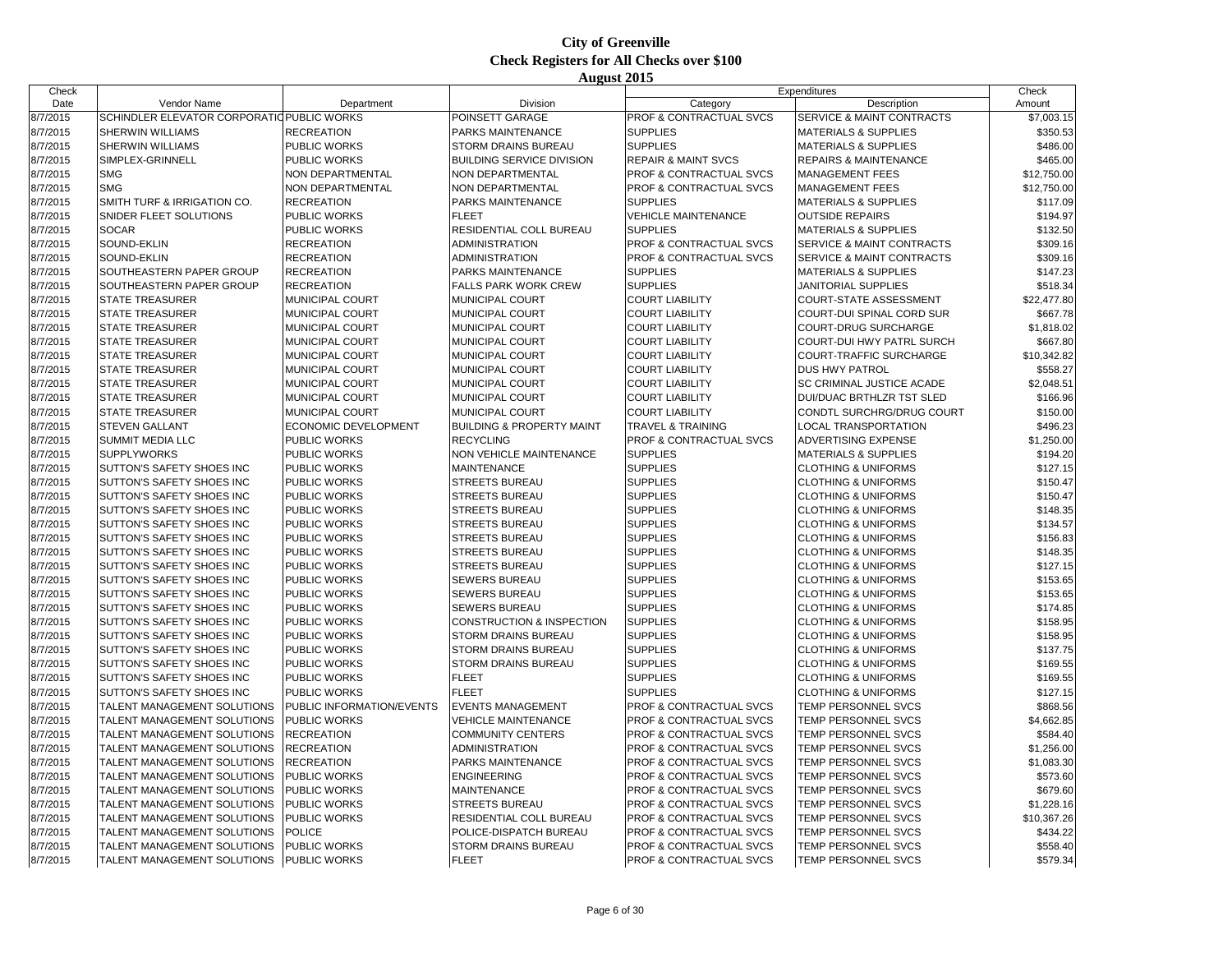| Check                |                                                        |                                            |                                            |                                    | Expenditures                         | Check       |
|----------------------|--------------------------------------------------------|--------------------------------------------|--------------------------------------------|------------------------------------|--------------------------------------|-------------|
| Date                 | Vendor Name                                            | Department                                 | Division                                   | Category                           | Description                          | Amount      |
| 8/7/2015             | SCHINDLER ELEVATOR CORPORATIO PUBLIC WORKS             |                                            | POINSETT GARAGE                            | PROF & CONTRACTUAL SVCS            | <b>SERVICE &amp; MAINT CONTRACTS</b> | \$7,003.15  |
| 8/7/2015             | <b>SHERWIN WILLIAMS</b>                                | <b>RECREATION</b>                          | PARKS MAINTENANCE                          | <b>SUPPLIES</b>                    | <b>MATERIALS &amp; SUPPLIES</b>      | \$350.53    |
| 8/7/2015             | SHERWIN WILLIAMS                                       | <b>PUBLIC WORKS</b>                        | <b>STORM DRAINS BUREAU</b>                 | <b>SUPPLIES</b>                    | <b>MATERIALS &amp; SUPPLIES</b>      | \$486.00    |
| 8/7/2015             | SIMPLEX-GRINNELL                                       | <b>PUBLIC WORKS</b>                        | <b>BUILDING SERVICE DIVISION</b>           | <b>REPAIR &amp; MAINT SVCS</b>     | REPAIRS & MAINTENANCE                | \$465.00    |
| 8/7/2015             | <b>SMG</b>                                             | NON DEPARTMENTAL                           | NON DEPARTMENTAL                           | PROF & CONTRACTUAL SVCS            | MANAGEMENT FEES                      | \$12,750.00 |
| 8/7/2015             | <b>SMG</b>                                             | <b>NON DEPARTMENTAL</b>                    | <b>NON DEPARTMENTAL</b>                    | <b>PROF &amp; CONTRACTUAL SVCS</b> | MANAGEMENT FEES                      | \$12,750.00 |
| 8/7/2015             | SMITH TURF & IRRIGATION CO.                            | <b>RECREATION</b>                          | PARKS MAINTENANCE                          | <b>SUPPLIES</b>                    | <b>MATERIALS &amp; SUPPLIES</b>      | \$117.09    |
| 8/7/2015             | SNIDER FLEET SOLUTIONS                                 | <b>PUBLIC WORKS</b>                        | <b>FLEET</b>                               | <b>VEHICLE MAINTENANCE</b>         | <b>OUTSIDE REPAIRS</b>               | \$194.97    |
| 8/7/2015             | <b>SOCAR</b>                                           | <b>PUBLIC WORKS</b>                        | RESIDENTIAL COLL BUREAU                    | <b>SUPPLIES</b>                    | <b>MATERIALS &amp; SUPPLIES</b>      | \$132.50    |
| 8/7/2015             | SOUND-EKLIN                                            | <b>RECREATION</b>                          | <b>ADMINISTRATION</b>                      | PROF & CONTRACTUAL SVCS            | SERVICE & MAINT CONTRACTS            | \$309.16    |
| 8/7/2015             | SOUND-EKLIN                                            | <b>RECREATION</b>                          | <b>ADMINISTRATION</b>                      | PROF & CONTRACTUAL SVCS            | SERVICE & MAINT CONTRACTS            | \$309.16    |
| 8/7/2015             | SOUTHEASTERN PAPER GROUP                               | <b>RECREATION</b>                          | PARKS MAINTENANCE                          | <b>SUPPLIES</b>                    | <b>MATERIALS &amp; SUPPLIES</b>      | \$147.23    |
| 8/7/2015             | SOUTHEASTERN PAPER GROUP                               | <b>RECREATION</b>                          | <b>FALLS PARK WORK CREW</b>                | <b>SUPPLIES</b>                    | <b>JANITORIAL SUPPLIES</b>           | \$518.34    |
| 8/7/2015             | <b>STATE TREASURER</b>                                 | <b>MUNICIPAL COURT</b>                     | MUNICIPAL COURT                            | <b>COURT LIABILITY</b>             | COURT-STATE ASSESSMENT               | \$22,477.80 |
| 8/7/2015             | <b>STATE TREASURER</b>                                 | <b>MUNICIPAL COURT</b>                     | MUNICIPAL COURT                            | <b>COURT LIABILITY</b>             | COURT-DUI SPINAL CORD SUR            | \$667.78    |
| 8/7/2015             | <b>STATE TREASURER</b>                                 | <b>MUNICIPAL COURT</b>                     | MUNICIPAL COURT                            | <b>COURT LIABILITY</b>             | COURT-DRUG SURCHARGE                 | \$1,818.02  |
| 8/7/2015             | <b>STATE TREASURER</b>                                 | <b>MUNICIPAL COURT</b>                     | MUNICIPAL COURT                            | <b>COURT LIABILITY</b>             | COURT-DUI HWY PATRL SURCH            | \$667.80    |
| 8/7/2015             | <b>STATE TREASURER</b>                                 | <b>MUNICIPAL COURT</b>                     | MUNICIPAL COURT                            | <b>COURT LIABILITY</b>             | COURT-TRAFFIC SURCHARGE              | \$10,342.82 |
| 8/7/2015             | <b>STATE TREASURER</b>                                 | <b>MUNICIPAL COURT</b>                     | MUNICIPAL COURT                            | <b>COURT LIABILITY</b>             | DUS HWY PATROL                       | \$558.27    |
| 8/7/2015             | <b>STATE TREASURER</b>                                 | <b>MUNICIPAL COURT</b>                     | MUNICIPAL COURT                            | <b>COURT LIABILITY</b>             | SC CRIMINAL JUSTICE ACADE            | \$2,048.51  |
| 8/7/2015             | <b>STATE TREASURER</b>                                 | <b>MUNICIPAL COURT</b>                     | MUNICIPAL COURT                            | <b>COURT LIABILITY</b>             | DUI/DUAC BRTHLZR TST SLED            | \$166.96    |
| 8/7/2015             | <b>STATE TREASURER</b>                                 | <b>MUNICIPAL COURT</b>                     | MUNICIPAL COURT                            | <b>COURT LIABILITY</b>             | CONDTL SURCHRG/DRUG COURT            | \$150.00    |
| 8/7/2015             | <b>STEVEN GALLANT</b>                                  | ECONOMIC DEVELOPMENT                       | <b>BUILDING &amp; PROPERTY MAINT</b>       | <b>TRAVEL &amp; TRAINING</b>       | <b>LOCAL TRANSPORTATION</b>          | \$496.23    |
| 8/7/2015             | SUMMIT MEDIA LLC                                       | <b>PUBLIC WORKS</b>                        | <b>RECYCLING</b>                           | PROF & CONTRACTUAL SVCS            | ADVERTISING EXPENSE                  | \$1,250.00  |
| 8/7/2015             | <b>SUPPLYWORKS</b>                                     | <b>PUBLIC WORKS</b>                        | NON VEHICLE MAINTENANCE                    | <b>SUPPLIES</b>                    | <b>MATERIALS &amp; SUPPLIES</b>      | \$194.20    |
| 8/7/2015             | SUTTON'S SAFETY SHOES INC                              | <b>PUBLIC WORKS</b>                        | <b>MAINTENANCE</b>                         | <b>SUPPLIES</b>                    | <b>CLOTHING &amp; UNIFORMS</b>       | \$127.15    |
| 8/7/2015             | SUTTON'S SAFETY SHOES INC                              | <b>PUBLIC WORKS</b>                        | STREETS BUREAU                             | <b>SUPPLIES</b>                    | <b>CLOTHING &amp; UNIFORMS</b>       | \$150.47    |
| 8/7/2015             | SUTTON'S SAFETY SHOES INC                              | <b>PUBLIC WORKS</b>                        | <b>STREETS BUREAU</b>                      | <b>SUPPLIES</b>                    | <b>CLOTHING &amp; UNIFORMS</b>       | \$150.47    |
| 8/7/2015             | SUTTON'S SAFETY SHOES INC                              | <b>PUBLIC WORKS</b>                        | <b>STREETS BUREAU</b>                      | <b>SUPPLIES</b>                    | <b>CLOTHING &amp; UNIFORMS</b>       | \$148.35    |
| 8/7/2015             | SUTTON'S SAFETY SHOES INC                              | <b>PUBLIC WORKS</b>                        | <b>STREETS BUREAU</b>                      | <b>SUPPLIES</b>                    | <b>CLOTHING &amp; UNIFORMS</b>       | \$134.57    |
| 8/7/2015             | SUTTON'S SAFETY SHOES INC                              | <b>PUBLIC WORKS</b>                        | <b>STREETS BUREAU</b>                      | <b>SUPPLIES</b>                    | <b>CLOTHING &amp; UNIFORMS</b>       | \$156.83    |
| 8/7/2015             | SUTTON'S SAFETY SHOES INC                              | <b>PUBLIC WORKS</b>                        | <b>STREETS BUREAU</b>                      | <b>SUPPLIES</b>                    | <b>CLOTHING &amp; UNIFORMS</b>       | \$148.35    |
| 8/7/2015             | SUTTON'S SAFETY SHOES INC                              | <b>PUBLIC WORKS</b>                        | <b>STREETS BUREAU</b>                      | <b>SUPPLIES</b>                    | <b>CLOTHING &amp; UNIFORMS</b>       | \$127.15    |
| 8/7/2015             | SUTTON'S SAFETY SHOES INC                              | <b>PUBLIC WORKS</b>                        | SEWERS BUREAU                              | <b>SUPPLIES</b>                    | <b>CLOTHING &amp; UNIFORMS</b>       | \$153.65    |
| 8/7/2015             | SUTTON'S SAFETY SHOES INC                              | <b>PUBLIC WORKS</b>                        | <b>SEWERS BUREAU</b>                       | <b>SUPPLIES</b>                    | <b>CLOTHING &amp; UNIFORMS</b>       | \$153.65    |
| 8/7/2015             | SUTTON'S SAFETY SHOES INC                              | <b>PUBLIC WORKS</b>                        | <b>SEWERS BUREAU</b>                       | <b>SUPPLIES</b>                    | <b>CLOTHING &amp; UNIFORMS</b>       | \$174.85    |
|                      |                                                        | <b>PUBLIC WORKS</b>                        |                                            | <b>SUPPLIES</b>                    |                                      |             |
| 8/7/2015             | SUTTON'S SAFETY SHOES INC                              |                                            | CONSTRUCTION & INSPECTION                  | <b>SUPPLIES</b>                    | <b>CLOTHING &amp; UNIFORMS</b>       | \$158.95    |
| 8/7/2015<br>8/7/2015 | SUTTON'S SAFETY SHOES INC<br>SUTTON'S SAFETY SHOES INC | <b>PUBLIC WORKS</b><br><b>PUBLIC WORKS</b> | STORM DRAINS BUREAU<br>STORM DRAINS BUREAU | <b>SUPPLIES</b>                    | <b>CLOTHING &amp; UNIFORMS</b>       | \$158.95    |
|                      |                                                        |                                            |                                            |                                    | <b>CLOTHING &amp; UNIFORMS</b>       | \$137.75    |
| 8/7/2015             | SUTTON'S SAFETY SHOES INC                              | <b>PUBLIC WORKS</b>                        | STORM DRAINS BUREAU                        | <b>SUPPLIES</b><br><b>SUPPLIES</b> | <b>CLOTHING &amp; UNIFORMS</b>       | \$169.55    |
| 8/7/2015             | SUTTON'S SAFETY SHOES INC                              | <b>PUBLIC WORKS</b>                        | <b>FLEET</b><br><b>FLEET</b>               | <b>SUPPLIES</b>                    | <b>CLOTHING &amp; UNIFORMS</b>       | \$169.55    |
| 8/7/2015             | SUTTON'S SAFETY SHOES INC                              | <b>PUBLIC WORKS</b>                        |                                            |                                    | <b>CLOTHING &amp; UNIFORMS</b>       | \$127.15    |
| 8/7/2015             | TALENT MANAGEMENT SOLUTIONS                            | PUBLIC INFORMATION/EVENTS                  | <b>EVENTS MANAGEMENT</b>                   | PROF & CONTRACTUAL SVCS            | TEMP PERSONNEL SVCS                  | \$868.56    |
| 8/7/2015             | TALENT MANAGEMENT SOLUTIONS                            | <b>PUBLIC WORKS</b>                        | <b>VEHICLE MAINTENANCE</b>                 | PROF & CONTRACTUAL SVCS            | TEMP PERSONNEL SVCS                  | \$4,662.85  |
| 8/7/2015             | TALENT MANAGEMENT SOLUTIONS                            | <b>RECREATION</b>                          | <b>COMMUNITY CENTERS</b>                   | PROF & CONTRACTUAL SVCS            | TEMP PERSONNEL SVCS                  | \$584.40    |
| 8/7/2015             | TALENT MANAGEMENT SOLUTIONS                            | <b>RECREATION</b>                          | <b>ADMINISTRATION</b>                      | PROF & CONTRACTUAL SVCS            | TEMP PERSONNEL SVCS                  | \$1,256.00  |
| 8/7/2015             | TALENT MANAGEMENT SOLUTIONS                            | <b>RECREATION</b>                          | PARKS MAINTENANCE                          | PROF & CONTRACTUAL SVCS            | TEMP PERSONNEL SVCS                  | \$1,083.30  |
| 8/7/2015             | TALENT MANAGEMENT SOLUTIONS                            | <b>PUBLIC WORKS</b>                        | <b>ENGINEERING</b>                         | PROF & CONTRACTUAL SVCS            | TEMP PERSONNEL SVCS                  | \$573.60    |
| 8/7/2015             | TALENT MANAGEMENT SOLUTIONS                            | <b>PUBLIC WORKS</b>                        | <b>MAINTENANCE</b>                         | PROF & CONTRACTUAL SVCS            | TEMP PERSONNEL SVCS                  | \$679.60    |
| 8/7/2015             | TALENT MANAGEMENT SOLUTIONS                            | <b>PUBLIC WORKS</b>                        | <b>STREETS BUREAU</b>                      | PROF & CONTRACTUAL SVCS            | TEMP PERSONNEL SVCS                  | \$1,228.16  |
| 8/7/2015             | TALENT MANAGEMENT SOLUTIONS                            | <b>PUBLIC WORKS</b>                        | RESIDENTIAL COLL BUREAU                    | PROF & CONTRACTUAL SVCS            | TEMP PERSONNEL SVCS                  | \$10,367.26 |
| 8/7/2015             | TALENT MANAGEMENT SOLUTIONS                            | <b>POLICE</b>                              | POLICE-DISPATCH BUREAU                     | PROF & CONTRACTUAL SVCS            | TEMP PERSONNEL SVCS                  | \$434.22    |
| 8/7/2015             | TALENT MANAGEMENT SOLUTIONS                            | <b>PUBLIC WORKS</b>                        | STORM DRAINS BUREAU                        | PROF & CONTRACTUAL SVCS            | TEMP PERSONNEL SVCS                  | \$558.40    |
| 8/7/2015             | TALENT MANAGEMENT SOLUTIONS                            | <b>PUBLIC WORKS</b>                        | <b>FLEET</b>                               | <b>PROF &amp; CONTRACTUAL SVCS</b> | TEMP PERSONNEL SVCS                  | \$579.34    |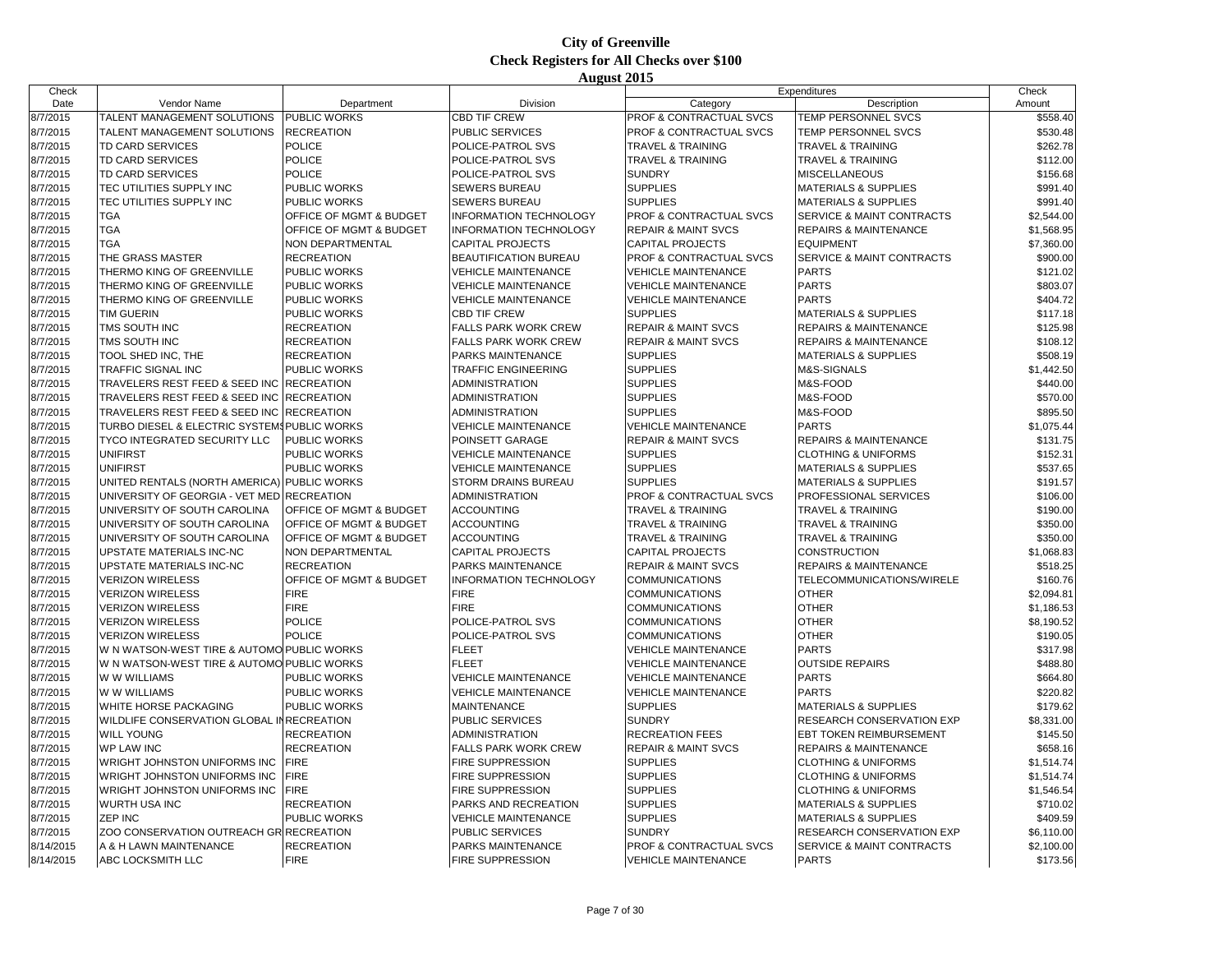| Check     |                                              |                            |                             |                                    | Expenditures                         | Check      |
|-----------|----------------------------------------------|----------------------------|-----------------------------|------------------------------------|--------------------------------------|------------|
| Date      | Vendor Name                                  | Department                 | Division                    | Category                           | Description                          | Amount     |
| 8/7/2015  | TALENT MANAGEMENT SOLUTIONS                  | <b>PUBLIC WORKS</b>        | <b>CBD TIF CREW</b>         | PROF & CONTRACTUAL SVCS            | TEMP PERSONNEL SVCS                  | \$558.40   |
| 8/7/2015  | TALENT MANAGEMENT SOLUTIONS                  | <b>RECREATION</b>          | PUBLIC SERVICES             | PROF & CONTRACTUAL SVCS            | TEMP PERSONNEL SVCS                  | \$530.48   |
| 8/7/2015  | TD CARD SERVICES                             | <b>POLICE</b>              | POLICE-PATROL SVS           | <b>TRAVEL &amp; TRAINING</b>       | <b>TRAVEL &amp; TRAINING</b>         | \$262.78   |
| 8/7/2015  | TD CARD SERVICES                             | POLICE                     | POLICE-PATROL SVS           | TRAVEL & TRAINING                  | TRAVEL & TRAINING                    | \$112.00   |
| 8/7/2015  | TD CARD SERVICES                             | <b>POLICE</b>              | POLICE-PATROL SVS           | <b>SUNDRY</b>                      | <b>MISCELLANEOUS</b>                 | \$156.68   |
| 8/7/2015  | TEC UTILITIES SUPPLY INC                     | PUBLIC WORKS               | <b>SEWERS BUREAU</b>        | <b>SUPPLIES</b>                    | <b>MATERIALS &amp; SUPPLIES</b>      | \$991.40   |
| 8/7/2015  | TEC UTILITIES SUPPLY INC                     | PUBLIC WORKS               | <b>SEWERS BUREAU</b>        | <b>SUPPLIES</b>                    | <b>MATERIALS &amp; SUPPLIES</b>      | \$991.40   |
| 8/7/2015  | <b>TGA</b>                                   | OFFICE OF MGMT & BUDGET    | INFORMATION TECHNOLOGY      | PROF & CONTRACTUAL SVCS            | SERVICE & MAINT CONTRACTS            | \$2,544.00 |
| 8/7/2015  | <b>TGA</b>                                   | OFFICE OF MGMT & BUDGET    | INFORMATION TECHNOLOGY      | <b>REPAIR &amp; MAINT SVCS</b>     | <b>REPAIRS &amp; MAINTENANCE</b>     | \$1,568.95 |
| 8/7/2015  | <b>TGA</b>                                   | NON DEPARTMENTAL           | <b>CAPITAL PROJECTS</b>     | <b>CAPITAL PROJECTS</b>            | <b>EQUIPMENT</b>                     | \$7,360.00 |
| 8/7/2015  | THE GRASS MASTER                             | <b>RECREATION</b>          | BEAUTIFICATION BUREAU       | PROF & CONTRACTUAL SVCS            | <b>SERVICE &amp; MAINT CONTRACTS</b> | \$900.00   |
| 8/7/2015  | THERMO KING OF GREENVILLE                    | PUBLIC WORKS               | <b>VEHICLE MAINTENANCE</b>  | <b>VEHICLE MAINTENANCE</b>         | <b>PARTS</b>                         | \$121.02   |
| 8/7/2015  | THERMO KING OF GREENVILLE                    | <b>PUBLIC WORKS</b>        | <b>VEHICLE MAINTENANCE</b>  | <b>VEHICLE MAINTENANCE</b>         | <b>PARTS</b>                         | \$803.07   |
| 8/7/2015  | THERMO KING OF GREENVILLE                    | PUBLIC WORKS               | <b>VEHICLE MAINTENANCE</b>  | <b>VEHICLE MAINTENANCE</b>         | <b>PARTS</b>                         | \$404.72   |
| 8/7/2015  | <b>TIM GUERIN</b>                            | PUBLIC WORKS               | <b>CBD TIF CREW</b>         | <b>SUPPLIES</b>                    | <b>MATERIALS &amp; SUPPLIES</b>      | \$117.18   |
| 8/7/2015  | TMS SOUTH INC                                | RECREATION                 | FALLS PARK WORK CREW        | <b>REPAIR &amp; MAINT SVCS</b>     | <b>REPAIRS &amp; MAINTENANCE</b>     | \$125.98   |
| 8/7/2015  | TMS SOUTH INC                                | <b>RECREATION</b>          | <b>FALLS PARK WORK CREW</b> | <b>REPAIR &amp; MAINT SVCS</b>     | <b>REPAIRS &amp; MAINTENANCE</b>     | \$108.12   |
| 8/7/2015  | TOOL SHED INC, THE                           | <b>RECREATION</b>          | PARKS MAINTENANCE           | <b>SUPPLIES</b>                    | <b>MATERIALS &amp; SUPPLIES</b>      | \$508.19   |
| 8/7/2015  | <b>TRAFFIC SIGNAL INC</b>                    | PUBLIC WORKS               | TRAFFIC ENGINEERING         | <b>SUPPLIES</b>                    | M&S-SIGNALS                          | \$1,442.50 |
| 8/7/2015  | TRAVELERS REST FEED & SEED INC               | <b>RECREATION</b>          | ADMINISTRATION              | <b>SUPPLIES</b>                    | M&S-FOOD                             | \$440.00   |
| 8/7/2015  | TRAVELERS REST FEED & SEED INC               | <b>RECREATION</b>          | ADMINISTRATION              | <b>SUPPLIES</b>                    | M&S-FOOD                             | \$570.00   |
| 8/7/2015  | TRAVELERS REST FEED & SEED INC               | <b>RECREATION</b>          | ADMINISTRATION              | <b>SUPPLIES</b>                    | M&S-FOOD                             | \$895.50   |
| 8/7/2015  | TURBO DIESEL & ELECTRIC SYSTEMS PUBLIC WORKS |                            | <b>VEHICLE MAINTENANCE</b>  | <b>VEHICLE MAINTENANCE</b>         | <b>PARTS</b>                         | \$1,075.44 |
| 8/7/2015  | TYCO INTEGRATED SECURITY LLC                 | PUBLIC WORKS               | POINSETT GARAGE             | <b>REPAIR &amp; MAINT SVCS</b>     | <b>REPAIRS &amp; MAINTENANCE</b>     | \$131.75   |
| 8/7/2015  | <b>UNIFIRST</b>                              | <b>PUBLIC WORKS</b>        | <b>VEHICLE MAINTENANCE</b>  | <b>SUPPLIES</b>                    | <b>CLOTHING &amp; UNIFORMS</b>       | \$152.31   |
| 8/7/2015  | <b>UNIFIRST</b>                              | PUBLIC WORKS               | <b>VEHICLE MAINTENANCE</b>  | <b>SUPPLIES</b>                    | <b>MATERIALS &amp; SUPPLIES</b>      | \$537.65   |
| 8/7/2015  | UNITED RENTALS (NORTH AMERICA) PUBLIC WORKS  |                            | STORM DRAINS BUREAU         | <b>SUPPLIES</b>                    | <b>MATERIALS &amp; SUPPLIES</b>      | \$191.57   |
| 8/7/2015  | UNIVERSITY OF GEORGIA - VET MED RECREATION   |                            | ADMINISTRATION              | PROF & CONTRACTUAL SVCS            | PROFESSIONAL SERVICES                | \$106.00   |
| 8/7/2015  | UNIVERSITY OF SOUTH CAROLINA                 | OFFICE OF MGMT & BUDGET    | <b>ACCOUNTING</b>           | <b>TRAVEL &amp; TRAINING</b>       | <b>TRAVEL &amp; TRAINING</b>         | \$190.00   |
| 8/7/2015  | UNIVERSITY OF SOUTH CAROLINA                 | OFFICE OF MGMT & BUDGET    | <b>ACCOUNTING</b>           | TRAVEL & TRAINING                  | <b>TRAVEL &amp; TRAINING</b>         | \$350.00   |
| 8/7/2015  | UNIVERSITY OF SOUTH CAROLINA                 | OFFICE OF MGMT & BUDGET    | <b>ACCOUNTING</b>           | <b>TRAVEL &amp; TRAINING</b>       | <b>TRAVEL &amp; TRAINING</b>         | \$350.00   |
| 8/7/2015  | UPSTATE MATERIALS INC-NC                     | NON DEPARTMENTAL           | <b>CAPITAL PROJECTS</b>     | <b>CAPITAL PROJECTS</b>            | <b>CONSTRUCTION</b>                  | \$1,068.83 |
| 8/7/2015  | UPSTATE MATERIALS INC-NC                     | <b>RECREATION</b>          | PARKS MAINTENANCE           | <b>REPAIR &amp; MAINT SVCS</b>     | <b>REPAIRS &amp; MAINTENANCE</b>     | \$518.25   |
| 8/7/2015  | <b>VERIZON WIRELESS</b>                      | OFFICE OF MGMT & BUDGET    | INFORMATION TECHNOLOGY      | COMMUNICATIONS                     | TELECOMMUNICATIONS/WIRELE            | \$160.76   |
| 8/7/2015  | <b>VERIZON WIRELESS</b>                      | <b>FIRE</b>                | <b>FIRE</b>                 | COMMUNICATIONS                     | <b>OTHER</b>                         | \$2.094.81 |
| 8/7/2015  | <b>VERIZON WIRELESS</b>                      | <b>FIRE</b>                | <b>FIRE</b>                 | <b>COMMUNICATIONS</b>              | <b>OTHER</b>                         | \$1,186.53 |
| 8/7/2015  | <b>VERIZON WIRELESS</b>                      | POLICE                     | POLICE-PATROL SVS           | <b>COMMUNICATIONS</b>              | <b>OTHER</b>                         | \$8,190.52 |
| 8/7/2015  | <b>VERIZON WIRELESS</b>                      | <b>POLICE</b>              | POLICE-PATROL SVS           | <b>COMMUNICATIONS</b>              | <b>OTHER</b>                         | \$190.05   |
| 8/7/2015  | W N WATSON-WEST TIRE & AUTOMO PUBLIC WORKS   |                            | <b>FLEET</b>                | <b>VEHICLE MAINTENANCE</b>         | <b>PARTS</b>                         | \$317.98   |
| 8/7/2015  | W N WATSON-WEST TIRE & AUTOMO PUBLIC WORKS   |                            | <b>FLEET</b>                | <b>VEHICLE MAINTENANCE</b>         | <b>OUTSIDE REPAIRS</b>               | \$488.80   |
| 8/7/2015  | W W WILLIAMS                                 | PUBLIC WORKS               | <b>VEHICLE MAINTENANCE</b>  | <b>VEHICLE MAINTENANCE</b>         | <b>PARTS</b>                         | \$664.80   |
| 8/7/2015  | W W WILLIAMS                                 | PUBLIC WORKS               | <b>VEHICLE MAINTENANCE</b>  | <b>VEHICLE MAINTENANCE</b>         | <b>PARTS</b>                         | \$220.82   |
| 8/7/2015  | <b>WHITE HORSE PACKAGING</b>                 | PUBLIC WORKS               | <b>MAINTENANCE</b>          | <b>SUPPLIES</b>                    | <b>MATERIALS &amp; SUPPLIES</b>      | \$179.62   |
| 8/7/2015  | WILDLIFE CONSERVATION GLOBAL IN RECREATION   |                            | PUBLIC SERVICES             | <b>SUNDRY</b>                      | RESEARCH CONSERVATION EXP            |            |
|           |                                              |                            |                             |                                    | <b>EBT TOKEN REIMBURSEMENT</b>       | \$8,331.00 |
| 8/7/2015  | <b>WILL YOUNG</b>                            | RECREATION                 | ADMINISTRATION              | <b>RECREATION FEES</b>             |                                      | \$145.50   |
| 8/7/2015  | <b>WP LAW INC</b>                            | <b>RECREATION</b>          | <b>FALLS PARK WORK CREW</b> | <b>REPAIR &amp; MAINT SVCS</b>     | <b>REPAIRS &amp; MAINTENANCE</b>     | \$658.16   |
| 8/7/2015  | WRIGHT JOHNSTON UNIFORMS INC                 | <b>FIRE</b><br><b>FIRE</b> | <b>FIRE SUPPRESSION</b>     | <b>SUPPLIES</b><br><b>SUPPLIES</b> | <b>CLOTHING &amp; UNIFORMS</b>       | \$1,514.74 |
| 8/7/2015  | WRIGHT JOHNSTON UNIFORMS INC                 |                            | FIRE SUPPRESSION            |                                    | <b>CLOTHING &amp; UNIFORMS</b>       | \$1,514.74 |
| 8/7/2015  | WRIGHT JOHNSTON UNIFORMS INC                 | <b>FIRE</b>                | FIRE SUPPRESSION            | <b>SUPPLIES</b>                    | <b>CLOTHING &amp; UNIFORMS</b>       | \$1,546.54 |
| 8/7/2015  | <b>WURTH USA INC</b>                         | <b>RECREATION</b>          | PARKS AND RECREATION        | <b>SUPPLIES</b>                    | <b>MATERIALS &amp; SUPPLIES</b>      | \$710.02   |
| 8/7/2015  | ZEP INC                                      | PUBLIC WORKS               | <b>VEHICLE MAINTENANCE</b>  | <b>SUPPLIES</b>                    | <b>MATERIALS &amp; SUPPLIES</b>      | \$409.59   |
| 8/7/2015  | ZOO CONSERVATION OUTREACH GR RECREATION      |                            | PUBLIC SERVICES             | <b>SUNDRY</b>                      | RESEARCH CONSERVATION EXP            | \$6,110.00 |
| 8/14/2015 | A & H LAWN MAINTENANCE                       | <b>RECREATION</b>          | PARKS MAINTENANCE           | PROF & CONTRACTUAL SVCS            | SERVICE & MAINT CONTRACTS            | \$2,100.00 |
| 8/14/2015 | ABC LOCKSMITH LLC                            | <b>FIRE</b>                | <b>FIRE SUPPRESSION</b>     | <b>VEHICLE MAINTENANCE</b>         | <b>PARTS</b>                         | \$173.56   |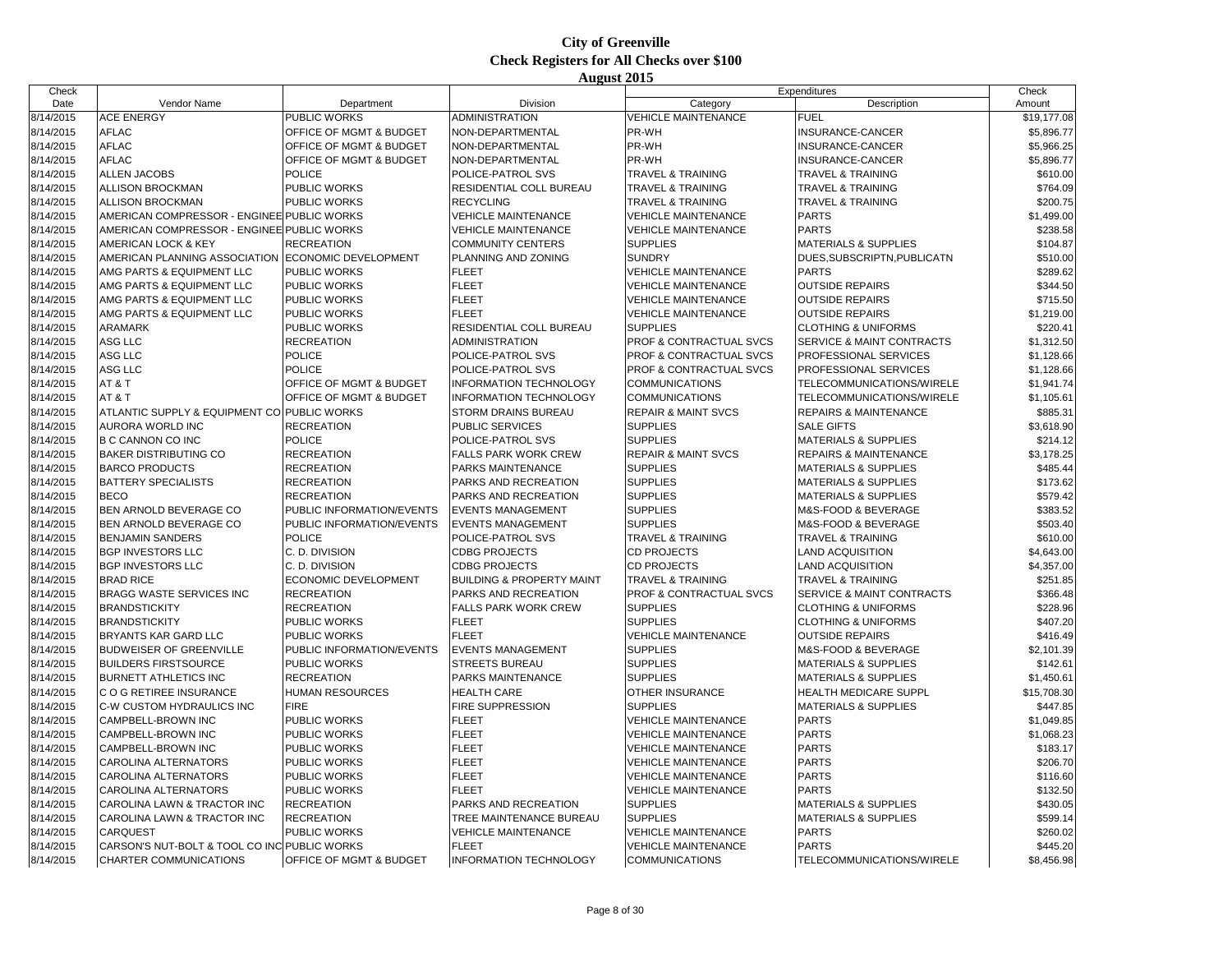| Check     |                                              |                                    |                                      |                                | Expenditures                     | Check       |
|-----------|----------------------------------------------|------------------------------------|--------------------------------------|--------------------------------|----------------------------------|-------------|
| Date      | Vendor Name                                  | Department                         | Division                             | Category                       | Description                      | Amount      |
| 8/14/2015 | <b>ACE ENERGY</b>                            | PUBLIC WORKS                       | ADMINISTRATION                       | <b>VEHICLE MAINTENANCE</b>     | <b>FUEL</b>                      | \$19,177.08 |
| 8/14/2015 | <b>AFLAC</b>                                 | OFFICE OF MGMT & BUDGET            | NON-DEPARTMENTAL                     | PR-WH                          | INSURANCE-CANCER                 | \$5,896.77  |
| 8/14/2015 | <b>AFLAC</b>                                 | OFFICE OF MGMT & BUDGET            | NON-DEPARTMENTAL                     | PR-WH                          | INSURANCE-CANCER                 | \$5,966.25  |
| 8/14/2015 | <b>AFLAC</b>                                 | OFFICE OF MGMT & BUDGET            | NON-DEPARTMENTAL                     | PR-WH                          | INSURANCE-CANCER                 | \$5,896.77  |
| 8/14/2015 | <b>ALLEN JACOBS</b>                          | <b>POLICE</b>                      | POLICE-PATROL SVS                    | <b>TRAVEL &amp; TRAINING</b>   | <b>TRAVEL &amp; TRAINING</b>     | \$610.00    |
| 8/14/2015 | ALLISON BROCKMAN                             | PUBLIC WORKS                       | RESIDENTIAL COLL BUREAU              | <b>TRAVEL &amp; TRAINING</b>   | <b>TRAVEL &amp; TRAINING</b>     | \$764.09    |
| 8/14/2015 | <b>ALLISON BROCKMAN</b>                      | PUBLIC WORKS                       | <b>RECYCLING</b>                     | <b>TRAVEL &amp; TRAINING</b>   | TRAVEL & TRAINING                | \$200.75    |
| 8/14/2015 | AMERICAN COMPRESSOR - ENGINEE PUBLIC WORKS   |                                    | <b>VEHICLE MAINTENANCE</b>           | <b>VEHICLE MAINTENANCE</b>     | <b>PARTS</b>                     | \$1,499.00  |
| 8/14/2015 | AMERICAN COMPRESSOR - ENGINEE PUBLIC WORKS   |                                    | <b>VEHICLE MAINTENANCE</b>           | <b>VEHICLE MAINTENANCE</b>     | <b>PARTS</b>                     | \$238.58    |
| 8/14/2015 | <b>AMERICAN LOCK &amp; KEY</b>               | <b>RECREATION</b>                  | <b>COMMUNITY CENTERS</b>             | <b>SUPPLIES</b>                | <b>MATERIALS &amp; SUPPLIES</b>  | \$104.87    |
| 8/14/2015 | AMERICAN PLANNING ASSOCIATION                | ECONOMIC DEVELOPMENT               | PLANNING AND ZONING                  | <b>SUNDRY</b>                  | DUES, SUBSCRIPTN, PUBLICATN      | \$510.00    |
| 8/14/2015 | AMG PARTS & EQUIPMENT LLC                    | PUBLIC WORKS                       | <b>FLEET</b>                         | <b>VEHICLE MAINTENANCE</b>     | <b>PARTS</b>                     | \$289.62    |
| 8/14/2015 | AMG PARTS & EQUIPMENT LLC                    | PUBLIC WORKS                       | <b>FLEET</b>                         | <b>VEHICLE MAINTENANCE</b>     | <b>OUTSIDE REPAIRS</b>           | \$344.50    |
| 8/14/2015 | AMG PARTS & EQUIPMENT LLC                    | PUBLIC WORKS                       | <b>FLEET</b>                         | <b>VEHICLE MAINTENANCE</b>     | <b>OUTSIDE REPAIRS</b>           | \$715.50    |
| 8/14/2015 | AMG PARTS & EQUIPMENT LLC                    | <b>PUBLIC WORKS</b>                | <b>FLEET</b>                         | <b>VEHICLE MAINTENANCE</b>     | <b>OUTSIDE REPAIRS</b>           | \$1,219.00  |
| 8/14/2015 | <b>ARAMARK</b>                               | <b>PUBLIC WORKS</b>                | RESIDENTIAL COLL BUREAU              | <b>SUPPLIES</b>                | <b>CLOTHING &amp; UNIFORMS</b>   | \$220.41    |
| 8/14/2015 | ASG LLC                                      | <b>RECREATION</b>                  | <b>ADMINISTRATION</b>                | PROF & CONTRACTUAL SVCS        | SERVICE & MAINT CONTRACTS        | \$1,312.50  |
| 8/14/2015 | ASG LLC                                      | <b>POLICE</b>                      | POLICE-PATROL SVS                    | PROF & CONTRACTUAL SVCS        | <b>PROFESSIONAL SERVICES</b>     | \$1,128.66  |
| 8/14/2015 | ASG LLC                                      | POLICE                             | POLICE-PATROL SVS                    | PROF & CONTRACTUAL SVCS        | PROFESSIONAL SERVICES            | \$1,128.66  |
| 8/14/2015 | AT&T                                         | OFFICE OF MGMT & BUDGET            | INFORMATION TECHNOLOGY               | <b>COMMUNICATIONS</b>          | TELECOMMUNICATIONS/WIRELE        | \$1,941.74  |
| 8/14/2015 | AT&T                                         | OFFICE OF MGMT & BUDGET            | <b>INFORMATION TECHNOLOGY</b>        | <b>COMMUNICATIONS</b>          | TELECOMMUNICATIONS/WIRELE        | \$1,105.61  |
| 8/14/2015 | ATLANTIC SUPPLY & EQUIPMENT CO PUBLIC WORKS  |                                    | STORM DRAINS BUREAU                  | <b>REPAIR &amp; MAINT SVCS</b> | <b>REPAIRS &amp; MAINTENANCE</b> | \$885.31    |
| 8/14/2015 | AURORA WORLD INC                             | <b>RECREATION</b>                  | PUBLIC SERVICES                      | <b>SUPPLIES</b>                | <b>SALE GIFTS</b>                | \$3,618.90  |
| 8/14/2015 | B C CANNON CO INC                            | <b>POLICE</b>                      | POLICE-PATROL SVS                    | <b>SUPPLIES</b>                | <b>MATERIALS &amp; SUPPLIES</b>  | \$214.12    |
| 8/14/2015 | <b>BAKER DISTRIBUTING CO</b>                 | <b>RECREATION</b>                  | FALLS PARK WORK CREW                 | <b>REPAIR &amp; MAINT SVCS</b> | <b>REPAIRS &amp; MAINTENANCE</b> | \$3,178.25  |
| 8/14/2015 | <b>BARCO PRODUCTS</b>                        | <b>RECREATION</b>                  | PARKS MAINTENANCE                    | <b>SUPPLIES</b>                | <b>MATERIALS &amp; SUPPLIES</b>  | \$485.44    |
| 8/14/2015 | <b>BATTERY SPECIALISTS</b>                   | <b>RECREATION</b>                  | PARKS AND RECREATION                 | <b>SUPPLIES</b>                | <b>MATERIALS &amp; SUPPLIES</b>  | \$173.62    |
| 8/14/2015 | <b>BECO</b>                                  | <b>RECREATION</b>                  | PARKS AND RECREATION                 | <b>SUPPLIES</b>                | <b>MATERIALS &amp; SUPPLIES</b>  | \$579.42    |
| 8/14/2015 | BEN ARNOLD BEVERAGE CO                       | PUBLIC INFORMATION/EVENTS          | <b>EVENTS MANAGEMENT</b>             | <b>SUPPLIES</b>                | M&S-FOOD & BEVERAGE              | \$383.52    |
| 8/14/2015 | BEN ARNOLD BEVERAGE CO                       | PUBLIC INFORMATION/EVENTS          | <b>EVENTS MANAGEMENT</b>             | <b>SUPPLIES</b>                | M&S-FOOD & BEVERAGE              | \$503.40    |
| 8/14/2015 | <b>BENJAMIN SANDERS</b>                      | <b>POLICE</b>                      | POLICE-PATROL SVS                    | <b>TRAVEL &amp; TRAINING</b>   | <b>TRAVEL &amp; TRAINING</b>     | \$610.00    |
| 8/14/2015 | <b>BGP INVESTORS LLC</b>                     | C. D. DIVISION                     | <b>CDBG PROJECTS</b>                 | <b>CD PROJECTS</b>             | <b>LAND ACQUISITION</b>          | \$4,643.00  |
| 8/14/2015 | <b>BGP INVESTORS LLC</b>                     | C. D. DIVISION                     | <b>CDBG PROJECTS</b>                 | <b>CD PROJECTS</b>             | <b>LAND ACQUISITION</b>          | \$4,357.00  |
| 8/14/2015 | <b>BRAD RICE</b>                             | ECONOMIC DEVELOPMENT               | <b>BUILDING &amp; PROPERTY MAINT</b> | <b>TRAVEL &amp; TRAINING</b>   | <b>TRAVEL &amp; TRAINING</b>     | \$251.85    |
| 8/14/2015 | BRAGG WASTE SERVICES INC                     | <b>RECREATION</b>                  | PARKS AND RECREATION                 | PROF & CONTRACTUAL SVCS        | SERVICE & MAINT CONTRACTS        | \$366.48    |
| 8/14/2015 | <b>BRANDSTICKITY</b>                         | <b>RECREATION</b>                  | <b>FALLS PARK WORK CREW</b>          | <b>SUPPLIES</b>                | <b>CLOTHING &amp; UNIFORMS</b>   | \$228.96    |
| 8/14/2015 | <b>BRANDSTICKITY</b>                         | PUBLIC WORKS                       | <b>FLEET</b>                         | <b>SUPPLIES</b>                | <b>CLOTHING &amp; UNIFORMS</b>   | \$407.20    |
| 8/14/2015 | BRYANTS KAR GARD LLC                         | PUBLIC WORKS                       | <b>FLEET</b>                         | <b>VEHICLE MAINTENANCE</b>     | <b>OUTSIDE REPAIRS</b>           | \$416.49    |
| 8/14/2015 | BUDWEISER OF GREENVILLE                      | PUBLIC INFORMATION/EVENTS          | <b>EVENTS MANAGEMENT</b>             | <b>SUPPLIES</b>                | M&S-FOOD & BEVERAGE              | \$2,101.39  |
| 8/14/2015 | <b>BUILDERS FIRSTSOURCE</b>                  | PUBLIC WORKS                       | <b>STREETS BUREAU</b>                | <b>SUPPLIES</b>                | <b>MATERIALS &amp; SUPPLIES</b>  | \$142.61    |
| 8/14/2015 | <b>BURNETT ATHLETICS INC</b>                 | <b>RECREATION</b>                  | PARKS MAINTENANCE                    | <b>SUPPLIES</b>                | <b>MATERIALS &amp; SUPPLIES</b>  | \$1,450.61  |
| 8/14/2015 | C O G RETIREE INSURANCE                      | <b>HUMAN RESOURCES</b>             | <b>HEALTH CARE</b>                   | <b>OTHER INSURANCE</b>         | <b>HEALTH MEDICARE SUPPL</b>     | \$15,708.30 |
| 8/14/2015 | C-W CUSTOM HYDRAULICS INC                    | <b>FIRE</b>                        | <b>FIRE SUPPRESSION</b>              | <b>SUPPLIES</b>                | <b>MATERIALS &amp; SUPPLIES</b>  | \$447.85    |
| 8/14/2015 | CAMPBELL-BROWN INC                           | PUBLIC WORKS                       | <b>FLEET</b>                         | <b>VEHICLE MAINTENANCE</b>     | <b>PARTS</b>                     | \$1,049.85  |
| 8/14/2015 | CAMPBELL-BROWN INC                           | PUBLIC WORKS                       | <b>FLEET</b>                         | <b>VEHICLE MAINTENANCE</b>     | <b>PARTS</b>                     | \$1,068.23  |
| 8/14/2015 | CAMPBELL-BROWN INC                           | PUBLIC WORKS                       | <b>FLEET</b>                         | <b>VEHICLE MAINTENANCE</b>     | <b>PARTS</b>                     | \$183.17    |
| 8/14/2015 | CAROLINA ALTERNATORS                         | PUBLIC WORKS                       | <b>FLEET</b>                         | <b>VEHICLE MAINTENANCE</b>     | <b>PARTS</b>                     | \$206.70    |
| 8/14/2015 | CAROLINA ALTERNATORS                         | PUBLIC WORKS                       | <b>FLEET</b>                         | <b>VEHICLE MAINTENANCE</b>     | <b>PARTS</b>                     | \$116.60    |
| 8/14/2015 | CAROLINA ALTERNATORS                         | PUBLIC WORKS                       | <b>FLEET</b>                         | VEHICLE MAINTENANCE            | <b>PARTS</b>                     | \$132.50    |
| 8/14/2015 | CAROLINA LAWN & TRACTOR INC                  | <b>RECREATION</b>                  | PARKS AND RECREATION                 | <b>SUPPLIES</b>                | <b>MATERIALS &amp; SUPPLIES</b>  | \$430.05    |
| 8/14/2015 | CAROLINA LAWN & TRACTOR INC                  | <b>RECREATION</b>                  | TREE MAINTENANCE BUREAU              | <b>SUPPLIES</b>                | <b>MATERIALS &amp; SUPPLIES</b>  | \$599.14    |
| 8/14/2015 | CARQUEST                                     | PUBLIC WORKS                       | <b>VEHICLE MAINTENANCE</b>           | <b>VEHICLE MAINTENANCE</b>     | <b>PARTS</b>                     | \$260.02    |
| 8/14/2015 | CARSON'S NUT-BOLT & TOOL CO INC PUBLIC WORKS |                                    | <b>FLEET</b>                         | <b>VEHICLE MAINTENANCE</b>     | <b>PARTS</b>                     | \$445.20    |
| 8/14/2015 | CHARTER COMMUNICATIONS                       | <b>OFFICE OF MGMT &amp; BUDGET</b> | <b>INFORMATION TECHNOLOGY</b>        | <b>COMMUNICATIONS</b>          | TELECOMMUNICATIONS/WIRELE        | \$8,456.98  |
|           |                                              |                                    |                                      |                                |                                  |             |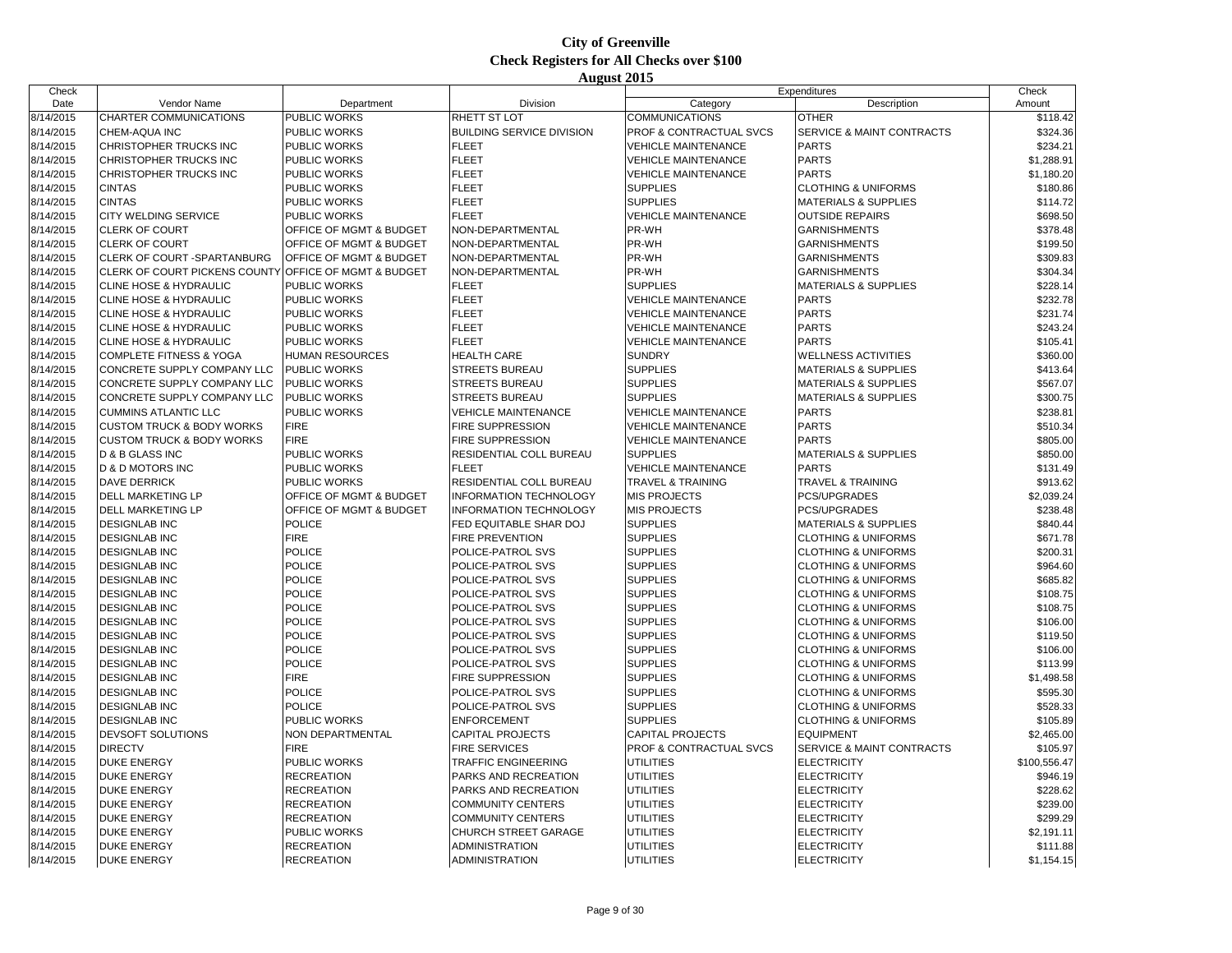| Check     |                                      |                                    |                                  |                              | Expenditures                         | Check        |
|-----------|--------------------------------------|------------------------------------|----------------------------------|------------------------------|--------------------------------------|--------------|
| Date      | Vendor Name                          | Department                         | Division                         | Category                     | Description                          | Amount       |
| 8/14/2015 | CHARTER COMMUNICATIONS               | PUBLIC WORKS                       | RHETT ST LOT                     | <b>COMMUNICATIONS</b>        | <b>OTHER</b>                         | \$118.42     |
| 8/14/2015 | CHEM-AQUA INC                        | PUBLIC WORKS                       | <b>BUILDING SERVICE DIVISION</b> | PROF & CONTRACTUAL SVCS      | <b>SERVICE &amp; MAINT CONTRACTS</b> | \$324.36     |
| 8/14/2015 | CHRISTOPHER TRUCKS INC               | <b>PUBLIC WORKS</b>                | <b>FLEET</b>                     | <b>VEHICLE MAINTENANCE</b>   | <b>PARTS</b>                         | \$234.21     |
| 8/14/2015 | CHRISTOPHER TRUCKS INC               | PUBLIC WORKS                       | <b>FLEET</b>                     | <b>VEHICLE MAINTENANCE</b>   | <b>PARTS</b>                         | \$1,288.91   |
| 8/14/2015 | CHRISTOPHER TRUCKS INC               | PUBLIC WORKS                       | <b>FLEET</b>                     | <b>VEHICLE MAINTENANCE</b>   | <b>PARTS</b>                         | \$1,180.20   |
| 8/14/2015 | <b>CINTAS</b>                        | <b>PUBLIC WORKS</b>                | <b>FLEET</b>                     | <b>SUPPLIES</b>              | <b>CLOTHING &amp; UNIFORMS</b>       | \$180.86     |
| 8/14/2015 | <b>CINTAS</b>                        | PUBLIC WORKS                       | <b>FLEET</b>                     | <b>SUPPLIES</b>              | <b>MATERIALS &amp; SUPPLIES</b>      | \$114.72     |
| 8/14/2015 | CITY WELDING SERVICE                 | PUBLIC WORKS                       | <b>FLEET</b>                     | <b>VEHICLE MAINTENANCE</b>   | <b>OUTSIDE REPAIRS</b>               | \$698.50     |
| 8/14/2015 | <b>CLERK OF COURT</b>                | OFFICE OF MGMT & BUDGET            | NON-DEPARTMENTAL                 | PR-WH                        | <b>GARNISHMENTS</b>                  | \$378.48     |
| 8/14/2015 | <b>CLERK OF COURT</b>                | OFFICE OF MGMT & BUDGET            | NON-DEPARTMENTAL                 | PR-WH                        | <b>GARNISHMENTS</b>                  | \$199.50     |
| 8/14/2015 | CLERK OF COURT -SPARTANBURG          | OFFICE OF MGMT & BUDGET            | NON-DEPARTMENTAL                 | PR-WH                        | <b>GARNISHMENTS</b>                  | \$309.83     |
| 8/14/2015 | CLERK OF COURT PICKENS COUNTY        | <b>OFFICE OF MGMT &amp; BUDGET</b> | NON-DEPARTMENTAL                 | PR-WH                        | <b>GARNISHMENTS</b>                  | \$304.34     |
| 8/14/2015 | CLINE HOSE & HYDRAULIC               | <b>PUBLIC WORKS</b>                | <b>FLEET</b>                     | <b>SUPPLIES</b>              | <b>MATERIALS &amp; SUPPLIES</b>      | \$228.14     |
| 8/14/2015 | CLINE HOSE & HYDRAULIC               | PUBLIC WORKS                       | <b>FLEET</b>                     | <b>VEHICLE MAINTENANCE</b>   | <b>PARTS</b>                         | \$232.78     |
| 8/14/2015 | CLINE HOSE & HYDRAULIC               | PUBLIC WORKS                       | <b>FLEET</b>                     | <b>VEHICLE MAINTENANCE</b>   | <b>PARTS</b>                         | \$231.74     |
| 8/14/2015 | <b>CLINE HOSE &amp; HYDRAULIC</b>    | <b>PUBLIC WORKS</b>                | <b>FLEET</b>                     | <b>VEHICLE MAINTENANCE</b>   | <b>PARTS</b>                         | \$243.24     |
| 8/14/2015 | CLINE HOSE & HYDRAULIC               | PUBLIC WORKS                       | <b>FLEET</b>                     | <b>VEHICLE MAINTENANCE</b>   | <b>PARTS</b>                         | \$105.41     |
|           |                                      |                                    |                                  |                              |                                      |              |
| 8/14/2015 | <b>COMPLETE FITNESS &amp; YOGA</b>   | <b>HUMAN RESOURCES</b>             | <b>HEALTH CARE</b>               | <b>SUNDRY</b>                | <b>WELLNESS ACTIVITIES</b>           | \$360.00     |
| 8/14/2015 | CONCRETE SUPPLY COMPANY LLC          | <b>PUBLIC WORKS</b>                | <b>STREETS BUREAU</b>            | <b>SUPPLIES</b>              | <b>MATERIALS &amp; SUPPLIES</b>      | \$413.64     |
| 8/14/2015 | CONCRETE SUPPLY COMPANY LLC          | <b>PUBLIC WORKS</b>                | <b>STREETS BUREAU</b>            | <b>SUPPLIES</b>              | <b>MATERIALS &amp; SUPPLIES</b>      | \$567.07     |
| 8/14/2015 | CONCRETE SUPPLY COMPANY LLC          | PUBLIC WORKS                       | <b>STREETS BUREAU</b>            | <b>SUPPLIES</b>              | MATERIALS & SUPPLIES                 | \$300.75     |
| 8/14/2015 | <b>CUMMINS ATLANTIC LLC</b>          | <b>PUBLIC WORKS</b>                | <b>VEHICLE MAINTENANCE</b>       | <b>VEHICLE MAINTENANCE</b>   | <b>PARTS</b>                         | \$238.81     |
| 8/14/2015 | <b>CUSTOM TRUCK &amp; BODY WORKS</b> | <b>FIRE</b>                        | FIRE SUPPRESSION                 | <b>VEHICLE MAINTENANCE</b>   | <b>PARTS</b>                         | \$510.34     |
| 8/14/2015 | <b>CUSTOM TRUCK &amp; BODY WORKS</b> | <b>FIRE</b>                        | FIRE SUPPRESSION                 | <b>VEHICLE MAINTENANCE</b>   | <b>PARTS</b>                         | \$805.00     |
| 8/14/2015 | D & B GLASS INC                      | PUBLIC WORKS                       | RESIDENTIAL COLL BUREAU          | <b>SUPPLIES</b>              | <b>MATERIALS &amp; SUPPLIES</b>      | \$850.00     |
| 8/14/2015 | <b>D &amp; D MOTORS INC</b>          | PUBLIC WORKS                       | <b>FLEET</b>                     | <b>VEHICLE MAINTENANCE</b>   | <b>PARTS</b>                         | \$131.49     |
| 8/14/2015 | <b>DAVE DERRICK</b>                  | PUBLIC WORKS                       | RESIDENTIAL COLL BUREAU          | <b>TRAVEL &amp; TRAINING</b> | TRAVEL & TRAINING                    | \$913.62     |
| 8/14/2015 | <b>DELL MARKETING LP</b>             | OFFICE OF MGMT & BUDGET            | <b>INFORMATION TECHNOLOGY</b>    | <b>MIS PROJECTS</b>          | <b>PCS/UPGRADES</b>                  | \$2,039.24   |
| 8/14/2015 | <b>DELL MARKETING LP</b>             | OFFICE OF MGMT & BUDGET            | <b>INFORMATION TECHNOLOGY</b>    | <b>MIS PROJECTS</b>          | <b>PCS/UPGRADES</b>                  | \$238.48     |
| 8/14/2015 | <b>DESIGNLAB INC</b>                 | <b>POLICE</b>                      | FED EQUITABLE SHAR DOJ           | <b>SUPPLIES</b>              | MATERIALS & SUPPLIES                 | \$840.44     |
| 8/14/2015 | <b>DESIGNLAB INC</b>                 | <b>FIRE</b>                        | FIRE PREVENTION                  | <b>SUPPLIES</b>              | <b>CLOTHING &amp; UNIFORMS</b>       | \$671.78     |
| 8/14/2015 | <b>DESIGNLAB INC</b>                 | <b>POLICE</b>                      | POLICE-PATROL SVS                | <b>SUPPLIES</b>              | <b>CLOTHING &amp; UNIFORMS</b>       | \$200.31     |
| 8/14/2015 | <b>DESIGNLAB INC</b>                 | <b>POLICE</b>                      | POLICE-PATROL SVS                | <b>SUPPLIES</b>              | <b>CLOTHING &amp; UNIFORMS</b>       | \$964.60     |
| 8/14/2015 | <b>DESIGNLAB INC</b>                 | <b>POLICE</b>                      | POLICE-PATROL SVS                | <b>SUPPLIES</b>              | <b>CLOTHING &amp; UNIFORMS</b>       | \$685.82     |
| 8/14/2015 | <b>DESIGNLAB INC</b>                 | <b>POLICE</b>                      | POLICE-PATROL SVS                | <b>SUPPLIES</b>              | <b>CLOTHING &amp; UNIFORMS</b>       | \$108.75     |
| 8/14/2015 | <b>DESIGNLAB INC</b>                 | <b>POLICE</b>                      | POLICE-PATROL SVS                | <b>SUPPLIES</b>              | <b>CLOTHING &amp; UNIFORMS</b>       | \$108.75     |
| 8/14/2015 | <b>DESIGNLAB INC</b>                 | <b>POLICE</b>                      | POLICE-PATROL SVS                | <b>SUPPLIES</b>              | <b>CLOTHING &amp; UNIFORMS</b>       | \$106.00     |
| 8/14/2015 | <b>DESIGNLAB INC</b>                 | <b>POLICE</b>                      | POLICE-PATROL SVS                | <b>SUPPLIES</b>              | <b>CLOTHING &amp; UNIFORMS</b>       | \$119.50     |
| 8/14/2015 | <b>DESIGNLAB INC</b>                 | <b>POLICE</b>                      | POLICE-PATROL SVS                | <b>SUPPLIES</b>              | <b>CLOTHING &amp; UNIFORMS</b>       | \$106.00     |
| 8/14/2015 | <b>DESIGNLAB INC</b>                 | <b>POLICE</b>                      | POLICE-PATROL SVS                | <b>SUPPLIES</b>              | <b>CLOTHING &amp; UNIFORMS</b>       | \$113.99     |
| 8/14/2015 | <b>DESIGNLAB INC</b>                 | <b>FIRE</b>                        | FIRE SUPPRESSION                 | <b>SUPPLIES</b>              | <b>CLOTHING &amp; UNIFORMS</b>       | \$1,498.58   |
| 8/14/2015 | <b>DESIGNLAB INC</b>                 | <b>POLICE</b>                      | POLICE-PATROL SVS                | <b>SUPPLIES</b>              | <b>CLOTHING &amp; UNIFORMS</b>       | \$595.30     |
| 8/14/2015 | <b>DESIGNLAB INC</b>                 | <b>POLICE</b>                      | POLICE-PATROL SVS                | <b>SUPPLIES</b>              | <b>CLOTHING &amp; UNIFORMS</b>       | \$528.33     |
| 8/14/2015 | <b>DESIGNLAB INC</b>                 | PUBLIC WORKS                       | ENFORCEMENT                      | <b>SUPPLIES</b>              | <b>CLOTHING &amp; UNIFORMS</b>       | \$105.89     |
| 8/14/2015 | DEVSOFT SOLUTIONS                    | NON DEPARTMENTAL                   | <b>CAPITAL PROJECTS</b>          | <b>CAPITAL PROJECTS</b>      | <b>EQUIPMENT</b>                     | \$2,465.00   |
| 8/14/2015 | <b>DIRECTV</b>                       | <b>FIRE</b>                        | <b>FIRE SERVICES</b>             | PROF & CONTRACTUAL SVCS      | <b>SERVICE &amp; MAINT CONTRACTS</b> | \$105.97     |
| 8/14/2015 | <b>DUKE ENERGY</b>                   | PUBLIC WORKS                       | TRAFFIC ENGINEERING              | <b>UTILITIES</b>             | <b>ELECTRICITY</b>                   | \$100,556.47 |
| 8/14/2015 | <b>DUKE ENERGY</b>                   | <b>RECREATION</b>                  | PARKS AND RECREATION             | <b>UTILITIES</b>             | <b>ELECTRICITY</b>                   | \$946.19     |
| 8/14/2015 | <b>DUKE ENERGY</b>                   | <b>RECREATION</b>                  | PARKS AND RECREATION             | <b>UTILITIES</b>             | <b>ELECTRICITY</b>                   | \$228.62     |
| 8/14/2015 | <b>DUKE ENERGY</b>                   | <b>RECREATION</b>                  | COMMUNITY CENTERS                | <b>UTILITIES</b>             | <b>ELECTRICITY</b>                   | \$239.00     |
| 8/14/2015 | <b>DUKE ENERGY</b>                   | <b>RECREATION</b>                  | COMMUNITY CENTERS                | UTILITIES                    | <b>ELECTRICITY</b>                   | \$299.29     |
| 8/14/2015 | <b>DUKE ENERGY</b>                   | PUBLIC WORKS                       | <b>CHURCH STREET GARAGE</b>      | <b>UTILITIES</b>             | <b>ELECTRICITY</b>                   | \$2,191.11   |
| 8/14/2015 | <b>DUKE ENERGY</b>                   | <b>RECREATION</b>                  | <b>ADMINISTRATION</b>            | <b>UTILITIES</b>             | <b>ELECTRICITY</b>                   | \$111.88     |
| 8/14/2015 | <b>DUKE ENERGY</b>                   | <b>RECREATION</b>                  | <b>ADMINISTRATION</b>            | <b>UTILITIES</b>             | <b>ELECTRICITY</b>                   | \$1,154.15   |
|           |                                      |                                    |                                  |                              |                                      |              |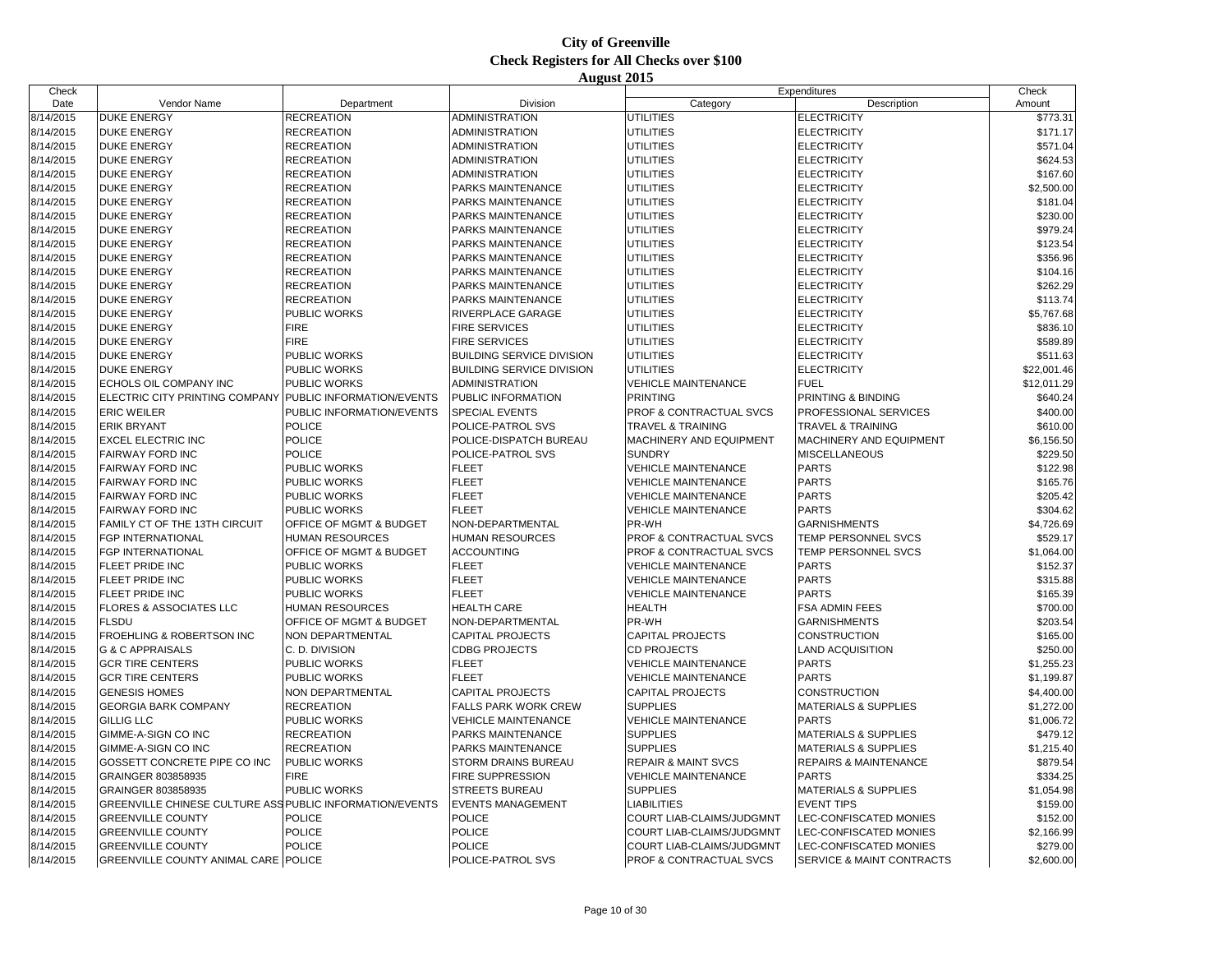| Check                  |                                                          |                           |                                  |                                                        | Expenditures                         | Check       |
|------------------------|----------------------------------------------------------|---------------------------|----------------------------------|--------------------------------------------------------|--------------------------------------|-------------|
| Date                   | Vendor Name                                              | Department                | Division                         | Category                                               | Description                          | Amount      |
| 8/14/2015              | <b>DUKE ENERGY</b>                                       | <b>RECREATION</b>         | <b>ADMINISTRATION</b>            | <b>UTILITIES</b>                                       | <b>ELECTRICITY</b>                   | \$773.31    |
| 8/14/2015              | <b>DUKE ENERGY</b>                                       | <b>RECREATION</b>         | <b>ADMINISTRATION</b>            | <b>UTILITIES</b>                                       | <b>ELECTRICITY</b>                   | \$171.17    |
| 8/14/2015              | <b>DUKE ENERGY</b>                                       | <b>RECREATION</b>         | ADMINISTRATION                   | UTILITIES                                              | <b>ELECTRICITY</b>                   | \$571.04    |
| 8/14/2015              | <b>DUKE ENERGY</b>                                       | <b>RECREATION</b>         | <b>ADMINISTRATION</b>            | <b>UTILITIES</b>                                       | <b>ELECTRICITY</b>                   | \$624.53    |
| 8/14/2015              | <b>DUKE ENERGY</b>                                       | <b>RECREATION</b>         | <b>ADMINISTRATION</b>            | UTILITIES                                              | <b>ELECTRICITY</b>                   | \$167.60    |
| 8/14/2015              | <b>DUKE ENERGY</b>                                       | <b>RECREATION</b>         | PARKS MAINTENANCE                | UTILITIES                                              | <b>ELECTRICITY</b>                   | \$2,500.00  |
| 8/14/2015              | <b>DUKE ENERGY</b>                                       | <b>RECREATION</b>         | PARKS MAINTENANCE                | <b>UTILITIES</b>                                       | ELECTRICITY                          | \$181.04    |
| 8/14/2015              | <b>DUKE ENERGY</b>                                       | <b>RECREATION</b>         | <b>PARKS MAINTENANCE</b>         | UTILITIES                                              | <b>ELECTRICITY</b>                   | \$230.00    |
| 8/14/2015              | <b>DUKE ENERGY</b>                                       | <b>RECREATION</b>         | PARKS MAINTENANCE                | UTILITIES                                              | <b>ELECTRICITY</b>                   | \$979.24    |
| 8/14/2015              | <b>DUKE ENERGY</b>                                       | <b>RECREATION</b>         | PARKS MAINTENANCE                | <b>UTILITIES</b>                                       | ELECTRICITY                          | \$123.54    |
| 8/14/2015              | <b>DUKE ENERGY</b>                                       | <b>RECREATION</b>         | <b>PARKS MAINTENANCE</b>         | UTILITIES                                              | ELECTRICITY                          | \$356.96    |
| 8/14/2015              | <b>DUKE ENERGY</b>                                       | <b>RECREATION</b>         | PARKS MAINTENANCE                | UTILITIES                                              | <b>ELECTRICITY</b>                   | \$104.16    |
| 8/14/2015              | <b>DUKE ENERGY</b>                                       | <b>RECREATION</b>         | PARKS MAINTENANCE                | <b>UTILITIES</b>                                       | ELECTRICITY                          | \$262.29    |
| 8/14/2015              | <b>DUKE ENERGY</b>                                       | <b>RECREATION</b>         | PARKS MAINTENANCE                | UTILITIES                                              | ELECTRICITY                          | \$113.74    |
| 8/14/2015              | <b>DUKE ENERGY</b>                                       | PUBLIC WORKS              | RIVERPLACE GARAGE                | UTILITIES                                              | <b>ELECTRICITY</b>                   | \$5,767.68  |
| 8/14/2015              | <b>DUKE ENERGY</b>                                       | <b>FIRE</b>               | <b>FIRE SERVICES</b>             | <b>UTILITIES</b>                                       | <b>ELECTRICITY</b>                   | \$836.10    |
| 8/14/2015              | <b>DUKE ENERGY</b>                                       | <b>FIRE</b>               | <b>FIRE SERVICES</b>             | UTILITIES                                              | <b>ELECTRICITY</b>                   | \$589.89    |
| 8/14/2015              | <b>DUKE ENERGY</b>                                       | PUBLIC WORKS              | <b>BUILDING SERVICE DIVISION</b> | UTILITIES                                              | <b>ELECTRICITY</b>                   | \$511.63    |
| 8/14/2015              | <b>DUKE ENERGY</b>                                       | PUBLIC WORKS              | <b>BUILDING SERVICE DIVISION</b> | <b>UTILITIES</b>                                       | <b>ELECTRICITY</b>                   | \$22,001.46 |
| 8/14/2015              | ECHOLS OIL COMPANY INC                                   | PUBLIC WORKS              | <b>ADMINISTRATION</b>            | <b>VEHICLE MAINTENANCE</b>                             | <b>FUEL</b>                          | \$12,011.29 |
| 8/14/2015              | ELECTRIC CITY PRINTING COMPANY                           | PUBLIC INFORMATION/EVENTS | PUBLIC INFORMATION               | <b>PRINTING</b>                                        | PRINTING & BINDING                   | \$640.24    |
| 8/14/2015              | <b>ERIC WEILER</b>                                       | PUBLIC INFORMATION/EVENTS | <b>SPECIAL EVENTS</b>            | PROF & CONTRACTUAL SVCS                                | <b>PROFESSIONAL SERVICES</b>         | \$400.00    |
| 8/14/2015              | <b>ERIK BRYANT</b>                                       | <b>POLICE</b>             | POLICE-PATROL SVS                | <b>TRAVEL &amp; TRAINING</b>                           | <b>TRAVEL &amp; TRAINING</b>         | \$610.00    |
| 8/14/2015              | <b>EXCEL ELECTRIC INC</b>                                | POLICE                    | POLICE-DISPATCH BUREAU           | MACHINERY AND EQUIPMENT                                | MACHINERY AND EQUIPMENT              | \$6,156.50  |
| 8/14/2015              | <b>FAIRWAY FORD INC</b>                                  | <b>POLICE</b>             | POLICE-PATROL SVS                | <b>SUNDRY</b>                                          | <b>MISCELLANEOUS</b>                 | \$229.50    |
| 8/14/2015              | <b>FAIRWAY FORD INC</b>                                  | PUBLIC WORKS              | <b>FLEET</b>                     | <b>VEHICLE MAINTENANCE</b>                             | <b>PARTS</b>                         | \$122.98    |
| 8/14/2015              | <b>FAIRWAY FORD INC</b>                                  | PUBLIC WORKS              | <b>FLEET</b>                     | <b>VEHICLE MAINTENANCE</b>                             | <b>PARTS</b>                         | \$165.76    |
| 8/14/2015              | <b>FAIRWAY FORD INC</b>                                  | PUBLIC WORKS              | <b>FLEET</b>                     | <b>VEHICLE MAINTENANCE</b>                             | <b>PARTS</b>                         | \$205.42    |
| 8/14/2015              | <b>FAIRWAY FORD INC</b>                                  | <b>PUBLIC WORKS</b>       | <b>FLEET</b>                     | <b>VEHICLE MAINTENANCE</b>                             | <b>PARTS</b>                         | \$304.62    |
| 8/14/2015              | FAMILY CT OF THE 13TH CIRCUIT                            | OFFICE OF MGMT & BUDGET   | NON-DEPARTMENTAL                 | PR-WH                                                  | <b>GARNISHMENTS</b>                  | \$4,726.69  |
| 8/14/2015              | <b>FGP INTERNATIONAL</b>                                 | <b>HUMAN RESOURCES</b>    | <b>HUMAN RESOURCES</b>           | PROF & CONTRACTUAL SVCS                                | TEMP PERSONNEL SVCS                  | \$529.17    |
| 8/14/2015              | FGP INTERNATIONAL                                        | OFFICE OF MGMT & BUDGET   | <b>ACCOUNTING</b>                | PROF & CONTRACTUAL SVCS                                | TEMP PERSONNEL SVCS                  | \$1,064.00  |
| 8/14/2015              | FLEET PRIDE INC                                          | PUBLIC WORKS              | <b>FLEET</b>                     | <b>VEHICLE MAINTENANCE</b>                             | <b>PARTS</b>                         | \$152.37    |
| 8/14/2015              | FLEET PRIDE INC                                          | PUBLIC WORKS              | <b>FLEET</b>                     | <b>VEHICLE MAINTENANCE</b>                             | <b>PARTS</b>                         | \$315.88    |
| 8/14/2015              | FLEET PRIDE INC                                          | PUBLIC WORKS              | <b>FLEET</b>                     | <b>VEHICLE MAINTENANCE</b>                             | <b>PARTS</b>                         | \$165.39    |
| 8/14/2015              | FLORES & ASSOCIATES LLC                                  | HUMAN RESOURCES           | <b>HEALTH CARE</b>               | HEALTH                                                 | <b>FSA ADMIN FEES</b>                | \$700.00    |
| 8/14/2015              | <b>FLSDU</b>                                             | OFFICE OF MGMT & BUDGET   | NON-DEPARTMENTAL                 | PR-WH                                                  | <b>GARNISHMENTS</b>                  | \$203.54    |
| 8/14/2015              | FROEHLING & ROBERTSON INC                                | NON DEPARTMENTAL          | <b>CAPITAL PROJECTS</b>          | <b>CAPITAL PROJECTS</b>                                | <b>CONSTRUCTION</b>                  | \$165.00    |
| 8/14/2015              | <b>G &amp; C APPRAISALS</b>                              | C. D. DIVISION            | <b>CDBG PROJECTS</b>             | <b>CD PROJECTS</b>                                     | <b>LAND ACQUISITION</b>              | \$250.00    |
| 8/14/2015              | <b>GCR TIRE CENTERS</b>                                  | <b>PUBLIC WORKS</b>       | <b>FLEET</b>                     | <b>VEHICLE MAINTENANCE</b>                             | <b>PARTS</b>                         | \$1,255.23  |
| 8/14/2015              | <b>GCR TIRE CENTERS</b>                                  | PUBLIC WORKS              | <b>FLEET</b>                     | <b>VEHICLE MAINTENANCE</b>                             | <b>PARTS</b>                         | \$1,199.87  |
| 8/14/2015              | <b>GENESIS HOMES</b>                                     | NON DEPARTMENTAL          | <b>CAPITAL PROJECTS</b>          | <b>CAPITAL PROJECTS</b>                                | <b>CONSTRUCTION</b>                  | \$4,400.00  |
| 8/14/2015              | <b>GEORGIA BARK COMPANY</b>                              | <b>RECREATION</b>         | <b>FALLS PARK WORK CREW</b>      | <b>SUPPLIES</b>                                        | <b>MATERIALS &amp; SUPPLIES</b>      | \$1,272.00  |
| 8/14/2015              | <b>GILLIG LLC</b>                                        | PUBLIC WORKS              | <b>VEHICLE MAINTENANCE</b>       | <b>VEHICLE MAINTENANCE</b>                             | <b>PARTS</b>                         | \$1,006.72  |
| 8/14/2015              | GIMME-A-SIGN CO INC                                      | <b>RECREATION</b>         | PARKS MAINTENANCE                | <b>SUPPLIES</b>                                        | <b>MATERIALS &amp; SUPPLIES</b>      | \$479.12    |
| 8/14/2015              | GIMME-A-SIGN CO INC                                      | <b>RECREATION</b>         | PARKS MAINTENANCE                | <b>SUPPLIES</b>                                        | <b>MATERIALS &amp; SUPPLIES</b>      | \$1,215.40  |
| 8/14/2015              | GOSSETT CONCRETE PIPE CO INC                             | PUBLIC WORKS              | STORM DRAINS BUREAU              | <b>REPAIR &amp; MAINT SVCS</b>                         | <b>REPAIRS &amp; MAINTENANCE</b>     | \$879.54    |
| 8/14/2015              | GRAINGER 803858935                                       | <b>FIRE</b>               | <b>FIRE SUPPRESSION</b>          | <b>VEHICLE MAINTENANCE</b>                             | <b>PARTS</b>                         | \$334.25    |
| 8/14/2015              | GRAINGER 803858935                                       | PUBLIC WORKS              | <b>STREETS BUREAU</b>            | <b>SUPPLIES</b>                                        | <b>MATERIALS &amp; SUPPLIES</b>      | \$1,054.98  |
|                        | GREENVILLE CHINESE CULTURE ASS PUBLIC INFORMATION/EVENTS |                           | <b>EVENTS MANAGEMENT</b>         | <b>LIABILITIES</b>                                     | <b>EVENT TIPS</b>                    | \$159.00    |
| 8/14/2015<br>8/14/2015 | <b>GREENVILLE COUNTY</b>                                 | <b>POLICE</b>             | <b>POLICE</b>                    |                                                        |                                      | \$152.00    |
|                        | <b>GREENVILLE COUNTY</b>                                 | <b>POLICE</b>             | <b>POLICE</b>                    | COURT LIAB-CLAIMS/JUDGMNT<br>COURT LIAB-CLAIMS/JUDGMNT | LEC-CONFISCATED MONIES               |             |
| 8/14/2015<br>8/14/2015 |                                                          | <b>POLICE</b>             | <b>POLICE</b>                    |                                                        | LEC-CONFISCATED MONIES               | \$2,166.99  |
|                        | <b>GREENVILLE COUNTY</b>                                 |                           |                                  | COURT LIAB-CLAIMS/JUDGMNT                              | <b>LEC-CONFISCATED MONIES</b>        | \$279.00    |
| 8/14/2015              | <b>GREENVILLE COUNTY ANIMAL CARE POLICE</b>              |                           | POLICE-PATROL SVS                | PROF & CONTRACTUAL SVCS                                | <b>SERVICE &amp; MAINT CONTRACTS</b> | \$2,600.00  |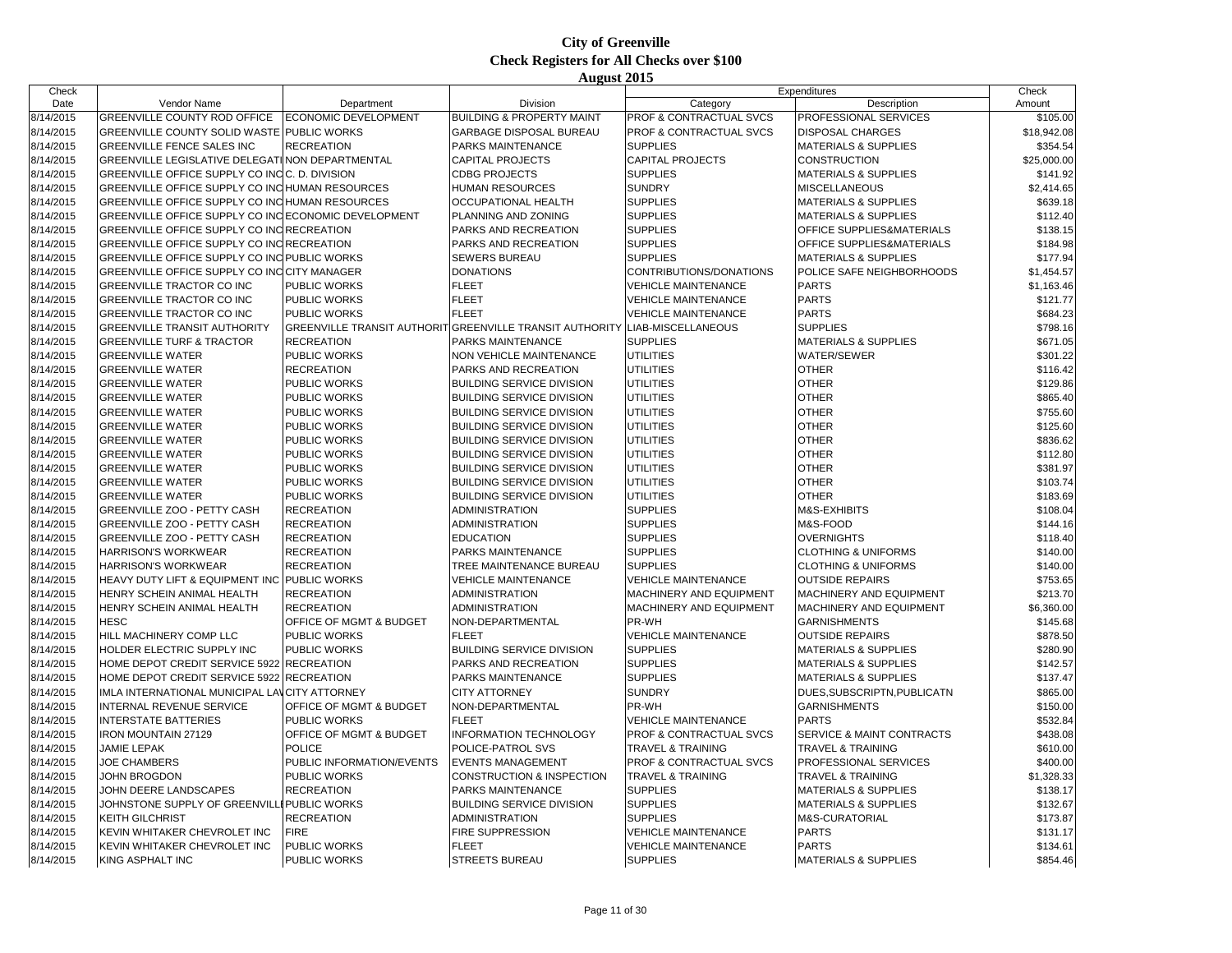| Check     |                                                      |                           |                                                          |                                    | Expenditures                    | Check       |
|-----------|------------------------------------------------------|---------------------------|----------------------------------------------------------|------------------------------------|---------------------------------|-------------|
| Date      | Vendor Name                                          | Department                | Division                                                 | Category                           | Description                     | Amount      |
| 8/14/2015 | GREENVILLE COUNTY ROD OFFICE                         | ECONOMIC DEVELOPMENT      | <b>BUILDING &amp; PROPERTY MAINT</b>                     | PROF & CONTRACTUAL SVCS            | PROFESSIONAL SERVICES           | \$105.00    |
| 8/14/2015 | <b>GREENVILLE COUNTY SOLID WASTE PUBLIC WORKS</b>    |                           | <b>GARBAGE DISPOSAL BUREAU</b>                           | <b>PROF &amp; CONTRACTUAL SVCS</b> | <b>DISPOSAL CHARGES</b>         | \$18,942.08 |
| 8/14/2015 | <b>GREENVILLE FENCE SALES INC</b>                    | <b>RECREATION</b>         | PARKS MAINTENANCE                                        | <b>SUPPLIES</b>                    | <b>MATERIALS &amp; SUPPLIES</b> | \$354.54    |
| 8/14/2015 | GREENVILLE LEGISLATIVE DELEGATI NON DEPARTMENTAL     |                           | CAPITAL PROJECTS                                         | CAPITAL PROJECTS                   | CONSTRUCTION                    | \$25,000.00 |
| 8/14/2015 | GREENVILLE OFFICE SUPPLY CO INCC. D. DIVISION        |                           | <b>CDBG PROJECTS</b>                                     | <b>SUPPLIES</b>                    | <b>MATERIALS &amp; SUPPLIES</b> | \$141.92    |
| 8/14/2015 | GREENVILLE OFFICE SUPPLY CO INC HUMAN RESOURCES      |                           | <b>HUMAN RESOURCES</b>                                   | <b>SUNDRY</b>                      | <b>MISCELLANEOUS</b>            | \$2,414.65  |
| 8/14/2015 | GREENVILLE OFFICE SUPPLY CO INC HUMAN RESOURCES      |                           | OCCUPATIONAL HEALTH                                      | <b>SUPPLIES</b>                    | <b>MATERIALS &amp; SUPPLIES</b> | \$639.18    |
| 8/14/2015 | GREENVILLE OFFICE SUPPLY CO INC ECONOMIC DEVELOPMENT |                           | PLANNING AND ZONING                                      | <b>SUPPLIES</b>                    | <b>MATERIALS &amp; SUPPLIES</b> | \$112.40    |
| 8/14/2015 | GREENVILLE OFFICE SUPPLY CO INC RECREATION           |                           | PARKS AND RECREATION                                     | <b>SUPPLIES</b>                    | OFFICE SUPPLIES&MATERIALS       | \$138.15    |
| 8/14/2015 | GREENVILLE OFFICE SUPPLY CO INC RECREATION           |                           | PARKS AND RECREATION                                     | <b>SUPPLIES</b>                    | OFFICE SUPPLIES&MATERIALS       | \$184.98    |
| 8/14/2015 | GREENVILLE OFFICE SUPPLY CO INC PUBLIC WORKS         |                           | SEWERS BUREAU                                            | <b>SUPPLIES</b>                    | <b>MATERIALS &amp; SUPPLIES</b> | \$177.94    |
| 8/14/2015 | GREENVILLE OFFICE SUPPLY CO INC CITY MANAGER         |                           | <b>DONATIONS</b>                                         | CONTRIBUTIONS/DONATIONS            | POLICE SAFE NEIGHBORHOODS       | \$1,454.57  |
| 8/14/2015 | GREENVILLE TRACTOR CO INC                            | <b>PUBLIC WORKS</b>       | <b>FLEET</b>                                             | <b>VEHICLE MAINTENANCE</b>         | <b>PARTS</b>                    | \$1,163.46  |
| 8/14/2015 | GREENVILLE TRACTOR CO INC                            | <b>PUBLIC WORKS</b>       | <b>FLEET</b>                                             | <b>VEHICLE MAINTENANCE</b>         | <b>PARTS</b>                    | \$121.77    |
| 8/14/2015 | GREENVILLE TRACTOR CO INC                            | <b>PUBLIC WORKS</b>       | <b>FLEET</b>                                             | <b>VEHICLE MAINTENANCE</b>         | <b>PARTS</b>                    | \$684.23    |
| 8/14/2015 | <b>GREENVILLE TRANSIT AUTHORITY</b>                  |                           | GREENVILLE TRANSIT AUTHORIT GREENVILLE TRANSIT AUTHORITY | LIAB-MISCELLANEOUS                 | <b>SUPPLIES</b>                 | \$798.16    |
| 8/14/2015 | <b>GREENVILLE TURF &amp; TRACTOR</b>                 | <b>RECREATION</b>         | PARKS MAINTENANCE                                        | <b>SUPPLIES</b>                    | <b>MATERIALS &amp; SUPPLIES</b> | \$671.05    |
| 8/14/2015 | <b>GREENVILLE WATER</b>                              | <b>PUBLIC WORKS</b>       | <b>NON VEHICLE MAINTENANCE</b>                           | <b>UTILITIES</b>                   | WATER/SEWER                     | \$301.22    |
| 8/14/2015 | <b>GREENVILLE WATER</b>                              | <b>RECREATION</b>         | PARKS AND RECREATION                                     | <b>UTILITIES</b>                   | <b>OTHER</b>                    | \$116.42    |
| 8/14/2015 | <b>GREENVILLE WATER</b>                              | PUBLIC WORKS              | <b>BUILDING SERVICE DIVISION</b>                         | <b>UTILITIES</b>                   | <b>OTHER</b>                    | \$129.86    |
| 8/14/2015 | <b>GREENVILLE WATER</b>                              | <b>PUBLIC WORKS</b>       | <b>BUILDING SERVICE DIVISION</b>                         | <b>UTILITIES</b>                   | <b>OTHER</b>                    | \$865.40    |
| 8/14/2015 | <b>GREENVILLE WATER</b>                              | PUBLIC WORKS              | <b>BUILDING SERVICE DIVISION</b>                         | <b>UTILITIES</b>                   | <b>OTHER</b>                    |             |
|           |                                                      | PUBLIC WORKS              |                                                          | <b>UTILITIES</b>                   | <b>OTHER</b>                    | \$755.60    |
| 8/14/2015 | <b>GREENVILLE WATER</b>                              |                           | <b>BUILDING SERVICE DIVISION</b>                         |                                    | <b>OTHER</b>                    | \$125.60    |
| 8/14/2015 | <b>GREENVILLE WATER</b>                              | <b>PUBLIC WORKS</b>       | <b>BUILDING SERVICE DIVISION</b>                         | <b>UTILITIES</b>                   |                                 | \$836.62    |
| 8/14/2015 | <b>GREENVILLE WATER</b>                              | PUBLIC WORKS              | <b>BUILDING SERVICE DIVISION</b>                         | <b>UTILITIES</b>                   | <b>OTHER</b>                    | \$112.80    |
| 8/14/2015 | <b>GREENVILLE WATER</b>                              | PUBLIC WORKS              | <b>BUILDING SERVICE DIVISION</b>                         | <b>UTILITIES</b>                   | <b>OTHER</b><br><b>OTHER</b>    | \$381.97    |
| 8/14/2015 | <b>GREENVILLE WATER</b>                              | PUBLIC WORKS              | <b>BUILDING SERVICE DIVISION</b>                         | <b>UTILITIES</b>                   |                                 | \$103.74    |
| 8/14/2015 | <b>GREENVILLE WATER</b>                              | <b>PUBLIC WORKS</b>       | <b>BUILDING SERVICE DIVISION</b>                         | <b>UTILITIES</b>                   | <b>OTHER</b>                    | \$183.69    |
| 8/14/2015 | GREENVILLE ZOO - PETTY CASH                          | <b>RECREATION</b>         | ADMINISTRATION                                           | <b>SUPPLIES</b>                    | M&S-EXHIBITS                    | \$108.04    |
| 8/14/2015 | GREENVILLE ZOO - PETTY CASH                          | <b>RECREATION</b>         | <b>ADMINISTRATION</b>                                    | <b>SUPPLIES</b>                    | M&S-FOOD                        | \$144.16    |
| 8/14/2015 | GREENVILLE ZOO - PETTY CASH                          | <b>RECREATION</b>         | <b>EDUCATION</b>                                         | <b>SUPPLIES</b>                    | <b>OVERNIGHTS</b>               | \$118.40    |
| 8/14/2015 | <b>HARRISON'S WORKWEAR</b>                           | <b>RECREATION</b>         | PARKS MAINTENANCE                                        | <b>SUPPLIES</b>                    | <b>CLOTHING &amp; UNIFORMS</b>  | \$140.00    |
| 8/14/2015 | <b>HARRISON'S WORKWEAR</b>                           | <b>RECREATION</b>         | TREE MAINTENANCE BUREAU                                  | <b>SUPPLIES</b>                    | <b>CLOTHING &amp; UNIFORMS</b>  | \$140.00    |
| 8/14/2015 | HEAVY DUTY LIFT & EQUIPMENT INC PUBLIC WORKS         |                           | <b>VEHICLE MAINTENANCE</b>                               | <b>VEHICLE MAINTENANCE</b>         | <b>OUTSIDE REPAIRS</b>          | \$753.65    |
| 8/14/2015 | HENRY SCHEIN ANIMAL HEALTH                           | <b>RECREATION</b>         | <b>ADMINISTRATION</b>                                    | MACHINERY AND EQUIPMENT            | MACHINERY AND EQUIPMENT         | \$213.70    |
| 8/14/2015 | HENRY SCHEIN ANIMAL HEALTH                           | <b>RECREATION</b>         | ADMINISTRATION                                           | MACHINERY AND EQUIPMENT            | MACHINERY AND EQUIPMENT         | \$6,360.00  |
| 8/14/2015 | <b>HESC</b>                                          | OFFICE OF MGMT & BUDGET   | NON-DEPARTMENTAL                                         | PR-WH                              | <b>GARNISHMENTS</b>             | \$145.68    |
| 8/14/2015 | HILL MACHINERY COMP LLC                              | <b>PUBLIC WORKS</b>       | <b>FLEET</b>                                             | <b>VEHICLE MAINTENANCE</b>         | <b>OUTSIDE REPAIRS</b>          | \$878.50    |
| 8/14/2015 | HOLDER ELECTRIC SUPPLY INC                           | <b>PUBLIC WORKS</b>       | <b>BUILDING SERVICE DIVISION</b>                         | <b>SUPPLIES</b>                    | <b>MATERIALS &amp; SUPPLIES</b> | \$280.90    |
| 8/14/2015 | HOME DEPOT CREDIT SERVICE 5922 RECREATION            |                           | PARKS AND RECREATION                                     | <b>SUPPLIES</b>                    | <b>MATERIALS &amp; SUPPLIES</b> | \$142.57    |
| 8/14/2015 | HOME DEPOT CREDIT SERVICE 5922 RECREATION            |                           | PARKS MAINTENANCE                                        | <b>SUPPLIES</b>                    | <b>MATERIALS &amp; SUPPLIES</b> | \$137.47    |
| 8/14/2015 | IMLA INTERNATIONAL MUNICIPAL LANCITY ATTORNEY        |                           | <b>CITY ATTORNEY</b>                                     | <b>SUNDRY</b>                      | DUES, SUBSCRIPTN, PUBLICATN     | \$865.00    |
| 8/14/2015 | INTERNAL REVENUE SERVICE                             | OFFICE OF MGMT & BUDGET   | NON-DEPARTMENTAL                                         | PR-WH                              | <b>GARNISHMENTS</b>             | \$150.00    |
| 8/14/2015 | <b>INTERSTATE BATTERIES</b>                          | PUBLIC WORKS              | <b>FLEET</b>                                             | <b>VEHICLE MAINTENANCE</b>         | <b>PARTS</b>                    | \$532.84    |
| 8/14/2015 | <b>IRON MOUNTAIN 27129</b>                           | OFFICE OF MGMT & BUDGET   | <b>INFORMATION TECHNOLOGY</b>                            | PROF & CONTRACTUAL SVCS            | SERVICE & MAINT CONTRACTS       | \$438.08    |
| 8/14/2015 | <b>JAMIE LEPAK</b>                                   | <b>POLICE</b>             | POLICE-PATROL SVS                                        | <b>TRAVEL &amp; TRAINING</b>       | <b>TRAVEL &amp; TRAINING</b>    | \$610.00    |
| 8/14/2015 | <b>JOE CHAMBERS</b>                                  | PUBLIC INFORMATION/EVENTS | <b>EVENTS MANAGEMENT</b>                                 | PROF & CONTRACTUAL SVCS            | PROFESSIONAL SERVICES           | \$400.00    |
| 8/14/2015 | JOHN BROGDON                                         | <b>PUBLIC WORKS</b>       | CONSTRUCTION & INSPECTION                                | <b>TRAVEL &amp; TRAINING</b>       | <b>TRAVEL &amp; TRAINING</b>    | \$1,328.33  |
| 8/14/2015 | JOHN DEERE LANDSCAPES                                | <b>RECREATION</b>         | <b>PARKS MAINTENANCE</b>                                 | <b>SUPPLIES</b>                    | <b>MATERIALS &amp; SUPPLIES</b> | \$138.17    |
| 8/14/2015 | JOHNSTONE SUPPLY OF GREENVIL                         | <b>I PUBLIC WORKS</b>     | <b>BUILDING SERVICE DIVISION</b>                         | <b>SUPPLIES</b>                    | <b>MATERIALS &amp; SUPPLIES</b> | \$132.67    |
| 8/14/2015 | <b>KEITH GILCHRIST</b>                               | <b>RECREATION</b>         | <b>ADMINISTRATION</b>                                    | <b>SUPPLIES</b>                    | M&S-CURATORIAL                  | \$173.87    |
| 8/14/2015 | KEVIN WHITAKER CHEVROLET INC                         | <b>FIRE</b>               | <b>FIRE SUPPRESSION</b>                                  | <b>VEHICLE MAINTENANCE</b>         | <b>PARTS</b>                    | \$131.17    |
| 8/14/2015 | KEVIN WHITAKER CHEVROLET INC                         | PUBLIC WORKS              | <b>FLEET</b>                                             | <b>VEHICLE MAINTENANCE</b>         | <b>PARTS</b>                    | \$134.61    |
| 8/14/2015 | <b>KING ASPHALT INC</b>                              | <b>PUBLIC WORKS</b>       | <b>STREETS BUREAU</b>                                    | <b>SUPPLIES</b>                    | <b>MATERIALS &amp; SUPPLIES</b> | \$854.46    |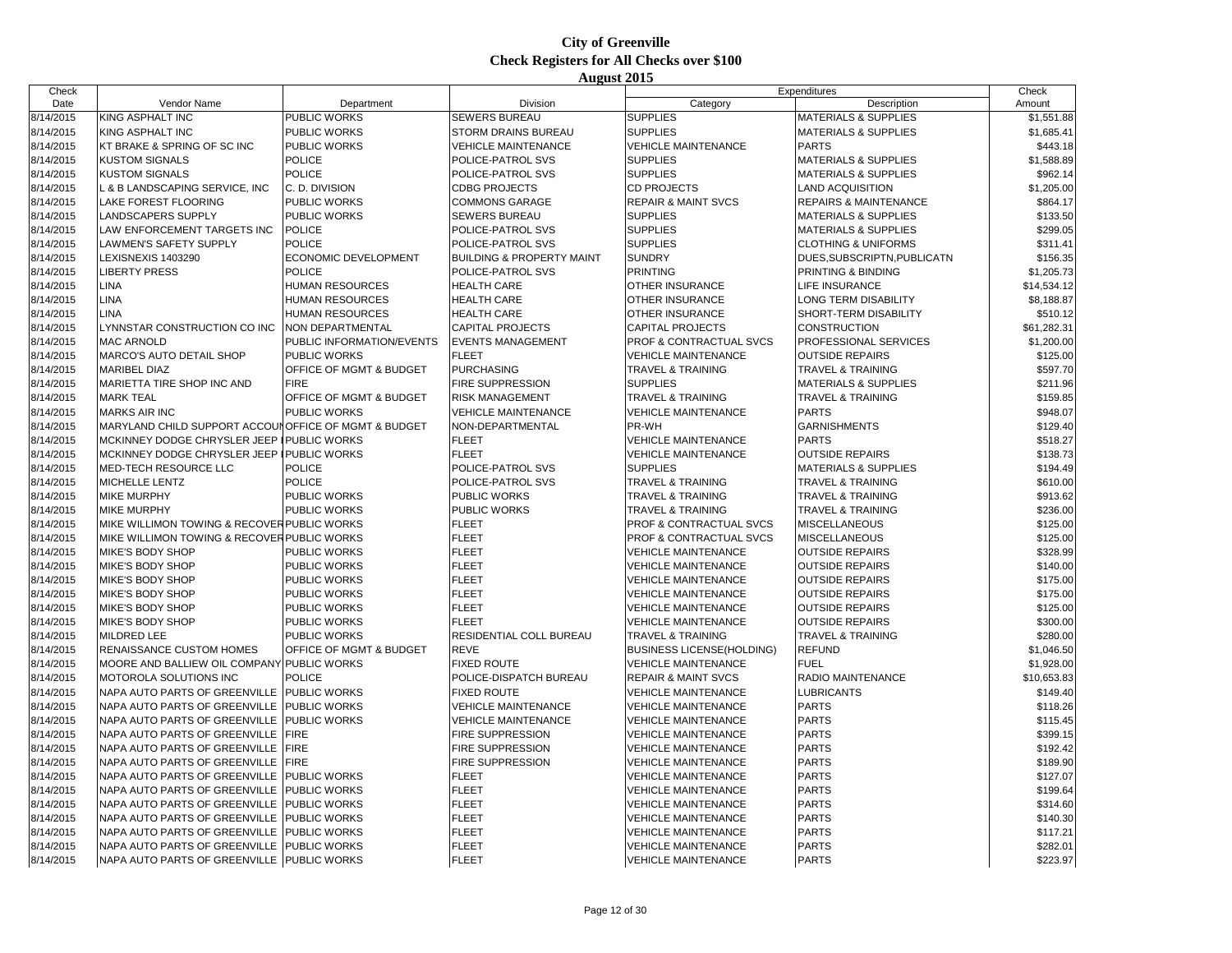| Date<br>Vendor Name<br>Department<br>Division<br>Category<br>Description<br>Amount<br><b>SUPPLIES</b><br>8/14/2015<br>KING ASPHALT INC<br>PUBLIC WORKS<br><b>SEWERS BUREAU</b><br><b>MATERIALS &amp; SUPPLIES</b><br><b>SUPPLIES</b><br>PUBLIC WORKS<br>8/14/2015<br>KING ASPHALT INC<br>STORM DRAINS BUREAU<br><b>MATERIALS &amp; SUPPLIES</b><br><b>PARTS</b><br>8/14/2015<br>KT BRAKE & SPRING OF SC INC<br>PUBLIC WORKS<br><b>VEHICLE MAINTENANCE</b><br><b>VEHICLE MAINTENANCE</b><br>8/14/2015<br><b>KUSTOM SIGNALS</b><br><b>POLICE</b><br>POLICE-PATROL SVS<br><b>SUPPLIES</b><br><b>MATERIALS &amp; SUPPLIES</b><br><b>SUPPLIES</b><br>8/14/2015<br><b>POLICE</b><br><b>KUSTOM SIGNALS</b><br>POLICE-PATROL SVS<br><b>MATERIALS &amp; SUPPLIES</b><br>8/14/2015<br>. & B LANDSCAPING SERVICE, INC<br>C. D. DIVISION<br><b>CDBG PROJECTS</b><br><b>CD PROJECTS</b><br><b>LAND ACQUISITION</b><br>8/14/2015<br>LAKE FOREST FLOORING<br><b>PUBLIC WORKS</b><br><b>COMMONS GARAGE</b><br><b>REPAIR &amp; MAINT SVCS</b><br><b>REPAIRS &amp; MAINTENANCE</b><br><b>SUPPLIES</b><br>8/14/2015<br>LANDSCAPERS SUPPLY<br>PUBLIC WORKS<br><b>SEWERS BUREAU</b><br><b>MATERIALS &amp; SUPPLIES</b><br><b>POLICE</b><br><b>SUPPLIES</b><br>8/14/2015<br>LAW ENFORCEMENT TARGETS INC<br>POLICE-PATROL SVS<br><b>MATERIALS &amp; SUPPLIES</b><br><b>POLICE</b><br>8/14/2015<br>LAWMEN'S SAFETY SUPPLY<br>POLICE-PATROL SVS<br><b>SUPPLIES</b><br><b>CLOTHING &amp; UNIFORMS</b><br>8/14/2015<br>ECONOMIC DEVELOPMENT<br><b>BUILDING &amp; PROPERTY MAINT</b><br><b>SUNDRY</b><br>LEXISNEXIS 1403290<br>DUES SUBSCRIPTN, PUBLICATN<br>8/14/2015<br><b>POLICE</b><br>\$1,205.73<br><b>LIBERTY PRESS</b><br>POLICE-PATROL SVS<br><b>PRINTING</b><br>PRINTING & BINDING<br><b>LINA</b><br>8/14/2015<br><b>HUMAN RESOURCES</b><br><b>HEALTH CARE</b><br>OTHER INSURANCE<br>LIFE INSURANCE<br>\$14,534.12<br><b>LINA</b><br>8/14/2015<br>HUMAN RESOURCES<br><b>HEALTH CARE</b><br>OTHER INSURANCE<br>\$8,188.87<br>LONG TERM DISABILITY<br>8/14/2015<br>\$510.12<br>LINA<br>HUMAN RESOURCES<br><b>HEALTH CARE</b><br>OTHER INSURANCE<br>SHORT-TERM DISABILITY<br>\$61,282.31<br>8/14/2015<br>LYNNSTAR CONSTRUCTION CO INC<br>NON DEPARTMENTAL<br>CAPITAL PROJECTS<br>CAPITAL PROJECTS<br><b>CONSTRUCTION</b><br>8/14/2015<br><b>MAC ARNOLD</b><br>PUBLIC INFORMATION/EVENTS<br>PROFESSIONAL SERVICES<br>\$1,200.00<br><b>EVENTS MANAGEMENT</b><br>PROF & CONTRACTUAL SVCS<br>8/14/2015<br>MARCO'S AUTO DETAIL SHOP<br><b>FLEET</b><br>\$125.00<br>PUBLIC WORKS<br><b>VEHICLE MAINTENANCE</b><br><b>OUTSIDE REPAIRS</b><br>8/14/2015<br>\$597.70<br><b>MARIBEL DIAZ</b><br>OFFICE OF MGMT & BUDGET<br><b>PURCHASING</b><br>TRAVEL & TRAINING<br><b>TRAVEL &amp; TRAINING</b><br><b>FIRE</b><br><b>SUPPLIES</b><br>8/14/2015<br>MARIETTA TIRE SHOP INC AND<br>FIRE SUPPRESSION<br><b>MATERIALS &amp; SUPPLIES</b><br>\$211.96<br>8/14/2015<br><b>TRAVEL &amp; TRAINING</b><br>\$159.85<br><b>MARK TEAL</b><br>OFFICE OF MGMT & BUDGET<br><b>RISK MANAGEMENT</b><br>TRAVEL & TRAINING<br>8/14/2015<br><b>MARKS AIR INC</b><br><b>PUBLIC WORKS</b><br><b>PARTS</b><br>\$948.07<br><b>VEHICLE MAINTENANCE</b><br><b>VEHICLE MAINTENANCE</b><br>PR-WH<br>8/14/2015<br>MARYLAND CHILD SUPPORT ACCOUN OFFICE OF MGMT & BUDGET<br>NON-DEPARTMENTAL<br><b>GARNISHMENTS</b><br><b>FLEET</b><br><b>PARTS</b><br>8/14/2015<br>MCKINNEY DODGE CHRYSLER JEEP<br><b>VEHICLE MAINTENANCE</b><br><b>PUBLIC WORKS</b><br>8/14/2015<br>MCKINNEY DODGE CHRYSLER JEEP I PUBLIC WORKS<br><b>FLEET</b><br><b>VEHICLE MAINTENANCE</b><br><b>OUTSIDE REPAIRS</b><br>8/14/2015<br><b>POLICE</b><br><b>SUPPLIES</b><br>MED-TECH RESOURCE LLC<br>POLICE-PATROL SVS<br><b>MATERIALS &amp; SUPPLIES</b><br>8/14/2015<br>MICHELLE LENTZ<br><b>POLICE</b><br>POLICE-PATROL SVS<br><b>TRAVEL &amp; TRAINING</b><br><b>TRAVEL &amp; TRAINING</b><br>8/14/2015<br><b>MIKE MURPHY</b><br>PUBLIC WORKS<br>PUBLIC WORKS<br><b>TRAVEL &amp; TRAINING</b><br><b>TRAVEL &amp; TRAINING</b><br>8/14/2015<br><b>MIKE MURPHY</b><br>PUBLIC WORKS<br>PUBLIC WORKS<br><b>TRAVEL &amp; TRAINING</b><br><b>TRAVEL &amp; TRAINING</b><br><b>FLEET</b><br>8/14/2015<br>MIKE WILLIMON TOWING & RECOVER PUBLIC WORKS<br>PROF & CONTRACTUAL SVCS<br>MISCELLANEOUS<br>8/14/2015<br>MIKE WILLIMON TOWING & RECOVER PUBLIC WORKS<br><b>FLEET</b><br>PROF & CONTRACTUAL SVCS<br><b>MISCELLANEOUS</b><br>8/14/2015<br><b>FLEET</b><br>MIKE'S BODY SHOP<br>PUBLIC WORKS<br><b>VEHICLE MAINTENANCE</b><br><b>OUTSIDE REPAIRS</b><br><b>FLEET</b><br>8/14/2015<br>MIKE'S BODY SHOP<br>PUBLIC WORKS<br><b>VEHICLE MAINTENANCE</b><br><b>OUTSIDE REPAIRS</b><br>8/14/2015<br>MIKE'S BODY SHOP<br>PUBLIC WORKS<br><b>FLEET</b><br><b>VEHICLE MAINTENANCE</b><br><b>OUTSIDE REPAIRS</b><br>8/14/2015<br>PUBLIC WORKS<br><b>FLEET</b><br>MIKE'S BODY SHOP<br><b>VEHICLE MAINTENANCE</b><br><b>OUTSIDE REPAIRS</b><br>8/14/2015<br><b>FLEET</b><br>MIKE'S BODY SHOP<br>PUBLIC WORKS<br><b>VEHICLE MAINTENANCE</b><br><b>OUTSIDE REPAIRS</b><br>8/14/2015<br>MIKE'S BODY SHOP<br>PUBLIC WORKS<br><b>FLEET</b><br><b>VEHICLE MAINTENANCE</b><br><b>OUTSIDE REPAIRS</b><br>8/14/2015<br>MILDRED LEE<br>PUBLIC WORKS<br>RESIDENTIAL COLL BUREAU<br>TRAVEL & TRAINING<br><b>TRAVEL &amp; TRAINING</b><br>8/14/2015<br>OFFICE OF MGMT & BUDGET<br><b>REVE</b><br><b>REFUND</b><br><b>RENAISSANCE CUSTOM HOMES</b><br><b>BUSINESS LICENSE(HOLDING)</b><br><b>FUEL</b><br>8/14/2015<br>MOORE AND BALLIEW OIL COMPANY PUBLIC WORKS<br><b>FIXED ROUTE</b><br><b>VEHICLE MAINTENANCE</b><br>8/14/2015<br>MOTOROLA SOLUTIONS INC<br><b>POLICE</b><br>POLICE-DISPATCH BUREAU<br>REPAIR & MAINT SVCS<br>RADIO MAINTENANCE<br>8/14/2015<br><b>FIXED ROUTE</b><br><b>LUBRICANTS</b><br>NAPA AUTO PARTS OF GREENVILLE<br><b>PUBLIC WORKS</b><br><b>VEHICLE MAINTENANCE</b><br><b>PARTS</b><br>8/14/2015<br>NAPA AUTO PARTS OF GREENVILLE<br>PUBLIC WORKS<br><b>VEHICLE MAINTENANCE</b><br><b>VEHICLE MAINTENANCE</b><br><b>PARTS</b><br>8/14/2015<br>NAPA AUTO PARTS OF GREENVILLE<br><b>PUBLIC WORKS</b><br><b>VEHICLE MAINTENANCE</b><br><b>VEHICLE MAINTENANCE</b><br>8/14/2015<br><b>FIRE</b><br><b>PARTS</b><br>NAPA AUTO PARTS OF GREENVILLE<br><b>FIRE SUPPRESSION</b><br><b>VEHICLE MAINTENANCE</b><br><b>PARTS</b><br>8/14/2015<br>NAPA AUTO PARTS OF GREENVILLE<br><b>FIRE</b><br>FIRE SUPPRESSION<br><b>VEHICLE MAINTENANCE</b><br><b>PARTS</b><br>8/14/2015<br>NAPA AUTO PARTS OF GREENVILLE<br><b>FIRE</b><br><b>FIRE SUPPRESSION</b><br>VEHICLE MAINTENANCE<br>8/14/2015<br><b>FLEET</b><br><b>PARTS</b><br>NAPA AUTO PARTS OF GREENVILLE<br>PUBLIC WORKS<br><b>VEHICLE MAINTENANCE</b><br><b>FLEET</b><br><b>PARTS</b><br>8/14/2015<br>NAPA AUTO PARTS OF GREENVILLE<br><b>PUBLIC WORKS</b><br><b>VEHICLE MAINTENANCE</b><br><b>FLEET</b><br><b>PARTS</b><br>8/14/2015<br>NAPA AUTO PARTS OF GREENVILLE<br><b>PUBLIC WORKS</b><br><b>VEHICLE MAINTENANCE</b><br><b>FLEET</b><br><b>PARTS</b><br>8/14/2015<br>NAPA AUTO PARTS OF GREENVILLE<br><b>PUBLIC WORKS</b><br><b>VEHICLE MAINTENANCE</b> | Check     |                               |              |              |                            | Expenditures | Check       |
|-----------------------------------------------------------------------------------------------------------------------------------------------------------------------------------------------------------------------------------------------------------------------------------------------------------------------------------------------------------------------------------------------------------------------------------------------------------------------------------------------------------------------------------------------------------------------------------------------------------------------------------------------------------------------------------------------------------------------------------------------------------------------------------------------------------------------------------------------------------------------------------------------------------------------------------------------------------------------------------------------------------------------------------------------------------------------------------------------------------------------------------------------------------------------------------------------------------------------------------------------------------------------------------------------------------------------------------------------------------------------------------------------------------------------------------------------------------------------------------------------------------------------------------------------------------------------------------------------------------------------------------------------------------------------------------------------------------------------------------------------------------------------------------------------------------------------------------------------------------------------------------------------------------------------------------------------------------------------------------------------------------------------------------------------------------------------------------------------------------------------------------------------------------------------------------------------------------------------------------------------------------------------------------------------------------------------------------------------------------------------------------------------------------------------------------------------------------------------------------------------------------------------------------------------------------------------------------------------------------------------------------------------------------------------------------------------------------------------------------------------------------------------------------------------------------------------------------------------------------------------------------------------------------------------------------------------------------------------------------------------------------------------------------------------------------------------------------------------------------------------------------------------------------------------------------------------------------------------------------------------------------------------------------------------------------------------------------------------------------------------------------------------------------------------------------------------------------------------------------------------------------------------------------------------------------------------------------------------------------------------------------------------------------------------------------------------------------------------------------------------------------------------------------------------------------------------------------------------------------------------------------------------------------------------------------------------------------------------------------------------------------------------------------------------------------------------------------------------------------------------------------------------------------------------------------------------------------------------------------------------------------------------------------------------------------------------------------------------------------------------------------------------------------------------------------------------------------------------------------------------------------------------------------------------------------------------------------------------------------------------------------------------------------------------------------------------------------------------------------------------------------------------------------------------------------------------------------------------------------------------------------------------------------------------------------------------------------------------------------------------------------------------------------------------------------------------------------------------------------------------------------------------------------------------------------------------------------------------------------------------------------------------------------------------------------------------------------------------------------------------------------------------------------------------------------------------------------------------------------------------------------------------------------------------------------------------------------------------------------------------------------------------------------------------------------------------------------------------------------------------------------------------------------------------------------------------------------------------------------------------------------------------------------------------------------------------------------------------------------------------------------------------------------------------------------------------------------------------------------------------------------------------------------------------------------------------------------------------------------------------------------------------------------------------------------------------------------------------------------------------------------------------------------------------------------------------------------------------------------------------------------------------------------------------------------------------------------------------------------------------------------------------------------------------------------------------------------------------------------------------------------------------------------------------------------------------------------------------------------------------------------------------------------------------------------------------------------------------------------------------------------------------------------------------------------------------------------------------------------------|-----------|-------------------------------|--------------|--------------|----------------------------|--------------|-------------|
|                                                                                                                                                                                                                                                                                                                                                                                                                                                                                                                                                                                                                                                                                                                                                                                                                                                                                                                                                                                                                                                                                                                                                                                                                                                                                                                                                                                                                                                                                                                                                                                                                                                                                                                                                                                                                                                                                                                                                                                                                                                                                                                                                                                                                                                                                                                                                                                                                                                                                                                                                                                                                                                                                                                                                                                                                                                                                                                                                                                                                                                                                                                                                                                                                                                                                                                                                                                                                                                                                                                                                                                                                                                                                                                                                                                                                                                                                                                                                                                                                                                                                                                                                                                                                                                                                                                                                                                                                                                                                                                                                                                                                                                                                                                                                                                                                                                                                                                                                                                                                                                                                                                                                                                                                                                                                                                                                                                                                                                                                                                                                                                                                                                                                                                                                                                                                                                                                                                                                                                                                                                                                                                                                                                                                                                                                                                                                                                                                                                                                                                                                                                                                                                                                                                                                                                                                                                                                                                                                                                                                                                                                                                 |           |                               |              |              |                            |              |             |
|                                                                                                                                                                                                                                                                                                                                                                                                                                                                                                                                                                                                                                                                                                                                                                                                                                                                                                                                                                                                                                                                                                                                                                                                                                                                                                                                                                                                                                                                                                                                                                                                                                                                                                                                                                                                                                                                                                                                                                                                                                                                                                                                                                                                                                                                                                                                                                                                                                                                                                                                                                                                                                                                                                                                                                                                                                                                                                                                                                                                                                                                                                                                                                                                                                                                                                                                                                                                                                                                                                                                                                                                                                                                                                                                                                                                                                                                                                                                                                                                                                                                                                                                                                                                                                                                                                                                                                                                                                                                                                                                                                                                                                                                                                                                                                                                                                                                                                                                                                                                                                                                                                                                                                                                                                                                                                                                                                                                                                                                                                                                                                                                                                                                                                                                                                                                                                                                                                                                                                                                                                                                                                                                                                                                                                                                                                                                                                                                                                                                                                                                                                                                                                                                                                                                                                                                                                                                                                                                                                                                                                                                                                                 |           |                               |              |              |                            |              | \$1,551.88  |
|                                                                                                                                                                                                                                                                                                                                                                                                                                                                                                                                                                                                                                                                                                                                                                                                                                                                                                                                                                                                                                                                                                                                                                                                                                                                                                                                                                                                                                                                                                                                                                                                                                                                                                                                                                                                                                                                                                                                                                                                                                                                                                                                                                                                                                                                                                                                                                                                                                                                                                                                                                                                                                                                                                                                                                                                                                                                                                                                                                                                                                                                                                                                                                                                                                                                                                                                                                                                                                                                                                                                                                                                                                                                                                                                                                                                                                                                                                                                                                                                                                                                                                                                                                                                                                                                                                                                                                                                                                                                                                                                                                                                                                                                                                                                                                                                                                                                                                                                                                                                                                                                                                                                                                                                                                                                                                                                                                                                                                                                                                                                                                                                                                                                                                                                                                                                                                                                                                                                                                                                                                                                                                                                                                                                                                                                                                                                                                                                                                                                                                                                                                                                                                                                                                                                                                                                                                                                                                                                                                                                                                                                                                                 |           |                               |              |              |                            |              | \$1,685.41  |
|                                                                                                                                                                                                                                                                                                                                                                                                                                                                                                                                                                                                                                                                                                                                                                                                                                                                                                                                                                                                                                                                                                                                                                                                                                                                                                                                                                                                                                                                                                                                                                                                                                                                                                                                                                                                                                                                                                                                                                                                                                                                                                                                                                                                                                                                                                                                                                                                                                                                                                                                                                                                                                                                                                                                                                                                                                                                                                                                                                                                                                                                                                                                                                                                                                                                                                                                                                                                                                                                                                                                                                                                                                                                                                                                                                                                                                                                                                                                                                                                                                                                                                                                                                                                                                                                                                                                                                                                                                                                                                                                                                                                                                                                                                                                                                                                                                                                                                                                                                                                                                                                                                                                                                                                                                                                                                                                                                                                                                                                                                                                                                                                                                                                                                                                                                                                                                                                                                                                                                                                                                                                                                                                                                                                                                                                                                                                                                                                                                                                                                                                                                                                                                                                                                                                                                                                                                                                                                                                                                                                                                                                                                                 |           |                               |              |              |                            |              | \$443.18    |
|                                                                                                                                                                                                                                                                                                                                                                                                                                                                                                                                                                                                                                                                                                                                                                                                                                                                                                                                                                                                                                                                                                                                                                                                                                                                                                                                                                                                                                                                                                                                                                                                                                                                                                                                                                                                                                                                                                                                                                                                                                                                                                                                                                                                                                                                                                                                                                                                                                                                                                                                                                                                                                                                                                                                                                                                                                                                                                                                                                                                                                                                                                                                                                                                                                                                                                                                                                                                                                                                                                                                                                                                                                                                                                                                                                                                                                                                                                                                                                                                                                                                                                                                                                                                                                                                                                                                                                                                                                                                                                                                                                                                                                                                                                                                                                                                                                                                                                                                                                                                                                                                                                                                                                                                                                                                                                                                                                                                                                                                                                                                                                                                                                                                                                                                                                                                                                                                                                                                                                                                                                                                                                                                                                                                                                                                                                                                                                                                                                                                                                                                                                                                                                                                                                                                                                                                                                                                                                                                                                                                                                                                                                                 |           |                               |              |              |                            |              | \$1,588.89  |
|                                                                                                                                                                                                                                                                                                                                                                                                                                                                                                                                                                                                                                                                                                                                                                                                                                                                                                                                                                                                                                                                                                                                                                                                                                                                                                                                                                                                                                                                                                                                                                                                                                                                                                                                                                                                                                                                                                                                                                                                                                                                                                                                                                                                                                                                                                                                                                                                                                                                                                                                                                                                                                                                                                                                                                                                                                                                                                                                                                                                                                                                                                                                                                                                                                                                                                                                                                                                                                                                                                                                                                                                                                                                                                                                                                                                                                                                                                                                                                                                                                                                                                                                                                                                                                                                                                                                                                                                                                                                                                                                                                                                                                                                                                                                                                                                                                                                                                                                                                                                                                                                                                                                                                                                                                                                                                                                                                                                                                                                                                                                                                                                                                                                                                                                                                                                                                                                                                                                                                                                                                                                                                                                                                                                                                                                                                                                                                                                                                                                                                                                                                                                                                                                                                                                                                                                                                                                                                                                                                                                                                                                                                                 |           |                               |              |              |                            |              | \$962.14    |
|                                                                                                                                                                                                                                                                                                                                                                                                                                                                                                                                                                                                                                                                                                                                                                                                                                                                                                                                                                                                                                                                                                                                                                                                                                                                                                                                                                                                                                                                                                                                                                                                                                                                                                                                                                                                                                                                                                                                                                                                                                                                                                                                                                                                                                                                                                                                                                                                                                                                                                                                                                                                                                                                                                                                                                                                                                                                                                                                                                                                                                                                                                                                                                                                                                                                                                                                                                                                                                                                                                                                                                                                                                                                                                                                                                                                                                                                                                                                                                                                                                                                                                                                                                                                                                                                                                                                                                                                                                                                                                                                                                                                                                                                                                                                                                                                                                                                                                                                                                                                                                                                                                                                                                                                                                                                                                                                                                                                                                                                                                                                                                                                                                                                                                                                                                                                                                                                                                                                                                                                                                                                                                                                                                                                                                                                                                                                                                                                                                                                                                                                                                                                                                                                                                                                                                                                                                                                                                                                                                                                                                                                                                                 |           |                               |              |              |                            |              | \$1,205.00  |
|                                                                                                                                                                                                                                                                                                                                                                                                                                                                                                                                                                                                                                                                                                                                                                                                                                                                                                                                                                                                                                                                                                                                                                                                                                                                                                                                                                                                                                                                                                                                                                                                                                                                                                                                                                                                                                                                                                                                                                                                                                                                                                                                                                                                                                                                                                                                                                                                                                                                                                                                                                                                                                                                                                                                                                                                                                                                                                                                                                                                                                                                                                                                                                                                                                                                                                                                                                                                                                                                                                                                                                                                                                                                                                                                                                                                                                                                                                                                                                                                                                                                                                                                                                                                                                                                                                                                                                                                                                                                                                                                                                                                                                                                                                                                                                                                                                                                                                                                                                                                                                                                                                                                                                                                                                                                                                                                                                                                                                                                                                                                                                                                                                                                                                                                                                                                                                                                                                                                                                                                                                                                                                                                                                                                                                                                                                                                                                                                                                                                                                                                                                                                                                                                                                                                                                                                                                                                                                                                                                                                                                                                                                                 |           |                               |              |              |                            |              | \$864.17    |
|                                                                                                                                                                                                                                                                                                                                                                                                                                                                                                                                                                                                                                                                                                                                                                                                                                                                                                                                                                                                                                                                                                                                                                                                                                                                                                                                                                                                                                                                                                                                                                                                                                                                                                                                                                                                                                                                                                                                                                                                                                                                                                                                                                                                                                                                                                                                                                                                                                                                                                                                                                                                                                                                                                                                                                                                                                                                                                                                                                                                                                                                                                                                                                                                                                                                                                                                                                                                                                                                                                                                                                                                                                                                                                                                                                                                                                                                                                                                                                                                                                                                                                                                                                                                                                                                                                                                                                                                                                                                                                                                                                                                                                                                                                                                                                                                                                                                                                                                                                                                                                                                                                                                                                                                                                                                                                                                                                                                                                                                                                                                                                                                                                                                                                                                                                                                                                                                                                                                                                                                                                                                                                                                                                                                                                                                                                                                                                                                                                                                                                                                                                                                                                                                                                                                                                                                                                                                                                                                                                                                                                                                                                                 |           |                               |              |              |                            |              | \$133.50    |
|                                                                                                                                                                                                                                                                                                                                                                                                                                                                                                                                                                                                                                                                                                                                                                                                                                                                                                                                                                                                                                                                                                                                                                                                                                                                                                                                                                                                                                                                                                                                                                                                                                                                                                                                                                                                                                                                                                                                                                                                                                                                                                                                                                                                                                                                                                                                                                                                                                                                                                                                                                                                                                                                                                                                                                                                                                                                                                                                                                                                                                                                                                                                                                                                                                                                                                                                                                                                                                                                                                                                                                                                                                                                                                                                                                                                                                                                                                                                                                                                                                                                                                                                                                                                                                                                                                                                                                                                                                                                                                                                                                                                                                                                                                                                                                                                                                                                                                                                                                                                                                                                                                                                                                                                                                                                                                                                                                                                                                                                                                                                                                                                                                                                                                                                                                                                                                                                                                                                                                                                                                                                                                                                                                                                                                                                                                                                                                                                                                                                                                                                                                                                                                                                                                                                                                                                                                                                                                                                                                                                                                                                                                                 |           |                               |              |              |                            |              | \$299.05    |
|                                                                                                                                                                                                                                                                                                                                                                                                                                                                                                                                                                                                                                                                                                                                                                                                                                                                                                                                                                                                                                                                                                                                                                                                                                                                                                                                                                                                                                                                                                                                                                                                                                                                                                                                                                                                                                                                                                                                                                                                                                                                                                                                                                                                                                                                                                                                                                                                                                                                                                                                                                                                                                                                                                                                                                                                                                                                                                                                                                                                                                                                                                                                                                                                                                                                                                                                                                                                                                                                                                                                                                                                                                                                                                                                                                                                                                                                                                                                                                                                                                                                                                                                                                                                                                                                                                                                                                                                                                                                                                                                                                                                                                                                                                                                                                                                                                                                                                                                                                                                                                                                                                                                                                                                                                                                                                                                                                                                                                                                                                                                                                                                                                                                                                                                                                                                                                                                                                                                                                                                                                                                                                                                                                                                                                                                                                                                                                                                                                                                                                                                                                                                                                                                                                                                                                                                                                                                                                                                                                                                                                                                                                                 |           |                               |              |              |                            |              | \$311.41    |
|                                                                                                                                                                                                                                                                                                                                                                                                                                                                                                                                                                                                                                                                                                                                                                                                                                                                                                                                                                                                                                                                                                                                                                                                                                                                                                                                                                                                                                                                                                                                                                                                                                                                                                                                                                                                                                                                                                                                                                                                                                                                                                                                                                                                                                                                                                                                                                                                                                                                                                                                                                                                                                                                                                                                                                                                                                                                                                                                                                                                                                                                                                                                                                                                                                                                                                                                                                                                                                                                                                                                                                                                                                                                                                                                                                                                                                                                                                                                                                                                                                                                                                                                                                                                                                                                                                                                                                                                                                                                                                                                                                                                                                                                                                                                                                                                                                                                                                                                                                                                                                                                                                                                                                                                                                                                                                                                                                                                                                                                                                                                                                                                                                                                                                                                                                                                                                                                                                                                                                                                                                                                                                                                                                                                                                                                                                                                                                                                                                                                                                                                                                                                                                                                                                                                                                                                                                                                                                                                                                                                                                                                                                                 |           |                               |              |              |                            |              | \$156.35    |
|                                                                                                                                                                                                                                                                                                                                                                                                                                                                                                                                                                                                                                                                                                                                                                                                                                                                                                                                                                                                                                                                                                                                                                                                                                                                                                                                                                                                                                                                                                                                                                                                                                                                                                                                                                                                                                                                                                                                                                                                                                                                                                                                                                                                                                                                                                                                                                                                                                                                                                                                                                                                                                                                                                                                                                                                                                                                                                                                                                                                                                                                                                                                                                                                                                                                                                                                                                                                                                                                                                                                                                                                                                                                                                                                                                                                                                                                                                                                                                                                                                                                                                                                                                                                                                                                                                                                                                                                                                                                                                                                                                                                                                                                                                                                                                                                                                                                                                                                                                                                                                                                                                                                                                                                                                                                                                                                                                                                                                                                                                                                                                                                                                                                                                                                                                                                                                                                                                                                                                                                                                                                                                                                                                                                                                                                                                                                                                                                                                                                                                                                                                                                                                                                                                                                                                                                                                                                                                                                                                                                                                                                                                                 |           |                               |              |              |                            |              |             |
|                                                                                                                                                                                                                                                                                                                                                                                                                                                                                                                                                                                                                                                                                                                                                                                                                                                                                                                                                                                                                                                                                                                                                                                                                                                                                                                                                                                                                                                                                                                                                                                                                                                                                                                                                                                                                                                                                                                                                                                                                                                                                                                                                                                                                                                                                                                                                                                                                                                                                                                                                                                                                                                                                                                                                                                                                                                                                                                                                                                                                                                                                                                                                                                                                                                                                                                                                                                                                                                                                                                                                                                                                                                                                                                                                                                                                                                                                                                                                                                                                                                                                                                                                                                                                                                                                                                                                                                                                                                                                                                                                                                                                                                                                                                                                                                                                                                                                                                                                                                                                                                                                                                                                                                                                                                                                                                                                                                                                                                                                                                                                                                                                                                                                                                                                                                                                                                                                                                                                                                                                                                                                                                                                                                                                                                                                                                                                                                                                                                                                                                                                                                                                                                                                                                                                                                                                                                                                                                                                                                                                                                                                                                 |           |                               |              |              |                            |              |             |
|                                                                                                                                                                                                                                                                                                                                                                                                                                                                                                                                                                                                                                                                                                                                                                                                                                                                                                                                                                                                                                                                                                                                                                                                                                                                                                                                                                                                                                                                                                                                                                                                                                                                                                                                                                                                                                                                                                                                                                                                                                                                                                                                                                                                                                                                                                                                                                                                                                                                                                                                                                                                                                                                                                                                                                                                                                                                                                                                                                                                                                                                                                                                                                                                                                                                                                                                                                                                                                                                                                                                                                                                                                                                                                                                                                                                                                                                                                                                                                                                                                                                                                                                                                                                                                                                                                                                                                                                                                                                                                                                                                                                                                                                                                                                                                                                                                                                                                                                                                                                                                                                                                                                                                                                                                                                                                                                                                                                                                                                                                                                                                                                                                                                                                                                                                                                                                                                                                                                                                                                                                                                                                                                                                                                                                                                                                                                                                                                                                                                                                                                                                                                                                                                                                                                                                                                                                                                                                                                                                                                                                                                                                                 |           |                               |              |              |                            |              |             |
|                                                                                                                                                                                                                                                                                                                                                                                                                                                                                                                                                                                                                                                                                                                                                                                                                                                                                                                                                                                                                                                                                                                                                                                                                                                                                                                                                                                                                                                                                                                                                                                                                                                                                                                                                                                                                                                                                                                                                                                                                                                                                                                                                                                                                                                                                                                                                                                                                                                                                                                                                                                                                                                                                                                                                                                                                                                                                                                                                                                                                                                                                                                                                                                                                                                                                                                                                                                                                                                                                                                                                                                                                                                                                                                                                                                                                                                                                                                                                                                                                                                                                                                                                                                                                                                                                                                                                                                                                                                                                                                                                                                                                                                                                                                                                                                                                                                                                                                                                                                                                                                                                                                                                                                                                                                                                                                                                                                                                                                                                                                                                                                                                                                                                                                                                                                                                                                                                                                                                                                                                                                                                                                                                                                                                                                                                                                                                                                                                                                                                                                                                                                                                                                                                                                                                                                                                                                                                                                                                                                                                                                                                                                 |           |                               |              |              |                            |              |             |
|                                                                                                                                                                                                                                                                                                                                                                                                                                                                                                                                                                                                                                                                                                                                                                                                                                                                                                                                                                                                                                                                                                                                                                                                                                                                                                                                                                                                                                                                                                                                                                                                                                                                                                                                                                                                                                                                                                                                                                                                                                                                                                                                                                                                                                                                                                                                                                                                                                                                                                                                                                                                                                                                                                                                                                                                                                                                                                                                                                                                                                                                                                                                                                                                                                                                                                                                                                                                                                                                                                                                                                                                                                                                                                                                                                                                                                                                                                                                                                                                                                                                                                                                                                                                                                                                                                                                                                                                                                                                                                                                                                                                                                                                                                                                                                                                                                                                                                                                                                                                                                                                                                                                                                                                                                                                                                                                                                                                                                                                                                                                                                                                                                                                                                                                                                                                                                                                                                                                                                                                                                                                                                                                                                                                                                                                                                                                                                                                                                                                                                                                                                                                                                                                                                                                                                                                                                                                                                                                                                                                                                                                                                                 |           |                               |              |              |                            |              |             |
|                                                                                                                                                                                                                                                                                                                                                                                                                                                                                                                                                                                                                                                                                                                                                                                                                                                                                                                                                                                                                                                                                                                                                                                                                                                                                                                                                                                                                                                                                                                                                                                                                                                                                                                                                                                                                                                                                                                                                                                                                                                                                                                                                                                                                                                                                                                                                                                                                                                                                                                                                                                                                                                                                                                                                                                                                                                                                                                                                                                                                                                                                                                                                                                                                                                                                                                                                                                                                                                                                                                                                                                                                                                                                                                                                                                                                                                                                                                                                                                                                                                                                                                                                                                                                                                                                                                                                                                                                                                                                                                                                                                                                                                                                                                                                                                                                                                                                                                                                                                                                                                                                                                                                                                                                                                                                                                                                                                                                                                                                                                                                                                                                                                                                                                                                                                                                                                                                                                                                                                                                                                                                                                                                                                                                                                                                                                                                                                                                                                                                                                                                                                                                                                                                                                                                                                                                                                                                                                                                                                                                                                                                                                 |           |                               |              |              |                            |              |             |
|                                                                                                                                                                                                                                                                                                                                                                                                                                                                                                                                                                                                                                                                                                                                                                                                                                                                                                                                                                                                                                                                                                                                                                                                                                                                                                                                                                                                                                                                                                                                                                                                                                                                                                                                                                                                                                                                                                                                                                                                                                                                                                                                                                                                                                                                                                                                                                                                                                                                                                                                                                                                                                                                                                                                                                                                                                                                                                                                                                                                                                                                                                                                                                                                                                                                                                                                                                                                                                                                                                                                                                                                                                                                                                                                                                                                                                                                                                                                                                                                                                                                                                                                                                                                                                                                                                                                                                                                                                                                                                                                                                                                                                                                                                                                                                                                                                                                                                                                                                                                                                                                                                                                                                                                                                                                                                                                                                                                                                                                                                                                                                                                                                                                                                                                                                                                                                                                                                                                                                                                                                                                                                                                                                                                                                                                                                                                                                                                                                                                                                                                                                                                                                                                                                                                                                                                                                                                                                                                                                                                                                                                                                                 |           |                               |              |              |                            |              |             |
|                                                                                                                                                                                                                                                                                                                                                                                                                                                                                                                                                                                                                                                                                                                                                                                                                                                                                                                                                                                                                                                                                                                                                                                                                                                                                                                                                                                                                                                                                                                                                                                                                                                                                                                                                                                                                                                                                                                                                                                                                                                                                                                                                                                                                                                                                                                                                                                                                                                                                                                                                                                                                                                                                                                                                                                                                                                                                                                                                                                                                                                                                                                                                                                                                                                                                                                                                                                                                                                                                                                                                                                                                                                                                                                                                                                                                                                                                                                                                                                                                                                                                                                                                                                                                                                                                                                                                                                                                                                                                                                                                                                                                                                                                                                                                                                                                                                                                                                                                                                                                                                                                                                                                                                                                                                                                                                                                                                                                                                                                                                                                                                                                                                                                                                                                                                                                                                                                                                                                                                                                                                                                                                                                                                                                                                                                                                                                                                                                                                                                                                                                                                                                                                                                                                                                                                                                                                                                                                                                                                                                                                                                                                 |           |                               |              |              |                            |              |             |
|                                                                                                                                                                                                                                                                                                                                                                                                                                                                                                                                                                                                                                                                                                                                                                                                                                                                                                                                                                                                                                                                                                                                                                                                                                                                                                                                                                                                                                                                                                                                                                                                                                                                                                                                                                                                                                                                                                                                                                                                                                                                                                                                                                                                                                                                                                                                                                                                                                                                                                                                                                                                                                                                                                                                                                                                                                                                                                                                                                                                                                                                                                                                                                                                                                                                                                                                                                                                                                                                                                                                                                                                                                                                                                                                                                                                                                                                                                                                                                                                                                                                                                                                                                                                                                                                                                                                                                                                                                                                                                                                                                                                                                                                                                                                                                                                                                                                                                                                                                                                                                                                                                                                                                                                                                                                                                                                                                                                                                                                                                                                                                                                                                                                                                                                                                                                                                                                                                                                                                                                                                                                                                                                                                                                                                                                                                                                                                                                                                                                                                                                                                                                                                                                                                                                                                                                                                                                                                                                                                                                                                                                                                                 |           |                               |              |              |                            |              |             |
|                                                                                                                                                                                                                                                                                                                                                                                                                                                                                                                                                                                                                                                                                                                                                                                                                                                                                                                                                                                                                                                                                                                                                                                                                                                                                                                                                                                                                                                                                                                                                                                                                                                                                                                                                                                                                                                                                                                                                                                                                                                                                                                                                                                                                                                                                                                                                                                                                                                                                                                                                                                                                                                                                                                                                                                                                                                                                                                                                                                                                                                                                                                                                                                                                                                                                                                                                                                                                                                                                                                                                                                                                                                                                                                                                                                                                                                                                                                                                                                                                                                                                                                                                                                                                                                                                                                                                                                                                                                                                                                                                                                                                                                                                                                                                                                                                                                                                                                                                                                                                                                                                                                                                                                                                                                                                                                                                                                                                                                                                                                                                                                                                                                                                                                                                                                                                                                                                                                                                                                                                                                                                                                                                                                                                                                                                                                                                                                                                                                                                                                                                                                                                                                                                                                                                                                                                                                                                                                                                                                                                                                                                                                 |           |                               |              |              |                            |              |             |
|                                                                                                                                                                                                                                                                                                                                                                                                                                                                                                                                                                                                                                                                                                                                                                                                                                                                                                                                                                                                                                                                                                                                                                                                                                                                                                                                                                                                                                                                                                                                                                                                                                                                                                                                                                                                                                                                                                                                                                                                                                                                                                                                                                                                                                                                                                                                                                                                                                                                                                                                                                                                                                                                                                                                                                                                                                                                                                                                                                                                                                                                                                                                                                                                                                                                                                                                                                                                                                                                                                                                                                                                                                                                                                                                                                                                                                                                                                                                                                                                                                                                                                                                                                                                                                                                                                                                                                                                                                                                                                                                                                                                                                                                                                                                                                                                                                                                                                                                                                                                                                                                                                                                                                                                                                                                                                                                                                                                                                                                                                                                                                                                                                                                                                                                                                                                                                                                                                                                                                                                                                                                                                                                                                                                                                                                                                                                                                                                                                                                                                                                                                                                                                                                                                                                                                                                                                                                                                                                                                                                                                                                                                                 |           |                               |              |              |                            |              |             |
|                                                                                                                                                                                                                                                                                                                                                                                                                                                                                                                                                                                                                                                                                                                                                                                                                                                                                                                                                                                                                                                                                                                                                                                                                                                                                                                                                                                                                                                                                                                                                                                                                                                                                                                                                                                                                                                                                                                                                                                                                                                                                                                                                                                                                                                                                                                                                                                                                                                                                                                                                                                                                                                                                                                                                                                                                                                                                                                                                                                                                                                                                                                                                                                                                                                                                                                                                                                                                                                                                                                                                                                                                                                                                                                                                                                                                                                                                                                                                                                                                                                                                                                                                                                                                                                                                                                                                                                                                                                                                                                                                                                                                                                                                                                                                                                                                                                                                                                                                                                                                                                                                                                                                                                                                                                                                                                                                                                                                                                                                                                                                                                                                                                                                                                                                                                                                                                                                                                                                                                                                                                                                                                                                                                                                                                                                                                                                                                                                                                                                                                                                                                                                                                                                                                                                                                                                                                                                                                                                                                                                                                                                                                 |           |                               |              |              |                            |              |             |
|                                                                                                                                                                                                                                                                                                                                                                                                                                                                                                                                                                                                                                                                                                                                                                                                                                                                                                                                                                                                                                                                                                                                                                                                                                                                                                                                                                                                                                                                                                                                                                                                                                                                                                                                                                                                                                                                                                                                                                                                                                                                                                                                                                                                                                                                                                                                                                                                                                                                                                                                                                                                                                                                                                                                                                                                                                                                                                                                                                                                                                                                                                                                                                                                                                                                                                                                                                                                                                                                                                                                                                                                                                                                                                                                                                                                                                                                                                                                                                                                                                                                                                                                                                                                                                                                                                                                                                                                                                                                                                                                                                                                                                                                                                                                                                                                                                                                                                                                                                                                                                                                                                                                                                                                                                                                                                                                                                                                                                                                                                                                                                                                                                                                                                                                                                                                                                                                                                                                                                                                                                                                                                                                                                                                                                                                                                                                                                                                                                                                                                                                                                                                                                                                                                                                                                                                                                                                                                                                                                                                                                                                                                                 |           |                               |              |              |                            |              | \$129.40    |
|                                                                                                                                                                                                                                                                                                                                                                                                                                                                                                                                                                                                                                                                                                                                                                                                                                                                                                                                                                                                                                                                                                                                                                                                                                                                                                                                                                                                                                                                                                                                                                                                                                                                                                                                                                                                                                                                                                                                                                                                                                                                                                                                                                                                                                                                                                                                                                                                                                                                                                                                                                                                                                                                                                                                                                                                                                                                                                                                                                                                                                                                                                                                                                                                                                                                                                                                                                                                                                                                                                                                                                                                                                                                                                                                                                                                                                                                                                                                                                                                                                                                                                                                                                                                                                                                                                                                                                                                                                                                                                                                                                                                                                                                                                                                                                                                                                                                                                                                                                                                                                                                                                                                                                                                                                                                                                                                                                                                                                                                                                                                                                                                                                                                                                                                                                                                                                                                                                                                                                                                                                                                                                                                                                                                                                                                                                                                                                                                                                                                                                                                                                                                                                                                                                                                                                                                                                                                                                                                                                                                                                                                                                                 |           |                               |              |              |                            |              | \$518.27    |
|                                                                                                                                                                                                                                                                                                                                                                                                                                                                                                                                                                                                                                                                                                                                                                                                                                                                                                                                                                                                                                                                                                                                                                                                                                                                                                                                                                                                                                                                                                                                                                                                                                                                                                                                                                                                                                                                                                                                                                                                                                                                                                                                                                                                                                                                                                                                                                                                                                                                                                                                                                                                                                                                                                                                                                                                                                                                                                                                                                                                                                                                                                                                                                                                                                                                                                                                                                                                                                                                                                                                                                                                                                                                                                                                                                                                                                                                                                                                                                                                                                                                                                                                                                                                                                                                                                                                                                                                                                                                                                                                                                                                                                                                                                                                                                                                                                                                                                                                                                                                                                                                                                                                                                                                                                                                                                                                                                                                                                                                                                                                                                                                                                                                                                                                                                                                                                                                                                                                                                                                                                                                                                                                                                                                                                                                                                                                                                                                                                                                                                                                                                                                                                                                                                                                                                                                                                                                                                                                                                                                                                                                                                                 |           |                               |              |              |                            |              | \$138.73    |
|                                                                                                                                                                                                                                                                                                                                                                                                                                                                                                                                                                                                                                                                                                                                                                                                                                                                                                                                                                                                                                                                                                                                                                                                                                                                                                                                                                                                                                                                                                                                                                                                                                                                                                                                                                                                                                                                                                                                                                                                                                                                                                                                                                                                                                                                                                                                                                                                                                                                                                                                                                                                                                                                                                                                                                                                                                                                                                                                                                                                                                                                                                                                                                                                                                                                                                                                                                                                                                                                                                                                                                                                                                                                                                                                                                                                                                                                                                                                                                                                                                                                                                                                                                                                                                                                                                                                                                                                                                                                                                                                                                                                                                                                                                                                                                                                                                                                                                                                                                                                                                                                                                                                                                                                                                                                                                                                                                                                                                                                                                                                                                                                                                                                                                                                                                                                                                                                                                                                                                                                                                                                                                                                                                                                                                                                                                                                                                                                                                                                                                                                                                                                                                                                                                                                                                                                                                                                                                                                                                                                                                                                                                                 |           |                               |              |              |                            |              | \$194.49    |
|                                                                                                                                                                                                                                                                                                                                                                                                                                                                                                                                                                                                                                                                                                                                                                                                                                                                                                                                                                                                                                                                                                                                                                                                                                                                                                                                                                                                                                                                                                                                                                                                                                                                                                                                                                                                                                                                                                                                                                                                                                                                                                                                                                                                                                                                                                                                                                                                                                                                                                                                                                                                                                                                                                                                                                                                                                                                                                                                                                                                                                                                                                                                                                                                                                                                                                                                                                                                                                                                                                                                                                                                                                                                                                                                                                                                                                                                                                                                                                                                                                                                                                                                                                                                                                                                                                                                                                                                                                                                                                                                                                                                                                                                                                                                                                                                                                                                                                                                                                                                                                                                                                                                                                                                                                                                                                                                                                                                                                                                                                                                                                                                                                                                                                                                                                                                                                                                                                                                                                                                                                                                                                                                                                                                                                                                                                                                                                                                                                                                                                                                                                                                                                                                                                                                                                                                                                                                                                                                                                                                                                                                                                                 |           |                               |              |              |                            |              | \$610.00    |
|                                                                                                                                                                                                                                                                                                                                                                                                                                                                                                                                                                                                                                                                                                                                                                                                                                                                                                                                                                                                                                                                                                                                                                                                                                                                                                                                                                                                                                                                                                                                                                                                                                                                                                                                                                                                                                                                                                                                                                                                                                                                                                                                                                                                                                                                                                                                                                                                                                                                                                                                                                                                                                                                                                                                                                                                                                                                                                                                                                                                                                                                                                                                                                                                                                                                                                                                                                                                                                                                                                                                                                                                                                                                                                                                                                                                                                                                                                                                                                                                                                                                                                                                                                                                                                                                                                                                                                                                                                                                                                                                                                                                                                                                                                                                                                                                                                                                                                                                                                                                                                                                                                                                                                                                                                                                                                                                                                                                                                                                                                                                                                                                                                                                                                                                                                                                                                                                                                                                                                                                                                                                                                                                                                                                                                                                                                                                                                                                                                                                                                                                                                                                                                                                                                                                                                                                                                                                                                                                                                                                                                                                                                                 |           |                               |              |              |                            |              | \$913.62    |
|                                                                                                                                                                                                                                                                                                                                                                                                                                                                                                                                                                                                                                                                                                                                                                                                                                                                                                                                                                                                                                                                                                                                                                                                                                                                                                                                                                                                                                                                                                                                                                                                                                                                                                                                                                                                                                                                                                                                                                                                                                                                                                                                                                                                                                                                                                                                                                                                                                                                                                                                                                                                                                                                                                                                                                                                                                                                                                                                                                                                                                                                                                                                                                                                                                                                                                                                                                                                                                                                                                                                                                                                                                                                                                                                                                                                                                                                                                                                                                                                                                                                                                                                                                                                                                                                                                                                                                                                                                                                                                                                                                                                                                                                                                                                                                                                                                                                                                                                                                                                                                                                                                                                                                                                                                                                                                                                                                                                                                                                                                                                                                                                                                                                                                                                                                                                                                                                                                                                                                                                                                                                                                                                                                                                                                                                                                                                                                                                                                                                                                                                                                                                                                                                                                                                                                                                                                                                                                                                                                                                                                                                                                                 |           |                               |              |              |                            |              | \$236.00    |
|                                                                                                                                                                                                                                                                                                                                                                                                                                                                                                                                                                                                                                                                                                                                                                                                                                                                                                                                                                                                                                                                                                                                                                                                                                                                                                                                                                                                                                                                                                                                                                                                                                                                                                                                                                                                                                                                                                                                                                                                                                                                                                                                                                                                                                                                                                                                                                                                                                                                                                                                                                                                                                                                                                                                                                                                                                                                                                                                                                                                                                                                                                                                                                                                                                                                                                                                                                                                                                                                                                                                                                                                                                                                                                                                                                                                                                                                                                                                                                                                                                                                                                                                                                                                                                                                                                                                                                                                                                                                                                                                                                                                                                                                                                                                                                                                                                                                                                                                                                                                                                                                                                                                                                                                                                                                                                                                                                                                                                                                                                                                                                                                                                                                                                                                                                                                                                                                                                                                                                                                                                                                                                                                                                                                                                                                                                                                                                                                                                                                                                                                                                                                                                                                                                                                                                                                                                                                                                                                                                                                                                                                                                                 |           |                               |              |              |                            |              | \$125.00    |
|                                                                                                                                                                                                                                                                                                                                                                                                                                                                                                                                                                                                                                                                                                                                                                                                                                                                                                                                                                                                                                                                                                                                                                                                                                                                                                                                                                                                                                                                                                                                                                                                                                                                                                                                                                                                                                                                                                                                                                                                                                                                                                                                                                                                                                                                                                                                                                                                                                                                                                                                                                                                                                                                                                                                                                                                                                                                                                                                                                                                                                                                                                                                                                                                                                                                                                                                                                                                                                                                                                                                                                                                                                                                                                                                                                                                                                                                                                                                                                                                                                                                                                                                                                                                                                                                                                                                                                                                                                                                                                                                                                                                                                                                                                                                                                                                                                                                                                                                                                                                                                                                                                                                                                                                                                                                                                                                                                                                                                                                                                                                                                                                                                                                                                                                                                                                                                                                                                                                                                                                                                                                                                                                                                                                                                                                                                                                                                                                                                                                                                                                                                                                                                                                                                                                                                                                                                                                                                                                                                                                                                                                                                                 |           |                               |              |              |                            |              | \$125.00    |
|                                                                                                                                                                                                                                                                                                                                                                                                                                                                                                                                                                                                                                                                                                                                                                                                                                                                                                                                                                                                                                                                                                                                                                                                                                                                                                                                                                                                                                                                                                                                                                                                                                                                                                                                                                                                                                                                                                                                                                                                                                                                                                                                                                                                                                                                                                                                                                                                                                                                                                                                                                                                                                                                                                                                                                                                                                                                                                                                                                                                                                                                                                                                                                                                                                                                                                                                                                                                                                                                                                                                                                                                                                                                                                                                                                                                                                                                                                                                                                                                                                                                                                                                                                                                                                                                                                                                                                                                                                                                                                                                                                                                                                                                                                                                                                                                                                                                                                                                                                                                                                                                                                                                                                                                                                                                                                                                                                                                                                                                                                                                                                                                                                                                                                                                                                                                                                                                                                                                                                                                                                                                                                                                                                                                                                                                                                                                                                                                                                                                                                                                                                                                                                                                                                                                                                                                                                                                                                                                                                                                                                                                                                                 |           |                               |              |              |                            |              | \$328.99    |
|                                                                                                                                                                                                                                                                                                                                                                                                                                                                                                                                                                                                                                                                                                                                                                                                                                                                                                                                                                                                                                                                                                                                                                                                                                                                                                                                                                                                                                                                                                                                                                                                                                                                                                                                                                                                                                                                                                                                                                                                                                                                                                                                                                                                                                                                                                                                                                                                                                                                                                                                                                                                                                                                                                                                                                                                                                                                                                                                                                                                                                                                                                                                                                                                                                                                                                                                                                                                                                                                                                                                                                                                                                                                                                                                                                                                                                                                                                                                                                                                                                                                                                                                                                                                                                                                                                                                                                                                                                                                                                                                                                                                                                                                                                                                                                                                                                                                                                                                                                                                                                                                                                                                                                                                                                                                                                                                                                                                                                                                                                                                                                                                                                                                                                                                                                                                                                                                                                                                                                                                                                                                                                                                                                                                                                                                                                                                                                                                                                                                                                                                                                                                                                                                                                                                                                                                                                                                                                                                                                                                                                                                                                                 |           |                               |              |              |                            |              | \$140.00    |
|                                                                                                                                                                                                                                                                                                                                                                                                                                                                                                                                                                                                                                                                                                                                                                                                                                                                                                                                                                                                                                                                                                                                                                                                                                                                                                                                                                                                                                                                                                                                                                                                                                                                                                                                                                                                                                                                                                                                                                                                                                                                                                                                                                                                                                                                                                                                                                                                                                                                                                                                                                                                                                                                                                                                                                                                                                                                                                                                                                                                                                                                                                                                                                                                                                                                                                                                                                                                                                                                                                                                                                                                                                                                                                                                                                                                                                                                                                                                                                                                                                                                                                                                                                                                                                                                                                                                                                                                                                                                                                                                                                                                                                                                                                                                                                                                                                                                                                                                                                                                                                                                                                                                                                                                                                                                                                                                                                                                                                                                                                                                                                                                                                                                                                                                                                                                                                                                                                                                                                                                                                                                                                                                                                                                                                                                                                                                                                                                                                                                                                                                                                                                                                                                                                                                                                                                                                                                                                                                                                                                                                                                                                                 |           |                               |              |              |                            |              | \$175.00    |
|                                                                                                                                                                                                                                                                                                                                                                                                                                                                                                                                                                                                                                                                                                                                                                                                                                                                                                                                                                                                                                                                                                                                                                                                                                                                                                                                                                                                                                                                                                                                                                                                                                                                                                                                                                                                                                                                                                                                                                                                                                                                                                                                                                                                                                                                                                                                                                                                                                                                                                                                                                                                                                                                                                                                                                                                                                                                                                                                                                                                                                                                                                                                                                                                                                                                                                                                                                                                                                                                                                                                                                                                                                                                                                                                                                                                                                                                                                                                                                                                                                                                                                                                                                                                                                                                                                                                                                                                                                                                                                                                                                                                                                                                                                                                                                                                                                                                                                                                                                                                                                                                                                                                                                                                                                                                                                                                                                                                                                                                                                                                                                                                                                                                                                                                                                                                                                                                                                                                                                                                                                                                                                                                                                                                                                                                                                                                                                                                                                                                                                                                                                                                                                                                                                                                                                                                                                                                                                                                                                                                                                                                                                                 |           |                               |              |              |                            |              | \$175.00    |
|                                                                                                                                                                                                                                                                                                                                                                                                                                                                                                                                                                                                                                                                                                                                                                                                                                                                                                                                                                                                                                                                                                                                                                                                                                                                                                                                                                                                                                                                                                                                                                                                                                                                                                                                                                                                                                                                                                                                                                                                                                                                                                                                                                                                                                                                                                                                                                                                                                                                                                                                                                                                                                                                                                                                                                                                                                                                                                                                                                                                                                                                                                                                                                                                                                                                                                                                                                                                                                                                                                                                                                                                                                                                                                                                                                                                                                                                                                                                                                                                                                                                                                                                                                                                                                                                                                                                                                                                                                                                                                                                                                                                                                                                                                                                                                                                                                                                                                                                                                                                                                                                                                                                                                                                                                                                                                                                                                                                                                                                                                                                                                                                                                                                                                                                                                                                                                                                                                                                                                                                                                                                                                                                                                                                                                                                                                                                                                                                                                                                                                                                                                                                                                                                                                                                                                                                                                                                                                                                                                                                                                                                                                                 |           |                               |              |              |                            |              | \$125.00    |
|                                                                                                                                                                                                                                                                                                                                                                                                                                                                                                                                                                                                                                                                                                                                                                                                                                                                                                                                                                                                                                                                                                                                                                                                                                                                                                                                                                                                                                                                                                                                                                                                                                                                                                                                                                                                                                                                                                                                                                                                                                                                                                                                                                                                                                                                                                                                                                                                                                                                                                                                                                                                                                                                                                                                                                                                                                                                                                                                                                                                                                                                                                                                                                                                                                                                                                                                                                                                                                                                                                                                                                                                                                                                                                                                                                                                                                                                                                                                                                                                                                                                                                                                                                                                                                                                                                                                                                                                                                                                                                                                                                                                                                                                                                                                                                                                                                                                                                                                                                                                                                                                                                                                                                                                                                                                                                                                                                                                                                                                                                                                                                                                                                                                                                                                                                                                                                                                                                                                                                                                                                                                                                                                                                                                                                                                                                                                                                                                                                                                                                                                                                                                                                                                                                                                                                                                                                                                                                                                                                                                                                                                                                                 |           |                               |              |              |                            |              | \$300.00    |
|                                                                                                                                                                                                                                                                                                                                                                                                                                                                                                                                                                                                                                                                                                                                                                                                                                                                                                                                                                                                                                                                                                                                                                                                                                                                                                                                                                                                                                                                                                                                                                                                                                                                                                                                                                                                                                                                                                                                                                                                                                                                                                                                                                                                                                                                                                                                                                                                                                                                                                                                                                                                                                                                                                                                                                                                                                                                                                                                                                                                                                                                                                                                                                                                                                                                                                                                                                                                                                                                                                                                                                                                                                                                                                                                                                                                                                                                                                                                                                                                                                                                                                                                                                                                                                                                                                                                                                                                                                                                                                                                                                                                                                                                                                                                                                                                                                                                                                                                                                                                                                                                                                                                                                                                                                                                                                                                                                                                                                                                                                                                                                                                                                                                                                                                                                                                                                                                                                                                                                                                                                                                                                                                                                                                                                                                                                                                                                                                                                                                                                                                                                                                                                                                                                                                                                                                                                                                                                                                                                                                                                                                                                                 |           |                               |              |              |                            |              | \$280.00    |
|                                                                                                                                                                                                                                                                                                                                                                                                                                                                                                                                                                                                                                                                                                                                                                                                                                                                                                                                                                                                                                                                                                                                                                                                                                                                                                                                                                                                                                                                                                                                                                                                                                                                                                                                                                                                                                                                                                                                                                                                                                                                                                                                                                                                                                                                                                                                                                                                                                                                                                                                                                                                                                                                                                                                                                                                                                                                                                                                                                                                                                                                                                                                                                                                                                                                                                                                                                                                                                                                                                                                                                                                                                                                                                                                                                                                                                                                                                                                                                                                                                                                                                                                                                                                                                                                                                                                                                                                                                                                                                                                                                                                                                                                                                                                                                                                                                                                                                                                                                                                                                                                                                                                                                                                                                                                                                                                                                                                                                                                                                                                                                                                                                                                                                                                                                                                                                                                                                                                                                                                                                                                                                                                                                                                                                                                                                                                                                                                                                                                                                                                                                                                                                                                                                                                                                                                                                                                                                                                                                                                                                                                                                                 |           |                               |              |              |                            |              | \$1,046.50  |
|                                                                                                                                                                                                                                                                                                                                                                                                                                                                                                                                                                                                                                                                                                                                                                                                                                                                                                                                                                                                                                                                                                                                                                                                                                                                                                                                                                                                                                                                                                                                                                                                                                                                                                                                                                                                                                                                                                                                                                                                                                                                                                                                                                                                                                                                                                                                                                                                                                                                                                                                                                                                                                                                                                                                                                                                                                                                                                                                                                                                                                                                                                                                                                                                                                                                                                                                                                                                                                                                                                                                                                                                                                                                                                                                                                                                                                                                                                                                                                                                                                                                                                                                                                                                                                                                                                                                                                                                                                                                                                                                                                                                                                                                                                                                                                                                                                                                                                                                                                                                                                                                                                                                                                                                                                                                                                                                                                                                                                                                                                                                                                                                                                                                                                                                                                                                                                                                                                                                                                                                                                                                                                                                                                                                                                                                                                                                                                                                                                                                                                                                                                                                                                                                                                                                                                                                                                                                                                                                                                                                                                                                                                                 |           |                               |              |              |                            |              | \$1,928.00  |
|                                                                                                                                                                                                                                                                                                                                                                                                                                                                                                                                                                                                                                                                                                                                                                                                                                                                                                                                                                                                                                                                                                                                                                                                                                                                                                                                                                                                                                                                                                                                                                                                                                                                                                                                                                                                                                                                                                                                                                                                                                                                                                                                                                                                                                                                                                                                                                                                                                                                                                                                                                                                                                                                                                                                                                                                                                                                                                                                                                                                                                                                                                                                                                                                                                                                                                                                                                                                                                                                                                                                                                                                                                                                                                                                                                                                                                                                                                                                                                                                                                                                                                                                                                                                                                                                                                                                                                                                                                                                                                                                                                                                                                                                                                                                                                                                                                                                                                                                                                                                                                                                                                                                                                                                                                                                                                                                                                                                                                                                                                                                                                                                                                                                                                                                                                                                                                                                                                                                                                                                                                                                                                                                                                                                                                                                                                                                                                                                                                                                                                                                                                                                                                                                                                                                                                                                                                                                                                                                                                                                                                                                                                                 |           |                               |              |              |                            |              | \$10,653.83 |
|                                                                                                                                                                                                                                                                                                                                                                                                                                                                                                                                                                                                                                                                                                                                                                                                                                                                                                                                                                                                                                                                                                                                                                                                                                                                                                                                                                                                                                                                                                                                                                                                                                                                                                                                                                                                                                                                                                                                                                                                                                                                                                                                                                                                                                                                                                                                                                                                                                                                                                                                                                                                                                                                                                                                                                                                                                                                                                                                                                                                                                                                                                                                                                                                                                                                                                                                                                                                                                                                                                                                                                                                                                                                                                                                                                                                                                                                                                                                                                                                                                                                                                                                                                                                                                                                                                                                                                                                                                                                                                                                                                                                                                                                                                                                                                                                                                                                                                                                                                                                                                                                                                                                                                                                                                                                                                                                                                                                                                                                                                                                                                                                                                                                                                                                                                                                                                                                                                                                                                                                                                                                                                                                                                                                                                                                                                                                                                                                                                                                                                                                                                                                                                                                                                                                                                                                                                                                                                                                                                                                                                                                                                                 |           |                               |              |              |                            |              | \$149.40    |
|                                                                                                                                                                                                                                                                                                                                                                                                                                                                                                                                                                                                                                                                                                                                                                                                                                                                                                                                                                                                                                                                                                                                                                                                                                                                                                                                                                                                                                                                                                                                                                                                                                                                                                                                                                                                                                                                                                                                                                                                                                                                                                                                                                                                                                                                                                                                                                                                                                                                                                                                                                                                                                                                                                                                                                                                                                                                                                                                                                                                                                                                                                                                                                                                                                                                                                                                                                                                                                                                                                                                                                                                                                                                                                                                                                                                                                                                                                                                                                                                                                                                                                                                                                                                                                                                                                                                                                                                                                                                                                                                                                                                                                                                                                                                                                                                                                                                                                                                                                                                                                                                                                                                                                                                                                                                                                                                                                                                                                                                                                                                                                                                                                                                                                                                                                                                                                                                                                                                                                                                                                                                                                                                                                                                                                                                                                                                                                                                                                                                                                                                                                                                                                                                                                                                                                                                                                                                                                                                                                                                                                                                                                                 |           |                               |              |              |                            |              | \$118.26    |
|                                                                                                                                                                                                                                                                                                                                                                                                                                                                                                                                                                                                                                                                                                                                                                                                                                                                                                                                                                                                                                                                                                                                                                                                                                                                                                                                                                                                                                                                                                                                                                                                                                                                                                                                                                                                                                                                                                                                                                                                                                                                                                                                                                                                                                                                                                                                                                                                                                                                                                                                                                                                                                                                                                                                                                                                                                                                                                                                                                                                                                                                                                                                                                                                                                                                                                                                                                                                                                                                                                                                                                                                                                                                                                                                                                                                                                                                                                                                                                                                                                                                                                                                                                                                                                                                                                                                                                                                                                                                                                                                                                                                                                                                                                                                                                                                                                                                                                                                                                                                                                                                                                                                                                                                                                                                                                                                                                                                                                                                                                                                                                                                                                                                                                                                                                                                                                                                                                                                                                                                                                                                                                                                                                                                                                                                                                                                                                                                                                                                                                                                                                                                                                                                                                                                                                                                                                                                                                                                                                                                                                                                                                                 |           |                               |              |              |                            |              | \$115.45    |
|                                                                                                                                                                                                                                                                                                                                                                                                                                                                                                                                                                                                                                                                                                                                                                                                                                                                                                                                                                                                                                                                                                                                                                                                                                                                                                                                                                                                                                                                                                                                                                                                                                                                                                                                                                                                                                                                                                                                                                                                                                                                                                                                                                                                                                                                                                                                                                                                                                                                                                                                                                                                                                                                                                                                                                                                                                                                                                                                                                                                                                                                                                                                                                                                                                                                                                                                                                                                                                                                                                                                                                                                                                                                                                                                                                                                                                                                                                                                                                                                                                                                                                                                                                                                                                                                                                                                                                                                                                                                                                                                                                                                                                                                                                                                                                                                                                                                                                                                                                                                                                                                                                                                                                                                                                                                                                                                                                                                                                                                                                                                                                                                                                                                                                                                                                                                                                                                                                                                                                                                                                                                                                                                                                                                                                                                                                                                                                                                                                                                                                                                                                                                                                                                                                                                                                                                                                                                                                                                                                                                                                                                                                                 |           |                               |              |              |                            |              | \$399.15    |
|                                                                                                                                                                                                                                                                                                                                                                                                                                                                                                                                                                                                                                                                                                                                                                                                                                                                                                                                                                                                                                                                                                                                                                                                                                                                                                                                                                                                                                                                                                                                                                                                                                                                                                                                                                                                                                                                                                                                                                                                                                                                                                                                                                                                                                                                                                                                                                                                                                                                                                                                                                                                                                                                                                                                                                                                                                                                                                                                                                                                                                                                                                                                                                                                                                                                                                                                                                                                                                                                                                                                                                                                                                                                                                                                                                                                                                                                                                                                                                                                                                                                                                                                                                                                                                                                                                                                                                                                                                                                                                                                                                                                                                                                                                                                                                                                                                                                                                                                                                                                                                                                                                                                                                                                                                                                                                                                                                                                                                                                                                                                                                                                                                                                                                                                                                                                                                                                                                                                                                                                                                                                                                                                                                                                                                                                                                                                                                                                                                                                                                                                                                                                                                                                                                                                                                                                                                                                                                                                                                                                                                                                                                                 |           |                               |              |              |                            |              | \$192.42    |
|                                                                                                                                                                                                                                                                                                                                                                                                                                                                                                                                                                                                                                                                                                                                                                                                                                                                                                                                                                                                                                                                                                                                                                                                                                                                                                                                                                                                                                                                                                                                                                                                                                                                                                                                                                                                                                                                                                                                                                                                                                                                                                                                                                                                                                                                                                                                                                                                                                                                                                                                                                                                                                                                                                                                                                                                                                                                                                                                                                                                                                                                                                                                                                                                                                                                                                                                                                                                                                                                                                                                                                                                                                                                                                                                                                                                                                                                                                                                                                                                                                                                                                                                                                                                                                                                                                                                                                                                                                                                                                                                                                                                                                                                                                                                                                                                                                                                                                                                                                                                                                                                                                                                                                                                                                                                                                                                                                                                                                                                                                                                                                                                                                                                                                                                                                                                                                                                                                                                                                                                                                                                                                                                                                                                                                                                                                                                                                                                                                                                                                                                                                                                                                                                                                                                                                                                                                                                                                                                                                                                                                                                                                                 |           |                               |              |              |                            |              | \$189.90    |
|                                                                                                                                                                                                                                                                                                                                                                                                                                                                                                                                                                                                                                                                                                                                                                                                                                                                                                                                                                                                                                                                                                                                                                                                                                                                                                                                                                                                                                                                                                                                                                                                                                                                                                                                                                                                                                                                                                                                                                                                                                                                                                                                                                                                                                                                                                                                                                                                                                                                                                                                                                                                                                                                                                                                                                                                                                                                                                                                                                                                                                                                                                                                                                                                                                                                                                                                                                                                                                                                                                                                                                                                                                                                                                                                                                                                                                                                                                                                                                                                                                                                                                                                                                                                                                                                                                                                                                                                                                                                                                                                                                                                                                                                                                                                                                                                                                                                                                                                                                                                                                                                                                                                                                                                                                                                                                                                                                                                                                                                                                                                                                                                                                                                                                                                                                                                                                                                                                                                                                                                                                                                                                                                                                                                                                                                                                                                                                                                                                                                                                                                                                                                                                                                                                                                                                                                                                                                                                                                                                                                                                                                                                                 |           |                               |              |              |                            |              | \$127.07    |
|                                                                                                                                                                                                                                                                                                                                                                                                                                                                                                                                                                                                                                                                                                                                                                                                                                                                                                                                                                                                                                                                                                                                                                                                                                                                                                                                                                                                                                                                                                                                                                                                                                                                                                                                                                                                                                                                                                                                                                                                                                                                                                                                                                                                                                                                                                                                                                                                                                                                                                                                                                                                                                                                                                                                                                                                                                                                                                                                                                                                                                                                                                                                                                                                                                                                                                                                                                                                                                                                                                                                                                                                                                                                                                                                                                                                                                                                                                                                                                                                                                                                                                                                                                                                                                                                                                                                                                                                                                                                                                                                                                                                                                                                                                                                                                                                                                                                                                                                                                                                                                                                                                                                                                                                                                                                                                                                                                                                                                                                                                                                                                                                                                                                                                                                                                                                                                                                                                                                                                                                                                                                                                                                                                                                                                                                                                                                                                                                                                                                                                                                                                                                                                                                                                                                                                                                                                                                                                                                                                                                                                                                                                                 |           |                               |              |              |                            |              | \$199.64    |
|                                                                                                                                                                                                                                                                                                                                                                                                                                                                                                                                                                                                                                                                                                                                                                                                                                                                                                                                                                                                                                                                                                                                                                                                                                                                                                                                                                                                                                                                                                                                                                                                                                                                                                                                                                                                                                                                                                                                                                                                                                                                                                                                                                                                                                                                                                                                                                                                                                                                                                                                                                                                                                                                                                                                                                                                                                                                                                                                                                                                                                                                                                                                                                                                                                                                                                                                                                                                                                                                                                                                                                                                                                                                                                                                                                                                                                                                                                                                                                                                                                                                                                                                                                                                                                                                                                                                                                                                                                                                                                                                                                                                                                                                                                                                                                                                                                                                                                                                                                                                                                                                                                                                                                                                                                                                                                                                                                                                                                                                                                                                                                                                                                                                                                                                                                                                                                                                                                                                                                                                                                                                                                                                                                                                                                                                                                                                                                                                                                                                                                                                                                                                                                                                                                                                                                                                                                                                                                                                                                                                                                                                                                                 |           |                               |              |              |                            |              | \$314.60    |
|                                                                                                                                                                                                                                                                                                                                                                                                                                                                                                                                                                                                                                                                                                                                                                                                                                                                                                                                                                                                                                                                                                                                                                                                                                                                                                                                                                                                                                                                                                                                                                                                                                                                                                                                                                                                                                                                                                                                                                                                                                                                                                                                                                                                                                                                                                                                                                                                                                                                                                                                                                                                                                                                                                                                                                                                                                                                                                                                                                                                                                                                                                                                                                                                                                                                                                                                                                                                                                                                                                                                                                                                                                                                                                                                                                                                                                                                                                                                                                                                                                                                                                                                                                                                                                                                                                                                                                                                                                                                                                                                                                                                                                                                                                                                                                                                                                                                                                                                                                                                                                                                                                                                                                                                                                                                                                                                                                                                                                                                                                                                                                                                                                                                                                                                                                                                                                                                                                                                                                                                                                                                                                                                                                                                                                                                                                                                                                                                                                                                                                                                                                                                                                                                                                                                                                                                                                                                                                                                                                                                                                                                                                                 |           |                               |              |              |                            |              | \$140.30    |
|                                                                                                                                                                                                                                                                                                                                                                                                                                                                                                                                                                                                                                                                                                                                                                                                                                                                                                                                                                                                                                                                                                                                                                                                                                                                                                                                                                                                                                                                                                                                                                                                                                                                                                                                                                                                                                                                                                                                                                                                                                                                                                                                                                                                                                                                                                                                                                                                                                                                                                                                                                                                                                                                                                                                                                                                                                                                                                                                                                                                                                                                                                                                                                                                                                                                                                                                                                                                                                                                                                                                                                                                                                                                                                                                                                                                                                                                                                                                                                                                                                                                                                                                                                                                                                                                                                                                                                                                                                                                                                                                                                                                                                                                                                                                                                                                                                                                                                                                                                                                                                                                                                                                                                                                                                                                                                                                                                                                                                                                                                                                                                                                                                                                                                                                                                                                                                                                                                                                                                                                                                                                                                                                                                                                                                                                                                                                                                                                                                                                                                                                                                                                                                                                                                                                                                                                                                                                                                                                                                                                                                                                                                                 | 8/14/2015 | NAPA AUTO PARTS OF GREENVILLE | PUBLIC WORKS | <b>FLEET</b> | <b>VEHICLE MAINTENANCE</b> | <b>PARTS</b> | \$117.21    |
| <b>FLEET</b><br><b>PARTS</b><br>8/14/2015<br>NAPA AUTO PARTS OF GREENVILLE<br><b>PUBLIC WORKS</b><br>VEHICLE MAINTENANCE                                                                                                                                                                                                                                                                                                                                                                                                                                                                                                                                                                                                                                                                                                                                                                                                                                                                                                                                                                                                                                                                                                                                                                                                                                                                                                                                                                                                                                                                                                                                                                                                                                                                                                                                                                                                                                                                                                                                                                                                                                                                                                                                                                                                                                                                                                                                                                                                                                                                                                                                                                                                                                                                                                                                                                                                                                                                                                                                                                                                                                                                                                                                                                                                                                                                                                                                                                                                                                                                                                                                                                                                                                                                                                                                                                                                                                                                                                                                                                                                                                                                                                                                                                                                                                                                                                                                                                                                                                                                                                                                                                                                                                                                                                                                                                                                                                                                                                                                                                                                                                                                                                                                                                                                                                                                                                                                                                                                                                                                                                                                                                                                                                                                                                                                                                                                                                                                                                                                                                                                                                                                                                                                                                                                                                                                                                                                                                                                                                                                                                                                                                                                                                                                                                                                                                                                                                                                                                                                                                                        |           |                               |              |              |                            |              | \$282.01    |
| 8/14/2015<br><b>FLEET</b><br><b>PARTS</b><br>NAPA AUTO PARTS OF GREENVILLE PUBLIC WORKS<br><b>VEHICLE MAINTENANCE</b>                                                                                                                                                                                                                                                                                                                                                                                                                                                                                                                                                                                                                                                                                                                                                                                                                                                                                                                                                                                                                                                                                                                                                                                                                                                                                                                                                                                                                                                                                                                                                                                                                                                                                                                                                                                                                                                                                                                                                                                                                                                                                                                                                                                                                                                                                                                                                                                                                                                                                                                                                                                                                                                                                                                                                                                                                                                                                                                                                                                                                                                                                                                                                                                                                                                                                                                                                                                                                                                                                                                                                                                                                                                                                                                                                                                                                                                                                                                                                                                                                                                                                                                                                                                                                                                                                                                                                                                                                                                                                                                                                                                                                                                                                                                                                                                                                                                                                                                                                                                                                                                                                                                                                                                                                                                                                                                                                                                                                                                                                                                                                                                                                                                                                                                                                                                                                                                                                                                                                                                                                                                                                                                                                                                                                                                                                                                                                                                                                                                                                                                                                                                                                                                                                                                                                                                                                                                                                                                                                                                           |           |                               |              |              |                            |              | \$223.97    |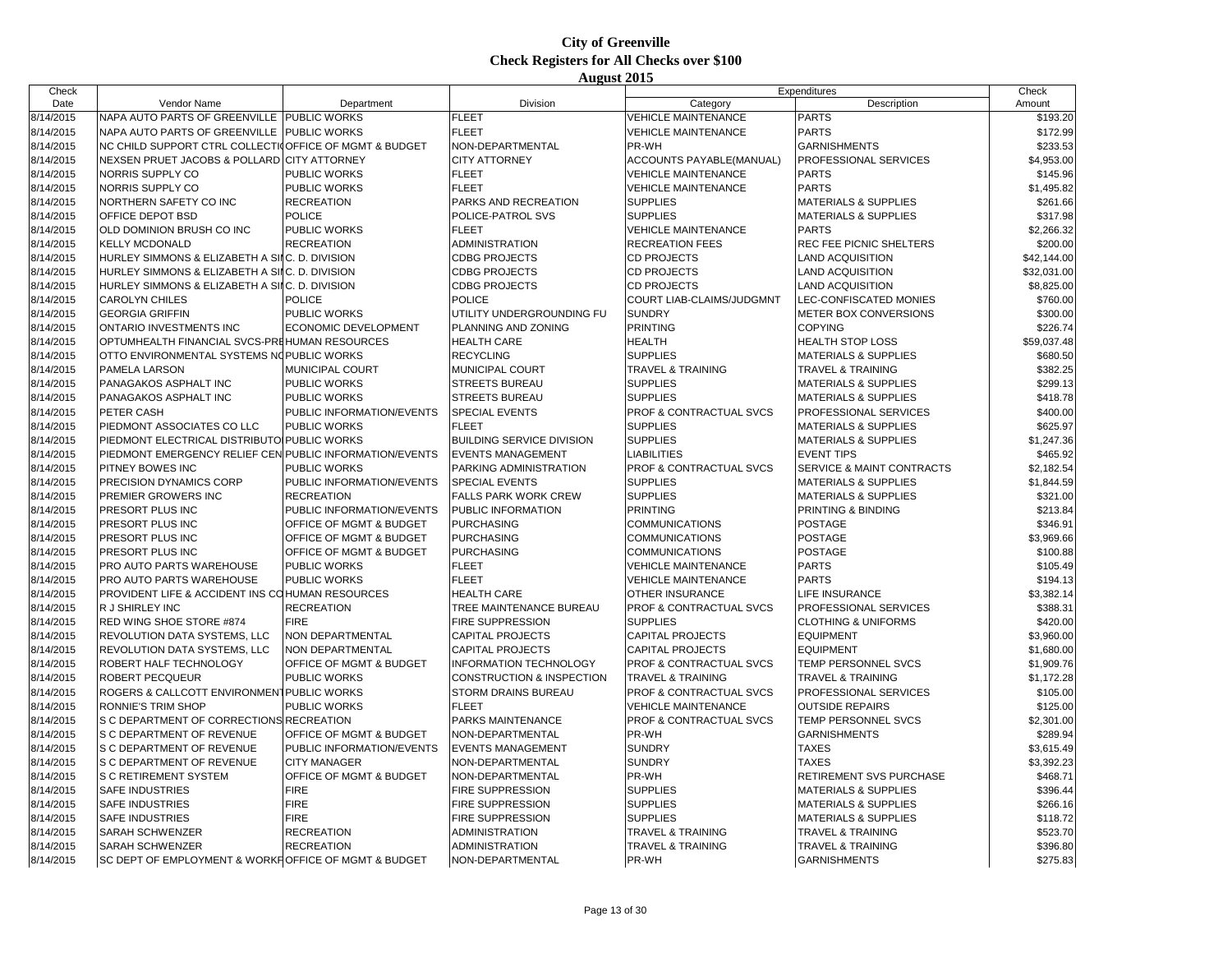| Check     |                                                         |                                    |                                  |                              | Expenditures                    | Check       |
|-----------|---------------------------------------------------------|------------------------------------|----------------------------------|------------------------------|---------------------------------|-------------|
| Date      | Vendor Name                                             | Department                         | Division                         | Category                     | Description                     | Amount      |
| 8/14/2015 | NAPA AUTO PARTS OF GREENVILLE PUBLIC WORKS              |                                    | <b>FLEET</b>                     | <b>VEHICLE MAINTENANCE</b>   | <b>PARTS</b>                    | \$193.20    |
| 8/14/2015 | NAPA AUTO PARTS OF GREENVILLE PUBLIC WORKS              |                                    | <b>FLEET</b>                     | <b>VEHICLE MAINTENANCE</b>   | <b>PARTS</b>                    | \$172.99    |
| 8/14/2015 | NC CHILD SUPPORT CTRL COLLECTIO FFICE OF MGMT & BUDGET  |                                    | NON-DEPARTMENTAL                 | PR-WH                        | <b>GARNISHMENTS</b>             | \$233.53    |
| 8/14/2015 | NEXSEN PRUET JACOBS & POLLARD CITY ATTORNEY             |                                    | <b>CITY ATTORNEY</b>             | ACCOUNTS PAYABLE(MANUAL)     | PROFESSIONAL SERVICES           | \$4,953.00  |
| 8/14/2015 | NORRIS SUPPLY CO                                        | <b>PUBLIC WORKS</b>                | <b>FLEET</b>                     | <b>VEHICLE MAINTENANCE</b>   | <b>PARTS</b>                    | \$145.96    |
| 8/14/2015 | NORRIS SUPPLY CO                                        | <b>PUBLIC WORKS</b>                | <b>FLEET</b>                     | <b>VEHICLE MAINTENANCE</b>   | <b>PARTS</b>                    | \$1,495.82  |
| 8/14/2015 | NORTHERN SAFETY CO INC                                  | <b>RECREATION</b>                  | PARKS AND RECREATION             | <b>SUPPLIES</b>              | <b>MATERIALS &amp; SUPPLIES</b> | \$261.66    |
| 8/14/2015 | OFFICE DEPOT BSD                                        | <b>POLICE</b>                      | POLICE-PATROL SVS                | <b>SUPPLIES</b>              | <b>MATERIALS &amp; SUPPLIES</b> | \$317.98    |
| 8/14/2015 | OLD DOMINION BRUSH CO INC                               | <b>PUBLIC WORKS</b>                | <b>FLEET</b>                     | <b>VEHICLE MAINTENANCE</b>   | <b>PARTS</b>                    | \$2,266.32  |
| 8/14/2015 | <b>KELLY MCDONALD</b>                                   | <b>RECREATION</b>                  | <b>ADMINISTRATION</b>            | <b>RECREATION FEES</b>       | REC FEE PICNIC SHELTERS         | \$200.00    |
| 8/14/2015 | HURLEY SIMMONS & ELIZABETH A SILC. D. DIVISION          |                                    | <b>CDBG PROJECTS</b>             | <b>CD PROJECTS</b>           | LAND ACQUISITION                | \$42,144.00 |
| 8/14/2015 | HURLEY SIMMONS & ELIZABETH A SIIC. D. DIVISION          |                                    | <b>CDBG PROJECTS</b>             | CD PROJECTS                  | LAND ACQUISITION                | \$32,031.00 |
| 8/14/2015 | HURLEY SIMMONS & ELIZABETH A SILC. D. DIVISION          |                                    | <b>CDBG PROJECTS</b>             | CD PROJECTS                  | <b>LAND ACQUISITION</b>         | \$8,825.00  |
| 8/14/2015 | <b>CAROLYN CHILES</b>                                   | <b>POLICE</b>                      | <b>POLICE</b>                    | COURT LIAB-CLAIMS/JUDGMNT    | LEC-CONFISCATED MONIES          | \$760.00    |
| 8/14/2015 | <b>GEORGIA GRIFFIN</b>                                  | <b>PUBLIC WORKS</b>                | UTILITY UNDERGROUNDING FU        | <b>SUNDRY</b>                | <b>METER BOX CONVERSIONS</b>    | \$300.00    |
| 8/14/2015 | ONTARIO INVESTMENTS INC                                 | ECONOMIC DEVELOPMENT               | PLANNING AND ZONING              | <b>PRINTING</b>              | <b>COPYING</b>                  | \$226.74    |
| 8/14/2015 | OPTUMHEALTH FINANCIAL SVCS-PREHUMAN RESOURCES           |                                    | <b>HEALTH CARE</b>               | <b>HEALTH</b>                | <b>HEALTH STOP LOSS</b>         | \$59,037.48 |
| 8/14/2015 | OTTO ENVIRONMENTAL SYSTEMS NO PUBLIC WORKS              |                                    | <b>RECYCLING</b>                 | <b>SUPPLIES</b>              | <b>MATERIALS &amp; SUPPLIES</b> | \$680.50    |
| 8/14/2015 | <b>PAMELA LARSON</b>                                    | <b>MUNICIPAL COURT</b>             | MUNICIPAL COURT                  | <b>TRAVEL &amp; TRAINING</b> | <b>TRAVEL &amp; TRAINING</b>    | \$382.25    |
| 8/14/2015 | PANAGAKOS ASPHALT INC                                   | <b>PUBLIC WORKS</b>                | <b>STREETS BUREAU</b>            | <b>SUPPLIES</b>              | <b>MATERIALS &amp; SUPPLIES</b> | \$299.13    |
|           |                                                         |                                    |                                  |                              |                                 |             |
| 8/14/2015 | PANAGAKOS ASPHALT INC                                   | <b>PUBLIC WORKS</b>                | <b>STREETS BUREAU</b>            | <b>SUPPLIES</b>              | <b>MATERIALS &amp; SUPPLIES</b> | \$418.78    |
| 8/14/2015 | PETER CASH                                              | PUBLIC INFORMATION/EVENTS          | <b>SPECIAL EVENTS</b>            | PROF & CONTRACTUAL SVCS      | PROFESSIONAL SERVICES           | \$400.00    |
| 8/14/2015 | PIEDMONT ASSOCIATES CO LLC                              | PUBLIC WORKS                       | <b>FLEET</b>                     | <b>SUPPLIES</b>              | <b>MATERIALS &amp; SUPPLIES</b> | \$625.97    |
| 8/14/2015 | PIEDMONT ELECTRICAL DISTRIBUTO PUBLIC WORKS             |                                    | <b>BUILDING SERVICE DIVISION</b> | <b>SUPPLIES</b>              | <b>MATERIALS &amp; SUPPLIES</b> | \$1,247.36  |
| 8/14/2015 | PIEDMONT EMERGENCY RELIEF CEN PUBLIC INFORMATION/EVENTS |                                    | <b>EVENTS MANAGEMENT</b>         | <b>LIABILITIES</b>           | <b>EVENT TIPS</b>               | \$465.92    |
| 8/14/2015 | PITNEY BOWES INC                                        | <b>PUBLIC WORKS</b>                | PARKING ADMINISTRATION           | PROF & CONTRACTUAL SVCS      | SERVICE & MAINT CONTRACTS       | \$2,182.54  |
| 8/14/2015 | PRECISION DYNAMICS CORP                                 | PUBLIC INFORMATION/EVENTS          | <b>SPECIAL EVENTS</b>            | <b>SUPPLIES</b>              | <b>MATERIALS &amp; SUPPLIES</b> | \$1,844.59  |
| 8/14/2015 | PREMIER GROWERS INC                                     | <b>RECREATION</b>                  | <b>FALLS PARK WORK CREW</b>      | <b>SUPPLIES</b>              | <b>MATERIALS &amp; SUPPLIES</b> | \$321.00    |
| 8/14/2015 | PRESORT PLUS INC                                        | PUBLIC INFORMATION/EVENTS          | PUBLIC INFORMATION               | <b>PRINTING</b>              | PRINTING & BINDING              | \$213.84    |
| 8/14/2015 | PRESORT PLUS INC                                        | OFFICE OF MGMT & BUDGET            | <b>PURCHASING</b>                | <b>COMMUNICATIONS</b>        | <b>POSTAGE</b>                  | \$346.91    |
| 8/14/2015 | PRESORT PLUS INC                                        | <b>OFFICE OF MGMT &amp; BUDGET</b> | <b>PURCHASING</b>                | <b>COMMUNICATIONS</b>        | <b>POSTAGE</b>                  | \$3,969.66  |
| 8/14/2015 | PRESORT PLUS INC                                        | OFFICE OF MGMT & BUDGET            | <b>PURCHASING</b>                | <b>COMMUNICATIONS</b>        | <b>POSTAGE</b>                  | \$100.88    |
| 8/14/2015 | PRO AUTO PARTS WAREHOUSE                                | <b>PUBLIC WORKS</b>                | <b>FLEET</b>                     | <b>VEHICLE MAINTENANCE</b>   | <b>PARTS</b>                    | \$105.49    |
| 8/14/2015 | PRO AUTO PARTS WAREHOUSE                                | <b>PUBLIC WORKS</b>                | <b>FLEET</b>                     | <b>VEHICLE MAINTENANCE</b>   | <b>PARTS</b>                    | \$194.13    |
| 8/14/2015 | PROVIDENT LIFE & ACCIDENT INS COHUMAN RESOURCES         |                                    | <b>HEALTH CARE</b>               | OTHER INSURANCE              | LIFE INSURANCE                  | \$3,382.14  |
| 8/14/2015 | R J SHIRLEY INC                                         | <b>RECREATION</b>                  | TREE MAINTENANCE BUREAU          | PROF & CONTRACTUAL SVCS      | PROFESSIONAL SERVICES           | \$388.31    |
| 8/14/2015 | RED WING SHOE STORE #874                                | <b>FIRE</b>                        | <b>FIRE SUPPRESSION</b>          | <b>SUPPLIES</b>              | <b>CLOTHING &amp; UNIFORMS</b>  | \$420.00    |
| 8/14/2015 | REVOLUTION DATA SYSTEMS, LLC                            | NON DEPARTMENTAL                   | <b>CAPITAL PROJECTS</b>          | <b>CAPITAL PROJECTS</b>      | <b>EQUIPMENT</b>                | \$3,960.00  |
| 8/14/2015 | REVOLUTION DATA SYSTEMS, LLC                            | <b>NON DEPARTMENTAL</b>            | <b>CAPITAL PROJECTS</b>          | <b>CAPITAL PROJECTS</b>      | <b>EQUIPMENT</b>                | \$1,680.00  |
| 8/14/2015 | ROBERT HALF TECHNOLOGY                                  | OFFICE OF MGMT & BUDGET            | <b>INFORMATION TECHNOLOGY</b>    | PROF & CONTRACTUAL SVCS      | TEMP PERSONNEL SVCS             | \$1,909.76  |
| 8/14/2015 | ROBERT PECQUEUR                                         | PUBLIC WORKS                       | CONSTRUCTION & INSPECTION        | <b>TRAVEL &amp; TRAINING</b> | <b>TRAVEL &amp; TRAINING</b>    | \$1,172.28  |
| 8/14/2015 | ROGERS & CALLCOTT ENVIRONMENT PUBLIC WORKS              |                                    | STORM DRAINS BUREAU              | PROF & CONTRACTUAL SVCS      | PROFESSIONAL SERVICES           | \$105.00    |
| 8/14/2015 | <b>RONNIE'S TRIM SHOP</b>                               | PUBLIC WORKS                       | <b>FLEET</b>                     | <b>VEHICLE MAINTENANCE</b>   | <b>OUTSIDE REPAIRS</b>          | \$125.00    |
| 8/14/2015 | S C DEPARTMENT OF CORRECTIONS RECREATION                |                                    | PARKS MAINTENANCE                | PROF & CONTRACTUAL SVCS      | TEMP PERSONNEL SVCS             | \$2,301.00  |
| 8/14/2015 | S C DEPARTMENT OF REVENUE                               | <b>OFFICE OF MGMT &amp; BUDGET</b> | NON-DEPARTMENTAL                 | PR-WH                        | <b>GARNISHMENTS</b>             | \$289.94    |
| 8/14/2015 | S C DEPARTMENT OF REVENUE                               | PUBLIC INFORMATION/EVENTS          | <b>EVENTS MANAGEMENT</b>         | <b>SUNDRY</b>                | <b>TAXES</b>                    | \$3,615.49  |
| 8/14/2015 | S C DEPARTMENT OF REVENUE                               | <b>CITY MANAGER</b>                | NON-DEPARTMENTAL                 | <b>SUNDRY</b>                | <b>TAXES</b>                    | \$3,392.23  |
| 8/14/2015 | S C RETIREMENT SYSTEM                                   | <b>OFFICE OF MGMT &amp; BUDGET</b> | NON-DEPARTMENTAL                 | PR-WH                        | RETIREMENT SVS PURCHASE         | \$468.71    |
| 8/14/2015 | <b>SAFE INDUSTRIES</b>                                  | <b>FIRE</b>                        | <b>FIRE SUPPRESSION</b>          | <b>SUPPLIES</b>              | <b>MATERIALS &amp; SUPPLIES</b> | \$396.44    |
| 8/14/2015 | <b>SAFE INDUSTRIES</b>                                  | <b>FIRE</b>                        | <b>FIRE SUPPRESSION</b>          | <b>SUPPLIES</b>              | <b>MATERIALS &amp; SUPPLIES</b> | \$266.16    |
| 8/14/2015 | <b>SAFE INDUSTRIES</b>                                  | <b>FIRE</b>                        | FIRE SUPPRESSION                 | <b>SUPPLIES</b>              | <b>MATERIALS &amp; SUPPLIES</b> | \$118.72    |
| 8/14/2015 | <b>SARAH SCHWENZER</b>                                  | <b>RECREATION</b>                  | ADMINISTRATION                   | <b>TRAVEL &amp; TRAINING</b> | <b>TRAVEL &amp; TRAINING</b>    | \$523.70    |
| 8/14/2015 | <b>SARAH SCHWENZER</b>                                  | <b>RECREATION</b>                  | ADMINISTRATION                   | <b>TRAVEL &amp; TRAINING</b> | <b>TRAVEL &amp; TRAINING</b>    | \$396.80    |
| 8/14/2015 | SC DEPT OF EMPLOYMENT & WORKFOFFICE OF MGMT & BUDGET    |                                    | NON-DEPARTMENTAL                 | PR-WH                        | <b>GARNISHMENTS</b>             | \$275.83    |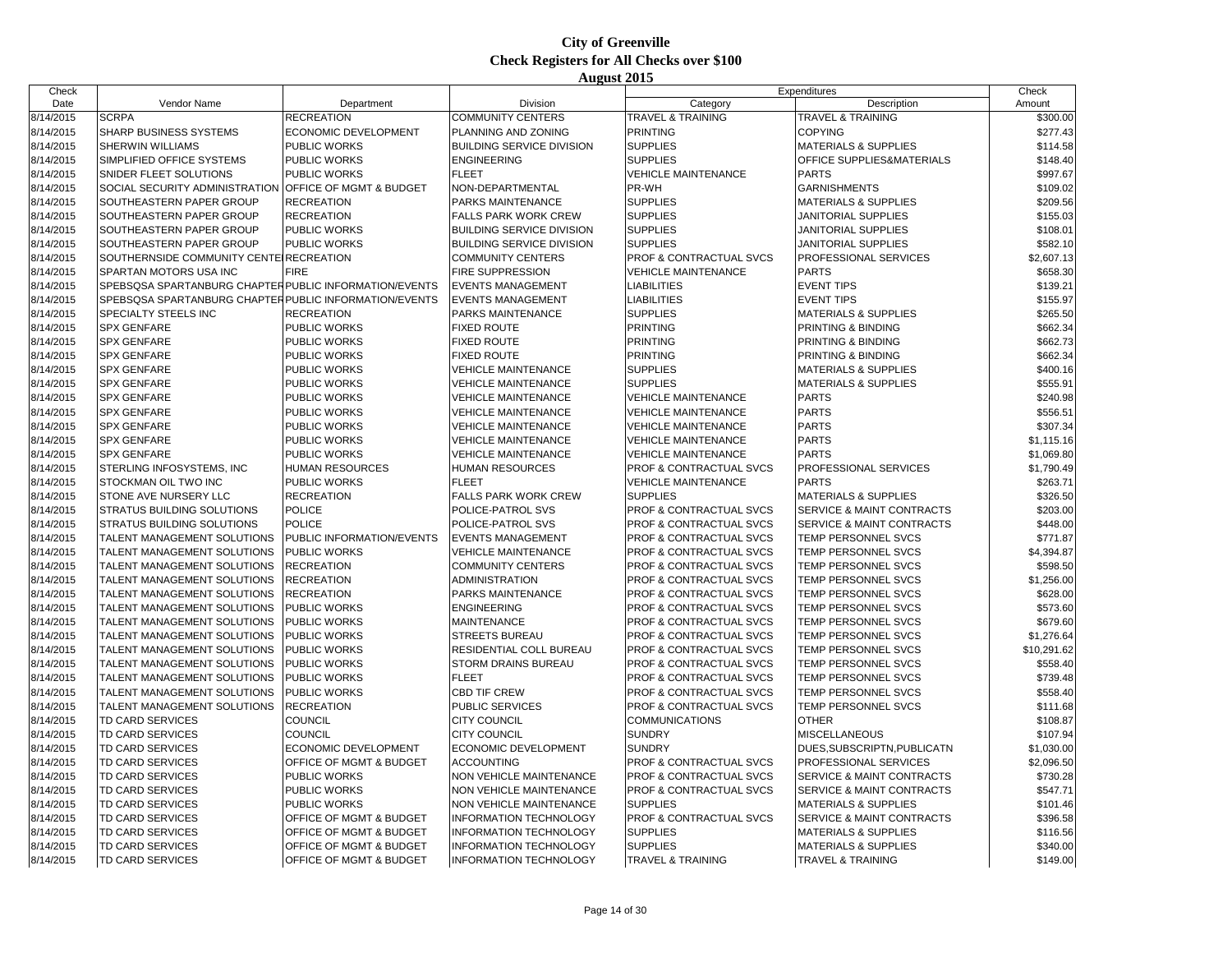| Check     |                                                        |                                    |                                  |                                    | Expenditures                    | Check       |
|-----------|--------------------------------------------------------|------------------------------------|----------------------------------|------------------------------------|---------------------------------|-------------|
| Date      | Vendor Name                                            | Department                         | <b>Division</b>                  | Category                           | Description                     | Amount      |
| 8/14/2015 | <b>SCRPA</b>                                           | <b>RECREATION</b>                  | <b>COMMUNITY CENTERS</b>         | <b>TRAVEL &amp; TRAINING</b>       | <b>TRAVEL &amp; TRAINING</b>    | \$300.00    |
| 8/14/2015 | SHARP BUSINESS SYSTEMS                                 | ECONOMIC DEVELOPMENT               | PLANNING AND ZONING              | <b>PRINTING</b>                    | <b>COPYING</b>                  | \$277.43    |
| 8/14/2015 | <b>SHERWIN WILLIAMS</b>                                | PUBLIC WORKS                       | <b>BUILDING SERVICE DIVISION</b> | <b>SUPPLIES</b>                    | <b>MATERIALS &amp; SUPPLIES</b> | \$114.58    |
| 8/14/2015 | SIMPLIFIED OFFICE SYSTEMS                              | <b>PUBLIC WORKS</b>                | <b>ENGINEERING</b>               | <b>SUPPLIES</b>                    | OFFICE SUPPLIES&MATERIALS       | \$148.40    |
| 8/14/2015 | SNIDER FLEET SOLUTIONS                                 | PUBLIC WORKS                       | <b>FLEET</b>                     | <b>VEHICLE MAINTENANCE</b>         | <b>PARTS</b>                    | \$997.67    |
| 8/14/2015 | SOCIAL SECURITY ADMINISTRATION                         | <b>OFFICE OF MGMT &amp; BUDGET</b> | NON-DEPARTMENTAL                 | PR-WH                              | <b>GARNISHMENTS</b>             | \$109.02    |
| 8/14/2015 | SOUTHEASTERN PAPER GROUP                               | <b>RECREATION</b>                  | PARKS MAINTENANCE                | <b>SUPPLIES</b>                    | <b>MATERIALS &amp; SUPPLIES</b> | \$209.56    |
| 8/14/2015 | SOUTHEASTERN PAPER GROUP                               | <b>RECREATION</b>                  | <b>FALLS PARK WORK CREW</b>      | <b>SUPPLIES</b>                    | JANITORIAL SUPPLIES             | \$155.03    |
| 8/14/2015 | SOUTHEASTERN PAPER GROUP                               | PUBLIC WORKS                       | <b>BUILDING SERVICE DIVISION</b> | <b>SUPPLIES</b>                    | JANITORIAL SUPPLIES             | \$108.01    |
| 8/14/2015 | SOUTHEASTERN PAPER GROUP                               | <b>PUBLIC WORKS</b>                | <b>BUILDING SERVICE DIVISION</b> | <b>SUPPLIES</b>                    | JANITORIAL SUPPLIES             | \$582.10    |
| 8/14/2015 | SOUTHERNSIDE COMMUNITY CENTE RECREATION                |                                    | <b>COMMUNITY CENTERS</b>         | PROF & CONTRACTUAL SVCS            | PROFESSIONAL SERVICES           | \$2,607.13  |
| 8/14/2015 | SPARTAN MOTORS USA INC                                 | <b>FIRE</b>                        | <b>FIRE SUPPRESSION</b>          | <b>VEHICLE MAINTENANCE</b>         | <b>PARTS</b>                    | \$658.30    |
| 8/14/2015 | SPEBSQSA SPARTANBURG CHAPTER PUBLIC INFORMATION/EVENTS |                                    | <b>EVENTS MANAGEMENT</b>         | <b>LIABILITIES</b>                 | <b>EVENT TIPS</b>               | \$139.21    |
| 8/14/2015 | SPEBSQSA SPARTANBURG CHAPTER PUBLIC INFORMATION/EVENTS |                                    | <b>EVENTS MANAGEMENT</b>         | <b>LIABILITIES</b>                 | <b>EVENT TIPS</b>               | \$155.97    |
| 8/14/2015 | SPECIALTY STEELS INC                                   | <b>RECREATION</b>                  | PARKS MAINTENANCE                | <b>SUPPLIES</b>                    | <b>MATERIALS &amp; SUPPLIES</b> | \$265.50    |
| 8/14/2015 | <b>SPX GENFARE</b>                                     | <b>PUBLIC WORKS</b>                | <b>FIXED ROUTE</b>               | <b>PRINTING</b>                    | PRINTING & BINDING              | \$662.34    |
| 8/14/2015 | <b>SPX GENFARE</b>                                     | PUBLIC WORKS                       | <b>FIXED ROUTE</b>               | <b>PRINTING</b>                    | PRINTING & BINDING              | \$662.73    |
| 8/14/2015 | <b>SPX GENFARE</b>                                     | PUBLIC WORKS                       | <b>FIXED ROUTE</b>               | <b>PRINTING</b>                    | PRINTING & BINDING              | \$662.34    |
| 8/14/2015 | <b>SPX GENFARE</b>                                     | PUBLIC WORKS                       | <b>VEHICLE MAINTENANCE</b>       | <b>SUPPLIES</b>                    | MATERIALS & SUPPLIES            | \$400.16    |
| 8/14/2015 | <b>SPX GENFARE</b>                                     | PUBLIC WORKS                       | <b>VEHICLE MAINTENANCE</b>       | <b>SUPPLIES</b>                    | <b>MATERIALS &amp; SUPPLIES</b> | \$555.91    |
| 8/14/2015 | <b>SPX GENFARE</b>                                     | PUBLIC WORKS                       | <b>VEHICLE MAINTENANCE</b>       | <b>VEHICLE MAINTENANCE</b>         | <b>PARTS</b>                    | \$240.98    |
| 8/14/2015 | <b>SPX GENFARE</b>                                     | PUBLIC WORKS                       | <b>VEHICLE MAINTENANCE</b>       | <b>VEHICLE MAINTENANCE</b>         | <b>PARTS</b>                    | \$556.51    |
| 8/14/2015 | <b>SPX GENFARE</b>                                     | PUBLIC WORKS                       | <b>VEHICLE MAINTENANCE</b>       | <b>VEHICLE MAINTENANCE</b>         | <b>PARTS</b>                    | \$307.34    |
| 8/14/2015 | <b>SPX GENFARE</b>                                     | PUBLIC WORKS                       | <b>VEHICLE MAINTENANCE</b>       | <b>VEHICLE MAINTENANCE</b>         | <b>PARTS</b>                    | \$1,115.16  |
| 8/14/2015 | <b>SPX GENFARE</b>                                     | PUBLIC WORKS                       | <b>VEHICLE MAINTENANCE</b>       | <b>VEHICLE MAINTENANCE</b>         | <b>PARTS</b>                    | \$1,069.80  |
| 8/14/2015 | STERLING INFOSYSTEMS, INC                              | <b>HUMAN RESOURCES</b>             | HUMAN RESOURCES                  | PROF & CONTRACTUAL SVCS            | PROFESSIONAL SERVICES           | \$1,790.49  |
| 8/14/2015 | STOCKMAN OIL TWO INC                                   | PUBLIC WORKS                       | <b>FLEET</b>                     | <b>VEHICLE MAINTENANCE</b>         | <b>PARTS</b>                    | \$263.71    |
| 8/14/2015 | STONE AVE NURSERY LLC                                  | <b>RECREATION</b>                  | <b>FALLS PARK WORK CREW</b>      | <b>SUPPLIES</b>                    | <b>MATERIALS &amp; SUPPLIES</b> | \$326.50    |
| 8/14/2015 | STRATUS BUILDING SOLUTIONS                             | <b>POLICE</b>                      | POLICE-PATROL SVS                | PROF & CONTRACTUAL SVCS            | SERVICE & MAINT CONTRACTS       | \$203.00    |
| 8/14/2015 | STRATUS BUILDING SOLUTIONS                             | <b>POLICE</b>                      | POLICE-PATROL SVS                | PROF & CONTRACTUAL SVCS            | SERVICE & MAINT CONTRACTS       | \$448.00    |
| 8/14/2015 | TALENT MANAGEMENT SOLUTIONS                            | PUBLIC INFORMATION/EVENTS          | <b>EVENTS MANAGEMENT</b>         | PROF & CONTRACTUAL SVCS            | <b>TEMP PERSONNEL SVCS</b>      | \$771.87    |
| 8/14/2015 | TALENT MANAGEMENT SOLUTIONS                            | <b>PUBLIC WORKS</b>                | <b>VEHICLE MAINTENANCE</b>       | PROF & CONTRACTUAL SVCS            | TEMP PERSONNEL SVCS             | \$4,394.87  |
| 8/14/2015 | TALENT MANAGEMENT SOLUTIONS                            | <b>RECREATION</b>                  | <b>COMMUNITY CENTERS</b>         | PROF & CONTRACTUAL SVCS            | TEMP PERSONNEL SVCS             | \$598.50    |
| 8/14/2015 | TALENT MANAGEMENT SOLUTIONS                            | <b>RECREATION</b>                  | ADMINISTRATION                   | PROF & CONTRACTUAL SVCS            | TEMP PERSONNEL SVCS             | \$1,256.00  |
| 8/14/2015 | TALENT MANAGEMENT SOLUTIONS                            | <b>RECREATION</b>                  | PARKS MAINTENANCE                | PROF & CONTRACTUAL SVCS            | TEMP PERSONNEL SVCS             | \$628.00    |
| 8/14/2015 | TALENT MANAGEMENT SOLUTIONS                            | <b>PUBLIC WORKS</b>                | <b>ENGINEERING</b>               | PROF & CONTRACTUAL SVCS            | TEMP PERSONNEL SVCS             | \$573.60    |
| 8/14/2015 | TALENT MANAGEMENT SOLUTIONS                            | PUBLIC WORKS                       | MAINTENANCE                      | PROF & CONTRACTUAL SVCS            | TEMP PERSONNEL SVCS             | \$679.60    |
| 8/14/2015 | TALENT MANAGEMENT SOLUTIONS                            | PUBLIC WORKS                       | <b>STREETS BUREAU</b>            | PROF & CONTRACTUAL SVCS            | TEMP PERSONNEL SVCS             | \$1,276.64  |
| 8/14/2015 | TALENT MANAGEMENT SOLUTIONS                            | <b>PUBLIC WORKS</b>                | RESIDENTIAL COLL BUREAU          | PROF & CONTRACTUAL SVCS            | TEMP PERSONNEL SVCS             | \$10,291.62 |
| 8/14/2015 | TALENT MANAGEMENT SOLUTIONS                            | PUBLIC WORKS                       | STORM DRAINS BUREAU              | <b>PROF &amp; CONTRACTUAL SVCS</b> | TEMP PERSONNEL SVCS             | \$558.40    |
| 8/14/2015 | TALENT MANAGEMENT SOLUTIONS                            | PUBLIC WORKS                       | <b>FLEET</b>                     | PROF & CONTRACTUAL SVCS            | TEMP PERSONNEL SVCS             | \$739.48    |
| 8/14/2015 | TALENT MANAGEMENT SOLUTIONS                            | PUBLIC WORKS                       | <b>CBD TIF CREW</b>              | PROF & CONTRACTUAL SVCS            | TEMP PERSONNEL SVCS             | \$558.40    |
| 8/14/2015 | TALENT MANAGEMENT SOLUTIONS                            | <b>RECREATION</b>                  | PUBLIC SERVICES                  | PROF & CONTRACTUAL SVCS            | TEMP PERSONNEL SVCS             | \$111.68    |
| 8/14/2015 | TD CARD SERVICES                                       | COUNCIL                            | <b>CITY COUNCIL</b>              | COMMUNICATIONS                     | <b>OTHER</b>                    | \$108.87    |
| 8/14/2015 | TD CARD SERVICES                                       | <b>COUNCIL</b>                     | <b>CITY COUNCIL</b>              | <b>SUNDRY</b>                      | <b>MISCELLANEOUS</b>            | \$107.94    |
| 8/14/2015 | TD CARD SERVICES                                       | ECONOMIC DEVELOPMENT               | ECONOMIC DEVELOPMENT             | <b>SUNDRY</b>                      | DUES.SUBSCRIPTN, PUBLICATN      | \$1,030.00  |
| 8/14/2015 | TD CARD SERVICES                                       | OFFICE OF MGMT & BUDGET            | <b>ACCOUNTING</b>                | PROF & CONTRACTUAL SVCS            | PROFESSIONAL SERVICES           | \$2,096.50  |
| 8/14/2015 | TD CARD SERVICES                                       | <b>PUBLIC WORKS</b>                | NON VEHICLE MAINTENANCE          | <b>PROF &amp; CONTRACTUAL SVCS</b> | SERVICE & MAINT CONTRACTS       | \$730.28    |
| 8/14/2015 | TD CARD SERVICES                                       | PUBLIC WORKS                       | NON VEHICLE MAINTENANCE          | PROF & CONTRACTUAL SVCS            | SERVICE & MAINT CONTRACTS       | \$547.71    |
| 8/14/2015 | TD CARD SERVICES                                       | PUBLIC WORKS                       | NON VEHICLE MAINTENANCE          | <b>SUPPLIES</b>                    | <b>MATERIALS &amp; SUPPLIES</b> | \$101.46    |
| 8/14/2015 | TD CARD SERVICES                                       | OFFICE OF MGMT & BUDGET            | INFORMATION TECHNOLOGY           | PROF & CONTRACTUAL SVCS            | SERVICE & MAINT CONTRACTS       | \$396.58    |
| 8/14/2015 | TD CARD SERVICES                                       | OFFICE OF MGMT & BUDGET            | <b>INFORMATION TECHNOLOGY</b>    | <b>SUPPLIES</b>                    | <b>MATERIALS &amp; SUPPLIES</b> | \$116.56    |
| 8/14/2015 | TD CARD SERVICES                                       | OFFICE OF MGMT & BUDGET            | <b>INFORMATION TECHNOLOGY</b>    | <b>SUPPLIES</b>                    | <b>MATERIALS &amp; SUPPLIES</b> | \$340.00    |
| 8/14/2015 | <b>TD CARD SERVICES</b>                                | <b>OFFICE OF MGMT &amp; BUDGET</b> | <b>INFORMATION TECHNOLOGY</b>    | TRAVEL & TRAINING                  | <b>TRAVEL &amp; TRAINING</b>    | \$149.00    |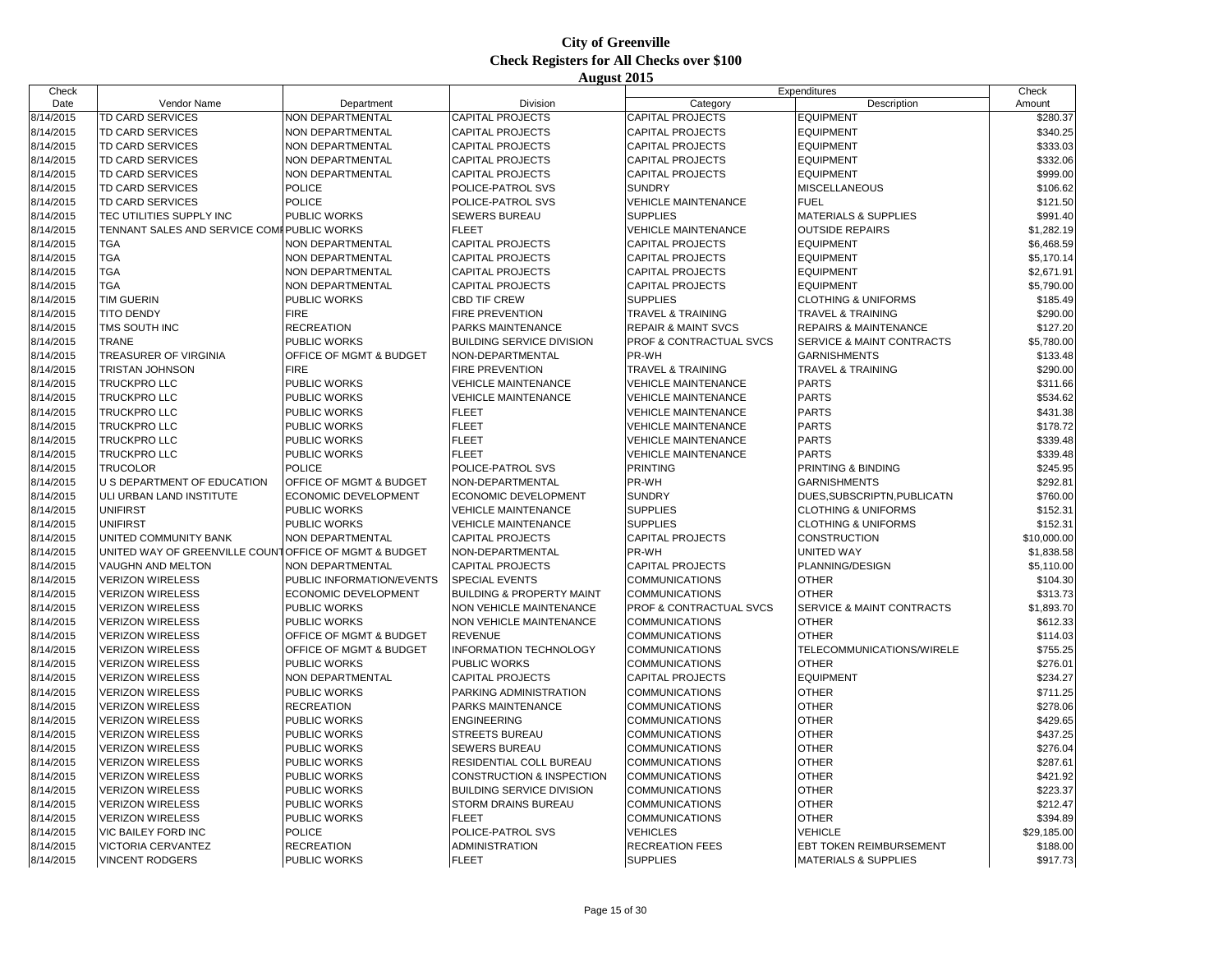| Check     |                                                       |                             |                                      |                                    | Expenditures                    | Check       |
|-----------|-------------------------------------------------------|-----------------------------|--------------------------------------|------------------------------------|---------------------------------|-------------|
| Date      | Vendor Name                                           | Department                  | Division                             | Category                           | Description                     | Amount      |
| 8/14/2015 | <b>TD CARD SERVICES</b>                               | <b>NON DEPARTMENTAL</b>     | <b>CAPITAL PROJECTS</b>              | <b>CAPITAL PROJECTS</b>            | <b>EQUIPMENT</b>                | \$280.37    |
| 8/14/2015 | TD CARD SERVICES                                      | NON DEPARTMENTAL            | <b>CAPITAL PROJECTS</b>              | <b>CAPITAL PROJECTS</b>            | <b>EQUIPMENT</b>                | \$340.25    |
| 8/14/2015 | <b>TD CARD SERVICES</b>                               | <b>NON DEPARTMENTAL</b>     | <b>CAPITAL PROJECTS</b>              | <b>CAPITAL PROJECTS</b>            | <b>EQUIPMENT</b>                | \$333.03    |
| 8/14/2015 | <b>TD CARD SERVICES</b>                               | NON DEPARTMENTAL            | <b>CAPITAL PROJECTS</b>              | <b>CAPITAL PROJECTS</b>            | <b>EQUIPMENT</b>                | \$332.06    |
| 8/14/2015 | TD CARD SERVICES                                      | NON DEPARTMENTAL            | <b>CAPITAL PROJECTS</b>              | <b>CAPITAL PROJECTS</b>            | <b>EQUIPMENT</b>                | \$999.00    |
| 8/14/2015 | TD CARD SERVICES                                      | <b>POLICE</b>               | POLICE-PATROL SVS                    | <b>SUNDRY</b>                      | <b>MISCELLANEOUS</b>            | \$106.62    |
| 8/14/2015 | <b>TD CARD SERVICES</b>                               | <b>POLICE</b>               | POLICE-PATROL SVS                    | <b>VEHICLE MAINTENANCE</b>         | <b>FUEL</b>                     | \$121.50    |
| 8/14/2015 | TEC UTILITIES SUPPLY INC                              | PUBLIC WORKS                | <b>SEWERS BUREAU</b>                 | <b>SUPPLIES</b>                    | <b>MATERIALS &amp; SUPPLIES</b> | \$991.40    |
| 8/14/2015 | TENNANT SALES AND SERVICE COMI PUBLIC WORKS           |                             | <b>FLEET</b>                         | <b>VEHICLE MAINTENANCE</b>         | <b>OUTSIDE REPAIRS</b>          | \$1,282.19  |
| 8/14/2015 | <b>TGA</b>                                            | <b>NON DEPARTMENTAL</b>     | <b>CAPITAL PROJECTS</b>              | <b>CAPITAL PROJECTS</b>            | <b>EQUIPMENT</b>                | \$6,468.59  |
| 8/14/2015 | <b>TGA</b>                                            | NON DEPARTMENTAL            | <b>CAPITAL PROJECTS</b>              | <b>CAPITAL PROJECTS</b>            | <b>EQUIPMENT</b>                | \$5,170.14  |
| 8/14/2015 | <b>TGA</b>                                            | NON DEPARTMENTAL            | <b>CAPITAL PROJECTS</b>              | <b>CAPITAL PROJECTS</b>            | <b>EQUIPMENT</b>                | \$2.671.91  |
| 8/14/2015 | <b>TGA</b>                                            | NON DEPARTMENTAL            | <b>CAPITAL PROJECTS</b>              | <b>CAPITAL PROJECTS</b>            | <b>EQUIPMENT</b>                | \$5,790.00  |
| 8/14/2015 | <b>TIM GUERIN</b>                                     | PUBLIC WORKS                | <b>CBD TIF CREW</b>                  | <b>SUPPLIES</b>                    | <b>CLOTHING &amp; UNIFORMS</b>  | \$185.49    |
| 8/14/2015 | <b>TITO DENDY</b>                                     | <b>FIRE</b>                 | <b>FIRE PREVENTION</b>               | <b>TRAVEL &amp; TRAINING</b>       | TRAVEL & TRAINING               | \$290.00    |
| 8/14/2015 | TMS SOUTH INC                                         | <b>RECREATION</b>           | PARKS MAINTENANCE                    | <b>REPAIR &amp; MAINT SVCS</b>     | REPAIRS & MAINTENANCE           | \$127.20    |
| 8/14/2015 | <b>TRANE</b>                                          | PUBLIC WORKS                | <b>BUILDING SERVICE DIVISION</b>     | PROF & CONTRACTUAL SVCS            | SERVICE & MAINT CONTRACTS       | \$5,780.00  |
| 8/14/2015 | TREASURER OF VIRGINIA                                 | OFFICE OF MGMT & BUDGET     | NON-DEPARTMENTAL                     | PR-WH                              | <b>GARNISHMENTS</b>             | \$133.48    |
| 8/14/2015 | <b>TRISTAN JOHNSON</b>                                | <b>FIRE</b>                 | <b>FIRE PREVENTION</b>               | <b>TRAVEL &amp; TRAINING</b>       | <b>TRAVEL &amp; TRAINING</b>    | \$290.00    |
| 8/14/2015 | <b>TRUCKPRO LLC</b>                                   | PUBLIC WORKS                | <b>VEHICLE MAINTENANCE</b>           | <b>VEHICLE MAINTENANCE</b>         | <b>PARTS</b>                    | \$311.66    |
| 8/14/2015 | <b>TRUCKPRO LLC</b>                                   | PUBLIC WORKS                | <b>VEHICLE MAINTENANCE</b>           | <b>VEHICLE MAINTENANCE</b>         | <b>PARTS</b>                    | \$534.62    |
| 8/14/2015 | <b>TRUCKPRO LLC</b>                                   | <b>PUBLIC WORKS</b>         | <b>FLEET</b>                         | <b>VEHICLE MAINTENANCE</b>         | <b>PARTS</b>                    | \$431.38    |
| 8/14/2015 | <b>TRUCKPRO LLC</b>                                   | PUBLIC WORKS                | <b>FLEET</b>                         | <b>VEHICLE MAINTENANCE</b>         | <b>PARTS</b>                    | \$178.72    |
| 8/14/2015 | <b>TRUCKPRO LLC</b>                                   | PUBLIC WORKS                | <b>FLEET</b>                         | <b>VEHICLE MAINTENANCE</b>         | <b>PARTS</b>                    | \$339.48    |
| 8/14/2015 | <b>TRUCKPRO LLC</b>                                   | <b>PUBLIC WORKS</b>         | <b>FLEET</b>                         | <b>VEHICLE MAINTENANCE</b>         | <b>PARTS</b>                    | \$339.48    |
| 8/14/2015 | <b>TRUCOLOR</b>                                       | <b>POLICE</b>               | POLICE-PATROL SVS                    | <b>PRINTING</b>                    | PRINTING & BINDING              | \$245.95    |
| 8/14/2015 | U S DEPARTMENT OF EDUCATION                           | OFFICE OF MGMT & BUDGET     | NON-DEPARTMENTAL                     | PR-WH                              | <b>GARNISHMENTS</b>             | \$292.81    |
| 8/14/2015 | ULI URBAN LAND INSTITUTE                              | <b>ECONOMIC DEVELOPMENT</b> | <b>ECONOMIC DEVELOPMENT</b>          | <b>SUNDRY</b>                      | DUES, SUBSCRIPTN, PUBLICATN     | \$760.00    |
| 8/14/2015 | <b>UNIFIRST</b>                                       | <b>PUBLIC WORKS</b>         | <b>VEHICLE MAINTENANCE</b>           | <b>SUPPLIES</b>                    | <b>CLOTHING &amp; UNIFORMS</b>  | \$152.31    |
| 8/14/2015 | <b>UNIFIRST</b>                                       | PUBLIC WORKS                | <b>VEHICLE MAINTENANCE</b>           | <b>SUPPLIES</b>                    | <b>CLOTHING &amp; UNIFORMS</b>  | \$152.31    |
| 8/14/2015 | UNITED COMMUNITY BANK                                 | NON DEPARTMENTAL            | <b>CAPITAL PROJECTS</b>              | <b>CAPITAL PROJECTS</b>            | <b>CONSTRUCTION</b>             | \$10,000.00 |
| 8/14/2015 | UNITED WAY OF GREENVILLE COUNTOFFICE OF MGMT & BUDGET |                             | NON-DEPARTMENTAL                     | PR-WH                              | UNITED WAY                      | \$1,838.58  |
| 8/14/2015 | VAUGHN AND MELTON                                     | NON DEPARTMENTAL            | <b>CAPITAL PROJECTS</b>              | <b>CAPITAL PROJECTS</b>            | PLANNING/DESIGN                 | \$5,110.00  |
| 8/14/2015 | <b>VERIZON WIRELESS</b>                               | PUBLIC INFORMATION/EVENTS   | <b>SPECIAL EVENTS</b>                | <b>COMMUNICATIONS</b>              | <b>OTHER</b>                    | \$104.30    |
| 8/14/2015 | <b>VERIZON WIRELESS</b>                               | <b>ECONOMIC DEVELOPMENT</b> | <b>BUILDING &amp; PROPERTY MAINT</b> | <b>COMMUNICATIONS</b>              | <b>OTHER</b>                    | \$313.73    |
| 8/14/2015 | <b>VERIZON WIRELESS</b>                               | <b>PUBLIC WORKS</b>         | NON VEHICLE MAINTENANCE              | <b>PROF &amp; CONTRACTUAL SVCS</b> | SERVICE & MAINT CONTRACTS       | \$1,893.70  |
| 8/14/2015 | <b>VERIZON WIRELESS</b>                               | PUBLIC WORKS                | NON VEHICLE MAINTENANCE              | <b>COMMUNICATIONS</b>              | <b>OTHER</b>                    | \$612.33    |
| 8/14/2015 | <b>VERIZON WIRELESS</b>                               | OFFICE OF MGMT & BUDGET     | <b>REVENUE</b>                       | <b>COMMUNICATIONS</b>              | <b>OTHER</b>                    | \$114.03    |
| 8/14/2015 | <b>VERIZON WIRELESS</b>                               | OFFICE OF MGMT & BUDGET     | <b>INFORMATION TECHNOLOGY</b>        | <b>COMMUNICATIONS</b>              | TELECOMMUNICATIONS/WIRELE       | \$755.25    |
| 8/14/2015 | <b>VERIZON WIRELESS</b>                               | PUBLIC WORKS                | <b>PUBLIC WORKS</b>                  | <b>COMMUNICATIONS</b>              | <b>OTHER</b>                    | \$276.01    |
| 8/14/2015 | <b>VERIZON WIRELESS</b>                               | NON DEPARTMENTAL            | <b>CAPITAL PROJECTS</b>              | <b>CAPITAL PROJECTS</b>            | <b>EQUIPMENT</b>                | \$234.27    |
| 8/14/2015 | <b>VERIZON WIRELESS</b>                               | <b>PUBLIC WORKS</b>         | PARKING ADMINISTRATION               | <b>COMMUNICATIONS</b>              | <b>OTHER</b>                    | \$711.25    |
| 8/14/2015 | <b>VERIZON WIRELESS</b>                               | <b>RECREATION</b>           | PARKS MAINTENANCE                    | <b>COMMUNICATIONS</b>              | <b>OTHER</b>                    | \$278.06    |
| 8/14/2015 | <b>VERIZON WIRELESS</b>                               | <b>PUBLIC WORKS</b>         | <b>ENGINEERING</b>                   | <b>COMMUNICATIONS</b>              | <b>OTHER</b>                    | \$429.65    |
| 8/14/2015 | <b>VERIZON WIRELESS</b>                               | PUBLIC WORKS                | <b>STREETS BUREAU</b>                | <b>COMMUNICATIONS</b>              | <b>OTHER</b>                    | \$437.25    |
| 8/14/2015 | <b>VERIZON WIRELESS</b>                               | PUBLIC WORKS                | <b>SEWERS BUREAU</b>                 | <b>COMMUNICATIONS</b>              | <b>OTHER</b>                    | \$276.04    |
| 8/14/2015 | <b>VERIZON WIRELESS</b>                               | PUBLIC WORKS                | RESIDENTIAL COLL BUREAU              | <b>COMMUNICATIONS</b>              | <b>OTHER</b>                    | \$287.61    |
| 8/14/2015 | <b>VERIZON WIRELESS</b>                               | PUBLIC WORKS                | CONSTRUCTION & INSPECTION            | <b>COMMUNICATIONS</b>              | <b>OTHER</b>                    | \$421.92    |
| 8/14/2015 | <b>VERIZON WIRELESS</b>                               | PUBLIC WORKS                | <b>BUILDING SERVICE DIVISION</b>     | <b>COMMUNICATIONS</b>              | <b>OTHER</b>                    | \$223.37    |
| 8/14/2015 | <b>VERIZON WIRELESS</b>                               | PUBLIC WORKS                | <b>STORM DRAINS BUREAU</b>           | <b>COMMUNICATIONS</b>              | <b>OTHER</b>                    | \$212.47    |
| 8/14/2015 | <b>VERIZON WIRELESS</b>                               | PUBLIC WORKS                | <b>FLEET</b>                         | <b>COMMUNICATIONS</b>              | <b>OTHER</b>                    | \$394.89    |
| 8/14/2015 | VIC BAILEY FORD INC                                   | <b>POLICE</b>               | POLICE-PATROL SVS                    | <b>VEHICLES</b>                    | <b>VEHICLE</b>                  | \$29,185.00 |
| 8/14/2015 | <b>VICTORIA CERVANTEZ</b>                             | <b>RECREATION</b>           | <b>ADMINISTRATION</b>                | <b>RECREATION FEES</b>             | EBT TOKEN REIMBURSEMENT         | \$188.00    |
| 8/14/2015 | <b>VINCENT RODGERS</b>                                | <b>PUBLIC WORKS</b>         | <b>FLEET</b>                         | <b>SUPPLIES</b>                    | <b>MATERIALS &amp; SUPPLIES</b> | \$917.73    |
|           |                                                       |                             |                                      |                                    |                                 |             |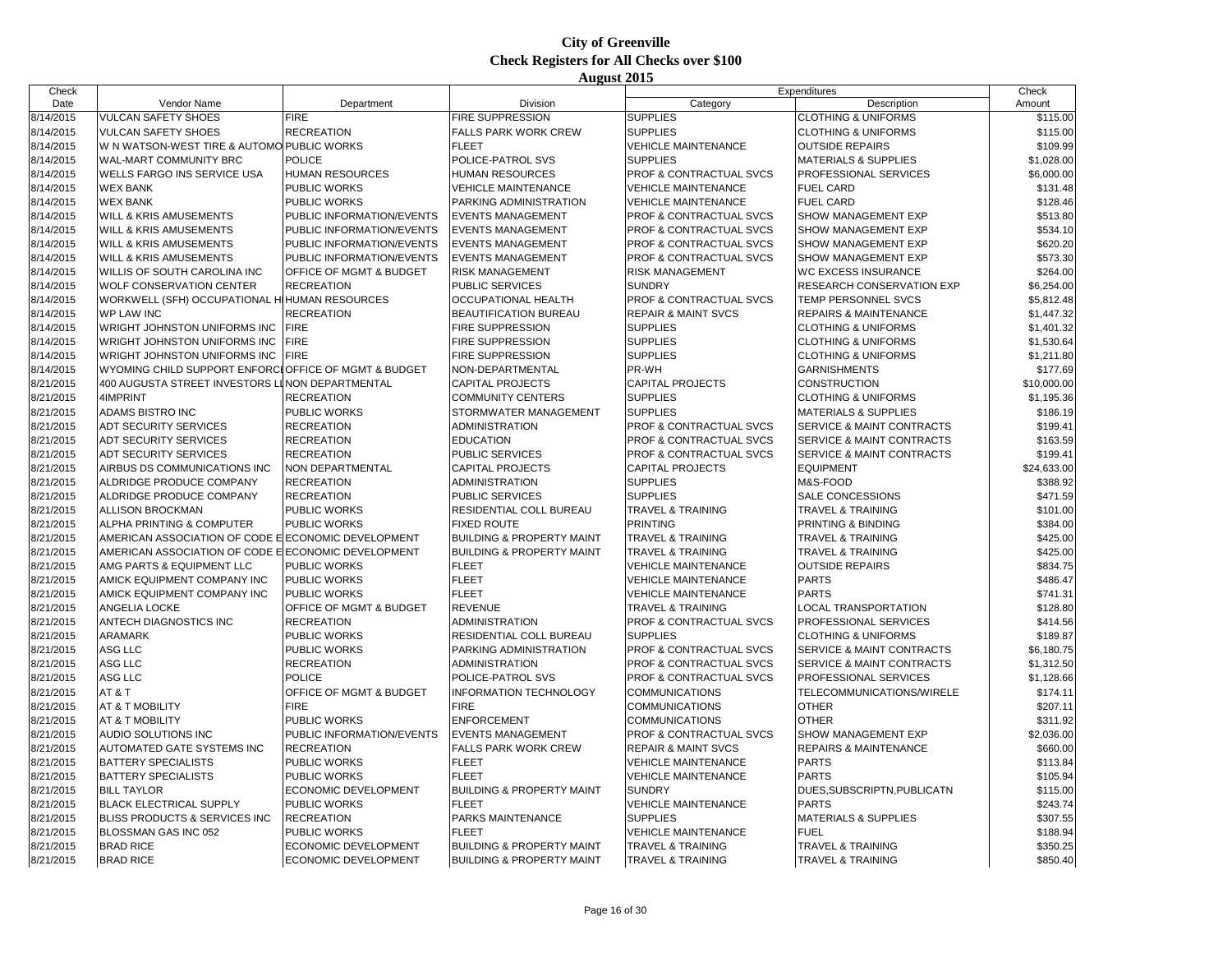| Check     |                                                      |                                    |                                      |                                | Expenditures                         | Check       |
|-----------|------------------------------------------------------|------------------------------------|--------------------------------------|--------------------------------|--------------------------------------|-------------|
| Date      | Vendor Name                                          | Department                         | Division                             | Category                       | Description                          | Amount      |
| 8/14/2015 | VULCAN SAFETY SHOES                                  | <b>FIRE</b>                        | FIRE SUPPRESSION                     | <b>SUPPLIES</b>                | <b>CLOTHING &amp; UNIFORMS</b>       | \$115.00    |
| 8/14/2015 | <b>VULCAN SAFETY SHOES</b>                           | <b>RECREATION</b>                  | FALLS PARK WORK CREW                 | <b>SUPPLIES</b>                | <b>CLOTHING &amp; UNIFORMS</b>       | \$115.00    |
| 8/14/2015 | W N WATSON-WEST TIRE & AUTOMO PUBLIC WORKS           |                                    | <b>FLEET</b>                         | <b>VEHICLE MAINTENANCE</b>     | <b>OUTSIDE REPAIRS</b>               | \$109.99    |
| 8/14/2015 | <b>WAL-MART COMMUNITY BRC</b>                        | <b>POLICE</b>                      | POLICE-PATROL SVS                    | <b>SUPPLIES</b>                | <b>MATERIALS &amp; SUPPLIES</b>      | \$1,028.00  |
| 8/14/2015 | WELLS FARGO INS SERVICE USA                          | <b>HUMAN RESOURCES</b>             | HUMAN RESOURCES                      | PROF & CONTRACTUAL SVCS        | PROFESSIONAL SERVICES                | \$6,000.00  |
| 8/14/2015 | <b>WEX BANK</b>                                      | <b>PUBLIC WORKS</b>                | <b>VEHICLE MAINTENANCE</b>           | <b>VEHICLE MAINTENANCE</b>     | <b>FUEL CARD</b>                     | \$131.48    |
| 8/14/2015 | <b>WEX BANK</b>                                      | <b>PUBLIC WORKS</b>                | PARKING ADMINISTRATION               | <b>VEHICLE MAINTENANCE</b>     | <b>FUEL CARD</b>                     | \$128.46    |
| 8/14/2015 | WILL & KRIS AMUSEMENTS                               | PUBLIC INFORMATION/EVENTS          | <b>EVENTS MANAGEMENT</b>             | PROF & CONTRACTUAL SVCS        | SHOW MANAGEMENT EXP                  | \$513.80    |
| 8/14/2015 | WILL & KRIS AMUSEMENTS                               | PUBLIC INFORMATION/EVENTS          | <b>EVENTS MANAGEMENT</b>             | PROF & CONTRACTUAL SVCS        | SHOW MANAGEMENT EXP                  | \$534.10    |
| 8/14/2015 | <b>WILL &amp; KRIS AMUSEMENTS</b>                    | PUBLIC INFORMATION/EVENTS          | <b>EVENTS MANAGEMENT</b>             | PROF & CONTRACTUAL SVCS        | SHOW MANAGEMENT EXP                  | \$620.20    |
| 8/14/2015 | WILL & KRIS AMUSEMENTS                               | PUBLIC INFORMATION/EVENTS          | <b>EVENTS MANAGEMENT</b>             | PROF & CONTRACTUAL SVCS        | SHOW MANAGEMENT EXP                  | \$573.30    |
| 8/14/2015 | WILLIS OF SOUTH CAROLINA INC                         | OFFICE OF MGMT & BUDGET            | <b>RISK MANAGEMENT</b>               | <b>RISK MANAGEMENT</b>         | <b>WC EXCESS INSURANCE</b>           | \$264.00    |
| 8/14/2015 | <b>WOLF CONSERVATION CENTER</b>                      | <b>RECREATION</b>                  | PUBLIC SERVICES                      | <b>SUNDRY</b>                  | RESEARCH CONSERVATION EXP            | \$6,254.00  |
| 8/14/2015 | WORKWELL (SFH) OCCUPATIONAL HIHUMAN RESOURCES        |                                    | OCCUPATIONAL HEALTH                  | PROF & CONTRACTUAL SVCS        | TEMP PERSONNEL SVCS                  | \$5,812.48  |
| 8/14/2015 | <b>WP LAW INC</b>                                    | <b>RECREATION</b>                  | <b>BEAUTIFICATION BUREAU</b>         | <b>REPAIR &amp; MAINT SVCS</b> | <b>REPAIRS &amp; MAINTENANCE</b>     | \$1,447.32  |
| 8/14/2015 | <b>WRIGHT JOHNSTON UNIFORMS INC</b>                  | <b>FIRE</b>                        | FIRE SUPPRESSION                     | <b>SUPPLIES</b>                | <b>CLOTHING &amp; UNIFORMS</b>       | \$1,401.32  |
| 8/14/2015 | WRIGHT JOHNSTON UNIFORMS INC                         | <b>FIRE</b>                        | FIRE SUPPRESSION                     | <b>SUPPLIES</b>                | <b>CLOTHING &amp; UNIFORMS</b>       | \$1,530.64  |
| 8/14/2015 | WRIGHT JOHNSTON UNIFORMS INC                         | <b>FIRE</b>                        | FIRE SUPPRESSION                     | <b>SUPPLIES</b>                | <b>CLOTHING &amp; UNIFORMS</b>       | \$1,211.80  |
| 8/14/2015 | WYOMING CHILD SUPPORT ENFORCLOFFICE OF MGMT & BUDGET |                                    | NON-DEPARTMENTAL                     | PR-WH                          | <b>GARNISHMENTS</b>                  | \$177.69    |
| 8/21/2015 | 400 AUGUSTA STREET INVESTORS LINON DEPARTMENTAL      |                                    | <b>CAPITAL PROJECTS</b>              | <b>CAPITAL PROJECTS</b>        | <b>CONSTRUCTION</b>                  | \$10,000.00 |
| 8/21/2015 | 4IMPRINT                                             | <b>RECREATION</b>                  | COMMUNITY CENTERS                    | <b>SUPPLIES</b>                | <b>CLOTHING &amp; UNIFORMS</b>       | \$1,195.36  |
| 8/21/2015 | ADAMS BISTRO INC                                     | <b>PUBLIC WORKS</b>                | STORMWATER MANAGEMENT                | <b>SUPPLIES</b>                | <b>MATERIALS &amp; SUPPLIES</b>      | \$186.19    |
| 8/21/2015 | <b>ADT SECURITY SERVICES</b>                         | <b>RECREATION</b>                  | ADMINISTRATION                       | PROF & CONTRACTUAL SVCS        | <b>SERVICE &amp; MAINT CONTRACTS</b> | \$199.41    |
| 8/21/2015 | ADT SECURITY SERVICES                                | <b>RECREATION</b>                  | <b>EDUCATION</b>                     | PROF & CONTRACTUAL SVCS        | SERVICE & MAINT CONTRACTS            | \$163.59    |
| 8/21/2015 | ADT SECURITY SERVICES                                | <b>RECREATION</b>                  | PUBLIC SERVICES                      | PROF & CONTRACTUAL SVCS        | SERVICE & MAINT CONTRACTS            | \$199.41    |
| 8/21/2015 | AIRBUS DS COMMUNICATIONS INC                         | <b>NON DEPARTMENTAL</b>            | CAPITAL PROJECTS                     | <b>CAPITAL PROJECTS</b>        | <b>EQUIPMENT</b>                     | \$24,633.00 |
| 8/21/2015 | ALDRIDGE PRODUCE COMPANY                             | <b>RECREATION</b>                  | ADMINISTRATION                       | <b>SUPPLIES</b>                | M&S-FOOD                             | \$388.92    |
| 8/21/2015 | ALDRIDGE PRODUCE COMPANY                             | <b>RECREATION</b>                  | PUBLIC SERVICES                      | <b>SUPPLIES</b>                | SALE CONCESSIONS                     | \$471.59    |
| 8/21/2015 | ALLISON BROCKMAN                                     | <b>PUBLIC WORKS</b>                | RESIDENTIAL COLL BUREAU              | <b>TRAVEL &amp; TRAINING</b>   | <b>TRAVEL &amp; TRAINING</b>         | \$101.00    |
| 8/21/2015 | ALPHA PRINTING & COMPUTER                            | PUBLIC WORKS                       | <b>FIXED ROUTE</b>                   | <b>PRINTING</b>                | PRINTING & BINDING                   | \$384.00    |
| 8/21/2015 | AMERICAN ASSOCIATION OF CODE E ECONOMIC DEVELOPMENT  |                                    | <b>BUILDING &amp; PROPERTY MAINT</b> | <b>TRAVEL &amp; TRAINING</b>   | <b>TRAVEL &amp; TRAINING</b>         | \$425.00    |
| 8/21/2015 | AMERICAN ASSOCIATION OF CODE ELECONOMIC DEVELOPMENT  |                                    | <b>BUILDING &amp; PROPERTY MAINT</b> | <b>TRAVEL &amp; TRAINING</b>   | <b>TRAVEL &amp; TRAINING</b>         | \$425.00    |
| 8/21/2015 | AMG PARTS & EQUIPMENT LLC                            | PUBLIC WORKS                       | <b>FLEET</b>                         | <b>VEHICLE MAINTENANCE</b>     | <b>OUTSIDE REPAIRS</b>               | \$834.75    |
| 8/21/2015 | AMICK EQUIPMENT COMPANY INC                          | <b>PUBLIC WORKS</b>                | <b>FLEET</b>                         | <b>VEHICLE MAINTENANCE</b>     | <b>PARTS</b>                         | \$486.47    |
| 8/21/2015 | AMICK EQUIPMENT COMPANY INC                          | <b>PUBLIC WORKS</b>                | <b>FLEET</b>                         | <b>VEHICLE MAINTENANCE</b>     | <b>PARTS</b>                         | \$741.31    |
| 8/21/2015 | ANGELIA LOCKE                                        | OFFICE OF MGMT & BUDGET            | <b>REVENUE</b>                       | <b>TRAVEL &amp; TRAINING</b>   | <b>LOCAL TRANSPORTATION</b>          | \$128.80    |
| 8/21/2015 | ANTECH DIAGNOSTICS INC                               | <b>RECREATION</b>                  | ADMINISTRATION                       | PROF & CONTRACTUAL SVCS        | PROFESSIONAL SERVICES                | \$414.56    |
| 8/21/2015 | ARAMARK                                              | <b>PUBLIC WORKS</b>                | RESIDENTIAL COLL BUREAU              | <b>SUPPLIES</b>                | <b>CLOTHING &amp; UNIFORMS</b>       | \$189.87    |
| 8/21/2015 | ASG LLC                                              | <b>PUBLIC WORKS</b>                | PARKING ADMINISTRATION               | PROF & CONTRACTUAL SVCS        | SERVICE & MAINT CONTRACTS            | \$6,180.75  |
| 8/21/2015 | ASG LLC                                              | <b>RECREATION</b>                  | <b>ADMINISTRATION</b>                | PROF & CONTRACTUAL SVCS        | SERVICE & MAINT CONTRACTS            | \$1,312.50  |
| 8/21/2015 | ASG LLC                                              | <b>POLICE</b>                      | POLICE-PATROL SVS                    | PROF & CONTRACTUAL SVCS        | PROFESSIONAL SERVICES                | \$1,128.66  |
| 8/21/2015 | AT&T                                                 | <b>OFFICE OF MGMT &amp; BUDGET</b> | <b>INFORMATION TECHNOLOGY</b>        | <b>COMMUNICATIONS</b>          | TELECOMMUNICATIONS/WIRELE            | \$174.11    |
| 8/21/2015 | AT & T MOBILITY                                      | <b>FIRE</b>                        | <b>FIRE</b>                          | <b>COMMUNICATIONS</b>          | <b>OTHER</b>                         | \$207.11    |
| 8/21/2015 | AT & T MOBILITY                                      | PUBLIC WORKS                       | <b>ENFORCEMENT</b>                   | <b>COMMUNICATIONS</b>          | <b>OTHER</b>                         | \$311.92    |
| 8/21/2015 | AUDIO SOLUTIONS INC                                  | PUBLIC INFORMATION/EVENTS          | <b>EVENTS MANAGEMENT</b>             | PROF & CONTRACTUAL SVCS        | SHOW MANAGEMENT EXP                  | \$2,036.00  |
| 8/21/2015 | AUTOMATED GATE SYSTEMS INC                           | <b>RECREATION</b>                  | FALLS PARK WORK CREW                 | <b>REPAIR &amp; MAINT SVCS</b> | <b>REPAIRS &amp; MAINTENANCE</b>     | \$660.00    |
| 8/21/2015 | <b>BATTERY SPECIALISTS</b>                           | <b>PUBLIC WORKS</b>                | <b>FLEET</b>                         | <b>VEHICLE MAINTENANCE</b>     | <b>PARTS</b>                         | \$113.84    |
| 8/21/2015 | <b>BATTERY SPECIALISTS</b>                           | <b>PUBLIC WORKS</b>                | <b>FLEET</b>                         | <b>VEHICLE MAINTENANCE</b>     | <b>PARTS</b>                         | \$105.94    |
| 8/21/2015 | <b>BILL TAYLOR</b>                                   | <b>ECONOMIC DEVELOPMENT</b>        | <b>BUILDING &amp; PROPERTY MAINT</b> | <b>SUNDRY</b>                  | DUES, SUBSCRIPTN, PUBLICATN          | \$115.00    |
| 8/21/2015 | <b>BLACK ELECTRICAL SUPPLY</b>                       | <b>PUBLIC WORKS</b>                | <b>FLEET</b>                         | <b>VEHICLE MAINTENANCE</b>     | <b>PARTS</b>                         | \$243.74    |
| 8/21/2015 | <b>BLISS PRODUCTS &amp; SERVICES INC</b>             | <b>RECREATION</b>                  | PARKS MAINTENANCE                    | <b>SUPPLIES</b>                | <b>MATERIALS &amp; SUPPLIES</b>      | \$307.55    |
| 8/21/2015 | BLOSSMAN GAS INC 052                                 | <b>PUBLIC WORKS</b>                | <b>FLEET</b>                         | <b>VEHICLE MAINTENANCE</b>     | <b>FUEL</b>                          | \$188.94    |
| 8/21/2015 | <b>BRAD RICE</b>                                     | <b>ECONOMIC DEVELOPMENT</b>        | <b>BUILDING &amp; PROPERTY MAINT</b> | <b>TRAVEL &amp; TRAINING</b>   | <b>TRAVEL &amp; TRAINING</b>         | \$350.25    |
| 8/21/2015 | <b>BRAD RICE</b>                                     | <b>ECONOMIC DEVELOPMENT</b>        | <b>BUILDING &amp; PROPERTY MAINT</b> | <b>TRAVEL &amp; TRAINING</b>   | <b>TRAVEL &amp; TRAINING</b>         | \$850.40    |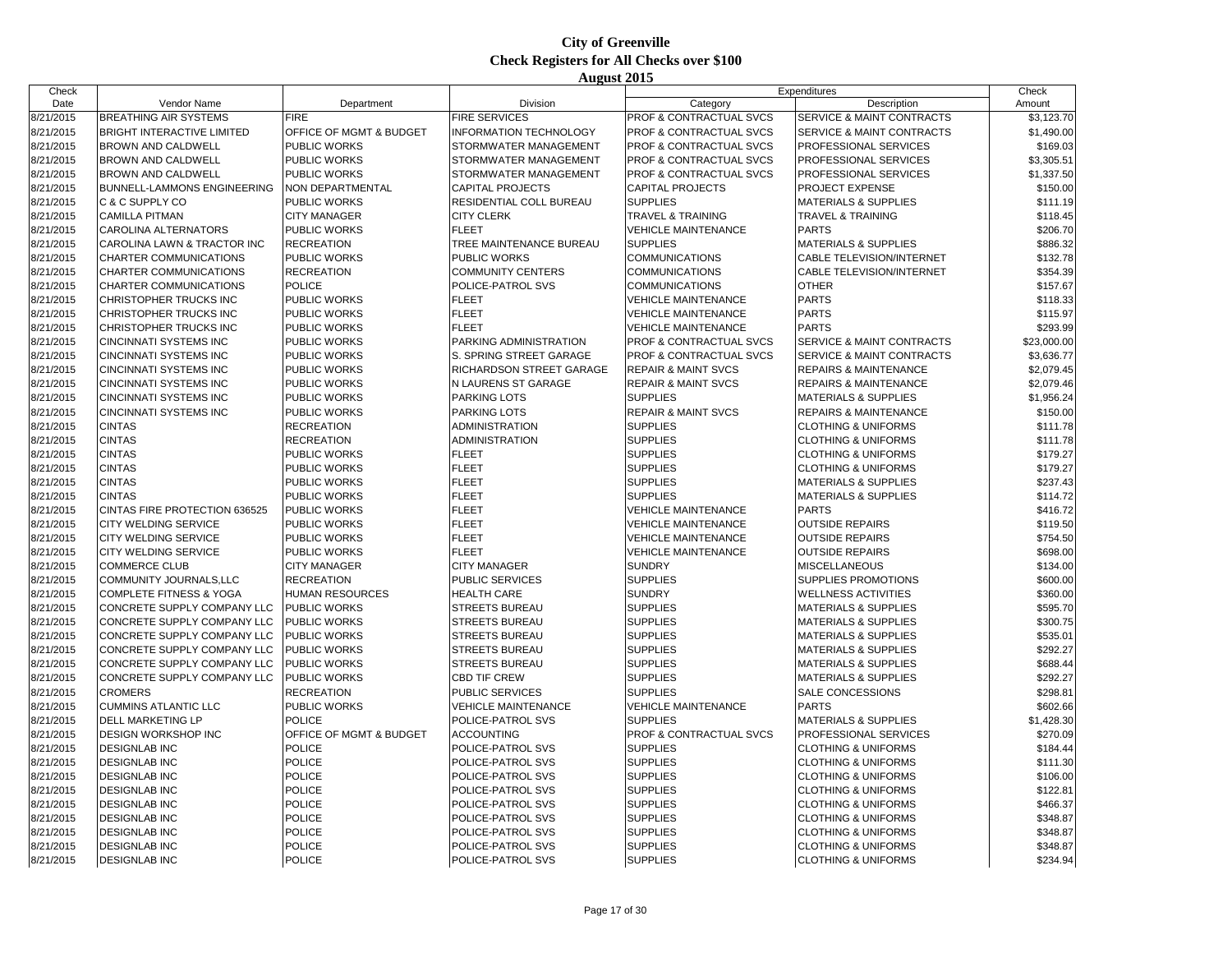| Check     |                                    |                         |                               |                                    | Expenditures                         | Check       |
|-----------|------------------------------------|-------------------------|-------------------------------|------------------------------------|--------------------------------------|-------------|
| Date      | Vendor Name                        | Department              | <b>Division</b>               | Category                           | Description                          | Amount      |
| 8/21/2015 | <b>BREATHING AIR SYSTEMS</b>       | <b>FIRE</b>             | <b>FIRE SERVICES</b>          | PROF & CONTRACTUAL SVCS            | SERVICE & MAINT CONTRACTS            | \$3,123.70  |
| 8/21/2015 | <b>BRIGHT INTERACTIVE LIMITED</b>  | OFFICE OF MGMT & BUDGET | <b>INFORMATION TECHNOLOGY</b> | PROF & CONTRACTUAL SVCS            | SERVICE & MAINT CONTRACTS            | \$1,490.00  |
| 8/21/2015 | <b>BROWN AND CALDWELL</b>          | <b>PUBLIC WORKS</b>     | STORMWATER MANAGEMENT         | <b>PROF &amp; CONTRACTUAL SVCS</b> | PROFESSIONAL SERVICES                | \$169.03    |
| 8/21/2015 | <b>BROWN AND CALDWELL</b>          | PUBLIC WORKS            | STORMWATER MANAGEMENT         | PROF & CONTRACTUAL SVCS            | PROFESSIONAL SERVICES                | \$3,305.51  |
| 8/21/2015 | <b>BROWN AND CALDWELL</b>          | PUBLIC WORKS            | STORMWATER MANAGEMENT         | PROF & CONTRACTUAL SVCS            | PROFESSIONAL SERVICES                | \$1,337.50  |
| 8/21/2015 | <b>BUNNELL-LAMMONS ENGINEERING</b> | NON DEPARTMENTAL        | <b>CAPITAL PROJECTS</b>       | <b>CAPITAL PROJECTS</b>            | PROJECT EXPENSE                      | \$150.00    |
| 8/21/2015 | C & C SUPPLY CO                    | PUBLIC WORKS            | RESIDENTIAL COLL BUREAU       | <b>SUPPLIES</b>                    | <b>MATERIALS &amp; SUPPLIES</b>      | \$111.19    |
| 8/21/2015 | <b>CAMILLA PITMAN</b>              | <b>CITY MANAGER</b>     | <b>CITY CLERK</b>             | <b>TRAVEL &amp; TRAINING</b>       | <b>TRAVEL &amp; TRAINING</b>         | \$118.45    |
| 8/21/2015 | <b>CAROLINA ALTERNATORS</b>        | PUBLIC WORKS            | <b>FLEET</b>                  | <b>VEHICLE MAINTENANCE</b>         | <b>PARTS</b>                         | \$206.70    |
| 8/21/2015 | CAROLINA LAWN & TRACTOR INC        | <b>RECREATION</b>       | TREE MAINTENANCE BUREAU       | <b>SUPPLIES</b>                    | <b>MATERIALS &amp; SUPPLIES</b>      | \$886.32    |
| 8/21/2015 | CHARTER COMMUNICATIONS             | PUBLIC WORKS            | <b>PUBLIC WORKS</b>           | <b>COMMUNICATIONS</b>              | CABLE TELEVISION/INTERNET            | \$132.78    |
| 8/21/2015 | CHARTER COMMUNICATIONS             | <b>RECREATION</b>       | <b>COMMUNITY CENTERS</b>      | <b>COMMUNICATIONS</b>              | CABLE TELEVISION/INTERNET            | \$354.39    |
| 8/21/2015 | CHARTER COMMUNICATIONS             | POLICE                  | POLICE-PATROL SVS             | <b>COMMUNICATIONS</b>              | <b>OTHER</b>                         | \$157.67    |
| 8/21/2015 | CHRISTOPHER TRUCKS INC             | PUBLIC WORKS            | <b>FLEET</b>                  | <b>VEHICLE MAINTENANCE</b>         | <b>PARTS</b>                         | \$118.33    |
| 8/21/2015 | CHRISTOPHER TRUCKS INC             | PUBLIC WORKS            | <b>FLEET</b>                  | <b>VEHICLE MAINTENANCE</b>         | <b>PARTS</b>                         | \$115.97    |
| 8/21/2015 | CHRISTOPHER TRUCKS INC             | PUBLIC WORKS            | <b>FLEET</b>                  | <b>VEHICLE MAINTENANCE</b>         | <b>PARTS</b>                         | \$293.99    |
| 8/21/2015 | <b>CINCINNATI SYSTEMS INC</b>      | PUBLIC WORKS            | PARKING ADMINISTRATION        | PROF & CONTRACTUAL SVCS            | <b>SERVICE &amp; MAINT CONTRACTS</b> | \$23,000.00 |
| 8/21/2015 | <b>CINCINNATI SYSTEMS INC</b>      | PUBLIC WORKS            | S. SPRING STREET GARAGE       | PROF & CONTRACTUAL SVCS            | SERVICE & MAINT CONTRACTS            | \$3,636.77  |
| 8/21/2015 | <b>CINCINNATI SYSTEMS INC</b>      | PUBLIC WORKS            | RICHARDSON STREET GARAGE      | <b>REPAIR &amp; MAINT SVCS</b>     | <b>REPAIRS &amp; MAINTENANCE</b>     | \$2,079.45  |
| 8/21/2015 | <b>CINCINNATI SYSTEMS INC</b>      | PUBLIC WORKS            | N LAURENS ST GARAGE           | <b>REPAIR &amp; MAINT SVCS</b>     | <b>REPAIRS &amp; MAINTENANCE</b>     | \$2,079.46  |
| 8/21/2015 | <b>CINCINNATI SYSTEMS INC</b>      | PUBLIC WORKS            | <b>PARKING LOTS</b>           | <b>SUPPLIES</b>                    | <b>MATERIALS &amp; SUPPLIES</b>      | \$1,956.24  |
| 8/21/2015 | <b>CINCINNATI SYSTEMS INC</b>      | PUBLIC WORKS            | <b>PARKING LOTS</b>           | <b>REPAIR &amp; MAINT SVCS</b>     | <b>REPAIRS &amp; MAINTENANCE</b>     | \$150.00    |
| 8/21/2015 | <b>CINTAS</b>                      | <b>RECREATION</b>       | <b>ADMINISTRATION</b>         | <b>SUPPLIES</b>                    | <b>CLOTHING &amp; UNIFORMS</b>       | \$111.78    |
| 8/21/2015 | <b>CINTAS</b>                      | <b>RECREATION</b>       | ADMINISTRATION                | <b>SUPPLIES</b>                    | <b>CLOTHING &amp; UNIFORMS</b>       | \$111.78    |
| 8/21/2015 | <b>CINTAS</b>                      | PUBLIC WORKS            | <b>FLEET</b>                  | <b>SUPPLIES</b>                    | <b>CLOTHING &amp; UNIFORMS</b>       | \$179.27    |
| 8/21/2015 | <b>CINTAS</b>                      | PUBLIC WORKS            | <b>FLEET</b>                  | <b>SUPPLIES</b>                    | <b>CLOTHING &amp; UNIFORMS</b>       | \$179.27    |
| 8/21/2015 | <b>CINTAS</b>                      | PUBLIC WORKS            | <b>FLEET</b>                  | <b>SUPPLIES</b>                    | <b>MATERIALS &amp; SUPPLIES</b>      | \$237.43    |
| 8/21/2015 | <b>CINTAS</b>                      | PUBLIC WORKS            | <b>FLEET</b>                  | <b>SUPPLIES</b>                    | <b>MATERIALS &amp; SUPPLIES</b>      | \$114.72    |
| 8/21/2015 | CINTAS FIRE PROTECTION 636525      | PUBLIC WORKS            | <b>FLEET</b>                  | <b>VEHICLE MAINTENANCE</b>         | <b>PARTS</b>                         | \$416.72    |
| 8/21/2015 | <b>CITY WELDING SERVICE</b>        | <b>PUBLIC WORKS</b>     | <b>FLEET</b>                  | <b>VEHICLE MAINTENANCE</b>         | <b>OUTSIDE REPAIRS</b>               | \$119.50    |
| 8/21/2015 | <b>CITY WELDING SERVICE</b>        | PUBLIC WORKS            | <b>FLEET</b>                  | <b>VEHICLE MAINTENANCE</b>         | <b>OUTSIDE REPAIRS</b>               | \$754.50    |
| 8/21/2015 | CITY WELDING SERVICE               | PUBLIC WORKS            | <b>FLEET</b>                  | <b>VEHICLE MAINTENANCE</b>         | <b>OUTSIDE REPAIRS</b>               | \$698.00    |
| 8/21/2015 | <b>COMMERCE CLUB</b>               | <b>CITY MANAGER</b>     | <b>CITY MANAGER</b>           | <b>SUNDRY</b>                      | <b>MISCELLANEOUS</b>                 | \$134.00    |
| 8/21/2015 | COMMUNITY JOURNALS, LLC            | <b>RECREATION</b>       | <b>PUBLIC SERVICES</b>        | <b>SUPPLIES</b>                    | SUPPLIES PROMOTIONS                  | \$600.00    |
| 8/21/2015 | <b>COMPLETE FITNESS &amp; YOGA</b> | HUMAN RESOURCES         | <b>HEALTH CARE</b>            | <b>SUNDRY</b>                      | <b>WELLNESS ACTIVITIES</b>           | \$360.00    |
| 8/21/2015 | CONCRETE SUPPLY COMPANY LLC        | <b>PUBLIC WORKS</b>     | <b>STREETS BUREAU</b>         | <b>SUPPLIES</b>                    | <b>MATERIALS &amp; SUPPLIES</b>      | \$595.70    |
| 8/21/2015 | CONCRETE SUPPLY COMPANY LLC        | <b>PUBLIC WORKS</b>     | <b>STREETS BUREAU</b>         | <b>SUPPLIES</b>                    | <b>MATERIALS &amp; SUPPLIES</b>      | \$300.75    |
| 8/21/2015 | CONCRETE SUPPLY COMPANY LLC        | <b>PUBLIC WORKS</b>     | <b>STREETS BUREAU</b>         | <b>SUPPLIES</b>                    | <b>MATERIALS &amp; SUPPLIES</b>      | \$535.01    |
| 8/21/2015 | CONCRETE SUPPLY COMPANY LLC        | <b>PUBLIC WORKS</b>     | <b>STREETS BUREAU</b>         | <b>SUPPLIES</b>                    | <b>MATERIALS &amp; SUPPLIES</b>      | \$292.27    |
| 8/21/2015 | CONCRETE SUPPLY COMPANY LLC        | PUBLIC WORKS            | <b>STREETS BUREAU</b>         | <b>SUPPLIES</b>                    | <b>MATERIALS &amp; SUPPLIES</b>      | \$688.44    |
| 8/21/2015 | CONCRETE SUPPLY COMPANY LLC        | <b>PUBLIC WORKS</b>     | <b>CBD TIF CREW</b>           | <b>SUPPLIES</b>                    | <b>MATERIALS &amp; SUPPLIES</b>      | \$292.27    |
| 8/21/2015 | <b>CROMERS</b>                     | <b>RECREATION</b>       | PUBLIC SERVICES               | <b>SUPPLIES</b>                    | SALE CONCESSIONS                     | \$298.81    |
| 8/21/2015 | <b>CUMMINS ATLANTIC LLC</b>        | PUBLIC WORKS            | <b>VEHICLE MAINTENANCE</b>    | <b>VEHICLE MAINTENANCE</b>         | <b>PARTS</b>                         | \$602.66    |
| 8/21/2015 | <b>DELL MARKETING LP</b>           | <b>POLICE</b>           | POLICE-PATROL SVS             | <b>SUPPLIES</b>                    | <b>MATERIALS &amp; SUPPLIES</b>      | \$1,428.30  |
| 8/21/2015 | <b>DESIGN WORKSHOP INC</b>         | OFFICE OF MGMT & BUDGET | <b>ACCOUNTING</b>             | PROF & CONTRACTUAL SVCS            | PROFESSIONAL SERVICES                | \$270.09    |
| 8/21/2015 | <b>DESIGNLAB INC</b>               | <b>POLICE</b>           | POLICE-PATROL SVS             | <b>SUPPLIES</b>                    | <b>CLOTHING &amp; UNIFORMS</b>       | \$184.44    |
| 8/21/2015 | <b>DESIGNLAB INC</b>               | POLICE                  | POLICE-PATROL SVS             | <b>SUPPLIES</b>                    | <b>CLOTHING &amp; UNIFORMS</b>       | \$111.30    |
| 8/21/2015 | <b>DESIGNLAB INC</b>               | <b>POLICE</b>           | POLICE-PATROL SVS             | <b>SUPPLIES</b>                    | <b>CLOTHING &amp; UNIFORMS</b>       | \$106.00    |
| 8/21/2015 | <b>DESIGNLAB INC</b>               | <b>POLICE</b>           | POLICE-PATROL SVS             | <b>SUPPLIES</b>                    | <b>CLOTHING &amp; UNIFORMS</b>       | \$122.81    |
| 8/21/2015 | <b>DESIGNLAB INC</b>               | POLICE                  | POLICE-PATROL SVS             | <b>SUPPLIES</b>                    | <b>CLOTHING &amp; UNIFORMS</b>       | \$466.37    |
| 8/21/2015 | <b>DESIGNLAB INC</b>               | <b>POLICE</b>           | POLICE-PATROL SVS             | <b>SUPPLIES</b>                    | <b>CLOTHING &amp; UNIFORMS</b>       | \$348.87    |
| 8/21/2015 | <b>DESIGNLAB INC</b>               | <b>POLICE</b>           | POLICE-PATROL SVS             | <b>SUPPLIES</b>                    | <b>CLOTHING &amp; UNIFORMS</b>       | \$348.87    |
| 8/21/2015 | <b>DESIGNLAB INC</b>               | POLICE                  | POLICE-PATROL SVS             | <b>SUPPLIES</b>                    | <b>CLOTHING &amp; UNIFORMS</b>       | \$348.87    |
| 8/21/2015 | <b>DESIGNLAB INC</b>               | <b>POLICE</b>           | POLICE-PATROL SVS             | <b>SUPPLIES</b>                    | <b>CLOTHING &amp; UNIFORMS</b>       | \$234.94    |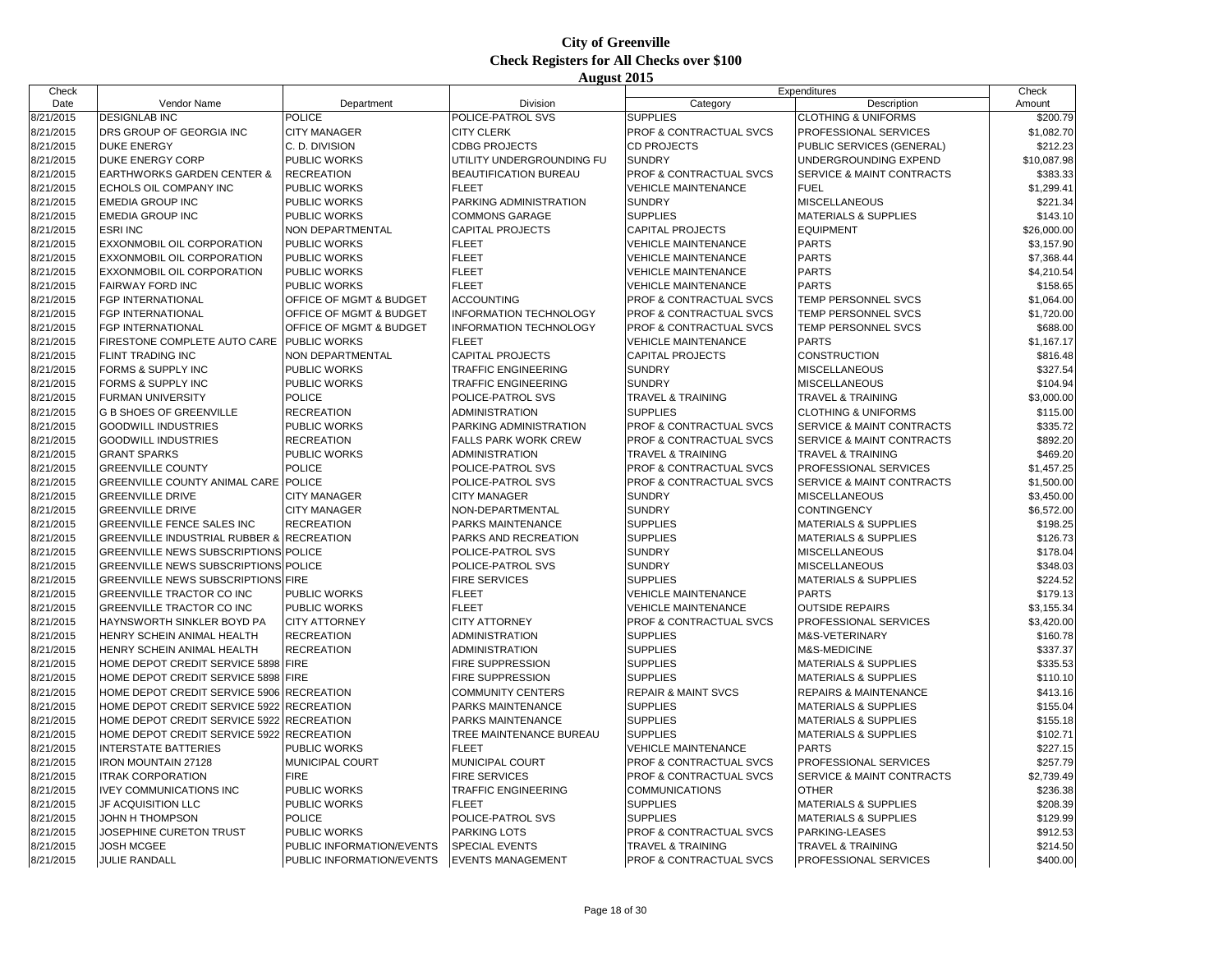| Check     |                                                      |                           |                               |                                            | Expenditures                         | Check       |
|-----------|------------------------------------------------------|---------------------------|-------------------------------|--------------------------------------------|--------------------------------------|-------------|
| Date      | Vendor Name                                          | Department                | Division                      | Category                                   | Description                          | Amount      |
| 8/21/2015 | <b>DESIGNLAB INC</b>                                 | <b>POLICE</b>             | POLICE-PATROL SVS             | <b>SUPPLIES</b>                            | <b>CLOTHING &amp; UNIFORMS</b>       | \$200.79    |
| 8/21/2015 | DRS GROUP OF GEORGIA INC                             | <b>CITY MANAGER</b>       | <b>CITY CLERK</b>             | PROF & CONTRACTUAL SVCS                    | PROFESSIONAL SERVICES                | \$1,082.70  |
| 8/21/2015 | <b>DUKE ENERGY</b>                                   | C. D. DIVISION            | <b>CDBG PROJECTS</b>          | <b>CD PROJECTS</b>                         | PUBLIC SERVICES (GENERAL)            | \$212.23    |
| 8/21/2015 | <b>DUKE ENERGY CORP</b>                              | PUBLIC WORKS              | UTILITY UNDERGROUNDING FU     | <b>SUNDRY</b>                              | UNDERGROUNDING EXPEND                | \$10,087.98 |
| 8/21/2015 | <b>EARTHWORKS GARDEN CENTER &amp;</b>                | <b>RECREATION</b>         | <b>BEAUTIFICATION BUREAU</b>  | PROF & CONTRACTUAL SVCS                    | <b>SERVICE &amp; MAINT CONTRACTS</b> | \$383.33    |
| 8/21/2015 | ECHOLS OIL COMPANY INC                               | PUBLIC WORKS              | <b>FLEET</b>                  | <b>VEHICLE MAINTENANCE</b>                 | <b>FUEL</b>                          | \$1,299.41  |
| 8/21/2015 | <b>EMEDIA GROUP INC</b>                              | PUBLIC WORKS              | PARKING ADMINISTRATION        | <b>SUNDRY</b>                              | <b>MISCELLANEOUS</b>                 | \$221.34    |
| 8/21/2015 | <b>EMEDIA GROUP INC</b>                              | PUBLIC WORKS              | <b>COMMONS GARAGE</b>         | <b>SUPPLIES</b>                            | <b>MATERIALS &amp; SUPPLIES</b>      | \$143.10    |
| 8/21/2015 | <b>ESRI INC</b>                                      | NON DEPARTMENTAL          | <b>CAPITAL PROJECTS</b>       | <b>CAPITAL PROJECTS</b>                    | <b>EQUIPMENT</b>                     | \$26,000.00 |
| 8/21/2015 | <b>EXXONMOBIL OIL CORPORATION</b>                    | PUBLIC WORKS              | <b>FLEET</b>                  | <b>VEHICLE MAINTENANCE</b>                 | <b>PARTS</b>                         | \$3,157.90  |
| 8/21/2015 | <b>EXXONMOBIL OIL CORPORATION</b>                    | PUBLIC WORKS              | <b>FLEET</b>                  | <b>VEHICLE MAINTENANCE</b>                 | <b>PARTS</b>                         | \$7,368.44  |
| 8/21/2015 | <b>EXXONMOBIL OIL CORPORATION</b>                    | PUBLIC WORKS              | <b>FLEET</b>                  | <b>VEHICLE MAINTENANCE</b>                 | <b>PARTS</b>                         | \$4,210.54  |
| 8/21/2015 | <b>FAIRWAY FORD INC</b>                              | PUBLIC WORKS              | <b>FLEET</b>                  | <b>VEHICLE MAINTENANCE</b>                 | <b>PARTS</b>                         | \$158.65    |
| 8/21/2015 | <b>FGP INTERNATIONAL</b>                             | OFFICE OF MGMT & BUDGET   | <b>ACCOUNTING</b>             | <b>PROF &amp; CONTRACTUAL SVCS</b>         | <b>TEMP PERSONNEL SVCS</b>           | \$1,064.00  |
| 8/21/2015 | <b>FGP INTERNATIONAL</b>                             | OFFICE OF MGMT & BUDGET   | <b>INFORMATION TECHNOLOGY</b> | PROF & CONTRACTUAL SVCS                    | <b>TEMP PERSONNEL SVCS</b>           | \$1,720.00  |
| 8/21/2015 | <b>FGP INTERNATIONAL</b>                             | OFFICE OF MGMT & BUDGET   | <b>INFORMATION TECHNOLOGY</b> | PROF & CONTRACTUAL SVCS                    | TEMP PERSONNEL SVCS                  | \$688.00    |
| 8/21/2015 | <b>IFIRESTONE COMPLETE AUTO CARE</b>                 | <b>PUBLIC WORKS</b>       | <b>FLEET</b>                  | <b>VEHICLE MAINTENANCE</b>                 | <b>PARTS</b>                         | \$1,167.17  |
| 8/21/2015 | <b>FLINT TRADING INC</b>                             | NON DEPARTMENTAL          | <b>CAPITAL PROJECTS</b>       | <b>CAPITAL PROJECTS</b>                    | <b>CONSTRUCTION</b>                  | \$816.48    |
| 8/21/2015 | <b>FORMS &amp; SUPPLY INC</b>                        | PUBLIC WORKS              | <b>TRAFFIC ENGINEERING</b>    | <b>SUNDRY</b>                              | <b>MISCELLANEOUS</b>                 | \$327.54    |
| 8/21/2015 | FORMS & SUPPLY INC                                   | <b>PUBLIC WORKS</b>       | TRAFFIC ENGINEERING           | <b>SUNDRY</b>                              | MISCELLANEOUS                        | \$104.94    |
| 8/21/2015 | <b>FURMAN UNIVERSITY</b>                             | <b>POLICE</b>             | POLICE-PATROL SVS             | <b>TRAVEL &amp; TRAINING</b>               | <b>TRAVEL &amp; TRAINING</b>         | \$3,000.00  |
| 8/21/2015 | <b>G B SHOES OF GREENVILLE</b>                       | <b>RECREATION</b>         | ADMINISTRATION                | <b>SUPPLIES</b>                            | <b>CLOTHING &amp; UNIFORMS</b>       | \$115.00    |
| 8/21/2015 | <b>GOODWILL INDUSTRIES</b>                           | PUBLIC WORKS              | PARKING ADMINISTRATION        | PROF & CONTRACTUAL SVCS                    | SERVICE & MAINT CONTRACTS            | \$335.72    |
| 8/21/2015 | <b>GOODWILL INDUSTRIES</b>                           | <b>RECREATION</b>         | <b>FALLS PARK WORK CREW</b>   | PROF & CONTRACTUAL SVCS                    | SERVICE & MAINT CONTRACTS            | \$892.20    |
| 8/21/2015 | <b>GRANT SPARKS</b>                                  | PUBLIC WORKS              | ADMINISTRATION                | <b>TRAVEL &amp; TRAINING</b>               | <b>TRAVEL &amp; TRAINING</b>         | \$469.20    |
| 8/21/2015 | <b>GREENVILLE COUNTY</b>                             | <b>POLICE</b>             | POLICE-PATROL SVS             | PROF & CONTRACTUAL SVCS                    | PROFESSIONAL SERVICES                | \$1,457.25  |
| 8/21/2015 | <b>GREENVILLE COUNTY ANIMAL CARE</b>                 | <b>POLICE</b>             | POLICE-PATROL SVS             | PROF & CONTRACTUAL SVCS                    | SERVICE & MAINT CONTRACTS            | \$1,500.00  |
| 8/21/2015 | <b>GREENVILLE DRIVE</b>                              | <b>CITY MANAGER</b>       | <b>CITY MANAGER</b>           | <b>SUNDRY</b>                              | <b>MISCELLANEOUS</b>                 | \$3,450.00  |
| 8/21/2015 | <b>GREENVILLE DRIVE</b>                              | <b>CITY MANAGER</b>       | NON-DEPARTMENTAL              | <b>SUNDRY</b>                              | CONTINGENCY                          | \$6,572.00  |
| 8/21/2015 | <b>GREENVILLE FENCE SALES INC</b>                    | <b>RECREATION</b>         | PARKS MAINTENANCE             | <b>SUPPLIES</b>                            | <b>MATERIALS &amp; SUPPLIES</b>      | \$198.25    |
| 8/21/2015 | <b>GREENVILLE INDUSTRIAL RUBBER &amp; RECREATION</b> |                           | PARKS AND RECREATION          | <b>SUPPLIES</b>                            | <b>MATERIALS &amp; SUPPLIES</b>      | \$126.73    |
| 8/21/2015 | <b>GREENVILLE NEWS SUBSCRIPTIONS POLICE</b>          |                           | POLICE-PATROL SVS             | <b>SUNDRY</b>                              | <b>MISCELLANEOUS</b>                 | \$178.04    |
| 8/21/2015 | <b>GREENVILLE NEWS SUBSCRIPTIONS POLICE</b>          |                           | POLICE-PATROL SVS             | <b>SUNDRY</b>                              | <b>MISCELLANEOUS</b>                 | \$348.03    |
| 8/21/2015 | <b>GREENVILLE NEWS SUBSCRIPTIONS FIRE</b>            |                           | <b>FIRE SERVICES</b>          | <b>SUPPLIES</b>                            | <b>MATERIALS &amp; SUPPLIES</b>      | \$224.52    |
| 8/21/2015 | <b>GREENVILLE TRACTOR CO INC</b>                     | PUBLIC WORKS              | <b>FLEET</b>                  | <b>VEHICLE MAINTENANCE</b>                 | <b>PARTS</b>                         | \$179.13    |
| 8/21/2015 | <b>GREENVILLE TRACTOR CO INC</b>                     | PUBLIC WORKS              | <b>FLEET</b>                  | <b>VEHICLE MAINTENANCE</b>                 | <b>OUTSIDE REPAIRS</b>               | \$3,155.34  |
|           |                                                      |                           |                               |                                            |                                      |             |
| 8/21/2015 | HAYNSWORTH SINKLER BOYD PA                           | <b>CITY ATTORNEY</b>      | <b>CITY ATTORNEY</b>          | PROF & CONTRACTUAL SVCS<br><b>SUPPLIES</b> | PROFESSIONAL SERVICES                | \$3,420.00  |
| 8/21/2015 | HENRY SCHEIN ANIMAL HEALTH                           | <b>RECREATION</b>         | ADMINISTRATION                | <b>SUPPLIES</b>                            | M&S-VETERINARY                       | \$160.78    |
| 8/21/2015 | HENRY SCHEIN ANIMAL HEALTH                           | <b>RECREATION</b>         | <b>ADMINISTRATION</b>         |                                            | M&S-MEDICINE                         | \$337.37    |
| 8/21/2015 | HOME DEPOT CREDIT SERVICE 5898 FIRE                  |                           | <b>FIRE SUPPRESSION</b>       | <b>SUPPLIES</b>                            | <b>MATERIALS &amp; SUPPLIES</b>      | \$335.53    |
| 8/21/2015 | HOME DEPOT CREDIT SERVICE 5898 FIRE                  |                           | FIRE SUPPRESSION              | <b>SUPPLIES</b>                            | <b>MATERIALS &amp; SUPPLIES</b>      | \$110.10    |
| 8/21/2015 | HOME DEPOT CREDIT SERVICE 5906                       | <b>RECREATION</b>         | <b>COMMUNITY CENTERS</b>      | <b>REPAIR &amp; MAINT SVCS</b>             | <b>REPAIRS &amp; MAINTENANCE</b>     | \$413.16    |
| 8/21/2015 | HOME DEPOT CREDIT SERVICE 5922                       | <b>RECREATION</b>         | PARKS MAINTENANCE             | <b>SUPPLIES</b>                            | <b>MATERIALS &amp; SUPPLIES</b>      | \$155.04    |
| 8/21/2015 | HOME DEPOT CREDIT SERVICE 5922                       | <b>RECREATION</b>         | PARKS MAINTENANCE             | <b>SUPPLIES</b>                            | <b>MATERIALS &amp; SUPPLIES</b>      | \$155.18    |
| 8/21/2015 | HOME DEPOT CREDIT SERVICE 5922                       | <b>RECREATION</b>         | TREE MAINTENANCE BUREAU       | <b>SUPPLIES</b>                            | <b>MATERIALS &amp; SUPPLIES</b>      | \$102.71    |
| 8/21/2015 | <b>INTERSTATE BATTERIES</b>                          | PUBLIC WORKS              | <b>FLEET</b>                  | <b>VEHICLE MAINTENANCE</b>                 | <b>PARTS</b>                         | \$227.15    |
| 8/21/2015 | IRON MOUNTAIN 27128                                  | MUNICIPAL COURT           | MUNICIPAL COURT               | PROF & CONTRACTUAL SVCS                    | PROFESSIONAL SERVICES                | \$257.79    |
| 8/21/2015 | <b>ITRAK CORPORATION</b>                             | <b>FIRE</b>               | <b>FIRE SERVICES</b>          | PROF & CONTRACTUAL SVCS                    | SERVICE & MAINT CONTRACTS            | \$2,739.49  |
| 8/21/2015 | <b>IVEY COMMUNICATIONS INC</b>                       | PUBLIC WORKS              | <b>TRAFFIC ENGINEERING</b>    | <b>COMMUNICATIONS</b>                      | <b>OTHER</b>                         | \$236.38    |
| 8/21/2015 | JF ACQUISITION LLC                                   | PUBLIC WORKS              | <b>FLEET</b>                  | <b>SUPPLIES</b>                            | <b>MATERIALS &amp; SUPPLIES</b>      | \$208.39    |
| 8/21/2015 | JOHN H THOMPSON                                      | <b>POLICE</b>             | POLICE-PATROL SVS             | <b>SUPPLIES</b>                            | <b>MATERIALS &amp; SUPPLIES</b>      | \$129.99    |
| 8/21/2015 | JOSEPHINE CURETON TRUST                              | PUBLIC WORKS              | <b>PARKING LOTS</b>           | PROF & CONTRACTUAL SVCS                    | PARKING-LEASES                       | \$912.53    |
| 8/21/2015 | <b>JOSH MCGEE</b>                                    | PUBLIC INFORMATION/EVENTS | <b>SPECIAL EVENTS</b>         | <b>TRAVEL &amp; TRAINING</b>               | <b>TRAVEL &amp; TRAINING</b>         | \$214.50    |
| 8/21/2015 | <b>JULIE RANDALL</b>                                 | PUBLIC INFORMATION/EVENTS | <b>EVENTS MANAGEMENT</b>      | <b>PROF &amp; CONTRACTUAL SVCS</b>         | PROFESSIONAL SERVICES                | \$400.00    |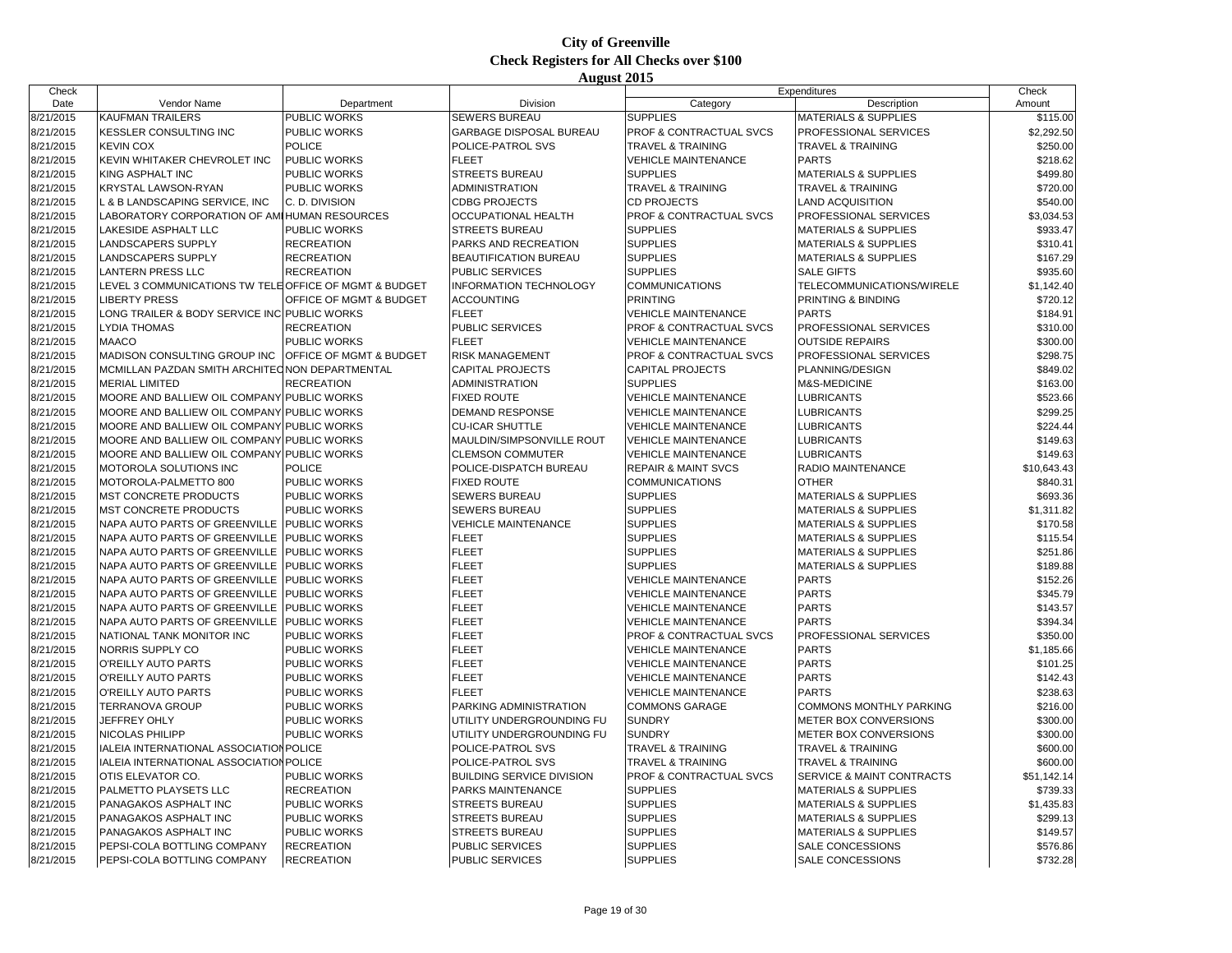| Check     |                                                        |                         |                                  |                                    | Expenditures                         | Check       |
|-----------|--------------------------------------------------------|-------------------------|----------------------------------|------------------------------------|--------------------------------------|-------------|
| Date      | Vendor Name                                            | Department              | <b>Division</b>                  | Category                           | Description                          | Amount      |
| 8/21/2015 | <b>KAUFMAN TRAILERS</b>                                | PUBLIC WORKS            | <b>SEWERS BUREAU</b>             | <b>SUPPLIES</b>                    | <b>MATERIALS &amp; SUPPLIES</b>      | \$115.00    |
| 8/21/2015 | <b>KESSLER CONSULTING INC</b>                          | PUBLIC WORKS            | GARBAGE DISPOSAL BUREAU          | PROF & CONTRACTUAL SVCS            | PROFESSIONAL SERVICES                | \$2,292.50  |
| 8/21/2015 | <b>KEVIN COX</b>                                       | <b>POLICE</b>           | POLICE-PATROL SVS                | <b>TRAVEL &amp; TRAINING</b>       | <b>TRAVEL &amp; TRAINING</b>         | \$250.00    |
| 8/21/2015 | KEVIN WHITAKER CHEVROLET INC                           | PUBLIC WORKS            | <b>FLEET</b>                     | <b>VEHICLE MAINTENANCE</b>         | <b>PARTS</b>                         | \$218.62    |
| 8/21/2015 | <b>KING ASPHALT INC</b>                                | PUBLIC WORKS            | <b>STREETS BUREAU</b>            | <b>SUPPLIES</b>                    | <b>MATERIALS &amp; SUPPLIES</b>      | \$499.80    |
| 8/21/2015 | <b>KRYSTAL LAWSON-RYAN</b>                             | <b>PUBLIC WORKS</b>     | ADMINISTRATION                   | <b>TRAVEL &amp; TRAINING</b>       | <b>TRAVEL &amp; TRAINING</b>         | \$720.00    |
| 8/21/2015 | L & B LANDSCAPING SERVICE, INC                         | C. D. DIVISION          | <b>CDBG PROJECTS</b>             | <b>CD PROJECTS</b>                 | <b>LAND ACQUISITION</b>              | \$540.00    |
| 8/21/2015 | LABORATORY CORPORATION OF AMI HUMAN RESOURCES          |                         | OCCUPATIONAL HEALTH              | PROF & CONTRACTUAL SVCS            | PROFESSIONAL SERVICES                | \$3,034.53  |
| 8/21/2015 | <b>LAKESIDE ASPHALT LLC</b>                            | <b>PUBLIC WORKS</b>     | <b>STREETS BUREAU</b>            | <b>SUPPLIES</b>                    | <b>MATERIALS &amp; SUPPLIES</b>      | \$933.47    |
| 8/21/2015 | <b>LANDSCAPERS SUPPLY</b>                              | <b>RECREATION</b>       | PARKS AND RECREATION             | <b>SUPPLIES</b>                    | <b>MATERIALS &amp; SUPPLIES</b>      | \$310.41    |
| 8/21/2015 | <b>LANDSCAPERS SUPPLY</b>                              | <b>RECREATION</b>       | <b>BEAUTIFICATION BUREAU</b>     | <b>SUPPLIES</b>                    | <b>MATERIALS &amp; SUPPLIES</b>      | \$167.29    |
| 8/21/2015 | <b>LANTERN PRESS LLC</b>                               | <b>RECREATION</b>       | <b>PUBLIC SERVICES</b>           | <b>SUPPLIES</b>                    | <b>SALE GIFTS</b>                    | \$935.60    |
| 8/21/2015 | LEVEL 3 COMMUNICATIONS TW TELE OFFICE OF MGMT & BUDGET |                         | <b>INFORMATION TECHNOLOGY</b>    | <b>COMMUNICATIONS</b>              | TELECOMMUNICATIONS/WIRELE            | \$1,142.40  |
| 8/21/2015 | <b>LIBERTY PRESS</b>                                   | OFFICE OF MGMT & BUDGET | <b>ACCOUNTING</b>                | <b>PRINTING</b>                    | PRINTING & BINDING                   | \$720.12    |
| 8/21/2015 | LONG TRAILER & BODY SERVICE INC PUBLIC WORKS           |                         | <b>FLEET</b>                     | <b>VEHICLE MAINTENANCE</b>         | <b>PARTS</b>                         | \$184.91    |
| 8/21/2015 | <b>LYDIA THOMAS</b>                                    | <b>RECREATION</b>       | <b>PUBLIC SERVICES</b>           | PROF & CONTRACTUAL SVCS            | PROFESSIONAL SERVICES                | \$310.00    |
|           | <b>MAACO</b>                                           | PUBLIC WORKS            | <b>FLEET</b>                     |                                    |                                      |             |
| 8/21/2015 |                                                        |                         |                                  | <b>VEHICLE MAINTENANCE</b>         | <b>OUTSIDE REPAIRS</b>               | \$300.00    |
| 8/21/2015 | <b>MADISON CONSULTING GROUP INC</b>                    | OFFICE OF MGMT & BUDGET | <b>RISK MANAGEMENT</b>           | <b>PROF &amp; CONTRACTUAL SVCS</b> | <b>PROFESSIONAL SERVICES</b>         | \$298.75    |
| 8/21/2015 | MCMILLAN PAZDAN SMITH ARCHITED NON DEPARTMENTAL        |                         | <b>CAPITAL PROJECTS</b>          | <b>CAPITAL PROJECTS</b>            | PLANNING/DESIGN                      | \$849.02    |
| 8/21/2015 | <b>MERIAL LIMITED</b>                                  | <b>RECREATION</b>       | ADMINISTRATION                   | <b>SUPPLIES</b>                    | M&S-MEDICINE                         | \$163.00    |
| 8/21/2015 | MOORE AND BALLIEW OIL COMPANY PUBLIC WORKS             |                         | <b>FIXED ROUTE</b>               | <b>VEHICLE MAINTENANCE</b>         | <b>LUBRICANTS</b>                    | \$523.66    |
| 8/21/2015 | MOORE AND BALLIEW OIL COMPANY PUBLIC WORKS             |                         | <b>DEMAND RESPONSE</b>           | <b>VEHICLE MAINTENANCE</b>         | <b>LUBRICANTS</b>                    | \$299.25    |
| 8/21/2015 | MOORE AND BALLIEW OIL COMPANY PUBLIC WORKS             |                         | <b>CU-ICAR SHUTTLE</b>           | <b>VEHICLE MAINTENANCE</b>         | <b>LUBRICANTS</b>                    | \$224.44    |
| 8/21/2015 | MOORE AND BALLIEW OIL COMPANY PUBLIC WORKS             |                         | MAULDIN/SIMPSONVILLE ROUT        | <b>VEHICLE MAINTENANCE</b>         | <b>LUBRICANTS</b>                    | \$149.63    |
| 8/21/2015 | MOORE AND BALLIEW OIL COMPANY PUBLIC WORKS             |                         | <b>CLEMSON COMMUTER</b>          | <b>VEHICLE MAINTENANCE</b>         | <b>LUBRICANTS</b>                    | \$149.63    |
| 8/21/2015 | MOTOROLA SOLUTIONS INC                                 | <b>POLICE</b>           | POLICE-DISPATCH BUREAU           | <b>REPAIR &amp; MAINT SVCS</b>     | RADIO MAINTENANCE                    | \$10,643.43 |
| 8/21/2015 | MOTOROLA-PALMETTO 800                                  | PUBLIC WORKS            | <b>FIXED ROUTE</b>               | <b>COMMUNICATIONS</b>              | <b>OTHER</b>                         | \$840.31    |
| 8/21/2015 | MST CONCRETE PRODUCTS                                  | PUBLIC WORKS            | <b>SEWERS BUREAU</b>             | <b>SUPPLIES</b>                    | <b>MATERIALS &amp; SUPPLIES</b>      | \$693.36    |
| 8/21/2015 | <b>MST CONCRETE PRODUCTS</b>                           | PUBLIC WORKS            | <b>SEWERS BUREAU</b>             | <b>SUPPLIES</b>                    | <b>MATERIALS &amp; SUPPLIES</b>      | \$1,311.82  |
| 8/21/2015 | NAPA AUTO PARTS OF GREENVILLE                          | <b>PUBLIC WORKS</b>     | <b>VEHICLE MAINTENANCE</b>       | <b>SUPPLIES</b>                    | <b>MATERIALS &amp; SUPPLIES</b>      | \$170.58    |
| 8/21/2015 | NAPA AUTO PARTS OF GREENVILLE                          | <b>PUBLIC WORKS</b>     | <b>FLEET</b>                     | <b>SUPPLIES</b>                    | <b>MATERIALS &amp; SUPPLIES</b>      | \$115.54    |
| 8/21/2015 | NAPA AUTO PARTS OF GREENVILLE                          | PUBLIC WORKS            | <b>FLEET</b>                     | <b>SUPPLIES</b>                    | <b>MATERIALS &amp; SUPPLIES</b>      | \$251.86    |
| 8/21/2015 | NAPA AUTO PARTS OF GREENVILLE                          | <b>PUBLIC WORKS</b>     | <b>FLEET</b>                     | <b>SUPPLIES</b>                    | <b>MATERIALS &amp; SUPPLIES</b>      | \$189.88    |
| 8/21/2015 | NAPA AUTO PARTS OF GREENVILLE                          | <b>PUBLIC WORKS</b>     | <b>FLEET</b>                     | <b>VEHICLE MAINTENANCE</b>         | <b>PARTS</b>                         | \$152.26    |
| 8/21/2015 | NAPA AUTO PARTS OF GREENVILLE                          | PUBLIC WORKS            | <b>FLEET</b>                     | <b>VEHICLE MAINTENANCE</b>         | <b>PARTS</b>                         | \$345.79    |
| 8/21/2015 | NAPA AUTO PARTS OF GREENVILLE                          | <b>PUBLIC WORKS</b>     | <b>FLEET</b>                     | <b>VEHICLE MAINTENANCE</b>         | <b>PARTS</b>                         | \$143.57    |
| 8/21/2015 | NAPA AUTO PARTS OF GREENVILLE                          | PUBLIC WORKS            | <b>FLEET</b>                     | <b>VEHICLE MAINTENANCE</b>         | <b>PARTS</b>                         | \$394.34    |
| 8/21/2015 | NATIONAL TANK MONITOR INC                              | PUBLIC WORKS            | <b>FLEET</b>                     | <b>PROF &amp; CONTRACTUAL SVCS</b> | PROFESSIONAL SERVICES                | \$350.00    |
| 8/21/2015 | NORRIS SUPPLY CO                                       | <b>PUBLIC WORKS</b>     | <b>FLEET</b>                     | <b>VEHICLE MAINTENANCE</b>         | <b>PARTS</b>                         | \$1,185.66  |
| 8/21/2015 | O'REILLY AUTO PARTS                                    | PUBLIC WORKS            | <b>FLEET</b>                     | <b>VEHICLE MAINTENANCE</b>         | <b>PARTS</b>                         | \$101.25    |
| 8/21/2015 | O'REILLY AUTO PARTS                                    | PUBLIC WORKS            | <b>FLEET</b>                     | <b>VEHICLE MAINTENANCE</b>         | <b>PARTS</b>                         | \$142.43    |
| 8/21/2015 | O'REILLY AUTO PARTS                                    | PUBLIC WORKS            | <b>FLEET</b>                     | <b>VEHICLE MAINTENANCE</b>         | <b>PARTS</b>                         | \$238.63    |
| 8/21/2015 | <b>TERRANOVA GROUP</b>                                 | PUBLIC WORKS            | PARKING ADMINISTRATION           | <b>COMMONS GARAGE</b>              | <b>COMMONS MONTHLY PARKING</b>       | \$216.00    |
| 8/21/2015 | JEFFREY OHLY                                           | PUBLIC WORKS            | UTILITY UNDERGROUNDING FU        | <b>SUNDRY</b>                      | METER BOX CONVERSIONS                | \$300.00    |
| 8/21/2015 | NICOLAS PHILIPP                                        | <b>PUBLIC WORKS</b>     | UTILITY UNDERGROUNDING FU        | <b>SUNDRY</b>                      | METER BOX CONVERSIONS                | \$300.00    |
| 8/21/2015 | IALEIA INTERNATIONAL ASSOCIATION POLICE                |                         | POLICE-PATROL SVS                | TRAVEL & TRAINING                  | <b>TRAVEL &amp; TRAINING</b>         | \$600.00    |
| 8/21/2015 | IALEIA INTERNATIONAL ASSOCIATION POLICE                |                         | POLICE-PATROL SVS                | <b>TRAVEL &amp; TRAINING</b>       | <b>TRAVEL &amp; TRAINING</b>         | \$600.00    |
| 8/21/2015 | OTIS ELEVATOR CO.                                      | <b>PUBLIC WORKS</b>     | <b>BUILDING SERVICE DIVISION</b> | <b>PROF &amp; CONTRACTUAL SVCS</b> | <b>SERVICE &amp; MAINT CONTRACTS</b> | \$51,142.14 |
| 8/21/2015 | PALMETTO PLAYSETS LLC                                  | <b>RECREATION</b>       | PARKS MAINTENANCE                | <b>SUPPLIES</b>                    | <b>MATERIALS &amp; SUPPLIES</b>      | \$739.33    |
| 8/21/2015 | PANAGAKOS ASPHALT INC                                  | PUBLIC WORKS            | <b>STREETS BUREAU</b>            | <b>SUPPLIES</b>                    | <b>MATERIALS &amp; SUPPLIES</b>      | \$1,435.83  |
| 8/21/2015 | <b>PANAGAKOS ASPHALT INC</b>                           | PUBLIC WORKS            | <b>STREETS BUREAU</b>            | <b>SUPPLIES</b>                    | <b>MATERIALS &amp; SUPPLIES</b>      | \$299.13    |
| 8/21/2015 | PANAGAKOS ASPHALT INC                                  | PUBLIC WORKS            | <b>STREETS BUREAU</b>            | <b>SUPPLIES</b>                    | <b>MATERIALS &amp; SUPPLIES</b>      | \$149.57    |
| 8/21/2015 | PEPSI-COLA BOTTLING COMPANY                            | <b>RECREATION</b>       | PUBLIC SERVICES                  | <b>SUPPLIES</b>                    | <b>SALE CONCESSIONS</b>              | \$576.86    |
| 8/21/2015 | PEPSI-COLA BOTTLING COMPANY                            | <b>RECREATION</b>       | <b>PUBLIC SERVICES</b>           | <b>SUPPLIES</b>                    | SALE CONCESSIONS                     | \$732.28    |
|           |                                                        |                         |                                  |                                    |                                      |             |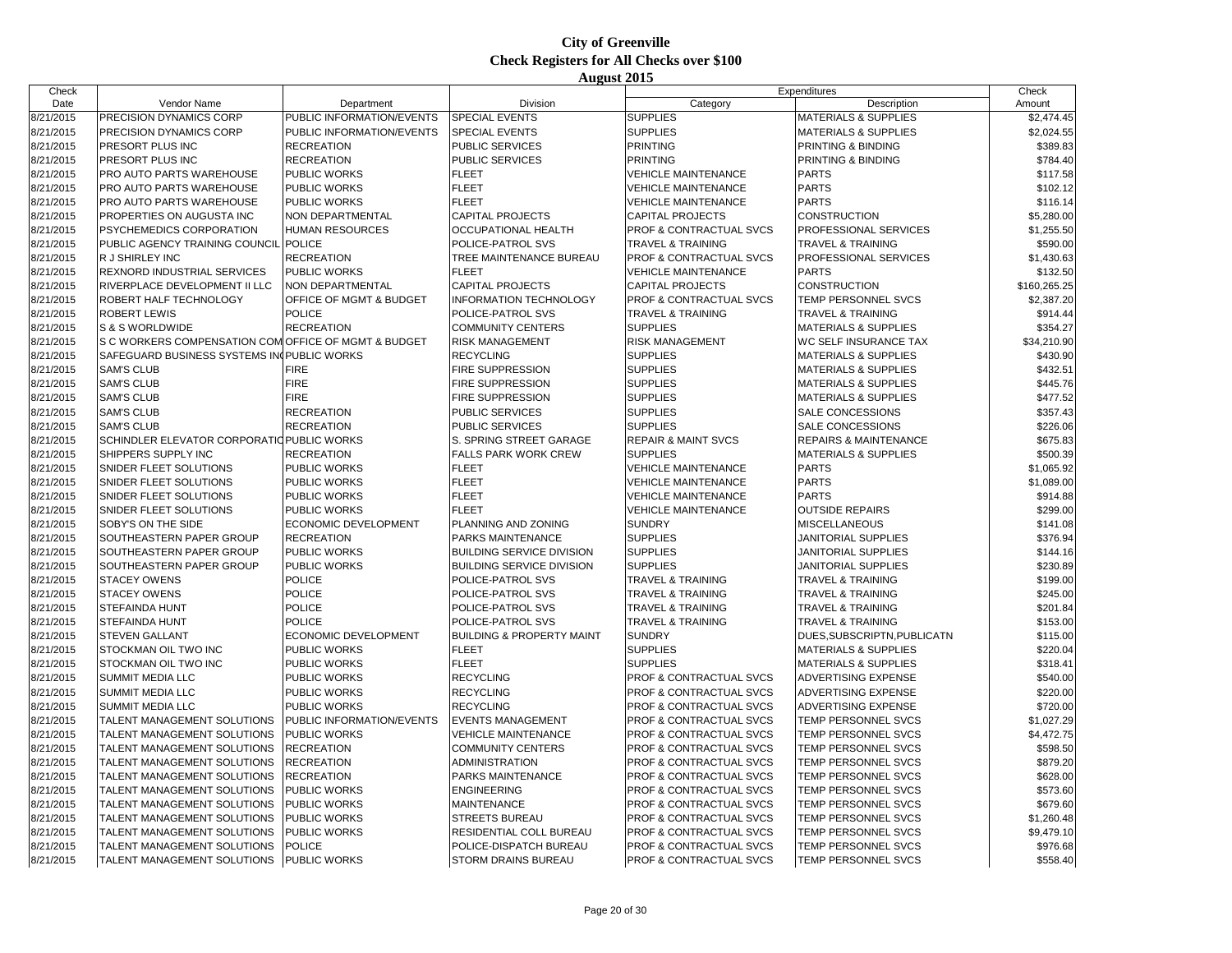| Check     |                                                      |                           |                                      |                                    | Expenditures                    | Check        |
|-----------|------------------------------------------------------|---------------------------|--------------------------------------|------------------------------------|---------------------------------|--------------|
| Date      | Vendor Name                                          | Department                | Division                             | Category                           | Description                     | Amount       |
| 8/21/2015 | PRECISION DYNAMICS CORP                              | PUBLIC INFORMATION/EVENTS | <b>SPECIAL EVENTS</b>                | <b>SUPPLIES</b>                    | <b>MATERIALS &amp; SUPPLIES</b> | \$2,474.45   |
| 8/21/2015 | PRECISION DYNAMICS CORP                              | PUBLIC INFORMATION/EVENTS | <b>SPECIAL EVENTS</b>                | <b>SUPPLIES</b>                    | <b>MATERIALS &amp; SUPPLIES</b> | \$2,024.55   |
| 8/21/2015 | PRESORT PLUS INC                                     | <b>RECREATION</b>         | PUBLIC SERVICES                      | <b>PRINTING</b>                    | PRINTING & BINDING              | \$389.83     |
| 8/21/2015 | PRESORT PLUS INC                                     | <b>RECREATION</b>         | <b>PUBLIC SERVICES</b>               | <b>PRINTING</b>                    | PRINTING & BINDING              | \$784.40     |
| 8/21/2015 | PRO AUTO PARTS WAREHOUSE                             | PUBLIC WORKS              | <b>FLEET</b>                         | <b>VEHICLE MAINTENANCE</b>         | <b>PARTS</b>                    | \$117.58     |
| 8/21/2015 | PRO AUTO PARTS WAREHOUSE                             | PUBLIC WORKS              | <b>FLEET</b>                         | <b>VEHICLE MAINTENANCE</b>         | <b>PARTS</b>                    | \$102.12     |
| 8/21/2015 | PRO AUTO PARTS WAREHOUSE                             | PUBLIC WORKS              | <b>FLEET</b>                         | <b>VEHICLE MAINTENANCE</b>         | <b>PARTS</b>                    | \$116.14     |
| 8/21/2015 | PROPERTIES ON AUGUSTA INC                            | NON DEPARTMENTAL          | <b>CAPITAL PROJECTS</b>              | <b>CAPITAL PROJECTS</b>            | <b>CONSTRUCTION</b>             | \$5,280.00   |
| 8/21/2015 | PSYCHEMEDICS CORPORATION                             | <b>HUMAN RESOURCES</b>    | OCCUPATIONAL HEALTH                  | PROF & CONTRACTUAL SVCS            | PROFESSIONAL SERVICES           | \$1,255.50   |
| 8/21/2015 | PUBLIC AGENCY TRAINING COUNCIL POLICE                |                           | POLICE-PATROL SVS                    | <b>TRAVEL &amp; TRAINING</b>       | <b>TRAVEL &amp; TRAINING</b>    | \$590.00     |
| 8/21/2015 | <b>R J SHIRLEY INC</b>                               | <b>RECREATION</b>         | TREE MAINTENANCE BUREAU              | PROF & CONTRACTUAL SVCS            | PROFESSIONAL SERVICES           | \$1,430.63   |
| 8/21/2015 | REXNORD INDUSTRIAL SERVICES                          | PUBLIC WORKS              | <b>FLEET</b>                         | <b>VEHICLE MAINTENANCE</b>         | <b>PARTS</b>                    | \$132.50     |
| 8/21/2015 | RIVERPLACE DEVELOPMENT II LLC                        | NON DEPARTMENTAL          | <b>CAPITAL PROJECTS</b>              | <b>CAPITAL PROJECTS</b>            | <b>CONSTRUCTION</b>             | \$160,265.25 |
| 8/21/2015 | ROBERT HALF TECHNOLOGY                               | OFFICE OF MGMT & BUDGET   | <b>INFORMATION TECHNOLOGY</b>        | PROF & CONTRACTUAL SVCS            | <b>TEMP PERSONNEL SVCS</b>      | \$2,387.20   |
| 8/21/2015 | <b>ROBERT LEWIS</b>                                  | <b>POLICE</b>             | POLICE-PATROL SVS                    | <b>TRAVEL &amp; TRAINING</b>       | <b>TRAVEL &amp; TRAINING</b>    | \$914.44     |
| 8/21/2015 | S & S WORLDWIDE                                      | <b>RECREATION</b>         | <b>COMMUNITY CENTERS</b>             | <b>SUPPLIES</b>                    | <b>MATERIALS &amp; SUPPLIES</b> | \$354.27     |
| 8/21/2015 | S C WORKERS COMPENSATION COM OFFICE OF MGMT & BUDGET |                           | <b>RISK MANAGEMENT</b>               | RISK MANAGEMENT                    | <b>WC SELF INSURANCE TAX</b>    | \$34,210.90  |
| 8/21/2015 | SAFEGUARD BUSINESS SYSTEMS IN PUBLIC WORKS           |                           | <b>RECYCLING</b>                     | <b>SUPPLIES</b>                    | <b>MATERIALS &amp; SUPPLIES</b> | \$430.90     |
| 8/21/2015 | <b>SAM'S CLUB</b>                                    | <b>FIRE</b>               | <b>FIRE SUPPRESSION</b>              | <b>SUPPLIES</b>                    | <b>MATERIALS &amp; SUPPLIES</b> | \$432.51     |
| 8/21/2015 | <b>SAM'S CLUB</b>                                    | <b>FIRE</b>               | <b>FIRE SUPPRESSION</b>              | <b>SUPPLIES</b>                    | <b>MATERIALS &amp; SUPPLIES</b> | \$445.76     |
| 8/21/2015 | <b>SAM'S CLUB</b>                                    | <b>FIRE</b>               | <b>FIRE SUPPRESSION</b>              | <b>SUPPLIES</b>                    | <b>MATERIALS &amp; SUPPLIES</b> | \$477.52     |
| 8/21/2015 | <b>SAM'S CLUB</b>                                    | <b>RECREATION</b>         | <b>PUBLIC SERVICES</b>               | <b>SUPPLIES</b>                    | SALE CONCESSIONS                | \$357.43     |
| 8/21/2015 | <b>SAM'S CLUB</b>                                    | <b>RECREATION</b>         | PUBLIC SERVICES                      | <b>SUPPLIES</b>                    | <b>SALE CONCESSIONS</b>         | \$226.06     |
| 8/21/2015 | SCHINDLER ELEVATOR CORPORATIO PUBLIC WORKS           |                           | S. SPRING STREET GARAGE              | <b>REPAIR &amp; MAINT SVCS</b>     | REPAIRS & MAINTENANCE           | \$675.83     |
| 8/21/2015 | SHIPPERS SUPPLY INC                                  | <b>RECREATION</b>         | <b>FALLS PARK WORK CREW</b>          | <b>SUPPLIES</b>                    | <b>MATERIALS &amp; SUPPLIES</b> | \$500.39     |
| 8/21/2015 | SNIDER FLEET SOLUTIONS                               | PUBLIC WORKS              | <b>FLEET</b>                         | <b>VEHICLE MAINTENANCE</b>         | <b>PARTS</b>                    | \$1,065.92   |
| 8/21/2015 | SNIDER FLEET SOLUTIONS                               | PUBLIC WORKS              | <b>FLEET</b>                         | <b>VEHICLE MAINTENANCE</b>         | <b>PARTS</b>                    | \$1,089.00   |
| 8/21/2015 | SNIDER FLEET SOLUTIONS                               | PUBLIC WORKS              | <b>FLEET</b>                         | <b>VEHICLE MAINTENANCE</b>         | <b>PARTS</b>                    | \$914.88     |
| 8/21/2015 | SNIDER FLEET SOLUTIONS                               | PUBLIC WORKS              | <b>FLEET</b>                         | <b>VEHICLE MAINTENANCE</b>         | <b>OUTSIDE REPAIRS</b>          | \$299.00     |
| 8/21/2015 | SOBY'S ON THE SIDE                                   | ECONOMIC DEVELOPMENT      | PLANNING AND ZONING                  | <b>SUNDRY</b>                      | <b>MISCELLANEOUS</b>            | \$141.08     |
| 8/21/2015 | SOUTHEASTERN PAPER GROUP                             | <b>RECREATION</b>         | PARKS MAINTENANCE                    | <b>SUPPLIES</b>                    | JANITORIAL SUPPLIES             | \$376.94     |
| 8/21/2015 | SOUTHEASTERN PAPER GROUP                             | PUBLIC WORKS              | <b>BUILDING SERVICE DIVISION</b>     | <b>SUPPLIES</b>                    | <b>JANITORIAL SUPPLIES</b>      | \$144.16     |
| 8/21/2015 | SOUTHEASTERN PAPER GROUP                             | PUBLIC WORKS              | <b>BUILDING SERVICE DIVISION</b>     | <b>SUPPLIES</b>                    | JANITORIAL SUPPLIES             | \$230.89     |
| 8/21/2015 | <b>STACEY OWENS</b>                                  | <b>POLICE</b>             | POLICE-PATROL SVS                    | TRAVEL & TRAINING                  | <b>TRAVEL &amp; TRAINING</b>    | \$199.00     |
| 8/21/2015 | <b>STACEY OWENS</b>                                  | <b>POLICE</b>             | POLICE-PATROL SVS                    | <b>TRAVEL &amp; TRAINING</b>       | <b>TRAVEL &amp; TRAINING</b>    | \$245.00     |
| 8/21/2015 | <b>STEFAINDA HUNT</b>                                | POLICE                    | POLICE-PATROL SVS                    | <b>TRAVEL &amp; TRAINING</b>       | <b>TRAVEL &amp; TRAINING</b>    | \$201.84     |
| 8/21/2015 | STEFAINDA HUNT                                       | <b>POLICE</b>             | POLICE-PATROL SVS                    | <b>TRAVEL &amp; TRAINING</b>       | <b>TRAVEL &amp; TRAINING</b>    | \$153.00     |
| 8/21/2015 | <b>STEVEN GALLANT</b>                                | ECONOMIC DEVELOPMENT      | <b>BUILDING &amp; PROPERTY MAINT</b> | <b>SUNDRY</b>                      | DUES SUBSCRIPTN, PUBLICATN      | \$115.00     |
| 8/21/2015 | STOCKMAN OIL TWO INC                                 | PUBLIC WORKS              | <b>FLEET</b>                         | <b>SUPPLIES</b>                    | <b>MATERIALS &amp; SUPPLIES</b> | \$220.04     |
| 8/21/2015 | STOCKMAN OIL TWO INC                                 | PUBLIC WORKS              | <b>FLEET</b>                         | <b>SUPPLIES</b>                    | <b>MATERIALS &amp; SUPPLIES</b> | \$318.41     |
| 8/21/2015 | SUMMIT MEDIA LLC                                     | <b>PUBLIC WORKS</b>       | <b>RECYCLING</b>                     | PROF & CONTRACTUAL SVCS            | <b>ADVERTISING EXPENSE</b>      | \$540.00     |
| 8/21/2015 | SUMMIT MEDIA LLC                                     | PUBLIC WORKS              | <b>RECYCLING</b>                     | PROF & CONTRACTUAL SVCS            | <b>ADVERTISING EXPENSE</b>      | \$220.00     |
| 8/21/2015 | SUMMIT MEDIA LLC                                     | PUBLIC WORKS              | <b>RECYCLING</b>                     | PROF & CONTRACTUAL SVCS            | <b>ADVERTISING EXPENSE</b>      | \$720.00     |
| 8/21/2015 | TALENT MANAGEMENT SOLUTIONS                          | PUBLIC INFORMATION/EVENTS | <b>EVENTS MANAGEMENT</b>             | PROF & CONTRACTUAL SVCS            | TEMP PERSONNEL SVCS             | \$1,027.29   |
| 8/21/2015 | TALENT MANAGEMENT SOLUTIONS                          | PUBLIC WORKS              | <b>VEHICLE MAINTENANCE</b>           | PROF & CONTRACTUAL SVCS            | TEMP PERSONNEL SVCS             | \$4,472.75   |
| 8/21/2015 | TALENT MANAGEMENT SOLUTIONS                          | <b>RECREATION</b>         | <b>COMMUNITY CENTERS</b>             | PROF & CONTRACTUAL SVCS            | TEMP PERSONNEL SVCS             | \$598.50     |
| 8/21/2015 | TALENT MANAGEMENT SOLUTIONS                          | <b>RECREATION</b>         | <b>ADMINISTRATION</b>                | PROF & CONTRACTUAL SVCS            | TEMP PERSONNEL SVCS             | \$879.20     |
| 8/21/2015 | TALENT MANAGEMENT SOLUTIONS                          | <b>RECREATION</b>         | PARKS MAINTENANCE                    | PROF & CONTRACTUAL SVCS            | TEMP PERSONNEL SVCS             | \$628.00     |
| 8/21/2015 | TALENT MANAGEMENT SOLUTIONS                          | PUBLIC WORKS              | <b>ENGINEERING</b>                   | PROF & CONTRACTUAL SVCS            | TEMP PERSONNEL SVCS             | \$573.60     |
| 8/21/2015 | TALENT MANAGEMENT SOLUTIONS                          | PUBLIC WORKS              | <b>MAINTENANCE</b>                   | PROF & CONTRACTUAL SVCS            | TEMP PERSONNEL SVCS             | \$679.60     |
| 8/21/2015 | TALENT MANAGEMENT SOLUTIONS                          | PUBLIC WORKS              | <b>STREETS BUREAU</b>                | PROF & CONTRACTUAL SVCS            | TEMP PERSONNEL SVCS             | \$1,260.48   |
| 8/21/2015 | TALENT MANAGEMENT SOLUTIONS                          | PUBLIC WORKS              | RESIDENTIAL COLL BUREAU              | <b>PROF &amp; CONTRACTUAL SVCS</b> | TEMP PERSONNEL SVCS             | \$9,479.10   |
| 8/21/2015 | TALENT MANAGEMENT SOLUTIONS                          | <b>POLICE</b>             | POLICE-DISPATCH BUREAU               | PROF & CONTRACTUAL SVCS            | TEMP PERSONNEL SVCS             | \$976.68     |
| 8/21/2015 | TALENT MANAGEMENT SOLUTIONS                          | <b>PUBLIC WORKS</b>       | STORM DRAINS BUREAU                  | PROF & CONTRACTUAL SVCS            | TEMP PERSONNEL SVCS             | \$558.40     |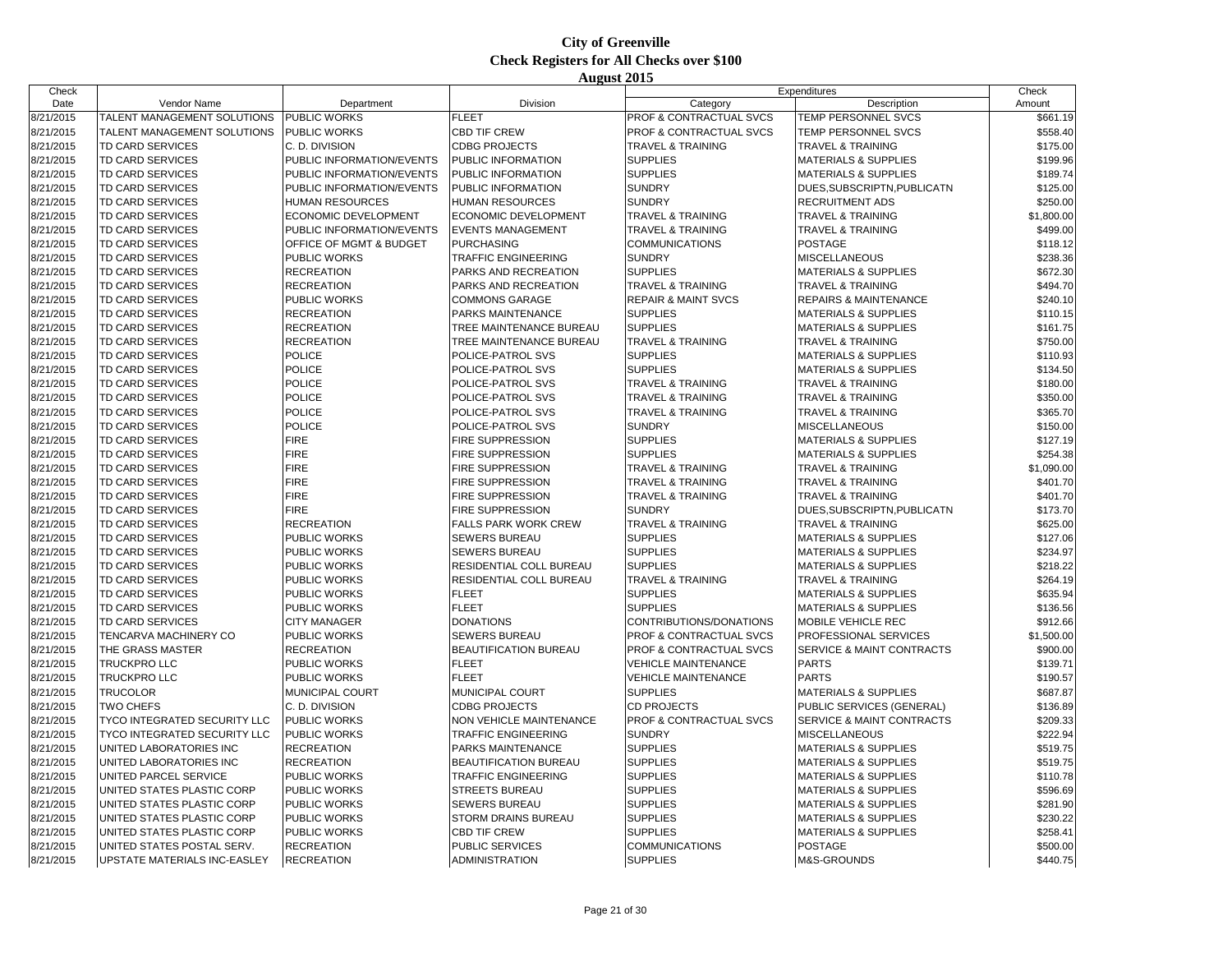| Check     |                                     |                           |                              |                                    | Expenditures                          | Check      |
|-----------|-------------------------------------|---------------------------|------------------------------|------------------------------------|---------------------------------------|------------|
| Date      | Vendor Name                         | Department                | Division                     | Category                           | Description                           | Amount     |
| 8/21/2015 | TALENT MANAGEMENT SOLUTIONS         | <b>PUBLIC WORKS</b>       | <b>FLEET</b>                 | PROF & CONTRACTUAL SVCS            | <b>TEMP PERSONNEL SVCS</b>            | \$661.19   |
| 8/21/2015 | TALENT MANAGEMENT SOLUTIONS         | <b>PUBLIC WORKS</b>       | <b>CBD TIF CREW</b>          | PROF & CONTRACTUAL SVCS            | TEMP PERSONNEL SVCS                   | \$558.40   |
| 8/21/2015 | TD CARD SERVICES                    | C. D. DIVISION            | <b>CDBG PROJECTS</b>         | <b>TRAVEL &amp; TRAINING</b>       | <b>TRAVEL &amp; TRAINING</b>          | \$175.00   |
| 8/21/2015 | TD CARD SERVICES                    | PUBLIC INFORMATION/EVENTS | PUBLIC INFORMATION           | <b>SUPPLIES</b>                    | <b>MATERIALS &amp; SUPPLIES</b>       | \$199.96   |
| 8/21/2015 | TD CARD SERVICES                    | PUBLIC INFORMATION/EVENTS | PUBLIC INFORMATION           | <b>SUPPLIES</b>                    | <b>MATERIALS &amp; SUPPLIES</b>       | \$189.74   |
| 8/21/2015 | TD CARD SERVICES                    | PUBLIC INFORMATION/EVENTS | PUBLIC INFORMATION           | <b>SUNDRY</b>                      | DUES, SUBSCRIPTN, PUBLICATN           | \$125.00   |
| 8/21/2015 | TD CARD SERVICES                    | <b>HUMAN RESOURCES</b>    | HUMAN RESOURCES              | <b>SUNDRY</b>                      | <b>RECRUITMENT ADS</b>                | \$250.00   |
| 8/21/2015 | TD CARD SERVICES                    | ECONOMIC DEVELOPMENT      | ECONOMIC DEVELOPMENT         | <b>TRAVEL &amp; TRAINING</b>       | <b>TRAVEL &amp; TRAINING</b>          | \$1,800.00 |
| 8/21/2015 | <b>TD CARD SERVICES</b>             | PUBLIC INFORMATION/EVENTS | <b>EVENTS MANAGEMENT</b>     | <b>TRAVEL &amp; TRAINING</b>       | <b>TRAVEL &amp; TRAINING</b>          | \$499.00   |
| 8/21/2015 | TD CARD SERVICES                    | OFFICE OF MGMT & BUDGET   | <b>PURCHASING</b>            | <b>COMMUNICATIONS</b>              | <b>POSTAGE</b>                        | \$118.12   |
| 8/21/2015 | TD CARD SERVICES                    | PUBLIC WORKS              | <b>TRAFFIC ENGINEERING</b>   | <b>SUNDRY</b>                      | <b>MISCELLANEOUS</b>                  | \$238.36   |
| 8/21/2015 | TD CARD SERVICES                    | <b>RECREATION</b>         | PARKS AND RECREATION         | <b>SUPPLIES</b>                    | <b>MATERIALS &amp; SUPPLIES</b>       | \$672.30   |
| 8/21/2015 | TD CARD SERVICES                    | <b>RECREATION</b>         | PARKS AND RECREATION         | <b>TRAVEL &amp; TRAINING</b>       | <b>TRAVEL &amp; TRAINING</b>          | \$494.70   |
| 8/21/2015 | TD CARD SERVICES                    | PUBLIC WORKS              | COMMONS GARAGE               | <b>REPAIR &amp; MAINT SVCS</b>     | <b>REPAIRS &amp; MAINTENANCE</b>      | \$240.10   |
| 8/21/2015 | TD CARD SERVICES                    | <b>RECREATION</b>         | PARKS MAINTENANCE            | <b>SUPPLIES</b>                    | <b>MATERIALS &amp; SUPPLIES</b>       | \$110.15   |
| 8/21/2015 | TD CARD SERVICES                    | <b>RECREATION</b>         | TREE MAINTENANCE BUREAU      | <b>SUPPLIES</b>                    | <b>MATERIALS &amp; SUPPLIES</b>       | \$161.75   |
| 8/21/2015 | TD CARD SERVICES                    | <b>RECREATION</b>         | TREE MAINTENANCE BUREAU      | <b>TRAVEL &amp; TRAINING</b>       | <b>TRAVEL &amp; TRAINING</b>          | \$750.00   |
| 8/21/2015 | <b>TD CARD SERVICES</b>             | <b>POLICE</b>             | POLICE-PATROL SVS            | <b>SUPPLIES</b>                    | <b>MATERIALS &amp; SUPPLIES</b>       | \$110.93   |
| 8/21/2015 | TD CARD SERVICES                    | <b>POLICE</b>             | POLICE-PATROL SVS            | <b>SUPPLIES</b>                    | <b>MATERIALS &amp; SUPPLIES</b>       | \$134.50   |
|           |                                     | <b>POLICE</b>             |                              |                                    | <b>TRAVEL &amp; TRAINING</b>          |            |
| 8/21/2015 | TD CARD SERVICES                    | <b>POLICE</b>             | POLICE-PATROL SVS            | <b>TRAVEL &amp; TRAINING</b>       |                                       | \$180.00   |
| 8/21/2015 | TD CARD SERVICES                    |                           | POLICE-PATROL SVS            | <b>TRAVEL &amp; TRAINING</b>       | <b>TRAVEL &amp; TRAINING</b>          | \$350.00   |
| 8/21/2015 | TD CARD SERVICES                    | <b>POLICE</b>             | POLICE-PATROL SVS            | <b>TRAVEL &amp; TRAINING</b>       | <b>TRAVEL &amp; TRAINING</b>          | \$365.70   |
| 8/21/2015 | TD CARD SERVICES                    | <b>POLICE</b>             | POLICE-PATROL SVS            | <b>SUNDRY</b>                      | <b>MISCELLANEOUS</b>                  | \$150.00   |
| 8/21/2015 | TD CARD SERVICES                    | <b>FIRE</b>               | FIRE SUPPRESSION             | <b>SUPPLIES</b>                    | <b>MATERIALS &amp; SUPPLIES</b>       | \$127.19   |
| 8/21/2015 | TD CARD SERVICES                    | <b>FIRE</b>               | FIRE SUPPRESSION             | <b>SUPPLIES</b>                    | <b>MATERIALS &amp; SUPPLIES</b>       | \$254.38   |
| 8/21/2015 | TD CARD SERVICES                    | <b>FIRE</b>               | FIRE SUPPRESSION             | <b>TRAVEL &amp; TRAINING</b>       | <b>TRAVEL &amp; TRAINING</b>          | \$1,090.00 |
| 8/21/2015 | <b>TD CARD SERVICES</b>             | <b>FIRE</b>               | <b>FIRE SUPPRESSION</b>      | <b>TRAVEL &amp; TRAINING</b>       | <b>TRAVEL &amp; TRAINING</b>          | \$401.70   |
| 8/21/2015 | TD CARD SERVICES                    | <b>FIRE</b>               | FIRE SUPPRESSION             | <b>TRAVEL &amp; TRAINING</b>       | <b>TRAVEL &amp; TRAINING</b>          | \$401.70   |
| 8/21/2015 | TD CARD SERVICES                    | <b>FIRE</b>               | FIRE SUPPRESSION             | <b>SUNDRY</b>                      | DUES, SUBSCRIPTN, PUBLICATN           | \$173.70   |
| 8/21/2015 | TD CARD SERVICES                    | <b>RECREATION</b>         | FALLS PARK WORK CREW         | TRAVEL & TRAINING                  | <b>TRAVEL &amp; TRAINING</b>          | \$625.00   |
| 8/21/2015 | TD CARD SERVICES                    | PUBLIC WORKS              | <b>SEWERS BUREAU</b>         | <b>SUPPLIES</b>                    | <b>MATERIALS &amp; SUPPLIES</b>       | \$127.06   |
| 8/21/2015 | TD CARD SERVICES                    | <b>PUBLIC WORKS</b>       | <b>SEWERS BUREAU</b>         | <b>SUPPLIES</b>                    | <b>MATERIALS &amp; SUPPLIES</b>       | \$234.97   |
| 8/21/2015 | TD CARD SERVICES                    | <b>PUBLIC WORKS</b>       | RESIDENTIAL COLL BUREAU      | <b>SUPPLIES</b>                    | <b>MATERIALS &amp; SUPPLIES</b>       | \$218.22   |
| 8/21/2015 | <b>TD CARD SERVICES</b>             | PUBLIC WORKS              | RESIDENTIAL COLL BUREAU      | <b>TRAVEL &amp; TRAINING</b>       | <b>TRAVEL &amp; TRAINING</b>          | \$264.19   |
| 8/21/2015 | TD CARD SERVICES                    | PUBLIC WORKS              | <b>FLEET</b>                 | <b>SUPPLIES</b>                    | <b>MATERIALS &amp; SUPPLIES</b>       | \$635.94   |
| 8/21/2015 | TD CARD SERVICES                    | <b>PUBLIC WORKS</b>       | <b>FLEET</b>                 | <b>SUPPLIES</b>                    | <b>MATERIALS &amp; SUPPLIES</b>       | \$136.56   |
| 8/21/2015 | TD CARD SERVICES                    | <b>CITY MANAGER</b>       | <b>DONATIONS</b>             | CONTRIBUTIONS/DONATIONS            | <b>MOBILE VEHICLE REC</b>             | \$912.66   |
| 8/21/2015 | TENCARVA MACHINERY CO               | <b>PUBLIC WORKS</b>       | <b>SEWERS BUREAU</b>         | PROF & CONTRACTUAL SVCS            | <b>PROFESSIONAL SERVICES</b>          | \$1,500.00 |
| 8/21/2015 | THE GRASS MASTER                    | <b>RECREATION</b>         | <b>BEAUTIFICATION BUREAU</b> | <b>PROF &amp; CONTRACTUAL SVCS</b> | <b>ISERVICE &amp; MAINT CONTRACTS</b> | \$900.00   |
| 8/21/2015 | <b>TRUCKPRO LLC</b>                 | PUBLIC WORKS              | <b>FLEET</b>                 | <b>VEHICLE MAINTENANCE</b>         | <b>PARTS</b>                          | \$139.71   |
| 8/21/2015 | TRUCKPRO LLC                        | PUBLIC WORKS              | <b>FLEET</b>                 | <b>VEHICLE MAINTENANCE</b>         | <b>PARTS</b>                          | \$190.57   |
| 8/21/2015 | <b>TRUCOLOR</b>                     | MUNICIPAL COURT           | MUNICIPAL COURT              | <b>SUPPLIES</b>                    | <b>MATERIALS &amp; SUPPLIES</b>       | \$687.87   |
| 8/21/2015 | <b>TWO CHEFS</b>                    | C. D. DIVISION            | <b>CDBG PROJECTS</b>         | CD PROJECTS                        | PUBLIC SERVICES (GENERAL)             | \$136.89   |
| 8/21/2015 | TYCO INTEGRATED SECURITY LLC        | <b>PUBLIC WORKS</b>       | NON VEHICLE MAINTENANCE      | PROF & CONTRACTUAL SVCS            | <b>SERVICE &amp; MAINT CONTRACTS</b>  | \$209.33   |
| 8/21/2015 | <b>TYCO INTEGRATED SECURITY LLC</b> | <b>PUBLIC WORKS</b>       | <b>TRAFFIC ENGINEERING</b>   | <b>SUNDRY</b>                      | <b>MISCELLANEOUS</b>                  | \$222.94   |
| 8/21/2015 | UNITED LABORATORIES INC             | <b>RECREATION</b>         | PARKS MAINTENANCE            | <b>SUPPLIES</b>                    | <b>MATERIALS &amp; SUPPLIES</b>       | \$519.75   |
| 8/21/2015 | UNITED LABORATORIES INC             | <b>RECREATION</b>         | BEAUTIFICATION BUREAU        | <b>SUPPLIES</b>                    | <b>MATERIALS &amp; SUPPLIES</b>       | \$519.75   |
| 8/21/2015 | UNITED PARCEL SERVICE               | <b>PUBLIC WORKS</b>       | <b>TRAFFIC ENGINEERING</b>   | <b>SUPPLIES</b>                    | <b>MATERIALS &amp; SUPPLIES</b>       | \$110.78   |
| 8/21/2015 | UNITED STATES PLASTIC CORP          | <b>PUBLIC WORKS</b>       | <b>STREETS BUREAU</b>        | <b>SUPPLIES</b>                    | <b>MATERIALS &amp; SUPPLIES</b>       | \$596.69   |
| 8/21/2015 | UNITED STATES PLASTIC CORP          | <b>PUBLIC WORKS</b>       | <b>SEWERS BUREAU</b>         | <b>SUPPLIES</b>                    | <b>MATERIALS &amp; SUPPLIES</b>       | \$281.90   |
| 8/21/2015 | UNITED STATES PLASTIC CORP          | <b>PUBLIC WORKS</b>       | STORM DRAINS BUREAU          | <b>SUPPLIES</b>                    | <b>MATERIALS &amp; SUPPLIES</b>       | \$230.22   |
| 8/21/2015 | UNITED STATES PLASTIC CORP          | <b>PUBLIC WORKS</b>       | <b>CBD TIF CREW</b>          | <b>SUPPLIES</b>                    | <b>MATERIALS &amp; SUPPLIES</b>       | \$258.41   |
| 8/21/2015 | UNITED STATES POSTAL SERV.          | <b>RECREATION</b>         | PUBLIC SERVICES              | <b>COMMUNICATIONS</b>              | <b>POSTAGE</b>                        | \$500.00   |
| 8/21/2015 | UPSTATE MATERIALS INC-EASLEY        | <b>RECREATION</b>         | <b>ADMINISTRATION</b>        | <b>SUPPLIES</b>                    | M&S-GROUNDS                           | \$440.75   |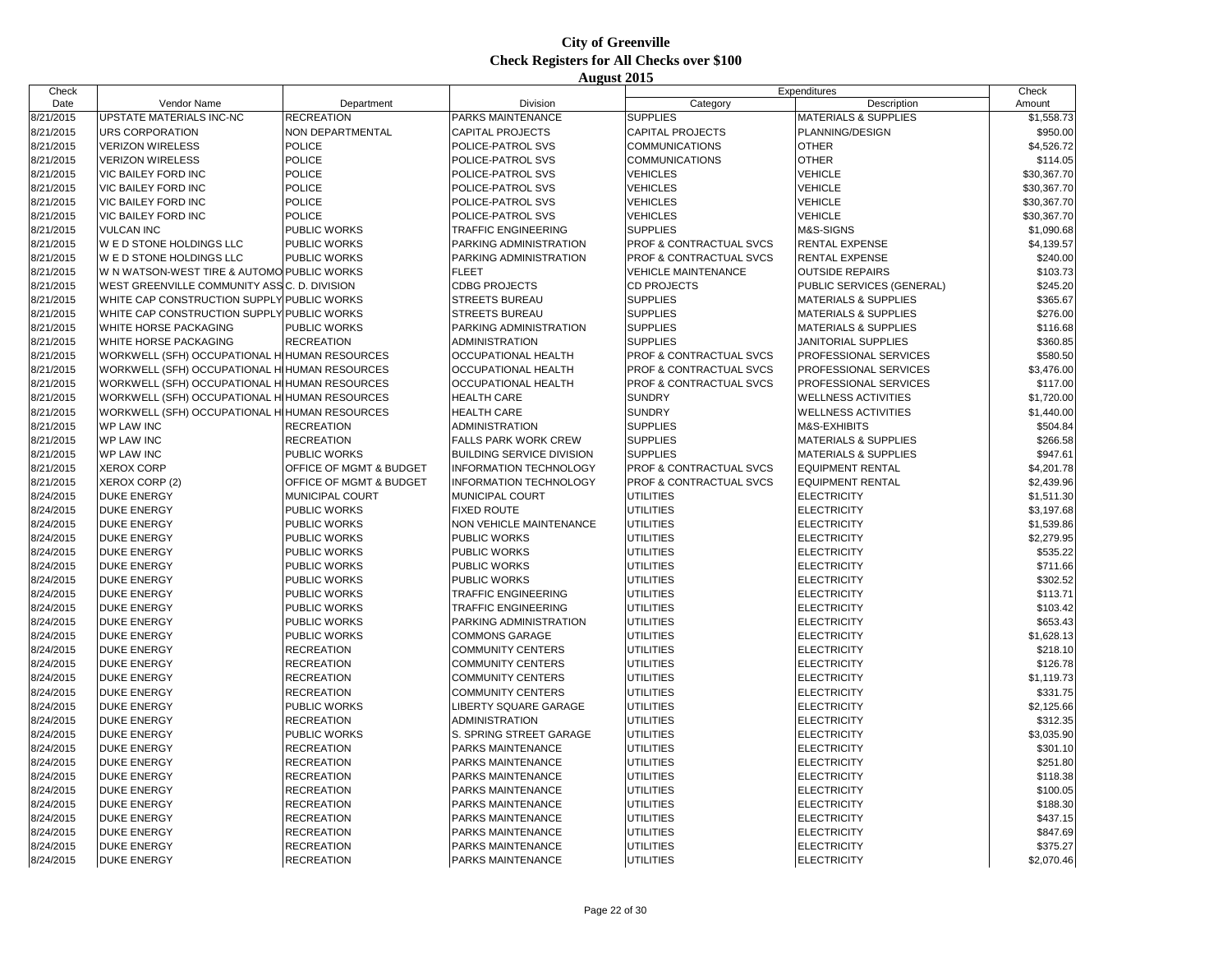| Check     |                                                |                         |                                  |                                    | Expenditures                    | Check       |
|-----------|------------------------------------------------|-------------------------|----------------------------------|------------------------------------|---------------------------------|-------------|
| Date      | Vendor Name                                    | Department              | Division                         | Category                           | Description                     | Amount      |
| 8/21/2015 | UPSTATE MATERIALS INC-NC                       | <b>RECREATION</b>       | PARKS MAINTENANCE                | <b>SUPPLIES</b>                    | <b>MATERIALS &amp; SUPPLIES</b> | \$1,558.73  |
| 8/21/2015 | <b>URS CORPORATION</b>                         | NON DEPARTMENTAL        | <b>CAPITAL PROJECTS</b>          | <b>CAPITAL PROJECTS</b>            | PLANNING/DESIGN                 | \$950.00    |
| 8/21/2015 | <b>VERIZON WIRELESS</b>                        | <b>POLICE</b>           | POLICE-PATROL SVS                | <b>COMMUNICATIONS</b>              | <b>OTHER</b>                    | \$4,526.72  |
| 8/21/2015 | <b>VERIZON WIRELESS</b>                        | <b>POLICE</b>           | POLICE-PATROL SVS                | <b>COMMUNICATIONS</b>              | <b>OTHER</b>                    | \$114.05    |
| 8/21/2015 | <b>VIC BAILEY FORD INC</b>                     | <b>POLICE</b>           | POLICE-PATROL SVS                | VEHICLES                           | <b>VEHICLE</b>                  | \$30,367.70 |
| 8/21/2015 | VIC BAILEY FORD INC                            | <b>POLICE</b>           | POLICE-PATROL SVS                | VEHICLES                           | <b>VEHICLE</b>                  | \$30,367.70 |
| 8/21/2015 | <b>VIC BAILEY FORD INC</b>                     | <b>POLICE</b>           | POLICE-PATROL SVS                | <b>VEHICLES</b>                    | <b>VEHICLE</b>                  | \$30,367.70 |
| 8/21/2015 | <b>VIC BAILEY FORD INC</b>                     | <b>POLICE</b>           | POLICE-PATROL SVS                | <b>VEHICLES</b>                    | <b>VEHICLE</b>                  | \$30,367.70 |
| 8/21/2015 | <b>VULCAN INC</b>                              | PUBLIC WORKS            | <b>TRAFFIC ENGINEERING</b>       | <b>SUPPLIES</b>                    | M&S-SIGNS                       | \$1,090.68  |
| 8/21/2015 | W E D STONE HOLDINGS LLC                       | <b>PUBLIC WORKS</b>     | PARKING ADMINISTRATION           | <b>PROF &amp; CONTRACTUAL SVCS</b> | <b>RENTAL EXPENSE</b>           | \$4,139.57  |
| 8/21/2015 | <b>WED STONE HOLDINGS LLC</b>                  | PUBLIC WORKS            | PARKING ADMINISTRATION           | <b>PROF &amp; CONTRACTUAL SVCS</b> | <b>RENTAL EXPENSE</b>           | \$240.00    |
| 8/21/2015 | W N WATSON-WEST TIRE & AUTOMO PUBLIC WORKS     |                         | <b>FLEET</b>                     | <b>VEHICLE MAINTENANCE</b>         | <b>OUTSIDE REPAIRS</b>          | \$103.73    |
| 8/21/2015 | WEST GREENVILLE COMMUNITY ASS C. D. DIVISION   |                         | <b>CDBG PROJECTS</b>             | <b>CD PROJECTS</b>                 | PUBLIC SERVICES (GENERAL)       | \$245.20    |
| 8/21/2015 | WHITE CAP CONSTRUCTION SUPPLY PUBLIC WORKS     |                         | <b>STREETS BUREAU</b>            | <b>SUPPLIES</b>                    | <b>MATERIALS &amp; SUPPLIES</b> | \$365.67    |
| 8/21/2015 | WHITE CAP CONSTRUCTION SUPPLY PUBLIC WORKS     |                         | <b>STREETS BUREAU</b>            | <b>SUPPLIES</b>                    | <b>MATERIALS &amp; SUPPLIES</b> | \$276.00    |
| 8/21/2015 | <b>WHITE HORSE PACKAGING</b>                   | PUBLIC WORKS            | PARKING ADMINISTRATION           | <b>SUPPLIES</b>                    | <b>MATERIALS &amp; SUPPLIES</b> | \$116.68    |
| 8/21/2015 | WHITE HORSE PACKAGING                          | <b>RECREATION</b>       | <b>ADMINISTRATION</b>            | <b>SUPPLIES</b>                    | <b>JANITORIAL SUPPLIES</b>      | \$360.85    |
| 8/21/2015 | WORKWELL (SFH) OCCUPATIONAL HIHUMAN RESOURCES  |                         | <b>OCCUPATIONAL HEALTH</b>       | PROF & CONTRACTUAL SVCS            | PROFESSIONAL SERVICES           | \$580.50    |
| 8/21/2015 | WORKWELL (SFH) OCCUPATIONAL HIHUMAN RESOURCES  |                         | <b>OCCUPATIONAL HEALTH</b>       | PROF & CONTRACTUAL SVCS            | PROFESSIONAL SERVICES           | \$3,476.00  |
| 8/21/2015 |                                                |                         |                                  |                                    |                                 |             |
|           | WORKWELL (SFH) OCCUPATIONAL HI HUMAN RESOURCES |                         | <b>OCCUPATIONAL HEALTH</b>       | PROF & CONTRACTUAL SVCS            | PROFESSIONAL SERVICES           | \$117.00    |
| 8/21/2015 | WORKWELL (SFH) OCCUPATIONAL HIHUMAN RESOURCES  |                         | <b>HEALTH CARE</b>               | <b>SUNDRY</b>                      | <b>WELLNESS ACTIVITIES</b>      | \$1,720.00  |
| 8/21/2015 | WORKWELL (SFH) OCCUPATIONAL HI HUMAN RESOURCES |                         | <b>HEALTH CARE</b>               | <b>SUNDRY</b>                      | <b>WELLNESS ACTIVITIES</b>      | \$1,440.00  |
| 8/21/2015 | <b>WP LAW INC</b>                              | <b>RECREATION</b>       | <b>ADMINISTRATION</b>            | <b>SUPPLIES</b>                    | M&S-EXHIBITS                    | \$504.84    |
| 8/21/2015 | <b>WP LAW INC</b>                              | <b>RECREATION</b>       | <b>FALLS PARK WORK CREW</b>      | <b>SUPPLIES</b>                    | <b>MATERIALS &amp; SUPPLIES</b> | \$266.58    |
| 8/21/2015 | <b>WP LAW INC</b>                              | PUBLIC WORKS            | <b>BUILDING SERVICE DIVISION</b> | <b>SUPPLIES</b>                    | <b>MATERIALS &amp; SUPPLIES</b> | \$947.61    |
| 8/21/2015 | <b>XEROX CORP</b>                              | OFFICE OF MGMT & BUDGET | <b>INFORMATION TECHNOLOGY</b>    | PROF & CONTRACTUAL SVCS            | <b>EQUIPMENT RENTAL</b>         | \$4,201.78  |
| 8/21/2015 | XEROX CORP (2)                                 | OFFICE OF MGMT & BUDGET | <b>INFORMATION TECHNOLOGY</b>    | PROF & CONTRACTUAL SVCS            | <b>EQUIPMENT RENTAL</b>         | \$2,439.96  |
| 8/24/2015 | <b>DUKE ENERGY</b>                             | MUNICIPAL COURT         | MUNICIPAL COURT                  | <b>UTILITIES</b>                   | <b>ELECTRICITY</b>              | \$1,511.30  |
| 8/24/2015 | <b>DUKE ENERGY</b>                             | <b>PUBLIC WORKS</b>     | <b>FIXED ROUTE</b>               | <b>UTILITIES</b>                   | <b>ELECTRICITY</b>              | \$3,197.68  |
| 8/24/2015 | <b>DUKE ENERGY</b>                             | PUBLIC WORKS            | NON VEHICLE MAINTENANCE          | <b>UTILITIES</b>                   | <b>ELECTRICITY</b>              | \$1,539.86  |
| 8/24/2015 | <b>DUKE ENERGY</b>                             | PUBLIC WORKS            | <b>PUBLIC WORKS</b>              | <b>UTILITIES</b>                   | <b>ELECTRICITY</b>              | \$2,279.95  |
| 8/24/2015 | <b>DUKE ENERGY</b>                             | PUBLIC WORKS            | <b>PUBLIC WORKS</b>              | UTILITIES                          | <b>ELECTRICITY</b>              | \$535.22    |
| 8/24/2015 | <b>DUKE ENERGY</b>                             | PUBLIC WORKS            | <b>PUBLIC WORKS</b>              | UTILITIES                          | <b>ELECTRICITY</b>              | \$711.66    |
| 8/24/2015 | <b>DUKE ENERGY</b>                             | <b>PUBLIC WORKS</b>     | <b>PUBLIC WORKS</b>              | <b>UTILITIES</b>                   | <b>ELECTRICITY</b>              | \$302.52    |
| 8/24/2015 | <b>DUKE ENERGY</b>                             | PUBLIC WORKS            | <b>TRAFFIC ENGINEERING</b>       | UTILITIES                          | <b>ELECTRICITY</b>              | \$113.71    |
| 8/24/2015 | <b>DUKE ENERGY</b>                             | <b>PUBLIC WORKS</b>     | <b>TRAFFIC ENGINEERING</b>       | <b>UTILITIES</b>                   | <b>ELECTRICITY</b>              | \$103.42    |
| 8/24/2015 | <b>DUKE ENERGY</b>                             | <b>PUBLIC WORKS</b>     | PARKING ADMINISTRATION           | <b>UTILITIES</b>                   | <b>ELECTRICITY</b>              | \$653.43    |
| 8/24/2015 | <b>DUKE ENERGY</b>                             | PUBLIC WORKS            | <b>COMMONS GARAGE</b>            | UTILITIES                          | <b>ELECTRICITY</b>              | \$1,628.13  |
| 8/24/2015 | <b>DUKE ENERGY</b>                             | <b>RECREATION</b>       | <b>COMMUNITY CENTERS</b>         | UTILITIES                          | <b>ELECTRICITY</b>              | \$218.10    |
| 8/24/2015 | <b>DUKE ENERGY</b>                             | <b>RECREATION</b>       | <b>COMMUNITY CENTERS</b>         | <b>UTILITIES</b>                   | <b>ELECTRICITY</b>              | \$126.78    |
| 8/24/2015 | <b>DUKE ENERGY</b>                             | <b>RECREATION</b>       | <b>COMMUNITY CENTERS</b>         | UTILITIES                          | <b>ELECTRICITY</b>              | \$1,119.73  |
| 8/24/2015 | <b>DUKE ENERGY</b>                             | <b>RECREATION</b>       | <b>COMMUNITY CENTERS</b>         | UTILITIES                          | <b>ELECTRICITY</b>              | \$331.75    |
| 8/24/2015 | <b>DUKE ENERGY</b>                             | PUBLIC WORKS            | LIBERTY SQUARE GARAGE            | <b>UTILITIES</b>                   | <b>ELECTRICITY</b>              | \$2,125.66  |
| 8/24/2015 | <b>DUKE ENERGY</b>                             | <b>RECREATION</b>       | <b>ADMINISTRATION</b>            | UTILITIES                          | <b>ELECTRICITY</b>              | \$312.35    |
| 8/24/2015 | <b>DUKE ENERGY</b>                             | PUBLIC WORKS            | S. SPRING STREET GARAGE          | <b>UTILITIES</b>                   | <b>ELECTRICITY</b>              | \$3,035.90  |
| 8/24/2015 | <b>DUKE ENERGY</b>                             | <b>RECREATION</b>       | PARKS MAINTENANCE                | <b>UTILITIES</b>                   | <b>ELECTRICITY</b>              | \$301.10    |
| 8/24/2015 | <b>DUKE ENERGY</b>                             | <b>RECREATION</b>       | <b>PARKS MAINTENANCE</b>         | <b>UTILITIES</b>                   | <b>ELECTRICITY</b>              | \$251.80    |
| 8/24/2015 | <b>DUKE ENERGY</b>                             | <b>RECREATION</b>       | PARKS MAINTENANCE                | UTILITIES                          | <b>ELECTRICITY</b>              | \$118.38    |
| 8/24/2015 | <b>DUKE ENERGY</b>                             | <b>RECREATION</b>       | PARKS MAINTENANCE                | <b>UTILITIES</b>                   | <b>ELECTRICITY</b>              | \$100.05    |
| 8/24/2015 | <b>DUKE ENERGY</b>                             | <b>RECREATION</b>       | PARKS MAINTENANCE                | UTILITIES                          | <b>ELECTRICITY</b>              | \$188.30    |
| 8/24/2015 | <b>DUKE ENERGY</b>                             | <b>RECREATION</b>       | <b>PARKS MAINTENANCE</b>         | UTILITIES                          | <b>ELECTRICITY</b>              | \$437.15    |
| 8/24/2015 | <b>DUKE ENERGY</b>                             | <b>RECREATION</b>       | PARKS MAINTENANCE                | <b>UTILITIES</b>                   | <b>ELECTRICITY</b>              | \$847.69    |
| 8/24/2015 | <b>DUKE ENERGY</b>                             | <b>RECREATION</b>       | <b>PARKS MAINTENANCE</b>         | <b>UTILITIES</b>                   | <b>ELECTRICITY</b>              | \$375.27    |
| 8/24/2015 | <b>DUKE ENERGY</b>                             | <b>RECREATION</b>       | <b>PARKS MAINTENANCE</b>         | <b>UTILITIES</b>                   | <b>ELECTRICITY</b>              | \$2,070.46  |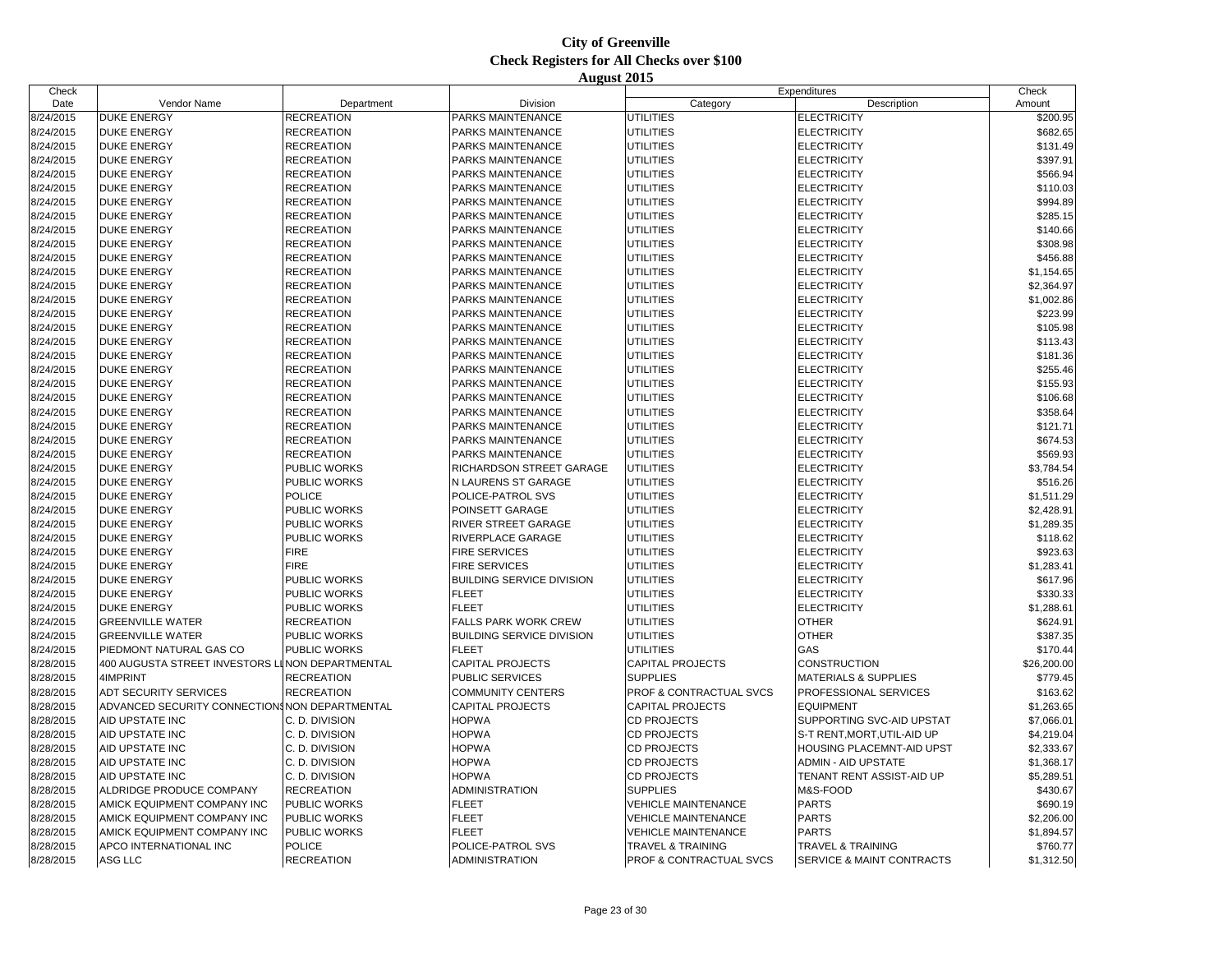| Check     |                                                 |                     |                                  |                            | Expenditures                         | Check       |
|-----------|-------------------------------------------------|---------------------|----------------------------------|----------------------------|--------------------------------------|-------------|
| Date      | Vendor Name                                     | Department          | Division                         | Category                   | Description                          | Amount      |
| 8/24/2015 | <b>DUKE ENERGY</b>                              | <b>RECREATION</b>   | PARKS MAINTENANCE                | UTILITIES                  | <b>ELECTRICITY</b>                   | \$200.95    |
| 8/24/2015 | <b>DUKE ENERGY</b>                              | <b>RECREATION</b>   | PARKS MAINTENANCE                | <b>UTILITIES</b>           | <b>ELECTRICITY</b>                   | \$682.65    |
| 8/24/2015 | <b>DUKE ENERGY</b>                              | <b>RECREATION</b>   | PARKS MAINTENANCE                | <b>UTILITIES</b>           | <b>ELECTRICITY</b>                   | \$131.49    |
| 8/24/2015 | <b>DUKE ENERGY</b>                              | <b>RECREATION</b>   | PARKS MAINTENANCE                | UTILITIES                  | <b>ELECTRICITY</b>                   | \$397.91    |
| 8/24/2015 | <b>DUKE ENERGY</b>                              | <b>RECREATION</b>   | PARKS MAINTENANCE                | UTILITIES                  | <b>ELECTRICITY</b>                   | \$566.94    |
| 8/24/2015 | <b>DUKE ENERGY</b>                              | <b>RECREATION</b>   | PARKS MAINTENANCE                | <b>UTILITIES</b>           | <b>ELECTRICITY</b>                   | \$110.03    |
| 8/24/2015 | <b>DUKE ENERGY</b>                              | <b>RECREATION</b>   | PARKS MAINTENANCE                | <b>UTILITIES</b>           | <b>ELECTRICITY</b>                   | \$994.89    |
| 8/24/2015 | <b>DUKE ENERGY</b>                              | <b>RECREATION</b>   | <b>PARKS MAINTENANCE</b>         | UTILITIES                  | <b>ELECTRICITY</b>                   | \$285.15    |
| 8/24/2015 | <b>DUKE ENERGY</b>                              | <b>RECREATION</b>   | PARKS MAINTENANCE                | <b>UTILITIES</b>           | <b>ELECTRICITY</b>                   | \$140.66    |
| 8/24/2015 | <b>DUKE ENERGY</b>                              | <b>RECREATION</b>   | PARKS MAINTENANCE                | <b>UTILITIES</b>           | <b>ELECTRICITY</b>                   | \$308.98    |
| 8/24/2015 | <b>DUKE ENERGY</b>                              | <b>RECREATION</b>   | PARKS MAINTENANCE                | UTILITIES                  | <b>ELECTRICITY</b>                   | \$456.88    |
| 8/24/2015 | <b>DUKE ENERGY</b>                              | <b>RECREATION</b>   | PARKS MAINTENANCE                | UTILITIES                  | <b>ELECTRICITY</b>                   | \$1,154.65  |
| 8/24/2015 | <b>DUKE ENERGY</b>                              | <b>RECREATION</b>   | PARKS MAINTENANCE                | <b>UTILITIES</b>           | <b>ELECTRICITY</b>                   | \$2,364.97  |
| 8/24/2015 | <b>DUKE ENERGY</b>                              | <b>RECREATION</b>   | PARKS MAINTENANCE                | UTILITIES                  | <b>ELECTRICITY</b>                   | \$1,002.86  |
| 8/24/2015 | <b>DUKE ENERGY</b>                              | <b>RECREATION</b>   | PARKS MAINTENANCE                | UTILITIES                  | <b>ELECTRICITY</b>                   | \$223.99    |
| 8/24/2015 | <b>DUKE ENERGY</b>                              | <b>RECREATION</b>   | PARKS MAINTENANCE                | <b>UTILITIES</b>           | <b>ELECTRICITY</b>                   | \$105.98    |
| 8/24/2015 | <b>DUKE ENERGY</b>                              | <b>RECREATION</b>   | PARKS MAINTENANCE                | UTILITIES                  | <b>ELECTRICITY</b>                   | \$113.43    |
| 8/24/2015 | <b>DUKE ENERGY</b>                              | <b>RECREATION</b>   | PARKS MAINTENANCE                | UTILITIES                  | <b>ELECTRICITY</b>                   | \$181.36    |
| 8/24/2015 | <b>DUKE ENERGY</b>                              | <b>RECREATION</b>   | PARKS MAINTENANCE                | <b>UTILITIES</b>           | <b>ELECTRICITY</b>                   | \$255.46    |
| 8/24/2015 | <b>DUKE ENERGY</b>                              | <b>RECREATION</b>   | PARKS MAINTENANCE                | <b>UTILITIES</b>           | <b>ELECTRICITY</b>                   | \$155.93    |
| 8/24/2015 | <b>DUKE ENERGY</b>                              | <b>RECREATION</b>   | PARKS MAINTENANCE                | <b>UTILITIES</b>           | <b>ELECTRICITY</b>                   | \$106.68    |
| 8/24/2015 | <b>DUKE ENERGY</b>                              | <b>RECREATION</b>   | PARKS MAINTENANCE                | <b>UTILITIES</b>           | <b>ELECTRICITY</b>                   | \$358.64    |
| 8/24/2015 | <b>DUKE ENERGY</b>                              | <b>RECREATION</b>   | PARKS MAINTENANCE                | UTILITIES                  | <b>ELECTRICITY</b>                   | \$121.7'    |
| 8/24/2015 | <b>DUKE ENERGY</b>                              | <b>RECREATION</b>   | PARKS MAINTENANCE                | UTILITIES                  | <b>ELECTRICITY</b>                   | \$674.53    |
| 8/24/2015 | <b>DUKE ENERGY</b>                              | <b>RECREATION</b>   | PARKS MAINTENANCE                | <b>UTILITIES</b>           | <b>ELECTRICITY</b>                   | \$569.93    |
| 8/24/2015 | <b>DUKE ENERGY</b>                              | <b>PUBLIC WORKS</b> | RICHARDSON STREET GARAGE         | UTILITIES                  | <b>ELECTRICITY</b>                   | \$3,784.54  |
| 8/24/2015 | <b>DUKE ENERGY</b>                              | PUBLIC WORKS        | N LAURENS ST GARAGE              | <b>UTILITIES</b>           | <b>ELECTRICITY</b>                   | \$516.26    |
| 8/24/2015 | <b>DUKE ENERGY</b>                              | <b>POLICE</b>       | POLICE-PATROL SVS                | <b>UTILITIES</b>           | <b>ELECTRICITY</b>                   | \$1,511.29  |
| 8/24/2015 | <b>DUKE ENERGY</b>                              | PUBLIC WORKS        | POINSETT GARAGE                  | UTILITIES                  | <b>ELECTRICITY</b>                   | \$2,428.91  |
| 8/24/2015 | <b>DUKE ENERGY</b>                              | <b>PUBLIC WORKS</b> | RIVER STREET GARAGE              | UTILITIES                  | <b>ELECTRICITY</b>                   | \$1,289.35  |
| 8/24/2015 | <b>DUKE ENERGY</b>                              | PUBLIC WORKS        | RIVERPLACE GARAGE                | <b>UTILITIES</b>           | <b>ELECTRICITY</b>                   | \$118.62    |
| 8/24/2015 | <b>DUKE ENERGY</b>                              | <b>FIRE</b>         | <b>FIRE SERVICES</b>             | UTILITIES                  | <b>ELECTRICITY</b>                   | \$923.63    |
| 8/24/2015 | <b>DUKE ENERGY</b>                              | <b>FIRE</b>         | <b>FIRE SERVICES</b>             | UTILITIES                  | <b>ELECTRICITY</b>                   | \$1,283.4   |
| 8/24/2015 | <b>DUKE ENERGY</b>                              | PUBLIC WORKS        | <b>BUILDING SERVICE DIVISION</b> | <b>UTILITIES</b>           | <b>ELECTRICITY</b>                   | \$617.96    |
| 8/24/2015 | <b>DUKE ENERGY</b>                              | <b>PUBLIC WORKS</b> | <b>FLEET</b>                     | UTILITIES                  | <b>ELECTRICITY</b>                   | \$330.33    |
| 8/24/2015 | <b>DUKE ENERGY</b>                              | PUBLIC WORKS        | <b>FLEET</b>                     | UTILITIES                  | <b>ELECTRICITY</b>                   | \$1,288.6   |
| 8/24/2015 | <b>GREENVILLE WATER</b>                         | <b>RECREATION</b>   | <b>FALLS PARK WORK CREW</b>      | UTILITIES                  | <b>OTHER</b>                         | \$624.9'    |
| 8/24/2015 | <b>GREENVILLE WATER</b>                         | <b>PUBLIC WORKS</b> | <b>BUILDING SERVICE DIVISION</b> | UTILITIES                  | <b>OTHER</b>                         | \$387.35    |
| 8/24/2015 | PIEDMONT NATURAL GAS CO                         | PUBLIC WORKS        | <b>FLEET</b>                     | UTILITIES                  | GAS                                  | \$170.44    |
| 8/28/2015 | 400 AUGUSTA STREET INVESTORS LINON DEPARTMENTAL |                     | <b>CAPITAL PROJECTS</b>          | <b>CAPITAL PROJECTS</b>    | <b>CONSTRUCTION</b>                  | \$26,200.00 |
| 8/28/2015 | 4IMPRINT                                        | <b>RECREATION</b>   | <b>PUBLIC SERVICES</b>           | <b>SUPPLIES</b>            | <b>MATERIALS &amp; SUPPLIES</b>      | \$779.45    |
| 8/28/2015 | ADT SECURITY SERVICES                           | <b>RECREATION</b>   | <b>COMMUNITY CENTERS</b>         | PROF & CONTRACTUAL SVCS    | PROFESSIONAL SERVICES                | \$163.62    |
| 8/28/2015 | ADVANCED SECURITY CONNECTIONS NON DEPARTMENTAL  |                     | CAPITAL PROJECTS                 | <b>CAPITAL PROJECTS</b>    | <b>EQUIPMENT</b>                     | \$1,263.65  |
| 8/28/2015 | AID UPSTATE INC                                 | C. D. DIVISION      | HOPWA                            | <b>CD PROJECTS</b>         | SUPPORTING SVC-AID UPSTAT            | \$7,066.0   |
| 8/28/2015 | AID UPSTATE INC                                 | C. D. DIVISION      | <b>HOPWA</b>                     | CD PROJECTS                | S-T RENT, MORT, UTIL-AID UP          | \$4,219.04  |
| 8/28/2015 | AID UPSTATE INC                                 | C. D. DIVISION      | <b>HOPWA</b>                     | <b>CD PROJECTS</b>         | HOUSING PLACEMNT-AID UPST            | \$2,333.67  |
| 8/28/2015 | AID UPSTATE INC                                 | C. D. DIVISION      | <b>HOPWA</b>                     | CD PROJECTS                | <b>ADMIN - AID UPSTATE</b>           | \$1,368.17  |
| 8/28/2015 | AID UPSTATE INC                                 | C. D. DIVISION      | <b>HOPWA</b>                     | CD PROJECTS                | TENANT RENT ASSIST-AID UP            | \$5,289.51  |
| 8/28/2015 | ALDRIDGE PRODUCE COMPANY                        | <b>RECREATION</b>   | <b>ADMINISTRATION</b>            | <b>SUPPLIES</b>            | M&S-FOOD                             | \$430.67    |
| 8/28/2015 | AMICK EQUIPMENT COMPANY INC                     | <b>PUBLIC WORKS</b> | <b>FLEET</b>                     | <b>VEHICLE MAINTENANCE</b> | <b>PARTS</b>                         | \$690.19    |
| 8/28/2015 | AMICK EQUIPMENT COMPANY INC                     | <b>PUBLIC WORKS</b> | <b>FLEET</b>                     | <b>VEHICLE MAINTENANCE</b> | <b>PARTS</b>                         | \$2,206.00  |
| 8/28/2015 | AMICK EQUIPMENT COMPANY INC                     | <b>PUBLIC WORKS</b> | <b>FLEET</b>                     | <b>VEHICLE MAINTENANCE</b> | <b>PARTS</b>                         | \$1,894.57  |
| 8/28/2015 | APCO INTERNATIONAL INC                          | <b>POLICE</b>       | POLICE-PATROL SVS                | TRAVEL & TRAINING          | <b>TRAVEL &amp; TRAINING</b>         | \$760.77    |
| 8/28/2015 | <b>ASG LLC</b>                                  | <b>RECREATION</b>   | <b>ADMINISTRATION</b>            | PROF & CONTRACTUAL SVCS    | <b>SERVICE &amp; MAINT CONTRACTS</b> | \$1,312.50  |
|           |                                                 |                     |                                  |                            |                                      |             |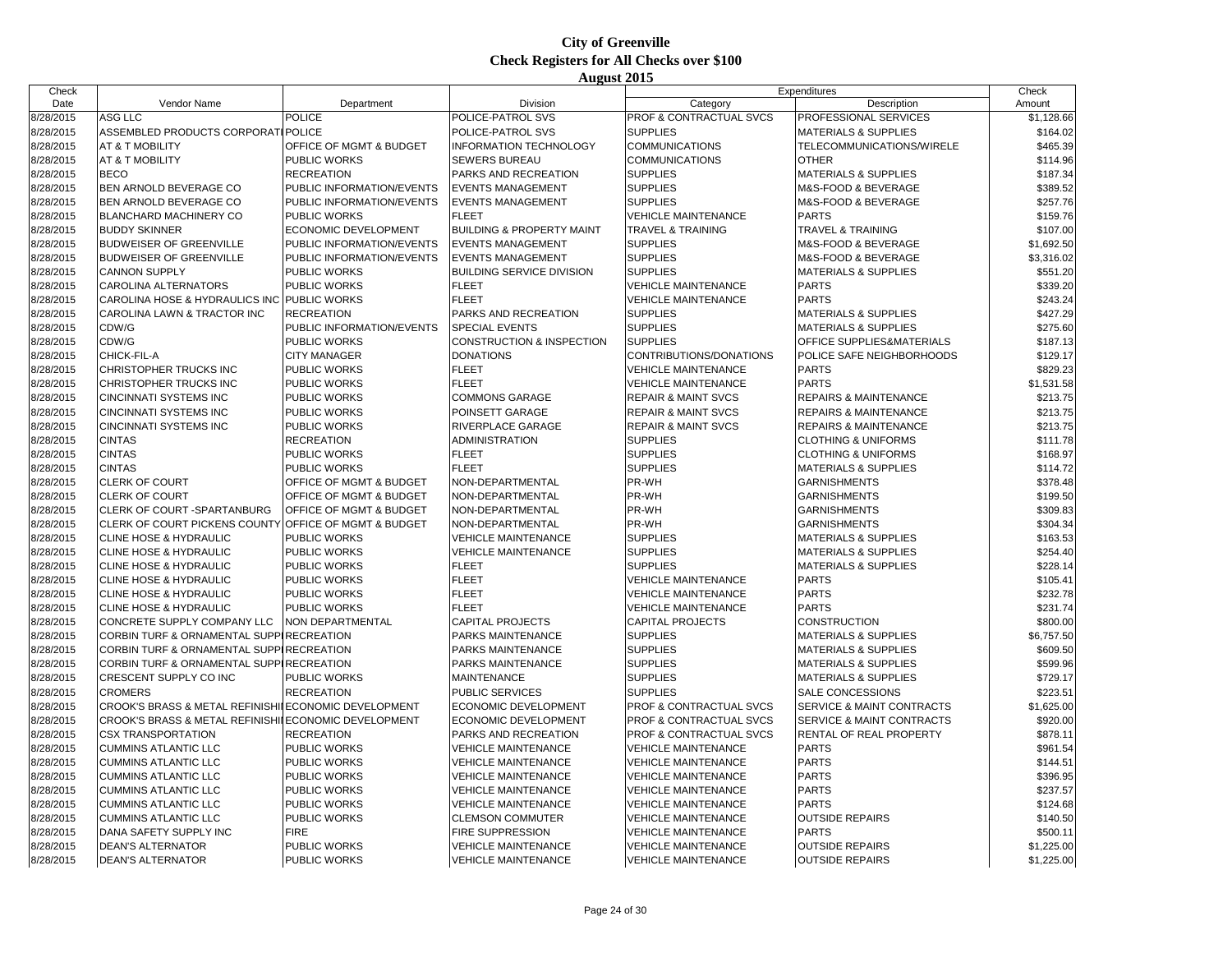| Check     |                                                       |                                    |                                      |                                | Expenditures                    | Check      |
|-----------|-------------------------------------------------------|------------------------------------|--------------------------------------|--------------------------------|---------------------------------|------------|
| Date      | Vendor Name                                           | Department                         | Division                             | Category                       | Description                     | Amount     |
| 8/28/2015 | <b>ASG LLC</b>                                        | <b>POLICE</b>                      | POLICE-PATROL SVS                    | PROF & CONTRACTUAL SVCS        | PROFESSIONAL SERVICES           | \$1,128.66 |
| 8/28/2015 | ASSEMBLED PRODUCTS CORPORATI POLICE                   |                                    | POLICE-PATROL SVS                    | <b>SUPPLIES</b>                | <b>MATERIALS &amp; SUPPLIES</b> | \$164.02   |
| 8/28/2015 | AT & T MOBILITY                                       | OFFICE OF MGMT & BUDGET            | INFORMATION TECHNOLOGY               | <b>COMMUNICATIONS</b>          | TELECOMMUNICATIONS/WIRELE       | \$465.39   |
| 8/28/2015 | AT & T MOBILITY                                       | <b>PUBLIC WORKS</b>                | <b>SEWERS BUREAU</b>                 | <b>COMMUNICATIONS</b>          | <b>OTHER</b>                    | \$114.96   |
| 8/28/2015 | <b>BECO</b>                                           | <b>RECREATION</b>                  | PARKS AND RECREATION                 | <b>SUPPLIES</b>                | MATERIALS & SUPPLIES            | \$187.34   |
| 8/28/2015 | BEN ARNOLD BEVERAGE CO                                | PUBLIC INFORMATION/EVENTS          | <b>EVENTS MANAGEMENT</b>             | <b>SUPPLIES</b>                | M&S-FOOD & BEVERAGE             | \$389.52   |
| 8/28/2015 | BEN ARNOLD BEVERAGE CO                                | PUBLIC INFORMATION/EVENTS          | <b>EVENTS MANAGEMENT</b>             | <b>SUPPLIES</b>                | M&S-FOOD & BEVERAGE             | \$257.76   |
| 8/28/2015 | BLANCHARD MACHINERY CO                                | <b>PUBLIC WORKS</b>                | <b>FLEET</b>                         | <b>VEHICLE MAINTENANCE</b>     | <b>PARTS</b>                    | \$159.76   |
| 8/28/2015 | <b>BUDDY SKINNER</b>                                  | <b>ECONOMIC DEVELOPMENT</b>        | <b>BUILDING &amp; PROPERTY MAINT</b> | <b>TRAVEL &amp; TRAINING</b>   | TRAVEL & TRAINING               | \$107.00   |
| 8/28/2015 | <b>BUDWEISER OF GREENVILLE</b>                        | <b>PUBLIC INFORMATION/EVENTS</b>   | <b>EVENTS MANAGEMENT</b>             | <b>SUPPLIES</b>                | M&S-FOOD & BEVERAGE             | \$1,692.50 |
| 8/28/2015 | <b>BUDWEISER OF GREENVILLE</b>                        | PUBLIC INFORMATION/EVENTS          | <b>EVENTS MANAGEMENT</b>             | <b>SUPPLIES</b>                | M&S-FOOD & BEVERAGE             | \$3,316.02 |
| 8/28/2015 | <b>CANNON SUPPLY</b>                                  | <b>PUBLIC WORKS</b>                | <b>BUILDING SERVICE DIVISION</b>     | <b>SUPPLIES</b>                | <b>MATERIALS &amp; SUPPLIES</b> | \$551.20   |
| 8/28/2015 | CAROLINA ALTERNATORS                                  | <b>PUBLIC WORKS</b>                | <b>FLEET</b>                         | <b>VEHICLE MAINTENANCE</b>     | <b>PARTS</b>                    | \$339.20   |
| 8/28/2015 | CAROLINA HOSE & HYDRAULICS INC PUBLIC WORKS           |                                    | <b>FLEET</b>                         | <b>VEHICLE MAINTENANCE</b>     | <b>PARTS</b>                    | \$243.24   |
| 8/28/2015 | CAROLINA LAWN & TRACTOR INC                           | <b>RECREATION</b>                  | PARKS AND RECREATION                 | <b>SUPPLIES</b>                | <b>MATERIALS &amp; SUPPLIES</b> | \$427.29   |
| 8/28/2015 | CDW/G                                                 | PUBLIC INFORMATION/EVENTS          | <b>SPECIAL EVENTS</b>                | <b>SUPPLIES</b>                | <b>MATERIALS &amp; SUPPLIES</b> | \$275.60   |
| 8/28/2015 | CDW/G                                                 | PUBLIC WORKS                       | <b>CONSTRUCTION &amp; INSPECTION</b> | <b>SUPPLIES</b>                | OFFICE SUPPLIES&MATERIALS       | \$187.13   |
| 8/28/2015 | CHICK-FIL-A                                           | <b>CITY MANAGER</b>                | <b>DONATIONS</b>                     | CONTRIBUTIONS/DONATIONS        | POLICE SAFE NEIGHBORHOODS       | \$129.17   |
| 8/28/2015 | CHRISTOPHER TRUCKS INC                                | <b>PUBLIC WORKS</b>                | <b>FLEET</b>                         | <b>VEHICLE MAINTENANCE</b>     | <b>PARTS</b>                    | \$829.23   |
| 8/28/2015 | CHRISTOPHER TRUCKS INC                                | <b>PUBLIC WORKS</b>                | <b>FLEET</b>                         | <b>VEHICLE MAINTENANCE</b>     | <b>PARTS</b>                    | \$1,531.58 |
| 8/28/2015 | CINCINNATI SYSTEMS INC                                | PUBLIC WORKS                       | COMMONS GARAGE                       | <b>REPAIR &amp; MAINT SVCS</b> | REPAIRS & MAINTENANCE           | \$213.75   |
| 8/28/2015 | CINCINNATI SYSTEMS INC                                | <b>PUBLIC WORKS</b>                | POINSETT GARAGE                      | <b>REPAIR &amp; MAINT SVCS</b> | REPAIRS & MAINTENANCE           | \$213.75   |
| 8/28/2015 | <b>CINCINNATI SYSTEMS INC</b>                         | <b>PUBLIC WORKS</b>                | RIVERPLACE GARAGE                    | <b>REPAIR &amp; MAINT SVCS</b> | REPAIRS & MAINTENANCE           | \$213.75   |
| 8/28/2015 | <b>CINTAS</b>                                         | <b>RECREATION</b>                  | <b>ADMINISTRATION</b>                | <b>SUPPLIES</b>                | <b>CLOTHING &amp; UNIFORMS</b>  | \$111.78   |
| 8/28/2015 | <b>CINTAS</b>                                         | <b>PUBLIC WORKS</b>                | <b>FLEET</b>                         | <b>SUPPLIES</b>                | <b>CLOTHING &amp; UNIFORMS</b>  | \$168.97   |
| 8/28/2015 | <b>CINTAS</b>                                         | <b>PUBLIC WORKS</b>                | <b>FLEET</b>                         | <b>SUPPLIES</b>                | <b>MATERIALS &amp; SUPPLIES</b> | \$114.72   |
| 8/28/2015 | <b>CLERK OF COURT</b>                                 | OFFICE OF MGMT & BUDGET            | NON-DEPARTMENTAL                     | PR-WH                          | <b>GARNISHMENTS</b>             | \$378.48   |
| 8/28/2015 | <b>CLERK OF COURT</b>                                 | OFFICE OF MGMT & BUDGET            | NON-DEPARTMENTAL                     | PR-WH                          | <b>GARNISHMENTS</b>             | \$199.50   |
| 8/28/2015 | CLERK OF COURT -SPARTANBURG                           | <b>OFFICE OF MGMT &amp; BUDGET</b> | NON-DEPARTMENTAL                     | PR-WH                          | <b>GARNISHMENTS</b>             | \$309.83   |
| 8/28/2015 | CLERK OF COURT PICKENS COUNTY OFFICE OF MGMT & BUDGET |                                    | NON-DEPARTMENTAL                     | PR-WH                          | <b>GARNISHMENTS</b>             | \$304.34   |
| 8/28/2015 | CLINE HOSE & HYDRAULIC                                | PUBLIC WORKS                       | <b>VEHICLE MAINTENANCE</b>           | <b>SUPPLIES</b>                | <b>MATERIALS &amp; SUPPLIES</b> | \$163.53   |
| 8/28/2015 | CLINE HOSE & HYDRAULIC                                | PUBLIC WORKS                       | <b>VEHICLE MAINTENANCE</b>           | <b>SUPPLIES</b>                | <b>MATERIALS &amp; SUPPLIES</b> | \$254.40   |
| 8/28/2015 | <b>CLINE HOSE &amp; HYDRAULIC</b>                     | <b>PUBLIC WORKS</b>                | <b>FLEET</b>                         | <b>SUPPLIES</b>                | <b>MATERIALS &amp; SUPPLIES</b> | \$228.14   |
| 8/28/2015 | CLINE HOSE & HYDRAULIC                                | <b>PUBLIC WORKS</b>                | <b>FLEET</b>                         | <b>VEHICLE MAINTENANCE</b>     | <b>PARTS</b>                    | \$105.41   |
| 8/28/2015 | CLINE HOSE & HYDRAULIC                                | <b>PUBLIC WORKS</b>                | <b>FLEET</b>                         | <b>VEHICLE MAINTENANCE</b>     | <b>PARTS</b>                    | \$232.78   |
| 8/28/2015 | <b>CLINE HOSE &amp; HYDRAULIC</b>                     | <b>PUBLIC WORKS</b>                | <b>FLEET</b>                         | <b>VEHICLE MAINTENANCE</b>     | <b>PARTS</b>                    | \$231.74   |
| 8/28/2015 | CONCRETE SUPPLY COMPANY LLC                           | NON DEPARTMENTAL                   | <b>CAPITAL PROJECTS</b>              | <b>CAPITAL PROJECTS</b>        | <b>CONSTRUCTION</b>             | \$800.00   |
| 8/28/2015 | CORBIN TURF & ORNAMENTAL SUPPIRECREATION              |                                    | PARKS MAINTENANCE                    | <b>SUPPLIES</b>                | <b>MATERIALS &amp; SUPPLIES</b> | \$6,757.50 |
| 8/28/2015 | CORBIN TURF & ORNAMENTAL SUPPIRECREATION              |                                    | PARKS MAINTENANCE                    | <b>SUPPLIES</b>                | <b>MATERIALS &amp; SUPPLIES</b> | \$609.50   |
| 8/28/2015 | CORBIN TURF & ORNAMENTAL SUPPIRECREATION              |                                    | PARKS MAINTENANCE                    | <b>SUPPLIES</b>                | <b>MATERIALS &amp; SUPPLIES</b> | \$599.96   |
| 8/28/2015 | CRESCENT SUPPLY CO INC                                | PUBLIC WORKS                       | <b>MAINTENANCE</b>                   | <b>SUPPLIES</b>                | <b>MATERIALS &amp; SUPPLIES</b> | \$729.17   |
| 8/28/2015 | <b>CROMERS</b>                                        | <b>RECREATION</b>                  | <b>PUBLIC SERVICES</b>               | <b>SUPPLIES</b>                | SALE CONCESSIONS                | \$223.51   |
| 8/28/2015 | CROOK'S BRASS & METAL REFINISHII ECONOMIC DEVELOPMENT |                                    | ECONOMIC DEVELOPMENT                 | PROF & CONTRACTUAL SVCS        | SERVICE & MAINT CONTRACTS       | \$1,625.00 |
| 8/28/2015 | CROOK'S BRASS & METAL REFINISHII ECONOMIC DEVELOPMENT |                                    | ECONOMIC DEVELOPMENT                 | PROF & CONTRACTUAL SVCS        | SERVICE & MAINT CONTRACTS       | \$920.00   |
| 8/28/2015 | <b>CSX TRANSPORTATION</b>                             | <b>RECREATION</b>                  | PARKS AND RECREATION                 | PROF & CONTRACTUAL SVCS        | RENTAL OF REAL PROPERTY         | \$878.11   |
| 8/28/2015 | <b>CUMMINS ATLANTIC LLC</b>                           | <b>PUBLIC WORKS</b>                | <b>VEHICLE MAINTENANCE</b>           | <b>VEHICLE MAINTENANCE</b>     | <b>PARTS</b>                    | \$961.54   |
| 8/28/2015 | <b>CUMMINS ATLANTIC LLC</b>                           | <b>PUBLIC WORKS</b>                | <b>VEHICLE MAINTENANCE</b>           | <b>VEHICLE MAINTENANCE</b>     | <b>PARTS</b>                    | \$144.51   |
| 8/28/2015 | <b>CUMMINS ATLANTIC LLC</b>                           | <b>PUBLIC WORKS</b>                | <b>VEHICLE MAINTENANCE</b>           | <b>VEHICLE MAINTENANCE</b>     | <b>PARTS</b>                    | \$396.95   |
| 8/28/2015 | <b>CUMMINS ATLANTIC LLC</b>                           | PUBLIC WORKS                       | <b>VEHICLE MAINTENANCE</b>           | <b>VEHICLE MAINTENANCE</b>     | <b>PARTS</b>                    | \$237.57   |
| 8/28/2015 | <b>CUMMINS ATLANTIC LLC</b>                           | <b>PUBLIC WORKS</b>                | <b>VEHICLE MAINTENANCE</b>           | <b>VEHICLE MAINTENANCE</b>     | <b>PARTS</b>                    | \$124.68   |
| 8/28/2015 | <b>CUMMINS ATLANTIC LLC</b>                           | <b>PUBLIC WORKS</b>                | <b>CLEMSON COMMUTER</b>              | <b>VEHICLE MAINTENANCE</b>     | <b>OUTSIDE REPAIRS</b>          | \$140.50   |
| 8/28/2015 | DANA SAFETY SUPPLY INC                                | <b>FIRE</b>                        | FIRE SUPPRESSION                     | <b>VEHICLE MAINTENANCE</b>     | <b>PARTS</b>                    | \$500.11   |
| 8/28/2015 | <b>DEAN'S ALTERNATOR</b>                              | <b>PUBLIC WORKS</b>                | <b>VEHICLE MAINTENANCE</b>           | <b>VEHICLE MAINTENANCE</b>     | <b>OUTSIDE REPAIRS</b>          | \$1,225.00 |
| 8/28/2015 | <b>DEAN'S ALTERNATOR</b>                              | <b>PUBLIC WORKS</b>                | <b>VEHICLE MAINTENANCE</b>           | <b>VEHICLE MAINTENANCE</b>     | <b>OUTSIDE REPAIRS</b>          | \$1,225.00 |
|           |                                                       |                                    |                                      |                                |                                 |            |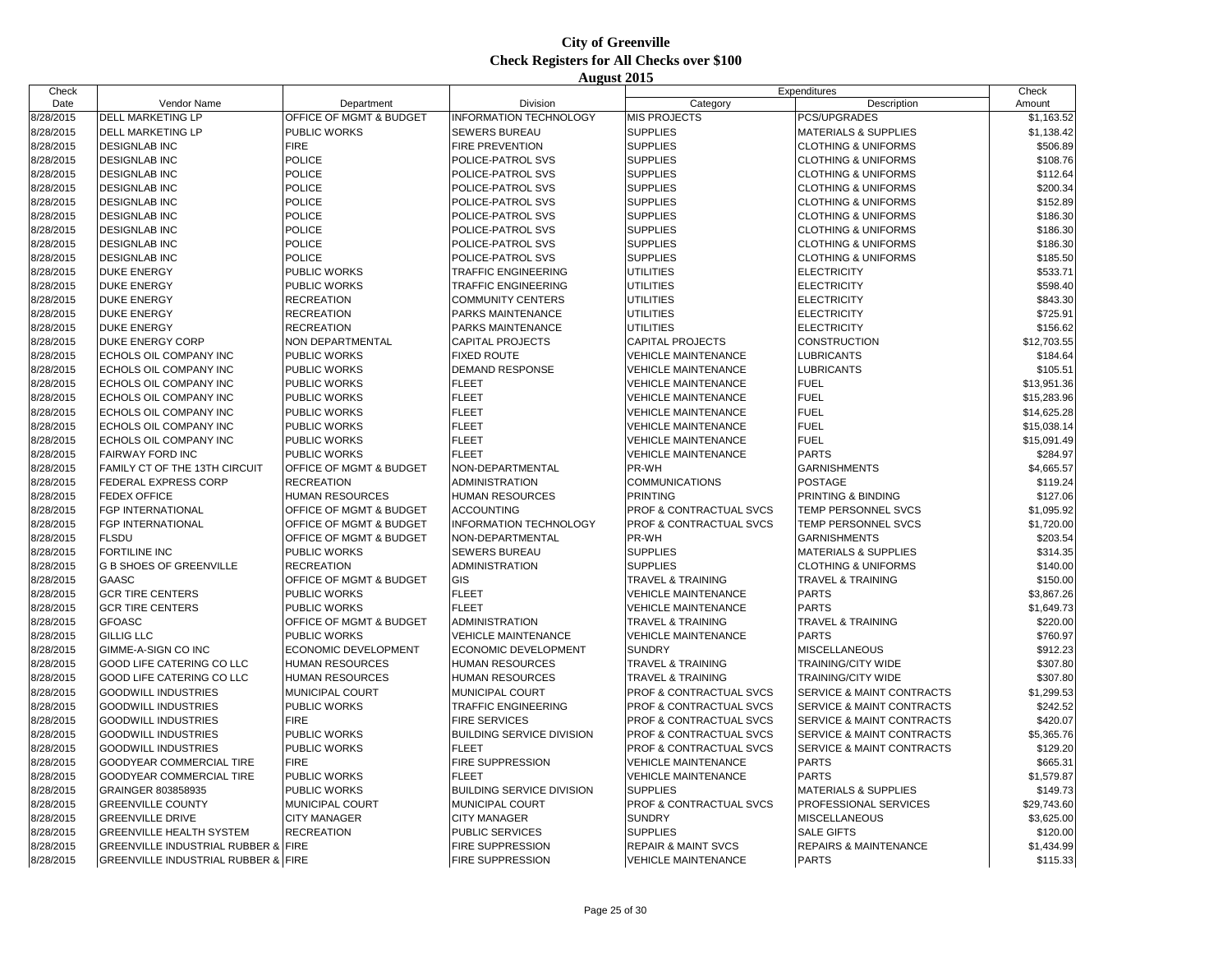| Check     |                                     |                         |                                  | Expenditures                       |                                      | Check       |
|-----------|-------------------------------------|-------------------------|----------------------------------|------------------------------------|--------------------------------------|-------------|
| Date      | Vendor Name                         | Department              | Division                         | Category                           | Description                          | Amount      |
| 8/28/2015 | <b>DELL MARKETING LP</b>            | OFFICE OF MGMT & BUDGET | <b>INFORMATION TECHNOLOGY</b>    | <b>MIS PROJECTS</b>                | PCS/UPGRADES                         | \$1,163.52  |
| 8/28/2015 | DELL MARKETING LP                   | PUBLIC WORKS            | SEWERS BUREAU                    | <b>SUPPLIES</b>                    | <b>MATERIALS &amp; SUPPLIES</b>      | \$1,138.42  |
| 8/28/2015 | <b>DESIGNLAB INC</b>                | <b>FIRE</b>             | FIRE PREVENTION                  | <b>SUPPLIES</b>                    | <b>CLOTHING &amp; UNIFORMS</b>       | \$506.89    |
| 8/28/2015 | <b>DESIGNLAB INC</b>                | <b>POLICE</b>           | POLICE-PATROL SVS                | <b>SUPPLIES</b>                    | <b>CLOTHING &amp; UNIFORMS</b>       | \$108.76    |
| 8/28/2015 | <b>DESIGNLAB INC</b>                | <b>POLICE</b>           | POLICE-PATROL SVS                | <b>SUPPLIES</b>                    | <b>CLOTHING &amp; UNIFORMS</b>       | \$112.64    |
| 8/28/2015 | <b>DESIGNLAB INC</b>                | <b>POLICE</b>           | POLICE-PATROL SVS                | <b>SUPPLIES</b>                    | <b>CLOTHING &amp; UNIFORMS</b>       | \$200.34    |
| 8/28/2015 | <b>DESIGNLAB INC</b>                | <b>POLICE</b>           | POLICE-PATROL SVS                | <b>SUPPLIES</b>                    | <b>CLOTHING &amp; UNIFORMS</b>       | \$152.89    |
| 8/28/2015 | <b>DESIGNLAB INC</b>                | <b>POLICE</b>           | POLICE-PATROL SVS                | <b>SUPPLIES</b>                    | <b>CLOTHING &amp; UNIFORMS</b>       | \$186.30    |
| 8/28/2015 | <b>DESIGNLAB INC</b>                | <b>POLICE</b>           | POLICE-PATROL SVS                | <b>SUPPLIES</b>                    | <b>CLOTHING &amp; UNIFORMS</b>       | \$186.30    |
| 8/28/2015 | <b>DESIGNLAB INC</b>                | <b>POLICE</b>           | POLICE-PATROL SVS                | <b>SUPPLIES</b>                    | <b>CLOTHING &amp; UNIFORMS</b>       | \$186.30    |
| 8/28/2015 | <b>DESIGNLAB INC</b>                | <b>POLICE</b>           | POLICE-PATROL SVS                | <b>SUPPLIES</b>                    | <b>CLOTHING &amp; UNIFORMS</b>       | \$185.50    |
| 8/28/2015 | <b>DUKE ENERGY</b>                  | PUBLIC WORKS            | <b>TRAFFIC ENGINEERING</b>       | <b>UTILITIES</b>                   | <b>ELECTRICITY</b>                   | \$533.71    |
| 8/28/2015 | <b>DUKE ENERGY</b>                  | PUBLIC WORKS            | TRAFFIC ENGINEERING              | UTILITIES                          | <b>ELECTRICITY</b>                   | \$598.40    |
| 8/28/2015 | <b>DUKE ENERGY</b>                  | <b>RECREATION</b>       | <b>COMMUNITY CENTERS</b>         | <b>UTILITIES</b>                   | <b>ELECTRICITY</b>                   | \$843.30    |
| 8/28/2015 | <b>DUKE ENERGY</b>                  | <b>RECREATION</b>       | PARKS MAINTENANCE                | <b>UTILITIES</b>                   | <b>ELECTRICITY</b>                   | \$725.91    |
| 8/28/2015 | <b>DUKE ENERGY</b>                  | <b>RECREATION</b>       | PARKS MAINTENANCE                | UTILITIES                          | <b>ELECTRICITY</b>                   | \$156.62    |
| 8/28/2015 | <b>DUKE ENERGY CORP</b>             | NON DEPARTMENTAL        | <b>CAPITAL PROJECTS</b>          | <b>CAPITAL PROJECTS</b>            | <b>CONSTRUCTION</b>                  | \$12,703.55 |
| 8/28/2015 | ECHOLS OIL COMPANY INC              | PUBLIC WORKS            | <b>FIXED ROUTE</b>               | <b>VEHICLE MAINTENANCE</b>         | <b>LUBRICANTS</b>                    | \$184.64    |
| 8/28/2015 | ECHOLS OIL COMPANY INC              | PUBLIC WORKS            | DEMAND RESPONSE                  | <b>VEHICLE MAINTENANCE</b>         | <b>LUBRICANTS</b>                    | \$105.51    |
| 8/28/2015 | ECHOLS OIL COMPANY INC              | PUBLIC WORKS            | <b>FLEET</b>                     | VEHICLE MAINTENANCE                | <b>FUEL</b>                          | \$13,951.36 |
| 8/28/2015 | ECHOLS OIL COMPANY INC              | PUBLIC WORKS            | <b>FLEET</b>                     | <b>VEHICLE MAINTENANCE</b>         | <b>FUEL</b>                          | \$15,283.96 |
| 8/28/2015 | ECHOLS OIL COMPANY INC              | PUBLIC WORKS            | <b>FLEET</b>                     | <b>VEHICLE MAINTENANCE</b>         | <b>FUEL</b>                          | \$14,625.28 |
| 8/28/2015 | ECHOLS OIL COMPANY INC              | PUBLIC WORKS            | <b>FLEET</b>                     | VEHICLE MAINTENANCE                | <b>FUEL</b>                          | \$15,038.14 |
| 8/28/2015 | ECHOLS OIL COMPANY INC              | PUBLIC WORKS            | <b>FLEET</b>                     | <b>VEHICLE MAINTENANCE</b>         | <b>FUEL</b>                          | \$15,091.49 |
| 8/28/2015 | FAIRWAY FORD INC                    | PUBLIC WORKS            | <b>FLEET</b>                     | <b>VEHICLE MAINTENANCE</b>         | <b>PARTS</b>                         | \$284.97    |
| 8/28/2015 | FAMILY CT OF THE 13TH CIRCUIT       | OFFICE OF MGMT & BUDGET | NON-DEPARTMENTAL                 | PR-WH                              | <b>GARNISHMENTS</b>                  | \$4,665.57  |
| 8/28/2015 | <b>FEDERAL EXPRESS CORP</b>         | <b>RECREATION</b>       | <b>ADMINISTRATION</b>            | <b>COMMUNICATIONS</b>              | <b>POSTAGE</b>                       | \$119.24    |
| 8/28/2015 | <b>FEDEX OFFICE</b>                 | <b>HUMAN RESOURCES</b>  | HUMAN RESOURCES                  | <b>PRINTING</b>                    | PRINTING & BINDING                   | \$127.06    |
| 8/28/2015 | FGP INTERNATIONAL                   | OFFICE OF MGMT & BUDGET | <b>ACCOUNTING</b>                | PROF & CONTRACTUAL SVCS            | TEMP PERSONNEL SVCS                  | \$1,095.92  |
| 8/28/2015 | FGP INTERNATIONAL                   | OFFICE OF MGMT & BUDGET | INFORMATION TECHNOLOGY           | PROF & CONTRACTUAL SVCS            | TEMP PERSONNEL SVCS                  | \$1,720.00  |
| 8/28/2015 | <b>FLSDU</b>                        | OFFICE OF MGMT & BUDGET | NON-DEPARTMENTAL                 | PR-WH                              | <b>GARNISHMENTS</b>                  | \$203.54    |
| 8/28/2015 | FORTILINE INC                       | PUBLIC WORKS            | <b>SEWERS BUREAU</b>             | <b>SUPPLIES</b>                    | <b>MATERIALS &amp; SUPPLIES</b>      | \$314.35    |
| 8/28/2015 | <b>G B SHOES OF GREENVILLE</b>      | <b>RECREATION</b>       | <b>ADMINISTRATION</b>            | <b>SUPPLIES</b>                    | <b>CLOTHING &amp; UNIFORMS</b>       | \$140.00    |
| 8/28/2015 | GAASC                               | OFFICE OF MGMT & BUDGET | <b>GIS</b>                       | TRAVEL & TRAINING                  | <b>TRAVEL &amp; TRAINING</b>         | \$150.00    |
| 8/28/2015 | <b>GCR TIRE CENTERS</b>             | PUBLIC WORKS            | <b>FLEET</b>                     | <b>VEHICLE MAINTENANCE</b>         | <b>PARTS</b>                         | \$3,867.26  |
| 8/28/2015 | <b>GCR TIRE CENTERS</b>             | PUBLIC WORKS            | <b>FLEET</b>                     | <b>VEHICLE MAINTENANCE</b>         | <b>PARTS</b>                         | \$1,649.73  |
| 8/28/2015 | <b>GFOASC</b>                       | OFFICE OF MGMT & BUDGET | <b>ADMINISTRATION</b>            | <b>TRAVEL &amp; TRAINING</b>       | <b>TRAVEL &amp; TRAINING</b>         | \$220.00    |
| 8/28/2015 | <b>GILLIG LLC</b>                   | PUBLIC WORKS            | <b>VEHICLE MAINTENANCE</b>       | <b>VEHICLE MAINTENANCE</b>         | <b>PARTS</b>                         | \$760.97    |
| 8/28/2015 | GIMME-A-SIGN CO INC                 | ECONOMIC DEVELOPMENT    | <b>ECONOMIC DEVELOPMENT</b>      | <b>SUNDRY</b>                      | <b>MISCELLANEOUS</b>                 | \$912.23    |
| 8/28/2015 | GOOD LIFE CATERING CO LLC           | <b>HUMAN RESOURCES</b>  | HUMAN RESOURCES                  | TRAVEL & TRAINING                  | TRAINING/CITY WIDE                   | \$307.80    |
| 8/28/2015 | GOOD LIFE CATERING CO LLC           | <b>HUMAN RESOURCES</b>  | HUMAN RESOURCES                  | <b>TRAVEL &amp; TRAINING</b>       | TRAINING/CITY WIDE                   | \$307.80    |
| 8/28/2015 | <b>GOODWILL INDUSTRIES</b>          | MUNICIPAL COURT         | MUNICIPAL COURT                  | PROF & CONTRACTUAL SVCS            | <b>SERVICE &amp; MAINT CONTRACTS</b> | \$1,299.53  |
| 8/28/2015 | <b>GOODWILL INDUSTRIES</b>          | PUBLIC WORKS            | TRAFFIC ENGINEERING              | PROF & CONTRACTUAL SVCS            | SERVICE & MAINT CONTRACTS            | \$242.52    |
| 8/28/2015 | <b>GOODWILL INDUSTRIES</b>          | <b>FIRE</b>             | <b>FIRE SERVICES</b>             | <b>PROF &amp; CONTRACTUAL SVCS</b> | SERVICE & MAINT CONTRACTS            | \$420.07    |
| 8/28/2015 | <b>GOODWILL INDUSTRIES</b>          | PUBLIC WORKS            | <b>BUILDING SERVICE DIVISION</b> | <b>PROF &amp; CONTRACTUAL SVCS</b> | <b>SERVICE &amp; MAINT CONTRACTS</b> | \$5,365.76  |
| 8/28/2015 | <b>GOODWILL INDUSTRIES</b>          | PUBLIC WORKS            | <b>FLEET</b>                     | <b>PROF &amp; CONTRACTUAL SVCS</b> | <b>SERVICE &amp; MAINT CONTRACTS</b> | \$129.20    |
| 8/28/2015 | GOODYEAR COMMERCIAL TIRE            | <b>FIRE</b>             | FIRE SUPPRESSION                 | <b>VEHICLE MAINTENANCE</b>         | <b>PARTS</b>                         | \$665.31    |
| 8/28/2015 | GOODYEAR COMMERCIAL TIRE            | <b>PUBLIC WORKS</b>     | <b>FLEET</b>                     | <b>VEHICLE MAINTENANCE</b>         | <b>PARTS</b>                         | \$1,579.87  |
| 8/28/2015 | GRAINGER 803858935                  | PUBLIC WORKS            | <b>BUILDING SERVICE DIVISION</b> | <b>SUPPLIES</b>                    | <b>MATERIALS &amp; SUPPLIES</b>      | \$149.73    |
| 8/28/2015 | <b>GREENVILLE COUNTY</b>            | MUNICIPAL COURT         | MUNICIPAL COURT                  | PROF & CONTRACTUAL SVCS            | PROFESSIONAL SERVICES                | \$29,743.60 |
| 8/28/2015 | <b>GREENVILLE DRIVE</b>             | <b>CITY MANAGER</b>     | <b>CITY MANAGER</b>              | <b>SUNDRY</b>                      | <b>MISCELLANEOUS</b>                 | \$3,625.00  |
| 8/28/2015 | <b>GREENVILLE HEALTH SYSTEM</b>     | <b>RECREATION</b>       | PUBLIC SERVICES                  | <b>SUPPLIES</b>                    | <b>SALE GIFTS</b>                    | \$120.00    |
| 8/28/2015 | GREENVILLE INDUSTRIAL RUBBER & FIRE |                         | FIRE SUPPRESSION                 | <b>REPAIR &amp; MAINT SVCS</b>     | <b>REPAIRS &amp; MAINTENANCE</b>     | \$1,434.99  |
| 8/28/2015 | GREENVILLE INDUSTRIAL RUBBER & FIRE |                         | <b>FIRE SUPPRESSION</b>          | <b>VEHICLE MAINTENANCE</b>         | <b>PARTS</b>                         | \$115.33    |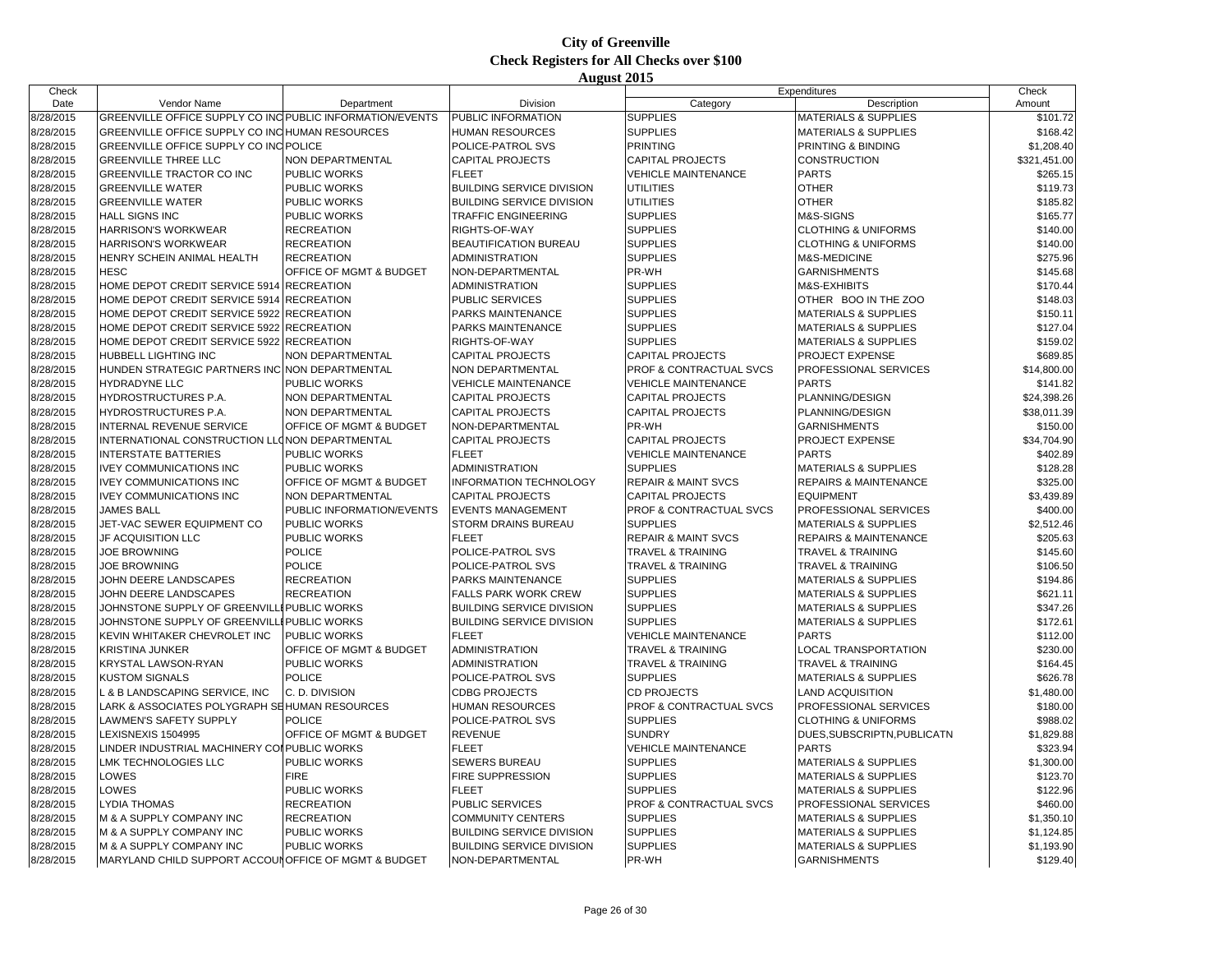| Check     |                                                           |                           |                                  | Expenditures                       |                                  | Check        |
|-----------|-----------------------------------------------------------|---------------------------|----------------------------------|------------------------------------|----------------------------------|--------------|
| Date      | Vendor Name                                               | Department                | Division                         | Category                           | Description                      | Amount       |
| 8/28/2015 | GREENVILLE OFFICE SUPPLY CO INC PUBLIC INFORMATION/EVENTS |                           | PUBLIC INFORMATION               | <b>SUPPLIES</b>                    | <b>MATERIALS &amp; SUPPLIES</b>  | \$101.72     |
| 8/28/2015 | GREENVILLE OFFICE SUPPLY CO INC HUMAN RESOURCES           |                           | HUMAN RESOURCES                  | <b>SUPPLIES</b>                    | <b>MATERIALS &amp; SUPPLIES</b>  | \$168.42     |
| 8/28/2015 | GREENVILLE OFFICE SUPPLY CO INC POLICE                    |                           | POLICE-PATROL SVS                | <b>PRINTING</b>                    | PRINTING & BINDING               | \$1,208.40   |
| 8/28/2015 | <b>GREENVILLE THREE LLC</b>                               | <b>NON DEPARTMENTAL</b>   | <b>CAPITAL PROJECTS</b>          | <b>CAPITAL PROJECTS</b>            | CONSTRUCTION                     | \$321,451.00 |
| 8/28/2015 | GREENVILLE TRACTOR CO INC                                 | PUBLIC WORKS              | <b>FLEET</b>                     | <b>VEHICLE MAINTENANCE</b>         | <b>PARTS</b>                     | \$265.15     |
| 8/28/2015 | <b>GREENVILLE WATER</b>                                   | PUBLIC WORKS              | <b>BUILDING SERVICE DIVISION</b> | <b>UTILITIES</b>                   | <b>OTHER</b>                     | \$119.73     |
| 8/28/2015 | <b>GREENVILLE WATER</b>                                   | PUBLIC WORKS              | <b>BUILDING SERVICE DIVISION</b> | <b>UTILITIES</b>                   | <b>OTHER</b>                     | \$185.82     |
| 8/28/2015 | <b>HALL SIGNS INC</b>                                     | PUBLIC WORKS              | <b>TRAFFIC ENGINEERING</b>       | <b>SUPPLIES</b>                    | M&S-SIGNS                        | \$165.77     |
| 8/28/2015 | HARRISON'S WORKWEAR                                       | <b>RECREATION</b>         | RIGHTS-OF-WAY                    | <b>SUPPLIES</b>                    | <b>CLOTHING &amp; UNIFORMS</b>   | \$140.00     |
| 8/28/2015 | <b>HARRISON'S WORKWEAR</b>                                | <b>RECREATION</b>         | <b>BEAUTIFICATION BUREAU</b>     | <b>SUPPLIES</b>                    | <b>CLOTHING &amp; UNIFORMS</b>   | \$140.00     |
| 8/28/2015 | HENRY SCHEIN ANIMAL HEALTH                                | <b>RECREATION</b>         | ADMINISTRATION                   | <b>SUPPLIES</b>                    | M&S-MEDICINE                     | \$275.96     |
| 8/28/2015 | <b>HESC</b>                                               | OFFICE OF MGMT & BUDGET   | NON-DEPARTMENTAL                 | PR-WH                              | <b>GARNISHMENTS</b>              | \$145.68     |
| 8/28/2015 | HOME DEPOT CREDIT SERVICE 5914 RECREATION                 |                           | ADMINISTRATION                   | <b>SUPPLIES</b>                    | <b>M&amp;S-EXHIBITS</b>          | \$170.44     |
| 8/28/2015 | HOME DEPOT CREDIT SERVICE 5914                            | <b>RECREATION</b>         | PUBLIC SERVICES                  | <b>SUPPLIES</b>                    | OTHER BOO IN THE ZOO             | \$148.03     |
| 8/28/2015 | HOME DEPOT CREDIT SERVICE 5922 RECREATION                 |                           | PARKS MAINTENANCE                | <b>SUPPLIES</b>                    | <b>MATERIALS &amp; SUPPLIES</b>  | \$150.11     |
| 8/28/2015 | HOME DEPOT CREDIT SERVICE 5922                            | <b>RECREATION</b>         | PARKS MAINTENANCE                | <b>SUPPLIES</b>                    | <b>MATERIALS &amp; SUPPLIES</b>  | \$127.04     |
| 8/28/2015 | HOME DEPOT CREDIT SERVICE 5922                            | <b>RECREATION</b>         | RIGHTS-OF-WAY                    | <b>SUPPLIES</b>                    | <b>MATERIALS &amp; SUPPLIES</b>  | \$159.02     |
| 8/28/2015 | HUBBELL LIGHTING INC                                      | NON DEPARTMENTAL          | <b>CAPITAL PROJECTS</b>          | <b>CAPITAL PROJECTS</b>            | <b>PROJECT EXPENSE</b>           | \$689.85     |
| 8/28/2015 | HUNDEN STRATEGIC PARTNERS INC NON DEPARTMENTAL            |                           | NON DEPARTMENTAL                 | <b>PROF &amp; CONTRACTUAL SVCS</b> | PROFESSIONAL SERVICES            | \$14,800.00  |
| 8/28/2015 | <b>HYDRADYNE LLC</b>                                      | PUBLIC WORKS              | <b>VEHICLE MAINTENANCE</b>       | <b>VEHICLE MAINTENANCE</b>         | <b>PARTS</b>                     | \$141.82     |
| 8/28/2015 | HYDROSTRUCTURES P.A.                                      | NON DEPARTMENTAL          | <b>CAPITAL PROJECTS</b>          | <b>CAPITAL PROJECTS</b>            | PLANNING/DESIGN                  | \$24,398.26  |
| 8/28/2015 | <b>HYDROSTRUCTURES P.A.</b>                               | NON DEPARTMENTAL          | <b>CAPITAL PROJECTS</b>          | <b>CAPITAL PROJECTS</b>            | PLANNING/DESIGN                  | \$38,011.39  |
| 8/28/2015 | INTERNAL REVENUE SERVICE                                  | OFFICE OF MGMT & BUDGET   | NON-DEPARTMENTAL                 | PR-WH                              | <b>GARNISHMENTS</b>              | \$150.00     |
| 8/28/2015 | INTERNATIONAL CONSTRUCTION LLONON DEPARTMENTAL            |                           | <b>CAPITAL PROJECTS</b>          | <b>CAPITAL PROJECTS</b>            | <b>PROJECT EXPENSE</b>           | \$34,704.90  |
| 8/28/2015 | <b>INTERSTATE BATTERIES</b>                               | PUBLIC WORKS              | <b>FLEET</b>                     | <b>VEHICLE MAINTENANCE</b>         | <b>PARTS</b>                     | \$402.89     |
| 8/28/2015 | <b>IVEY COMMUNICATIONS INC</b>                            | <b>PUBLIC WORKS</b>       | ADMINISTRATION                   | <b>SUPPLIES</b>                    | <b>MATERIALS &amp; SUPPLIES</b>  | \$128.28     |
| 8/28/2015 | <b>IVEY COMMUNICATIONS INC</b>                            | OFFICE OF MGMT & BUDGET   | <b>INFORMATION TECHNOLOGY</b>    | <b>REPAIR &amp; MAINT SVCS</b>     | <b>REPAIRS &amp; MAINTENANCE</b> | \$325.00     |
| 8/28/2015 | <b>IVEY COMMUNICATIONS INC</b>                            | NON DEPARTMENTAL          | <b>CAPITAL PROJECTS</b>          | <b>CAPITAL PROJECTS</b>            | <b>EQUIPMENT</b>                 | \$3,439.89   |
| 8/28/2015 | <b>JAMES BALL</b>                                         | PUBLIC INFORMATION/EVENTS | <b>EVENTS MANAGEMENT</b>         | PROF & CONTRACTUAL SVCS            | PROFESSIONAL SERVICES            | \$400.00     |
| 8/28/2015 | JET-VAC SEWER EQUIPMENT CO                                | PUBLIC WORKS              | <b>STORM DRAINS BUREAU</b>       | <b>SUPPLIES</b>                    | <b>MATERIALS &amp; SUPPLIES</b>  | \$2,512.46   |
| 8/28/2015 | <b>JF ACQUISITION LLC</b>                                 | PUBLIC WORKS              | <b>FLEET</b>                     | <b>REPAIR &amp; MAINT SVCS</b>     | <b>REPAIRS &amp; MAINTENANCE</b> | \$205.63     |
| 8/28/2015 | JOE BROWNING                                              | POLICE                    | POLICE-PATROL SVS                | <b>TRAVEL &amp; TRAINING</b>       | <b>TRAVEL &amp; TRAINING</b>     | \$145.60     |
| 8/28/2015 | JOE BROWNING                                              | POLICE                    | POLICE-PATROL SVS                | <b>TRAVEL &amp; TRAINING</b>       | <b>TRAVEL &amp; TRAINING</b>     | \$106.50     |
| 8/28/2015 | JOHN DEERE LANDSCAPES                                     | <b>RECREATION</b>         | PARKS MAINTENANCE                | <b>SUPPLIES</b>                    | <b>MATERIALS &amp; SUPPLIES</b>  | \$194.86     |
| 8/28/2015 | JOHN DEERE LANDSCAPES                                     | <b>RECREATION</b>         | <b>FALLS PARK WORK CREW</b>      | <b>SUPPLIES</b>                    | <b>MATERIALS &amp; SUPPLIES</b>  | \$621.11     |
| 8/28/2015 | JOHNSTONE SUPPLY OF GREENVILLI PUBLIC WORKS               |                           | <b>BUILDING SERVICE DIVISION</b> | <b>SUPPLIES</b>                    | <b>MATERIALS &amp; SUPPLIES</b>  | \$347.26     |
| 8/28/2015 | JOHNSTONE SUPPLY OF GREENVILLI PUBLIC WORKS               |                           | <b>BUILDING SERVICE DIVISION</b> | <b>SUPPLIES</b>                    | <b>MATERIALS &amp; SUPPLIES</b>  | \$172.61     |
| 8/28/2015 | KEVIN WHITAKER CHEVROLET INC                              | PUBLIC WORKS              | <b>FLEET</b>                     | <b>VEHICLE MAINTENANCE</b>         | <b>PARTS</b>                     | \$112.00     |
| 8/28/2015 | <b>KRISTINA JUNKER</b>                                    | OFFICE OF MGMT & BUDGET   | <b>ADMINISTRATION</b>            | <b>TRAVEL &amp; TRAINING</b>       | LOCAL TRANSPORTATION             | \$230.00     |
| 8/28/2015 | <b>KRYSTAL LAWSON-RYAN</b>                                | <b>PUBLIC WORKS</b>       | ADMINISTRATION                   | TRAVEL & TRAINING                  | TRAVEL & TRAINING                | \$164.45     |
| 8/28/2015 | <b>KUSTOM SIGNALS</b>                                     | <b>POLICE</b>             | POLICE-PATROL SVS                | <b>SUPPLIES</b>                    | <b>MATERIALS &amp; SUPPLIES</b>  | \$626.78     |
| 8/28/2015 | L & B LANDSCAPING SERVICE, INC                            | C. D. DIVISION            | <b>CDBG PROJECTS</b>             | <b>CD PROJECTS</b>                 | <b>LAND ACQUISITION</b>          | \$1,480.00   |
| 8/28/2015 | LARK & ASSOCIATES POLYGRAPH SEHUMAN RESOURCES             |                           | HUMAN RESOURCES                  | PROF & CONTRACTUAL SVCS            | PROFESSIONAL SERVICES            | \$180.00     |
| 8/28/2015 | <b>LAWMEN'S SAFETY SUPPLY</b>                             | <b>POLICE</b>             | POLICE-PATROL SVS                | <b>SUPPLIES</b>                    | <b>CLOTHING &amp; UNIFORMS</b>   | \$988.02     |
| 8/28/2015 | LEXISNEXIS 1504995                                        | OFFICE OF MGMT & BUDGET   | <b>REVENUE</b>                   | <b>SUNDRY</b>                      | DUES, SUBSCRIPTN, PUBLICATN      | \$1,829.88   |
| 8/28/2015 | LINDER INDUSTRIAL MACHINERY COLPUBLIC WORKS               |                           | <b>FLEET</b>                     | <b>VEHICLE MAINTENANCE</b>         | <b>PARTS</b>                     | \$323.94     |
| 8/28/2015 | <b>LMK TECHNOLOGIES LLC</b>                               | PUBLIC WORKS              | <b>SEWERS BUREAU</b>             | <b>SUPPLIES</b>                    | <b>MATERIALS &amp; SUPPLIES</b>  | \$1,300.00   |
| 8/28/2015 | LOWES                                                     | <b>FIRE</b>               | <b>FIRE SUPPRESSION</b>          | <b>SUPPLIES</b>                    | <b>MATERIALS &amp; SUPPLIES</b>  | \$123.70     |
| 8/28/2015 | LOWES                                                     | PUBLIC WORKS              | <b>FLEET</b>                     | <b>SUPPLIES</b>                    | <b>MATERIALS &amp; SUPPLIES</b>  | \$122.96     |
| 8/28/2015 | <b>LYDIA THOMAS</b>                                       | <b>RECREATION</b>         | PUBLIC SERVICES                  | PROF & CONTRACTUAL SVCS            | PROFESSIONAL SERVICES            | \$460.00     |
| 8/28/2015 | M & A SUPPLY COMPANY INC                                  | <b>RECREATION</b>         | <b>COMMUNITY CENTERS</b>         | <b>SUPPLIES</b>                    | <b>MATERIALS &amp; SUPPLIES</b>  | \$1,350.10   |
| 8/28/2015 | M & A SUPPLY COMPANY INC                                  | PUBLIC WORKS              | <b>BUILDING SERVICE DIVISION</b> | <b>SUPPLIES</b>                    | <b>MATERIALS &amp; SUPPLIES</b>  | \$1,124.85   |
| 8/28/2015 | M & A SUPPLY COMPANY INC                                  | <b>PUBLIC WORKS</b>       | <b>BUILDING SERVICE DIVISION</b> | <b>SUPPLIES</b>                    | <b>MATERIALS &amp; SUPPLIES</b>  | \$1,193.90   |
| 8/28/2015 | MARYLAND CHILD SUPPORT ACCOUN OFFICE OF MGMT & BUDGET     |                           | NON-DEPARTMENTAL                 | PR-WH                              | <b>GARNISHMENTS</b>              | \$129.40     |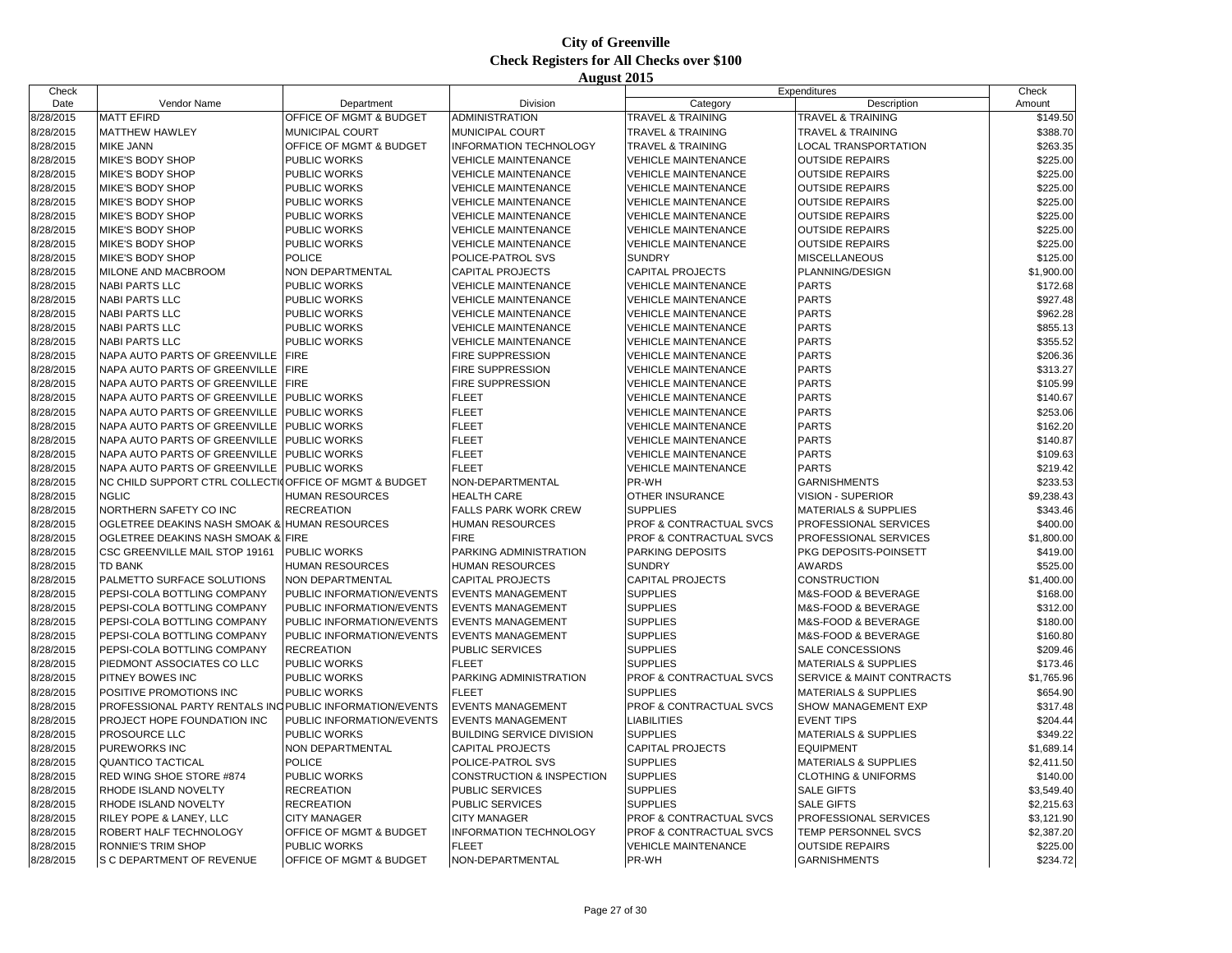| Check     |                                                          |                           |                                  | Expenditures                       |                                      | Check      |
|-----------|----------------------------------------------------------|---------------------------|----------------------------------|------------------------------------|--------------------------------------|------------|
| Date      | Vendor Name                                              | Department                | Division                         | Category                           | Description                          | Amount     |
| 8/28/2015 | <b>MATT EFIRD</b>                                        | OFFICE OF MGMT & BUDGET   | <b>ADMINISTRATION</b>            | TRAVEL & TRAINING                  | <b>TRAVEL &amp; TRAINING</b>         | \$149.50   |
| 8/28/2015 | <b>MATTHEW HAWLEY</b>                                    | MUNICIPAL COURT           | MUNICIPAL COURT                  | <b>TRAVEL &amp; TRAINING</b>       | <b>TRAVEL &amp; TRAINING</b>         | \$388.70   |
| 8/28/2015 | <b>MIKE JANN</b>                                         | OFFICE OF MGMT & BUDGET   | <b>INFORMATION TECHNOLOGY</b>    | <b>TRAVEL &amp; TRAINING</b>       | <b>LOCAL TRANSPORTATION</b>          | \$263.35   |
| 8/28/2015 | MIKE'S BODY SHOP                                         | PUBLIC WORKS              | <b>VEHICLE MAINTENANCE</b>       | <b>VEHICLE MAINTENANCE</b>         | <b>OUTSIDE REPAIRS</b>               | \$225.00   |
| 8/28/2015 | MIKE'S BODY SHOP                                         | PUBLIC WORKS              | <b>VEHICLE MAINTENANCE</b>       | <b>VEHICLE MAINTENANCE</b>         | <b>OUTSIDE REPAIRS</b>               | \$225.00   |
| 8/28/2015 | MIKE'S BODY SHOP                                         | PUBLIC WORKS              | <b>VEHICLE MAINTENANCE</b>       | <b>VEHICLE MAINTENANCE</b>         | <b>OUTSIDE REPAIRS</b>               | \$225.00   |
| 8/28/2015 | MIKE'S BODY SHOP                                         | PUBLIC WORKS              | <b>VEHICLE MAINTENANCE</b>       | <b>VEHICLE MAINTENANCE</b>         | <b>OUTSIDE REPAIRS</b>               | \$225.00   |
| 8/28/2015 | MIKE'S BODY SHOP                                         | PUBLIC WORKS              | <b>VEHICLE MAINTENANCE</b>       | <b>VEHICLE MAINTENANCE</b>         | <b>OUTSIDE REPAIRS</b>               | \$225.00   |
| 8/28/2015 | MIKE'S BODY SHOP                                         | <b>PUBLIC WORKS</b>       | <b>VEHICLE MAINTENANCE</b>       | <b>VEHICLE MAINTENANCE</b>         | <b>OUTSIDE REPAIRS</b>               | \$225.00   |
| 8/28/2015 | MIKE'S BODY SHOP                                         | PUBLIC WORKS              | <b>VEHICLE MAINTENANCE</b>       | <b>VEHICLE MAINTENANCE</b>         | <b>OUTSIDE REPAIRS</b>               | \$225.00   |
| 8/28/2015 | MIKE'S BODY SHOP                                         | <b>POLICE</b>             | POLICE-PATROL SVS                | <b>SUNDRY</b>                      | <b>MISCELLANEOUS</b>                 | \$125.00   |
| 8/28/2015 | MILONE AND MACBROOM                                      | NON DEPARTMENTAL          | <b>CAPITAL PROJECTS</b>          | <b>CAPITAL PROJECTS</b>            | PLANNING/DESIGN                      | \$1,900.00 |
| 8/28/2015 | <b>NABI PARTS LLC</b>                                    | <b>PUBLIC WORKS</b>       | <b>VEHICLE MAINTENANCE</b>       | <b>VEHICLE MAINTENANCE</b>         | <b>PARTS</b>                         | \$172.68   |
| 8/28/2015 | <b>NABI PARTS LLC</b>                                    | PUBLIC WORKS              | <b>VEHICLE MAINTENANCE</b>       | <b>VEHICLE MAINTENANCE</b>         | <b>PARTS</b>                         | \$927.48   |
| 8/28/2015 | <b>NABI PARTS LLC</b>                                    | PUBLIC WORKS              | <b>VEHICLE MAINTENANCE</b>       | <b>VEHICLE MAINTENANCE</b>         | <b>PARTS</b>                         | \$962.28   |
| 8/28/2015 | <b>NABI PARTS LLC</b>                                    | PUBLIC WORKS              | <b>VEHICLE MAINTENANCE</b>       | <b>VEHICLE MAINTENANCE</b>         | <b>PARTS</b>                         | \$855.13   |
| 8/28/2015 | <b>NABI PARTS LLC</b>                                    | <b>PUBLIC WORKS</b>       | <b>VEHICLE MAINTENANCE</b>       | <b>VEHICLE MAINTENANCE</b>         | <b>PARTS</b>                         | \$355.52   |
| 8/28/2015 | NAPA AUTO PARTS OF GREENVILLE                            | <b>FIRE</b>               | FIRE SUPPRESSION                 | <b>VEHICLE MAINTENANCE</b>         | <b>PARTS</b>                         | \$206.36   |
| 8/28/2015 | NAPA AUTO PARTS OF GREENVILLE                            | <b>FIRE</b>               | <b>FIRE SUPPRESSION</b>          | <b>VEHICLE MAINTENANCE</b>         | <b>PARTS</b>                         | \$313.27   |
|           | NAPA AUTO PARTS OF GREENVILLE                            | <b>FIRE</b>               | FIRE SUPPRESSION                 | <b>VEHICLE MAINTENANCE</b>         | <b>PARTS</b>                         |            |
| 8/28/2015 |                                                          | PUBLIC WORKS              |                                  |                                    |                                      | \$105.99   |
| 8/28/2015 | NAPA AUTO PARTS OF GREENVILLE                            |                           | <b>FLEET</b>                     | <b>VEHICLE MAINTENANCE</b>         | <b>PARTS</b>                         | \$140.67   |
| 8/28/2015 | NAPA AUTO PARTS OF GREENVILLE                            | <b>PUBLIC WORKS</b>       | <b>FLEET</b>                     | <b>VEHICLE MAINTENANCE</b>         | <b>PARTS</b>                         | \$253.06   |
| 8/28/2015 | NAPA AUTO PARTS OF GREENVILLE                            | PUBLIC WORKS              | <b>FLEET</b>                     | <b>VEHICLE MAINTENANCE</b>         | <b>PARTS</b>                         | \$162.20   |
| 8/28/2015 | NAPA AUTO PARTS OF GREENVILLE                            | <b>PUBLIC WORKS</b>       | <b>FLEET</b>                     | <b>VEHICLE MAINTENANCE</b>         | <b>PARTS</b>                         | \$140.87   |
| 8/28/2015 | NAPA AUTO PARTS OF GREENVILLE                            | PUBLIC WORKS              | <b>FLEET</b>                     | VEHICLE MAINTENANCE                | <b>PARTS</b>                         | \$109.63   |
| 8/28/2015 | NAPA AUTO PARTS OF GREENVILLE                            | PUBLIC WORKS              | <b>FLEET</b>                     | <b>VEHICLE MAINTENANCE</b>         | <b>PARTS</b>                         | \$219.42   |
| 8/28/2015 | NC CHILD SUPPORT CTRL COLLECTIO OF FICE OF MGMT & BUDGET |                           | NON-DEPARTMENTAL                 | PR-WH                              | <b>GARNISHMENTS</b>                  | \$233.53   |
| 8/28/2015 | <b>NGLIC</b>                                             | HUMAN RESOURCES           | <b>HEALTH CARE</b>               | OTHER INSURANCE                    | <b>VISION - SUPERIOR</b>             | \$9,238.43 |
| 8/28/2015 | NORTHERN SAFETY CO INC                                   | <b>RECREATION</b>         | FALLS PARK WORK CREW             | <b>SUPPLIES</b>                    | <b>MATERIALS &amp; SUPPLIES</b>      | \$343.46   |
| 8/28/2015 | OGLETREE DEAKINS NASH SMOAK & HUMAN RESOURCES            |                           | <b>HUMAN RESOURCES</b>           | PROF & CONTRACTUAL SVCS            | PROFESSIONAL SERVICES                | \$400.00   |
| 8/28/2015 | OGLETREE DEAKINS NASH SMOAK & FIRE                       |                           | <b>FIRE</b>                      | PROF & CONTRACTUAL SVCS            | PROFESSIONAL SERVICES                | \$1,800.00 |
| 8/28/2015 | CSC GREENVILLE MAIL STOP 19161                           | <b>PUBLIC WORKS</b>       | PARKING ADMINISTRATION           | PARKING DEPOSITS                   | PKG DEPOSITS-POINSETT                | \$419.00   |
| 8/28/2015 | <b>TD BANK</b>                                           | <b>HUMAN RESOURCES</b>    | <b>HUMAN RESOURCES</b>           | <b>SUNDRY</b>                      | <b>AWARDS</b>                        | \$525.00   |
| 8/28/2015 | PALMETTO SURFACE SOLUTIONS                               | NON DEPARTMENTAL          | <b>CAPITAL PROJECTS</b>          | CAPITAL PROJECTS                   | <b>CONSTRUCTION</b>                  | \$1,400.00 |
| 8/28/2015 | PEPSI-COLA BOTTLING COMPANY                              | PUBLIC INFORMATION/EVENTS | <b>EVENTS MANAGEMENT</b>         | <b>SUPPLIES</b>                    | M&S-FOOD & BEVERAGE                  | \$168.00   |
| 8/28/2015 | PEPSI-COLA BOTTLING COMPANY                              | PUBLIC INFORMATION/EVENTS | <b>EVENTS MANAGEMENT</b>         | <b>SUPPLIES</b>                    | M&S-FOOD & BEVERAGE                  | \$312.00   |
| 8/28/2015 | PEPSI-COLA BOTTLING COMPANY                              | PUBLIC INFORMATION/EVENTS | <b>EVENTS MANAGEMENT</b>         | <b>SUPPLIES</b>                    | M&S-FOOD & BEVERAGE                  | \$180.00   |
| 8/28/2015 | PEPSI-COLA BOTTLING COMPANY                              | PUBLIC INFORMATION/EVENTS | <b>EVENTS MANAGEMENT</b>         | <b>SUPPLIES</b>                    | M&S-FOOD & BEVERAGE                  | \$160.80   |
| 8/28/2015 | PEPSI-COLA BOTTLING COMPANY                              | <b>RECREATION</b>         | <b>PUBLIC SERVICES</b>           | <b>SUPPLIES</b>                    | SALE CONCESSIONS                     | \$209.46   |
| 8/28/2015 | PIEDMONT ASSOCIATES CO LLC                               | PUBLIC WORKS              | <b>FLEET</b>                     | <b>SUPPLIES</b>                    | <b>MATERIALS &amp; SUPPLIES</b>      | \$173.46   |
| 8/28/2015 | PITNEY BOWES INC                                         | PUBLIC WORKS              | PARKING ADMINISTRATION           | PROF & CONTRACTUAL SVCS            | <b>SERVICE &amp; MAINT CONTRACTS</b> | \$1,765.96 |
| 8/28/2015 | POSITIVE PROMOTIONS INC                                  | PUBLIC WORKS              | <b>FLEET</b>                     | <b>SUPPLIES</b>                    | <b>MATERIALS &amp; SUPPLIES</b>      | \$654.90   |
| 8/28/2015 | PROFESSIONAL PARTY RENTALS INC PUBLIC INFORMATION/EVENTS |                           | <b>EVENTS MANAGEMENT</b>         | PROF & CONTRACTUAL SVCS            | SHOW MANAGEMENT EXP                  | \$317.48   |
| 8/28/2015 | PROJECT HOPE FOUNDATION INC                              | PUBLIC INFORMATION/EVENTS | <b>EVENTS MANAGEMENT</b>         | <b>LIABILITIES</b>                 | <b>EVENT TIPS</b>                    | \$204.44   |
| 8/28/2015 | PROSOURCE LLC                                            | PUBLIC WORKS              | <b>BUILDING SERVICE DIVISION</b> | <b>SUPPLIES</b>                    | <b>MATERIALS &amp; SUPPLIES</b>      | \$349.22   |
| 8/28/2015 | PUREWORKS INC                                            | NON DEPARTMENTAL          | <b>CAPITAL PROJECTS</b>          | CAPITAL PROJECTS                   | <b>EQUIPMENT</b>                     | \$1,689.14 |
| 8/28/2015 | QUANTICO TACTICAL                                        | <b>POLICE</b>             | POLICE-PATROL SVS                | <b>SUPPLIES</b>                    | <b>MATERIALS &amp; SUPPLIES</b>      | \$2,411.50 |
| 8/28/2015 | RED WING SHOE STORE #874                                 | PUBLIC WORKS              | CONSTRUCTION & INSPECTION        | <b>SUPPLIES</b>                    | <b>CLOTHING &amp; UNIFORMS</b>       | \$140.00   |
| 8/28/2015 | RHODE ISLAND NOVELTY                                     | <b>RECREATION</b>         | <b>PUBLIC SERVICES</b>           | <b>SUPPLIES</b>                    | <b>SALE GIFTS</b>                    | \$3,549.40 |
| 8/28/2015 | RHODE ISLAND NOVELTY                                     | <b>RECREATION</b>         | PUBLIC SERVICES                  | <b>SUPPLIES</b>                    | <b>SALE GIFTS</b>                    | \$2,215.63 |
| 8/28/2015 | RILEY POPE & LANEY, LLC                                  | <b>CITY MANAGER</b>       | <b>CITY MANAGER</b>              | <b>PROF &amp; CONTRACTUAL SVCS</b> | PROFESSIONAL SERVICES                | \$3,121.90 |
| 8/28/2015 | ROBERT HALF TECHNOLOGY                                   | OFFICE OF MGMT & BUDGET   | <b>INFORMATION TECHNOLOGY</b>    | PROF & CONTRACTUAL SVCS            | TEMP PERSONNEL SVCS                  | \$2,387.20 |
| 8/28/2015 | <b>RONNIE'S TRIM SHOP</b>                                | PUBLIC WORKS              | <b>FLEET</b>                     | <b>VEHICLE MAINTENANCE</b>         | <b>OUTSIDE REPAIRS</b>               | \$225.00   |
| 8/28/2015 | S C DEPARTMENT OF REVENUE                                | OFFICE OF MGMT & BUDGET   | NON-DEPARTMENTAL                 | PR-WH                              | <b>GARNISHMENTS</b>                  | \$234.72   |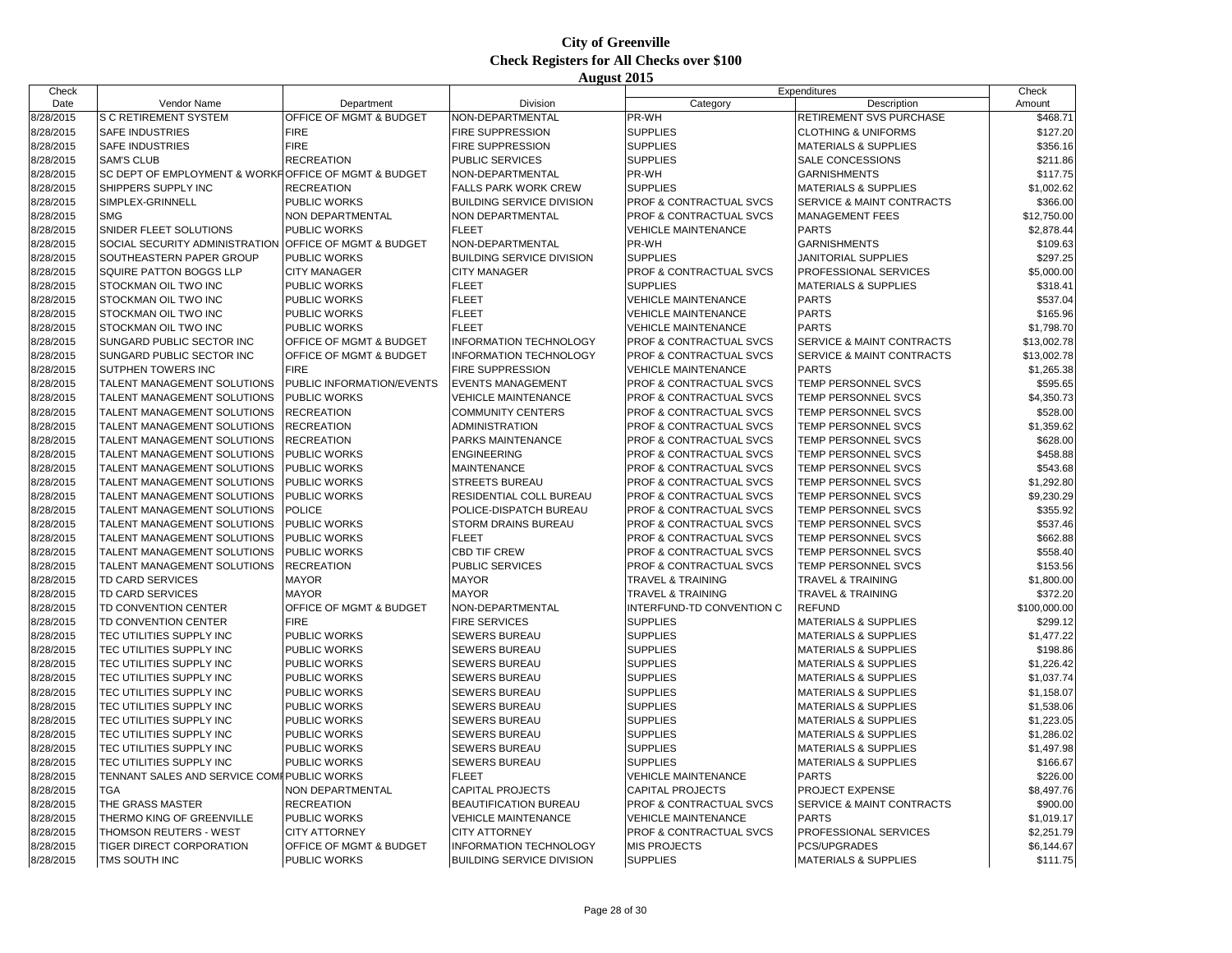| Check     |                                                        |                           |                                  | Expenditures                       |                                      | Check        |
|-----------|--------------------------------------------------------|---------------------------|----------------------------------|------------------------------------|--------------------------------------|--------------|
| Date      | Vendor Name                                            | Department                | Division                         | Category                           | Description                          | Amount       |
| 8/28/2015 | S C RETIREMENT SYSTEM                                  | OFFICE OF MGMT & BUDGET   | NON-DEPARTMENTAL                 | PR-WH                              | RETIREMENT SVS PURCHASE              | \$468.71     |
| 8/28/2015 | <b>SAFE INDUSTRIES</b>                                 | <b>FIRE</b>               | FIRE SUPPRESSION                 | <b>SUPPLIES</b>                    | <b>CLOTHING &amp; UNIFORMS</b>       | \$127.20     |
| 8/28/2015 | <b>SAFE INDUSTRIES</b>                                 | <b>FIRE</b>               | FIRE SUPPRESSION                 | <b>SUPPLIES</b>                    | <b>MATERIALS &amp; SUPPLIES</b>      | \$356.16     |
| 8/28/2015 | <b>SAM'S CLUB</b>                                      | <b>RECREATION</b>         | PUBLIC SERVICES                  | <b>SUPPLIES</b>                    | SALE CONCESSIONS                     | \$211.86     |
| 8/28/2015 | SC DEPT OF EMPLOYMENT & WORKFOFFICE OF MGMT & BUDGET   |                           |                                  | PR-WH                              | <b>GARNISHMENTS</b>                  | \$117.75     |
|           |                                                        |                           | NON-DEPARTMENTAL                 |                                    |                                      |              |
| 8/28/2015 | SHIPPERS SUPPLY INC                                    | <b>RECREATION</b>         | <b>FALLS PARK WORK CREW</b>      | <b>SUPPLIES</b>                    | <b>MATERIALS &amp; SUPPLIES</b>      | \$1,002.62   |
| 8/28/2015 | SIMPLEX-GRINNELL                                       | PUBLIC WORKS              | <b>BUILDING SERVICE DIVISION</b> | PROF & CONTRACTUAL SVCS            | SERVICE & MAINT CONTRACTS            | \$366.00     |
| 8/28/2015 | <b>SMG</b>                                             | NON DEPARTMENTAL          | NON DEPARTMENTAL                 | <b>PROF &amp; CONTRACTUAL SVCS</b> | <b>MANAGEMENT FEES</b>               | \$12,750.00  |
| 8/28/2015 | SNIDER FLEET SOLUTIONS                                 | PUBLIC WORKS              | <b>FLEET</b>                     | <b>VEHICLE MAINTENANCE</b>         | <b>PARTS</b>                         | \$2,878.44   |
| 8/28/2015 | SOCIAL SECURITY ADMINISTRATION OFFICE OF MGMT & BUDGET |                           | NON-DEPARTMENTAL                 | PR-WH                              | <b>GARNISHMENTS</b>                  | \$109.63     |
| 8/28/2015 | SOUTHEASTERN PAPER GROUP                               | PUBLIC WORKS              | <b>BUILDING SERVICE DIVISION</b> | <b>SUPPLIES</b>                    | JANITORIAL SUPPLIES                  | \$297.25     |
| 8/28/2015 | <b>SQUIRE PATTON BOGGS LLP</b>                         | <b>CITY MANAGER</b>       | <b>CITY MANAGER</b>              | <b>PROF &amp; CONTRACTUAL SVCS</b> | PROFESSIONAL SERVICES                | \$5,000.00   |
| 8/28/2015 | STOCKMAN OIL TWO INC                                   | PUBLIC WORKS              | <b>FLEET</b>                     | <b>SUPPLIES</b>                    | <b>MATERIALS &amp; SUPPLIES</b>      | \$318.41     |
| 8/28/2015 | STOCKMAN OIL TWO INC                                   | PUBLIC WORKS              | <b>FLEET</b>                     | <b>VEHICLE MAINTENANCE</b>         | <b>PARTS</b>                         | \$537.04     |
| 8/28/2015 | STOCKMAN OIL TWO INC                                   | <b>PUBLIC WORKS</b>       | <b>FLEET</b>                     | <b>VEHICLE MAINTENANCE</b>         | <b>PARTS</b>                         | \$165.96     |
| 8/28/2015 | STOCKMAN OIL TWO INC                                   | PUBLIC WORKS              | <b>FLEET</b>                     | <b>VEHICLE MAINTENANCE</b>         | <b>PARTS</b>                         | \$1,798.70   |
| 8/28/2015 | SUNGARD PUBLIC SECTOR INC                              | OFFICE OF MGMT & BUDGET   | <b>INFORMATION TECHNOLOGY</b>    | PROF & CONTRACTUAL SVCS            | SERVICE & MAINT CONTRACTS            | \$13,002.78  |
| 8/28/2015 | SUNGARD PUBLIC SECTOR INC                              | OFFICE OF MGMT & BUDGET   | <b>INFORMATION TECHNOLOGY</b>    | PROF & CONTRACTUAL SVCS            | SERVICE & MAINT CONTRACTS            | \$13,002.78  |
| 8/28/2015 | <b>SUTPHEN TOWERS INC</b>                              | <b>FIRE</b>               | <b>FIRE SUPPRESSION</b>          | <b>VEHICLE MAINTENANCE</b>         | <b>PARTS</b>                         | \$1,265.38   |
| 8/28/2015 | TALENT MANAGEMENT SOLUTIONS                            | PUBLIC INFORMATION/EVENTS | <b>EVENTS MANAGEMENT</b>         | PROF & CONTRACTUAL SVCS            | TEMP PERSONNEL SVCS                  | \$595.65     |
| 8/28/2015 | TALENT MANAGEMENT SOLUTIONS                            | PUBLIC WORKS              | <b>VEHICLE MAINTENANCE</b>       | PROF & CONTRACTUAL SVCS            | TEMP PERSONNEL SVCS                  | \$4,350.73   |
| 8/28/2015 | TALENT MANAGEMENT SOLUTIONS                            | <b>RECREATION</b>         | <b>COMMUNITY CENTERS</b>         | PROF & CONTRACTUAL SVCS            | <b>TEMP PERSONNEL SVCS</b>           | \$528.00     |
| 8/28/2015 | TALENT MANAGEMENT SOLUTIONS                            | <b>RECREATION</b>         | <b>ADMINISTRATION</b>            | PROF & CONTRACTUAL SVCS            | TEMP PERSONNEL SVCS                  | \$1,359.62   |
| 8/28/2015 | TALENT MANAGEMENT SOLUTIONS                            | <b>RECREATION</b>         | PARKS MAINTENANCE                | PROF & CONTRACTUAL SVCS            | TEMP PERSONNEL SVCS                  | \$628.00     |
| 8/28/2015 | TALENT MANAGEMENT SOLUTIONS                            | PUBLIC WORKS              | <b>ENGINEERING</b>               | <b>PROF &amp; CONTRACTUAL SVCS</b> | <b>TEMP PERSONNEL SVCS</b>           | \$458.88     |
| 8/28/2015 | TALENT MANAGEMENT SOLUTIONS                            | PUBLIC WORKS              | <b>MAINTENANCE</b>               | PROF & CONTRACTUAL SVCS            | TEMP PERSONNEL SVCS                  | \$543.68     |
| 8/28/2015 | TALENT MANAGEMENT SOLUTIONS                            | <b>PUBLIC WORKS</b>       | <b>STREETS BUREAU</b>            | PROF & CONTRACTUAL SVCS            | TEMP PERSONNEL SVCS                  | \$1,292.80   |
|           |                                                        |                           |                                  |                                    |                                      |              |
| 8/28/2015 | TALENT MANAGEMENT SOLUTIONS                            | PUBLIC WORKS              | RESIDENTIAL COLL BUREAU          | PROF & CONTRACTUAL SVCS            | <b>TEMP PERSONNEL SVCS</b>           | \$9,230.29   |
| 8/28/2015 | TALENT MANAGEMENT SOLUTIONS                            | <b>POLICE</b>             | POLICE-DISPATCH BUREAU           | PROF & CONTRACTUAL SVCS            | TEMP PERSONNEL SVCS                  | \$355.92     |
| 8/28/2015 | TALENT MANAGEMENT SOLUTIONS                            | PUBLIC WORKS              | STORM DRAINS BUREAU              | PROF & CONTRACTUAL SVCS            | TEMP PERSONNEL SVCS                  | \$537.46     |
| 8/28/2015 | TALENT MANAGEMENT SOLUTIONS                            | PUBLIC WORKS              | <b>FLEET</b>                     | PROF & CONTRACTUAL SVCS            | <b>TEMP PERSONNEL SVCS</b>           | \$662.88     |
| 8/28/2015 | TALENT MANAGEMENT SOLUTIONS                            | PUBLIC WORKS              | <b>CBD TIF CREW</b>              | PROF & CONTRACTUAL SVCS            | TEMP PERSONNEL SVCS                  | \$558.40     |
| 8/28/2015 | TALENT MANAGEMENT SOLUTIONS                            | <b>RECREATION</b>         | PUBLIC SERVICES                  | PROF & CONTRACTUAL SVCS            | TEMP PERSONNEL SVCS                  | \$153.56     |
| 8/28/2015 | <b>TD CARD SERVICES</b>                                | <b>MAYOR</b>              | <b>MAYOR</b>                     | <b>TRAVEL &amp; TRAINING</b>       | <b>TRAVEL &amp; TRAINING</b>         | \$1,800.00   |
| 8/28/2015 | TD CARD SERVICES                                       | <b>MAYOR</b>              | <b>MAYOR</b>                     | <b>TRAVEL &amp; TRAINING</b>       | <b>TRAVEL &amp; TRAINING</b>         | \$372.20     |
| 8/28/2015 | TD CONVENTION CENTER                                   | OFFICE OF MGMT & BUDGET   | NON-DEPARTMENTAL                 | INTERFUND-TD CONVENTION C          | <b>REFUND</b>                        | \$100,000.00 |
| 8/28/2015 | TD CONVENTION CENTER                                   | <b>FIRE</b>               | <b>FIRE SERVICES</b>             | <b>SUPPLIES</b>                    | <b>MATERIALS &amp; SUPPLIES</b>      | \$299.12     |
| 8/28/2015 | TEC UTILITIES SUPPLY INC                               | PUBLIC WORKS              | <b>SEWERS BUREAU</b>             | <b>SUPPLIES</b>                    | <b>MATERIALS &amp; SUPPLIES</b>      | \$1,477.22   |
| 8/28/2015 | TEC UTILITIES SUPPLY INC                               | PUBLIC WORKS              | <b>SEWERS BUREAU</b>             | <b>SUPPLIES</b>                    | <b>MATERIALS &amp; SUPPLIES</b>      | \$198.86     |
| 8/28/2015 | TEC UTILITIES SUPPLY INC                               | PUBLIC WORKS              | <b>SEWERS BUREAU</b>             | <b>SUPPLIES</b>                    | <b>MATERIALS &amp; SUPPLIES</b>      | \$1,226.42   |
| 8/28/2015 | TEC UTILITIES SUPPLY INC                               | PUBLIC WORKS              | SEWERS BUREAU                    | <b>SUPPLIES</b>                    | <b>MATERIALS &amp; SUPPLIES</b>      | \$1,037.74   |
| 8/28/2015 | TEC UTILITIES SUPPLY INC                               | <b>PUBLIC WORKS</b>       | <b>SEWERS BUREAU</b>             | <b>SUPPLIES</b>                    | <b>MATERIALS &amp; SUPPLIES</b>      | \$1,158.07   |
| 8/28/2015 | TEC UTILITIES SUPPLY INC                               | PUBLIC WORKS              | <b>SEWERS BUREAU</b>             | <b>SUPPLIES</b>                    | <b>MATERIALS &amp; SUPPLIES</b>      | \$1,538.06   |
| 8/28/2015 | TEC UTILITIES SUPPLY INC                               | PUBLIC WORKS              | SEWERS BUREAU                    | <b>SUPPLIES</b>                    | <b>MATERIALS &amp; SUPPLIES</b>      | \$1,223.05   |
| 8/28/2015 | TEC UTILITIES SUPPLY INC                               | PUBLIC WORKS              | <b>SEWERS BUREAU</b>             | <b>SUPPLIES</b>                    | <b>MATERIALS &amp; SUPPLIES</b>      | \$1,286.02   |
| 8/28/2015 | TEC UTILITIES SUPPLY INC                               | PUBLIC WORKS              | <b>SEWERS BUREAU</b>             | <b>SUPPLIES</b>                    | <b>MATERIALS &amp; SUPPLIES</b>      | \$1,497.98   |
| 8/28/2015 | TEC UTILITIES SUPPLY INC                               | PUBLIC WORKS              | <b>SEWERS BUREAU</b>             | <b>SUPPLIES</b>                    | <b>MATERIALS &amp; SUPPLIES</b>      | \$166.67     |
| 8/28/2015 | TENNANT SALES AND SERVICE COMPPUBLIC WORKS             |                           | <b>FLEET</b>                     | <b>VEHICLE MAINTENANCE</b>         | <b>PARTS</b>                         | \$226.00     |
| 8/28/2015 | TGA                                                    | <b>NON DEPARTMENTAL</b>   | <b>CAPITAL PROJECTS</b>          | <b>CAPITAL PROJECTS</b>            | PROJECT EXPENSE                      | \$8,497.76   |
| 8/28/2015 | THE GRASS MASTER                                       | <b>RECREATION</b>         | <b>BEAUTIFICATION BUREAU</b>     | PROF & CONTRACTUAL SVCS            | <b>SERVICE &amp; MAINT CONTRACTS</b> | \$900.00     |
| 8/28/2015 | THERMO KING OF GREENVILLE                              | PUBLIC WORKS              | <b>VEHICLE MAINTENANCE</b>       | <b>VEHICLE MAINTENANCE</b>         | <b>PARTS</b>                         | \$1,019.17   |
| 8/28/2015 | THOMSON REUTERS - WEST                                 | <b>CITY ATTORNEY</b>      | <b>CITY ATTORNEY</b>             | PROF & CONTRACTUAL SVCS            | PROFESSIONAL SERVICES                | \$2,251.79   |
|           | TIGER DIRECT CORPORATION                               | OFFICE OF MGMT & BUDGET   | <b>INFORMATION TECHNOLOGY</b>    | <b>MIS PROJECTS</b>                | PCS/UPGRADES                         |              |
| 8/28/2015 |                                                        |                           |                                  |                                    |                                      | \$6,144.67   |
| 8/28/2015 | TMS SOUTH INC                                          | PUBLIC WORKS              | <b>BUILDING SERVICE DIVISION</b> | <b>SUPPLIES</b>                    | <b>MATERIALS &amp; SUPPLIES</b>      | \$111.75     |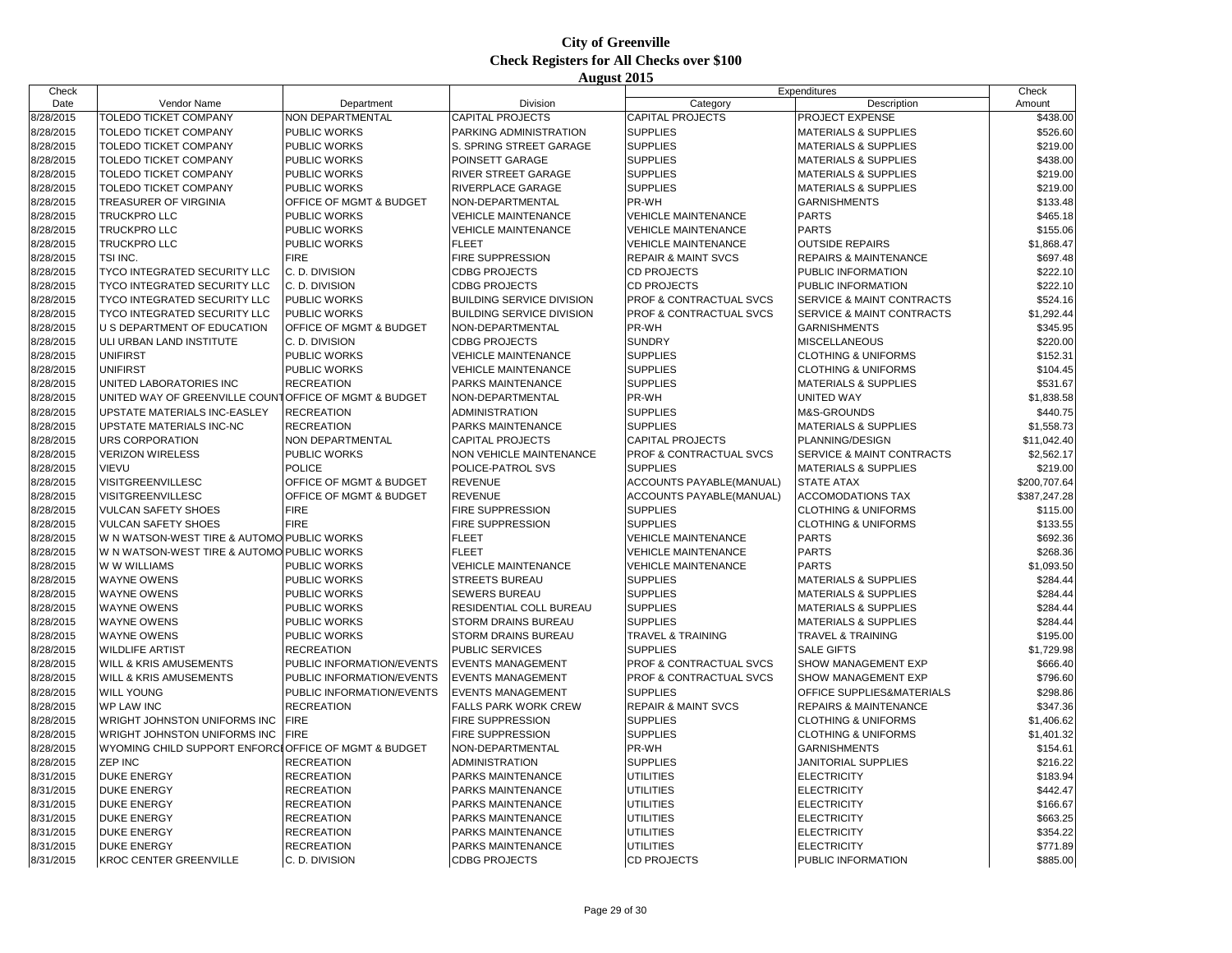| Check     |                                                       |                           |                                  | Expenditures                       |                                      | Check        |
|-----------|-------------------------------------------------------|---------------------------|----------------------------------|------------------------------------|--------------------------------------|--------------|
| Date      | Vendor Name                                           | Department                | Division                         | Category                           | Description                          | Amount       |
| 8/28/2015 | TOLEDO TICKET COMPANY                                 | NON DEPARTMENTAL          | <b>CAPITAL PROJECTS</b>          | <b>CAPITAL PROJECTS</b>            | PROJECT EXPENSE                      | \$438.00     |
| 8/28/2015 | TOLEDO TICKET COMPANY                                 | PUBLIC WORKS              | PARKING ADMINISTRATION           | <b>SUPPLIES</b>                    | <b>MATERIALS &amp; SUPPLIES</b>      | \$526.60     |
| 8/28/2015 | TOLEDO TICKET COMPANY                                 | PUBLIC WORKS              | <b>S. SPRING STREET GARAGE</b>   | <b>SUPPLIES</b>                    | <b>MATERIALS &amp; SUPPLIES</b>      | \$219.00     |
| 8/28/2015 | <b>TOLEDO TICKET COMPANY</b>                          | PUBLIC WORKS              | POINSETT GARAGE                  | <b>SUPPLIES</b>                    | <b>MATERIALS &amp; SUPPLIES</b>      | \$438.00     |
| 8/28/2015 | <b>TOLEDO TICKET COMPANY</b>                          | PUBLIC WORKS              | <b>RIVER STREET GARAGE</b>       | <b>SUPPLIES</b>                    | <b>MATERIALS &amp; SUPPLIES</b>      | \$219.00     |
| 8/28/2015 | TOLEDO TICKET COMPANY                                 | PUBLIC WORKS              | RIVERPLACE GARAGE                | <b>SUPPLIES</b>                    | <b>MATERIALS &amp; SUPPLIES</b>      | \$219.00     |
| 8/28/2015 | TREASURER OF VIRGINIA                                 | OFFICE OF MGMT & BUDGET   | NON-DEPARTMENTAL                 | PR-WH                              | <b>GARNISHMENTS</b>                  | \$133.48     |
| 8/28/2015 | <b>TRUCKPRO LLC</b>                                   | <b>PUBLIC WORKS</b>       | <b>VEHICLE MAINTENANCE</b>       | <b>VEHICLE MAINTENANCE</b>         | <b>PARTS</b>                         | \$465.18     |
| 8/28/2015 | <b>TRUCKPRO LLC</b>                                   | PUBLIC WORKS              | <b>VEHICLE MAINTENANCE</b>       | <b>VEHICLE MAINTENANCE</b>         | <b>PARTS</b>                         | \$155.06     |
| 8/28/2015 | TRUCKPRO LLC                                          | PUBLIC WORKS              | <b>FLEET</b>                     | <b>VEHICLE MAINTENANCE</b>         | <b>OUTSIDE REPAIRS</b>               | \$1,868.47   |
| 8/28/2015 | TSI INC.                                              | <b>FIRE</b>               | <b>FIRE SUPPRESSION</b>          | <b>REPAIR &amp; MAINT SVCS</b>     | <b>REPAIRS &amp; MAINTENANCE</b>     | \$697.48     |
| 8/28/2015 | TYCO INTEGRATED SECURITY LLC                          | C. D. DIVISION            | <b>CDBG PROJECTS</b>             | <b>CD PROJECTS</b>                 | PUBLIC INFORMATION                   | \$222.10     |
| 8/28/2015 | TYCO INTEGRATED SECURITY LLC                          | C. D. DIVISION            | <b>CDBG PROJECTS</b>             | <b>CD PROJECTS</b>                 | PUBLIC INFORMATION                   | \$222.10     |
| 8/28/2015 | TYCO INTEGRATED SECURITY LLC                          | <b>PUBLIC WORKS</b>       | <b>BUILDING SERVICE DIVISION</b> | <b>PROF &amp; CONTRACTUAL SVCS</b> | SERVICE & MAINT CONTRACTS            | \$524.16     |
| 8/28/2015 | TYCO INTEGRATED SECURITY LLC                          | PUBLIC WORKS              | <b>BUILDING SERVICE DIVISION</b> | PROF & CONTRACTUAL SVCS            | SERVICE & MAINT CONTRACTS            | \$1,292.44   |
| 8/28/2015 | U S DEPARTMENT OF EDUCATION                           | OFFICE OF MGMT & BUDGET   | NON-DEPARTMENTAL                 | PR-WH                              | <b>GARNISHMENTS</b>                  | \$345.95     |
| 8/28/2015 | ULI URBAN LAND INSTITUTE                              | C. D. DIVISION            | <b>CDBG PROJECTS</b>             | <b>SUNDRY</b>                      | <b>MISCELLANEOUS</b>                 | \$220.00     |
| 8/28/2015 | UNIFIRST                                              | PUBLIC WORKS              | <b>VEHICLE MAINTENANCE</b>       | <b>SUPPLIES</b>                    | <b>CLOTHING &amp; UNIFORMS</b>       | \$152.31     |
| 8/28/2015 | <b>UNIFIRST</b>                                       | PUBLIC WORKS              | <b>VEHICLE MAINTENANCE</b>       | <b>SUPPLIES</b>                    | <b>CLOTHING &amp; UNIFORMS</b>       | \$104.45     |
| 8/28/2015 | UNITED LABORATORIES INC                               | <b>RECREATION</b>         | <b>PARKS MAINTENANCE</b>         | <b>SUPPLIES</b>                    | <b>MATERIALS &amp; SUPPLIES</b>      | \$531.67     |
| 8/28/2015 | UNITED WAY OF GREENVILLE COUNTOFFICE OF MGMT & BUDGET |                           | NON-DEPARTMENTAL                 | PR-WH                              | <b>UNITED WAY</b>                    | \$1,838.58   |
| 8/28/2015 | UPSTATE MATERIALS INC-EASLEY                          | <b>RECREATION</b>         | <b>ADMINISTRATION</b>            | <b>SUPPLIES</b>                    | M&S-GROUNDS                          | \$440.75     |
| 8/28/2015 | <b>UPSTATE MATERIALS INC-NC</b>                       | <b>RECREATION</b>         | <b>PARKS MAINTENANCE</b>         | <b>SUPPLIES</b>                    | <b>MATERIALS &amp; SUPPLIES</b>      | \$1,558.73   |
| 8/28/2015 | URS CORPORATION                                       | NON DEPARTMENTAL          | <b>CAPITAL PROJECTS</b>          | <b>CAPITAL PROJECTS</b>            | PLANNING/DESIGN                      | \$11,042.40  |
| 8/28/2015 | <b>VERIZON WIRELESS</b>                               | PUBLIC WORKS              | <b>NON VEHICLE MAINTENANCE</b>   | PROF & CONTRACTUAL SVCS            | <b>SERVICE &amp; MAINT CONTRACTS</b> | \$2,562.17   |
| 8/28/2015 | <b>VIEVU</b>                                          | <b>POLICE</b>             | POLICE-PATROL SVS                | <b>SUPPLIES</b>                    | <b>MATERIALS &amp; SUPPLIES</b>      | \$219.00     |
| 8/28/2015 | VISITGREENVILLESC                                     | OFFICE OF MGMT & BUDGET   | <b>REVENUE</b>                   | ACCOUNTS PAYABLE(MANUAL)           | <b>STATE ATAX</b>                    | \$200,707.64 |
| 8/28/2015 | VISITGREENVILLESC                                     | OFFICE OF MGMT & BUDGET   | <b>REVENUE</b>                   | ACCOUNTS PAYABLE(MANUAL)           | <b>ACCOMODATIONS TAX</b>             | \$387,247.28 |
| 8/28/2015 | <b>VULCAN SAFETY SHOES</b>                            | <b>FIRE</b>               | <b>FIRE SUPPRESSION</b>          | <b>SUPPLIES</b>                    | <b>CLOTHING &amp; UNIFORMS</b>       | \$115.00     |
| 8/28/2015 | <b>VULCAN SAFETY SHOES</b>                            | <b>FIRE</b>               | <b>FIRE SUPPRESSION</b>          | <b>SUPPLIES</b>                    | <b>CLOTHING &amp; UNIFORMS</b>       | \$133.55     |
| 8/28/2015 | W N WATSON-WEST TIRE & AUTOMO PUBLIC WORKS            |                           | <b>FLEET</b>                     | <b>VEHICLE MAINTENANCE</b>         | <b>PARTS</b>                         | \$692.36     |
| 8/28/2015 | W N WATSON-WEST TIRE & AUTOMO PUBLIC WORKS            |                           | <b>FLEET</b>                     | <b>VEHICLE MAINTENANCE</b>         | <b>PARTS</b>                         | \$268.36     |
| 8/28/2015 | W W WILLIAMS                                          | <b>PUBLIC WORKS</b>       | <b>VEHICLE MAINTENANCE</b>       | <b>VEHICLE MAINTENANCE</b>         | <b>PARTS</b>                         | \$1,093.50   |
| 8/28/2015 | <b>WAYNE OWENS</b>                                    | PUBLIC WORKS              | <b>STREETS BUREAU</b>            | <b>SUPPLIES</b>                    | <b>MATERIALS &amp; SUPPLIES</b>      | \$284.44     |
| 8/28/2015 | <b>WAYNE OWENS</b>                                    | PUBLIC WORKS              | <b>SEWERS BUREAU</b>             | <b>SUPPLIES</b>                    | <b>MATERIALS &amp; SUPPLIES</b>      | \$284.44     |
| 8/28/2015 | <b>WAYNE OWENS</b>                                    | PUBLIC WORKS              | RESIDENTIAL COLL BUREAU          | <b>SUPPLIES</b>                    | <b>MATERIALS &amp; SUPPLIES</b>      | \$284.44     |
| 8/28/2015 | <b>WAYNE OWENS</b>                                    | PUBLIC WORKS              | <b>STORM DRAINS BUREAU</b>       | <b>SUPPLIES</b>                    | <b>MATERIALS &amp; SUPPLIES</b>      | \$284.44     |
| 8/28/2015 | <b>WAYNE OWENS</b>                                    | PUBLIC WORKS              | <b>STORM DRAINS BUREAU</b>       | <b>TRAVEL &amp; TRAINING</b>       | <b>TRAVEL &amp; TRAINING</b>         | \$195.00     |
| 8/28/2015 | <b>WILDLIFE ARTIST</b>                                | <b>RECREATION</b>         | <b>PUBLIC SERVICES</b>           | <b>SUPPLIES</b>                    | <b>SALE GIFTS</b>                    | \$1,729.98   |
| 8/28/2015 | WILL & KRIS AMUSEMENTS                                | PUBLIC INFORMATION/EVENTS | <b>EVENTS MANAGEMENT</b>         | <b>PROF &amp; CONTRACTUAL SVCS</b> | SHOW MANAGEMENT EXP                  | \$666.40     |
| 8/28/2015 | WILL & KRIS AMUSEMENTS                                | PUBLIC INFORMATION/EVENTS | <b>EVENTS MANAGEMENT</b>         | PROF & CONTRACTUAL SVCS            | SHOW MANAGEMENT EXP                  | \$796.60     |
| 8/28/2015 | <b>WILL YOUNG</b>                                     | PUBLIC INFORMATION/EVENTS | <b>EVENTS MANAGEMENT</b>         | <b>SUPPLIES</b>                    | OFFICE SUPPLIES&MATERIALS            | \$298.86     |
| 8/28/2015 | <b>WP LAW INC</b>                                     | <b>RECREATION</b>         | <b>FALLS PARK WORK CREW</b>      | <b>REPAIR &amp; MAINT SVCS</b>     | <b>REPAIRS &amp; MAINTENANCE</b>     | \$347.36     |
| 8/28/2015 | WRIGHT JOHNSTON UNIFORMS INC                          | <b>FIRE</b>               | <b>FIRE SUPPRESSION</b>          | <b>SUPPLIES</b>                    | <b>CLOTHING &amp; UNIFORMS</b>       | \$1,406.62   |
| 8/28/2015 | WRIGHT JOHNSTON UNIFORMS INC                          | <b>FIRE</b>               | <b>FIRE SUPPRESSION</b>          | <b>SUPPLIES</b>                    | <b>CLOTHING &amp; UNIFORMS</b>       | \$1,401.32   |
| 8/28/2015 | WYOMING CHILD SUPPORT ENFORCLOFFICE OF MGMT & BUDGET  |                           | NON-DEPARTMENTAL                 | PR-WH                              | <b>GARNISHMENTS</b>                  | \$154.61     |
| 8/28/2015 | <b>ZEP INC</b>                                        | <b>RECREATION</b>         | <b>ADMINISTRATION</b>            | <b>SUPPLIES</b>                    | <b>JANITORIAL SUPPLIES</b>           | \$216.22     |
| 8/31/2015 | <b>DUKE ENERGY</b>                                    | <b>RECREATION</b>         | PARKS MAINTENANCE                | <b>UTILITIES</b>                   | <b>ELECTRICITY</b>                   | \$183.94     |
| 8/31/2015 | <b>DUKE ENERGY</b>                                    | <b>RECREATION</b>         | <b>PARKS MAINTENANCE</b>         | <b>UTILITIES</b>                   | <b>ELECTRICITY</b>                   | \$442.47     |
| 8/31/2015 | <b>DUKE ENERGY</b>                                    | <b>RECREATION</b>         | <b>PARKS MAINTENANCE</b>         | <b>UTILITIES</b>                   | <b>ELECTRICITY</b>                   | \$166.67     |
| 8/31/2015 | <b>DUKE ENERGY</b>                                    | <b>RECREATION</b>         | PARKS MAINTENANCE                | <b>UTILITIES</b>                   | <b>ELECTRICITY</b>                   | \$663.25     |
| 8/31/2015 | <b>DUKE ENERGY</b>                                    | <b>RECREATION</b>         | <b>PARKS MAINTENANCE</b>         | <b>UTILITIES</b>                   | <b>ELECTRICITY</b>                   | \$354.22     |
| 8/31/2015 | <b>DUKE ENERGY</b>                                    | <b>RECREATION</b>         | PARKS MAINTENANCE                | <b>UTILITIES</b>                   | <b>ELECTRICITY</b>                   | \$771.89     |
| 8/31/2015 | <b>KROC CENTER GREENVILLE</b>                         | C. D. DIVISION            | <b>CDBG PROJECTS</b>             | <b>CD PROJECTS</b>                 | PUBLIC INFORMATION                   | \$885.00     |